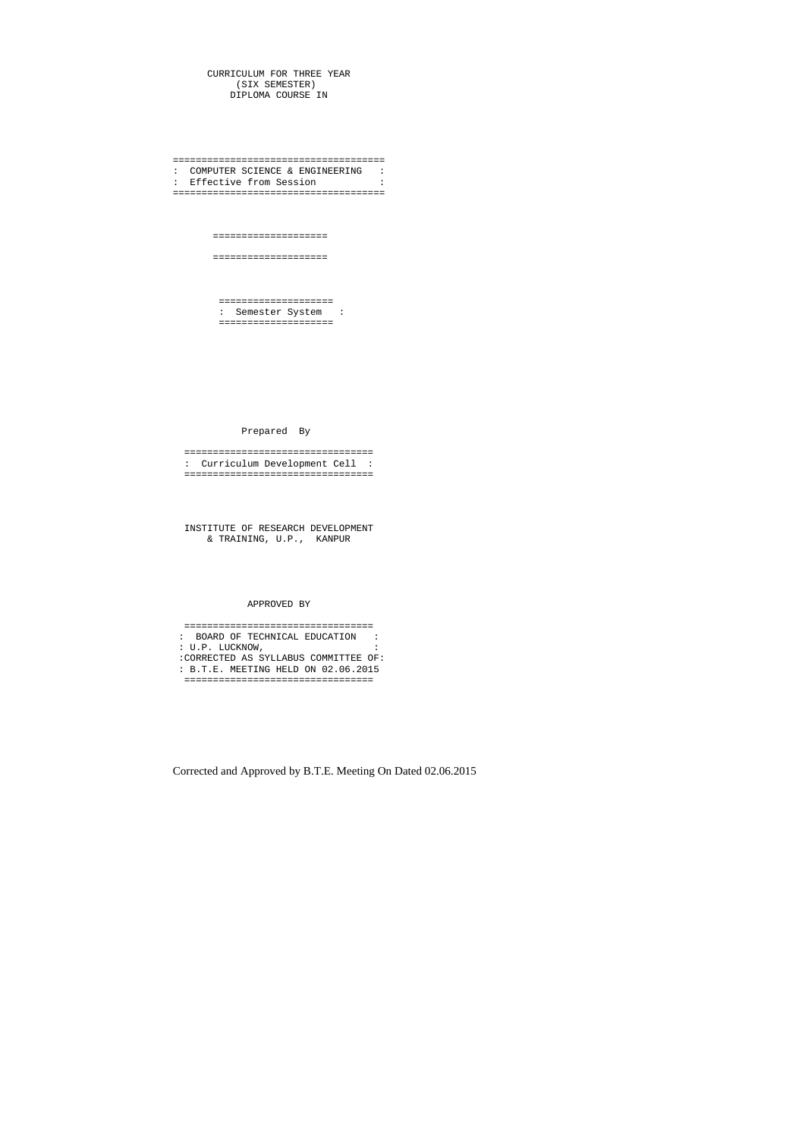CURRICULUM FOR THREE YEAR (SIX SEMESTER) DIPLOMA COURSE IN

===================================== : COMPUTER SCIENCE & ENGINEERING : : Effective from Session =====================================

====================

====================

 ==================== : Semester System : ====================

Prepared By

 ================================= : Curriculum Development Cell : =================================

 INSTITUTE OF RESEARCH DEVELOPMENT & TRAINING, U.P., KANPUR

## APPROVED BY

 ================================= : BOARD OF TECHNICAL EDUCATION : : U.P. LUCKNOW, : :CORRECTED AS SYLLABUS COMMITTEE OF: : B.T.E. MEETING HELD ON 02.06.2015 =================================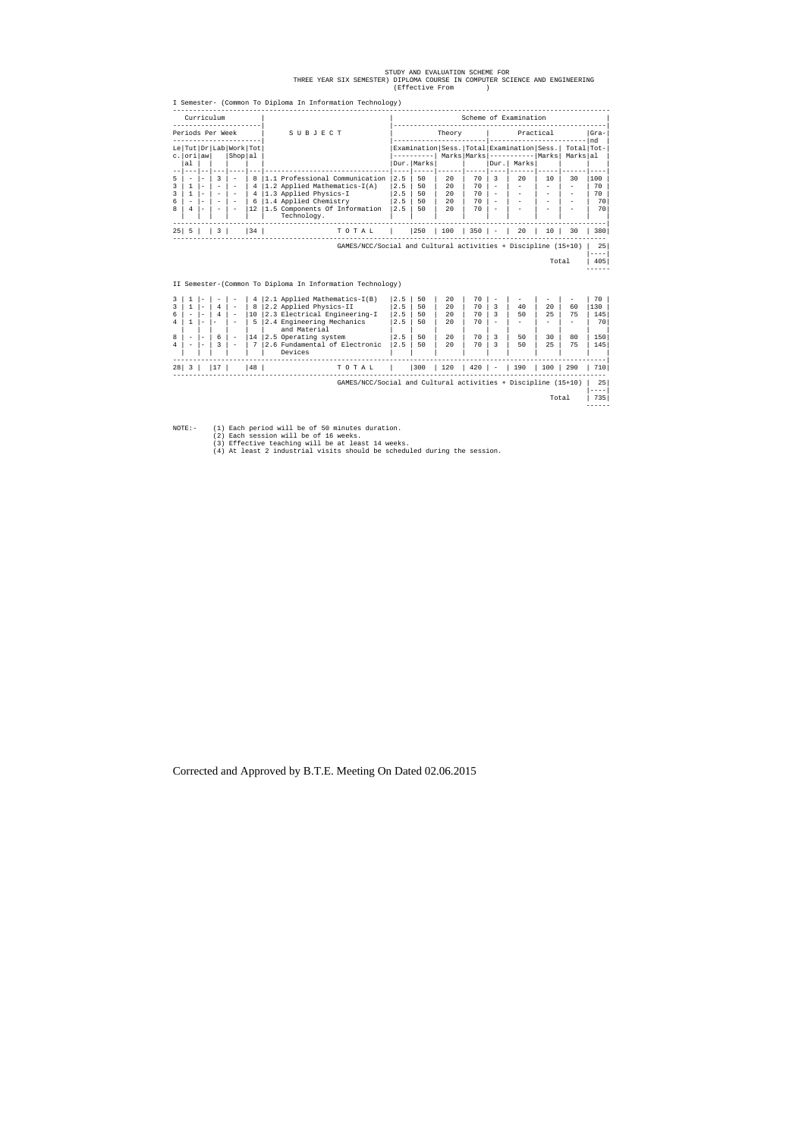|----|  $\begin{array}{|c|c|c|c|}\hline \text{Total} & & \text{405} \\\hline \end{array}$ 

# STUDY AND EVALUATION SCHEME FOR<br>THREE YEAR SIX SEMESTER) DIPLOMA COURSE IN COMPUTER SCIENCE AND ENGINEERING<br>(Effective From )

|                             | Curriculum |  |                          |                                             |    |                                              |       |                                                                                        | Scheme of Examination |     |             |       |                        |              |    |     |  |
|-----------------------------|------------|--|--------------------------|---------------------------------------------|----|----------------------------------------------|-------|----------------------------------------------------------------------------------------|-----------------------|-----|-------------|-------|------------------------|--------------|----|-----|--|
| Periods Per Week<br>SUBJECT |            |  |                          |                                             |    | Practical<br>Theory                          |       |                                                                                        |                       |     |             |       |                        | $Gra-$<br>nd |    |     |  |
|                             | c. ori awl |  |                          | Le   Tut   Dr   Lab   Work   Tot<br>Shop al |    |                                              |       | Examination   Sess.   Total   Examination   Sess.  <br>$Marks$  Marks ---------- Marks |                       |     |             |       | Total Tot-<br>Markslal |              |    |     |  |
|                             | al         |  |                          |                                             |    |                                              |       |                                                                                        | Dur.   Marks          |     |             | Dur . | Marksl                 |              |    |     |  |
|                             |            |  |                          | $\overline{\phantom{a}}$                    |    | 1.1 Professional Communication               |       | 2.5                                                                                    | 50                    | 2.0 | 70          | 3     | 2.0                    | 10           | 30 | 100 |  |
|                             |            |  | $\sim$                   | -                                           |    | 1.2 Applied Mathematics-I(A)                 |       | 2.5                                                                                    | 50                    | 20  | 70          |       |                        |              |    | 70  |  |
|                             |            |  | $\overline{\phantom{a}}$ | $\qquad \qquad$                             |    | 1.3 Applied Physics-I                        |       | 2.5                                                                                    | 50                    | 2.0 | 70          |       |                        |              |    | 70  |  |
| 6                           |            |  | $\overline{\phantom{a}}$ | $\overline{\phantom{a}}$                    | 6  | 1.4 Applied Chemistry                        |       | 2.5                                                                                    | 50                    | 2.0 | 70          |       |                        |              |    | 70  |  |
| R                           | 4          |  |                          | $\overline{\phantom{a}}$                    | 12 | 1.5 Components Of Information<br>Technology. |       | 2.5                                                                                    | 50                    | 2.0 | 70          |       |                        |              |    | 70  |  |
| 25                          | $+ 5 -$    |  | $\vert$ 3                |                                             | 34 |                                              | TOTAL |                                                                                        | 250                   | 100 | $350$   $-$ |       | $20 \quad$             | $10-1$       | 30 | 380 |  |

------

II Semester-(Common To Diploma In Information Technology)

|    |                          |        |                          |                          | 4  |                           | 2.1 Applied Mathematics-I(B)                                  | 2.5 | 50  | 2.0 | 70  |                          |     |                          |     | 70  |
|----|--------------------------|--------|--------------------------|--------------------------|----|---------------------------|---------------------------------------------------------------|-----|-----|-----|-----|--------------------------|-----|--------------------------|-----|-----|
|    |                          | -      | $\overline{4}$           | $\overline{\phantom{0}}$ | 8  | 2.2 Applied Physics-II    |                                                               | 2.5 | 50  | 2.0 | 70  |                          | 40  | 20                       | 60  | 130 |
| 6  | $\overline{\phantom{a}}$ | $\sim$ | $\overline{4}$           | $\overline{\phantom{0}}$ | 10 |                           | 2.3 Electrical Engineering-I                                  | 2.5 | 50  | 2.0 | 70  | 3                        | 50  | 25                       | 75  | 145 |
|    |                          |        | $\overline{\phantom{a}}$ |                          | 5  | 2.4 Engineering Mechanics |                                                               | 2.5 | 50  | 2.0 | 70  |                          |     | $\overline{\phantom{a}}$ |     | 70  |
|    |                          |        |                          |                          |    | and Material              |                                                               |     |     |     |     |                          |     |                          |     |     |
| R  | -                        | -      | 6                        | $\overline{\phantom{0}}$ | 14 | 2.5 Operating system      |                                                               | 2.5 | 50  | 2.0 | 70  |                          | 50  | 30                       | 80  | 150 |
|    | ۰                        | $\sim$ | 3                        | $\overline{\phantom{0}}$ |    |                           | 2.6 Fundamental of Electronic                                 | 2.5 | 50  | 2.0 | 70  |                          | 50  | 2.5                      | 75  | 145 |
|    |                          |        |                          |                          |    | Devices                   |                                                               |     |     |     |     |                          |     |                          |     |     |
|    |                          |        |                          |                          |    |                           |                                                               |     |     |     |     |                          |     |                          |     |     |
| 28 |                          |        |                          |                          | 48 |                           | TOTAL                                                         |     | 300 | 120 | 420 | $\overline{\phantom{a}}$ | 190 | 100                      | 290 | 710 |
|    |                          |        |                          |                          |    |                           |                                                               |     |     |     |     |                          |     |                          |     |     |
|    |                          |        |                          |                          |    |                           | GAMES/NCC/Social and Cultural activities + Discipline (15+10) |     |     |     |     |                          |     |                          |     | 25  |
|    |                          |        |                          |                          |    |                           |                                                               |     |     |     |     |                          |     |                          |     | --- |

------

 $\begin{array}{|c|c|c|c|}\hline \text{Total} & \text{735} \\\hline \end{array}$ 

- NOTE:- (1) Each period will be of 50 minutes duration.<br>
(2) Each session will be of 16 weeks.<br>
(3) Effective teaching will be at least 14 weeks.<br>
(4) At least 2 industrial visits should be scheduled during the session.
	-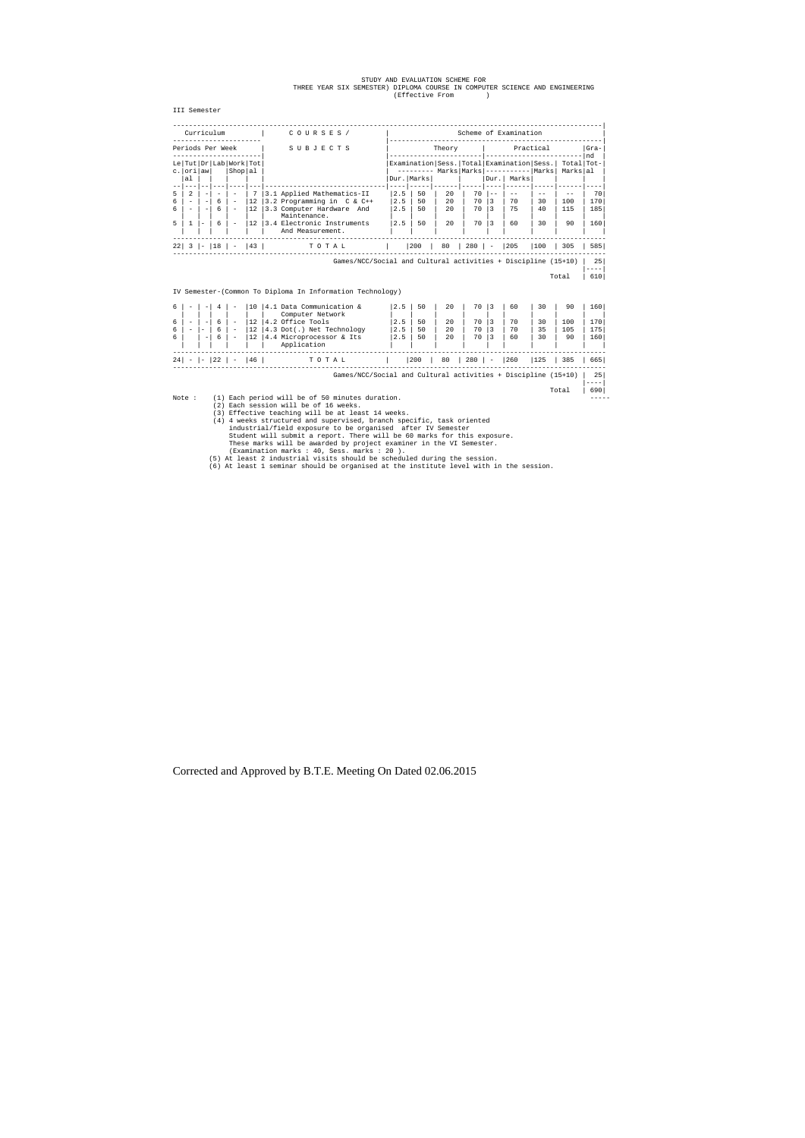## STUDY AND EVALUATION SCHEME FOR<br>THREE YEAR SIX SEMESTER) DIPLOMA COURSE IN COMPUTER SCIENCE AND ENGINEERING<br>(Effective From )

III Semester

|     | --------- Marks   Marks   -----------   Marks |                      |     |       |                                                      |                                                  |             | $Gra-$<br>nd                                                         |  |  |
|-----|-----------------------------------------------|----------------------|-----|-------|------------------------------------------------------|--------------------------------------------------|-------------|----------------------------------------------------------------------|--|--|
|     |                                               |                      |     |       |                                                      | Practical<br>Theory                              |             |                                                                      |  |  |
|     |                                               |                      |     |       | Examination Sess. Total Examination Sess. Total Tot- |                                                  |             |                                                                      |  |  |
|     |                                               |                      |     | Dur.  | Marks                                                |                                                  | Markslal    |                                                                      |  |  |
| 2.5 | 50                                            | 2.0                  | 70  | $- -$ |                                                      |                                                  |             | 70                                                                   |  |  |
| 2.5 | 50                                            | 2.0                  | 70  | 3     | 70                                                   | 30                                               | 100         | 170                                                                  |  |  |
|     |                                               |                      |     |       |                                                      |                                                  |             | 185                                                                  |  |  |
| 2.5 | 50                                            | 2.0                  | 70  | 3     | 60                                                   | 30                                               | 90          | 160                                                                  |  |  |
|     | 200                                           | 80                   |     |       |                                                      |                                                  | 305         | 585                                                                  |  |  |
|     | 2.5                                           | Dur.   Marks  <br>50 | 2.0 | 70    | $280$ $-$                                            | 75<br>$\begin{array}{c} \boxed{205} \end{array}$ | 40<br>$100$ | 115<br>Games/NCC/Social and Cultural activities + Discipline (15+10) |  |  |

|----| Total | 610|

IV Semester-(Common To Diploma In Information Technology)

| 6 |                          |   |                          | 10                | 4.1 Data Communication &                                      | 2.5 | 50  | 20 | 70  | 3                        | 60  | 30  | 90  | 160        |
|---|--------------------------|---|--------------------------|-------------------|---------------------------------------------------------------|-----|-----|----|-----|--------------------------|-----|-----|-----|------------|
|   |                          |   |                          |                   | Computer Network                                              |     |     |    |     |                          |     |     |     |            |
| 6 | $\overline{\phantom{a}}$ | 6 |                          | 12                | 4.2 Office Tools                                              | 2.5 | 50  | 20 | 70  |                          | 70  | 30  | 100 | 170        |
| 6 | $\overline{\phantom{0}}$ | 6 | $\qquad \qquad =$        | 12                | 4.3 Dot(.) Net Technology                                     | 2.5 | 50  | 20 | 70  | 3                        | 70  | 35  | 105 | 175        |
|   | $\qquad \qquad -$        | 6 | $\overline{\phantom{0}}$ | $12 \overline{ }$ | 4.4 Microprocessor & Its                                      | 2.5 | 50  | 20 | 70  | 3                        | 60  | 30  | 90  | 160        |
|   |                          |   |                          |                   | Application                                                   |     |     |    |     |                          |     |     |     |            |
|   |                          |   |                          | 46                | TOTAL                                                         |     | 200 | 80 | 280 | $\overline{\phantom{a}}$ | 260 | 125 | 385 | 665        |
|   |                          |   |                          |                   | Games/NCC/Social and Cultural activities + Discipline (15+10) |     |     |    |     |                          |     |     |     | 25<br>---- |

Note: (1) Each period will be of 50 minutes duration.<br>
(2) Each session will be of 16 weeks.<br>
(3) Effective teaching will be at least 14 weeks.<br>
(4) 4 weeks structured and supervised, branch specific, task oriented<br>
indust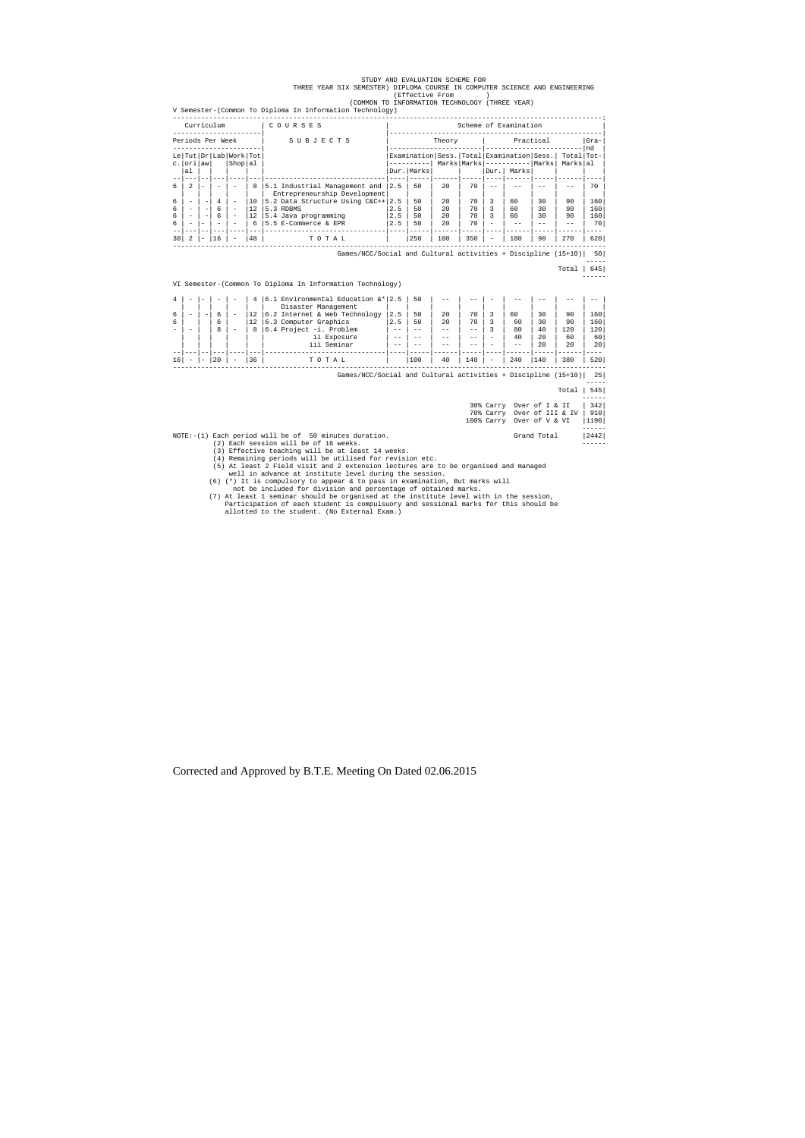#### STUDY AND EVALUATION SCHEME FOR THREE YEAR SIX SEMESTER) DIPLOMA COURSE IN COMPUTER SCIENCE AND ENGINEERING (Effective From ) (COMMON TO INFORMATION TECHNOLOGY (THREE YEAR)

V Semester-(Common To Diploma In Information Technology) -----------------------------------------------------------------------------------------------------------: Curriculum | C O U R S E S | Scheme of Examination ----------------------| |-----------------------------------------------------| S U B J E C T S  $\vert$  Theory  $\vert$  Practical |Gram-----------------------| |-----------------------|------------------------|nd | Le|Tut|Dr|Lab|Work|Tot| |Examination|Sess.|Total|Examination|Sess.| Total|Tot-| c.|ori|aw| |Shop|al | |----------| Marks|Marks|-----------|Marks| Marks|al | |al | | | | | |Dur.|Marks| | |Dur.| Marks| | | | --|---|--|---|----|---|------------------------------|----|-----|------|-----|----|------|-----|------|----| 6 | 2 |- | - | - | 8 | 5.1 Industrial Management and  $|2.5|$  50 | 20 | 70 | -- | -- | -- | -- | 70 | | | | | | Entrepreneurship Development| | | | | | | | | | 6 | - | -| 4 | - |10 |5.2 Data Structure Using C&C++|2.5 | 50 | 20 | 70 | 3 | 60 | 30 | 90 | 160| 6 | - | 12 | 5.3 RDBMS | 2.5 | 50 | 20 | 70 | 3 | 60 | 30 | 90<br>
6 | - | 12 | 5.4 Java programming | 2.5 | 50 | 20 | 70 | 3 | 60 | 30 | 90<br>
- | - | 6 | 5.5 E-Commerce & EPR | 2.5 | 50 | 20 | 70 | - | -- | -- | --6 | - | -| 6 | - |12 |5.4 Java programming |2.5 | 50 | 20 | 70 | 3 | 60 | 30 | 90 | 160| 6 | - |- | - | - | 6 |5.5 E-Commerce & EPR |2.5 | 50 | 20 | 70 | - | -- | -- | -- | 70| --|---|--|---|----|---|------------------------------|----|-----|------|-----|----|------|-----|------|---- 30| 2 |- |16 | - |48 | T O T A L | |250 | 100 | 350 | - | 180 | 90 | 270 | 620| ------------------------------------------------------------------------------------------------------------

Games/NCC/Social and Cultural activities + Discipline (15+10)| 50|

 ----- Total | 645|

------

#### VI Semester-(Common To Diploma In Information Technology)

|    | $\overline{\phantom{a}}$ |                                 | -  |                          | 4  | 6.1 Environmental Education $\&*$   2.5                       |     | 50  | $ -$ | $- -$ |                          |       |     | --  | - - |  |
|----|--------------------------|---------------------------------|----|--------------------------|----|---------------------------------------------------------------|-----|-----|------|-------|--------------------------|-------|-----|-----|-----|--|
|    |                          |                                 |    |                          |    | Disaster Management                                           |     |     |      |       |                          |       |     |     |     |  |
|    | $\overline{\phantom{a}}$ | $\overline{\phantom{0}}$        | 6  | $\overline{\phantom{0}}$ | 12 | 6.2 Internet & Web Technology                                 | 2.5 | 50  | 20   | 70    |                          | 60    | 30  | 90  | 160 |  |
| 6  |                          |                                 | 6  |                          | 12 | 6.3 Computer Graphics                                         | 2.5 | 50  | 20   | 70    |                          | 60    | 30  | 90  | 160 |  |
|    |                          |                                 | 8  | -                        | 8  | 6.4 Project -i. Problem                                       | - - | - - |      | $- -$ |                          | 80    | 40  | 120 | 120 |  |
|    |                          |                                 |    |                          |    | ii Exposure                                                   | - - | --  | --   | $- -$ |                          | 40    | 2.0 | 60  | 60  |  |
|    |                          |                                 |    |                          |    | iii Seminar                                                   | - - | --  |      | $- -$ |                          | $- -$ | 20  | 20  | 20  |  |
|    |                          |                                 |    |                          |    |                                                               |     |     |      |       |                          |       |     |     |     |  |
| 16 | $\hspace{0.05cm}$        | $\hspace{0.1mm}-\hspace{0.1mm}$ | 20 | $\overline{\phantom{0}}$ | 36 | TOTAL                                                         |     | 100 | 40   | 140   | $\overline{\phantom{0}}$ | 240   | 140 | 380 | 520 |  |
|    |                          |                                 |    |                          |    |                                                               |     |     |      |       |                          |       |     |     |     |  |
|    |                          |                                 |    |                          |    | Games/NCC/Social and Cultural activities + Discipline (15+10) |     |     |      |       |                          |       |     |     | 25  |  |

-----

|                                                          | Total                      | 545  |
|----------------------------------------------------------|----------------------------|------|
|                                                          |                            |      |
|                                                          | 30% Carry Over of I & II   | 342  |
|                                                          | 70% Carry Over of III & IV | 910  |
|                                                          | 100% Carry Over of V & VI  | 1190 |
|                                                          |                            |      |
| $NOTE: -(1)$ Each period will be of 50 minutes duration. | Grand Total                | 2442 |
| (2) Each session will be of 16 weeks.                    |                            |      |
| (3) Effective teaching will be at least 14 weeks.        |                            |      |
| (4) Remaining periods will be utilised for revision etc. |                            |      |

(5) At least 2 Field visit and 2 extension lectures are to be organised and managed well in advance at institute level during the session.

(6) (\*) It is compulsory to appear & to pass in examination, But marks will

 not be included for division and percentage of obtained marks. (7) At least 1 seminar should be organised at the institute level with in the session, Participation of each student is compulsuory and sessional marks for this should be allotted to the student. (No External Exam.)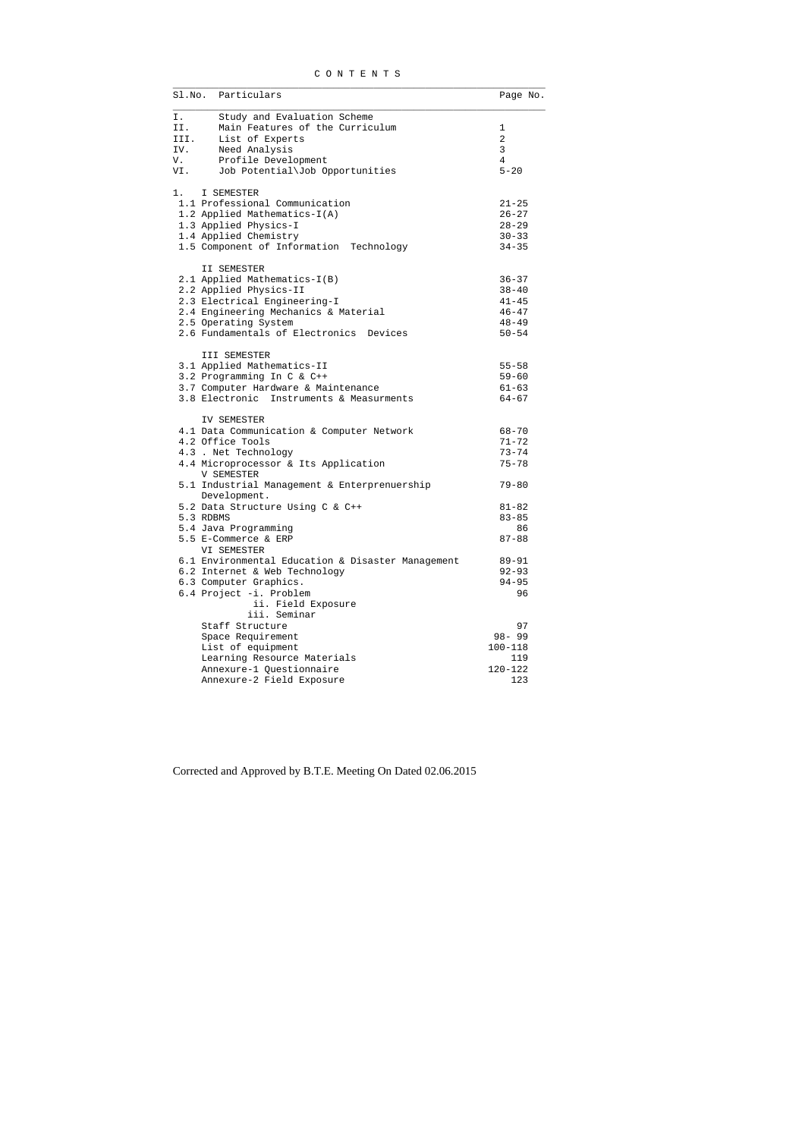| CONTENTS |
|----------|
|----------|

|      | Sl.No. Particulars                                           | Page No.       |
|------|--------------------------------------------------------------|----------------|
| Ι.   | Study and Evaluation Scheme                                  |                |
| II.  | Main Features of the Curriculum                              | 1              |
| III. | List of Experts                                              | 2              |
| IV.  | Need Analysis                                                | $\mathbf{3}$   |
| V.   | Profile Development                                          | $\overline{4}$ |
| VI.  | Job Potential\Job Opportunities                              | $5 - 20$       |
|      | I SEMESTER                                                   |                |
|      | 1.1 Professional Communication                               | $21 - 25$      |
|      | 1.2 Applied Mathematics-I(A)                                 | $26 - 27$      |
|      | 1.3 Applied Physics-I                                        | $28 - 29$      |
|      | 1.4 Applied Chemistry                                        | $30 - 33$      |
|      | 1.5 Component of Information Technology                      | $34 - 35$      |
|      | II SEMESTER                                                  |                |
|      | 2.1 Applied Mathematics-I(B)                                 | $36 - 37$      |
|      | 2.2 Applied Physics-II                                       | $38 - 40$      |
|      | 2.3 Electrical Engineering-I                                 | $41 - 45$      |
|      | 2.4 Engineering Mechanics & Material                         | $46 - 47$      |
|      | 2.5 Operating System                                         | $48 - 49$      |
|      | 2.6 Fundamentals of Electronics Devices                      | $50 - 54$      |
|      | III SEMESTER                                                 |                |
|      | 3.1 Applied Mathematics-II                                   | $55 - 58$      |
|      | 3.2 Programming In C & C++                                   | $59 - 60$      |
|      | 3.7 Computer Hardware & Maintenance                          | $61 - 63$      |
|      | 3.8 Electronic Instruments & Measurments                     | $64 - 67$      |
|      | IV SEMESTER                                                  |                |
|      | 4.1 Data Communication & Computer Network                    | $68 - 70$      |
|      | 4.2 Office Tools                                             | $71 - 72$      |
|      | 4.3 . Net Technology                                         | $73 - 74$      |
|      | 4.4 Microprocessor & Its Application<br>V SEMESTER           | $75 - 78$      |
|      | 5.1 Industrial Management & Enterprenuership<br>Development. | $79 - 80$      |
|      | 5.2 Data Structure Using C & C++                             | $81 - 82$      |
|      | 5.3 RDBMS                                                    | $83 - 85$      |
|      | 5.4 Java Programming                                         | 86             |
|      | 5.5 E-Commerce & ERP                                         | $87 - 88$      |
|      | VI SEMESTER                                                  |                |
|      | 6.1 Environmental Education & Disaster Management            | $89 - 91$      |
|      | 6.2 Internet & Web Technology                                | $92 - 93$      |
|      |                                                              |                |
|      | 6.3 Computer Graphics.                                       | $94 - 95$      |
|      | 6.4 Project -i. Problem<br>ii. Field Exposure                | 96             |
|      | iii. Seminar                                                 |                |
|      | Staff Structure                                              | 97             |
|      | Space Requirement                                            | $98 - 99$      |
|      | List of equipment                                            | $100 - 118$    |
|      | Learning Resource Materials                                  | 119            |
|      | Annexure-1 Questionnaire                                     | $120 - 122$    |
|      | Annexure-2 Field Exposure                                    | 123            |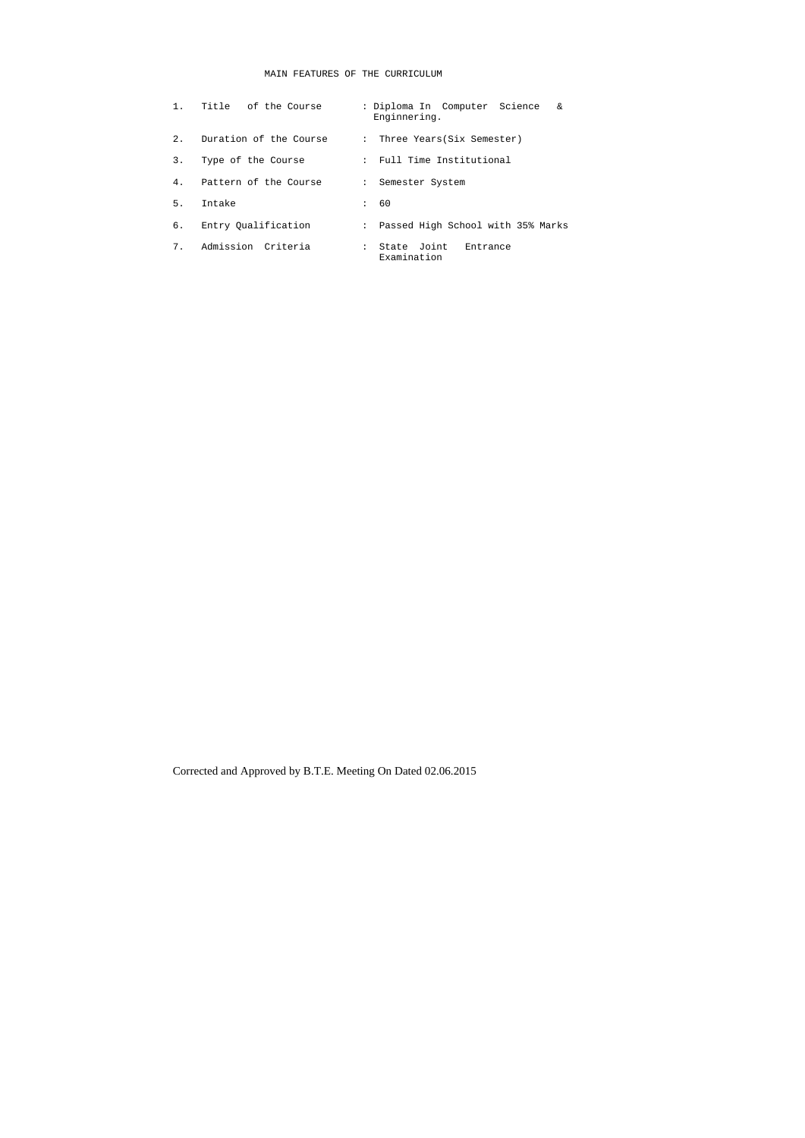## MAIN FEATURES OF THE CURRICULUM

|     | 1. Title of the Course | : Diploma In Computer Science<br>&<br>Enginnering. |
|-----|------------------------|----------------------------------------------------|
| 2.1 | Duration of the Course | : Three Years(Six Semester)                        |
| 3.  | Type of the Course     | : Full Time Institutional                          |
| 4.  | Pattern of the Course  | : Semester System                                  |
| 5.  | Intake                 | 60                                                 |
| б.  | Entry Oualification    | : Passed High School with 35% Marks                |
| 7.  | Admission Criteria     | : State Joint<br>Entrance<br>Examination           |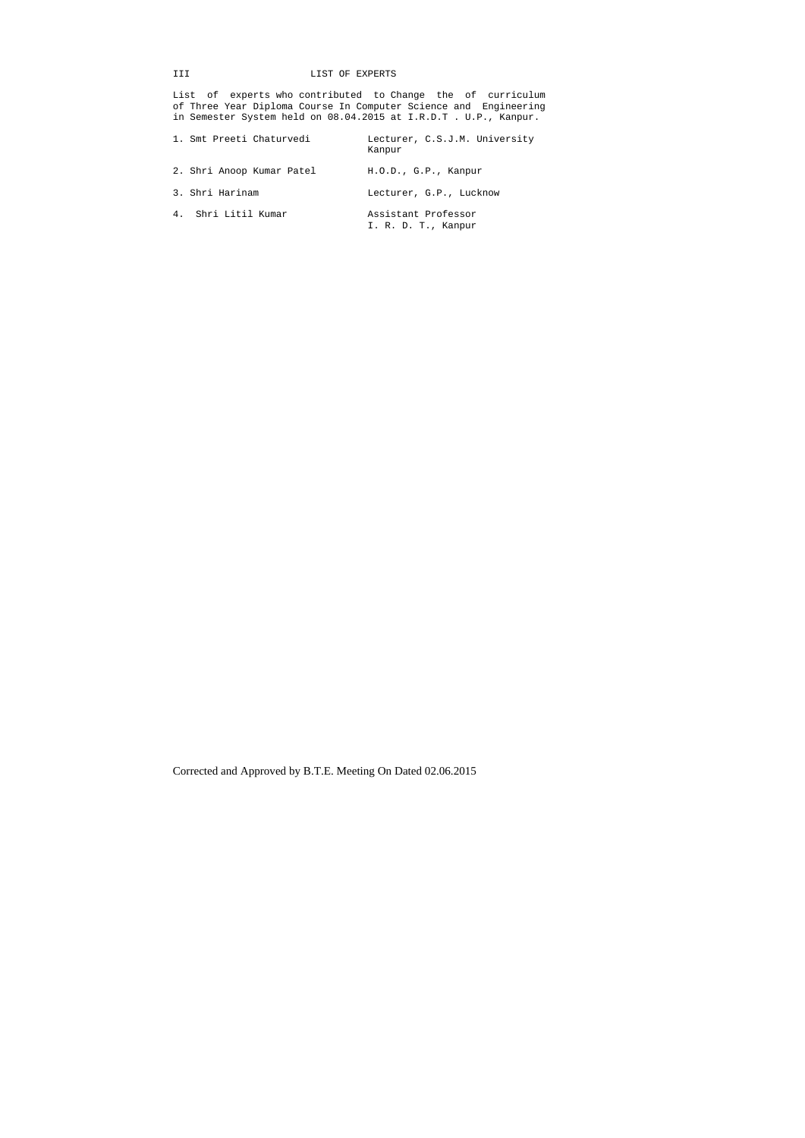## III LIST OF EXPERTS

List of experts who contributed to Change the of curriculum of Three Year Diploma Course In Computer Science and Engineering in Semester System held on 08.04.2015 at I.R.D.T . U.P., Kanpur.

| 1. Smt Preeti Chaturvedi  | Lecturer, C.S.J.M. University<br>Kanpur    |
|---------------------------|--------------------------------------------|
| 2. Shri Anoop Kumar Patel | H.O.D., G.P., Kanpur                       |
| 3. Shri Harinam           | Lecturer, G.P., Lucknow                    |
| 4. Shri Litil Kumar       | Assistant Professor<br>I. R. D. T., Kanpur |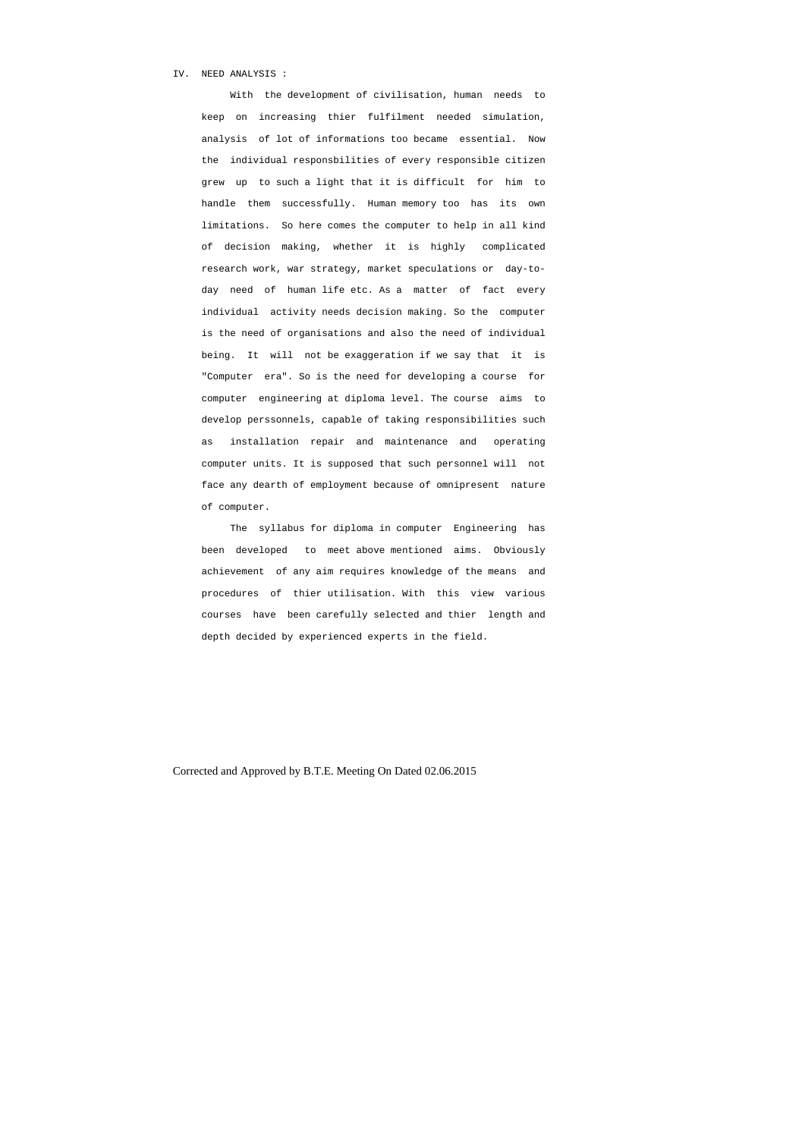#### IV. NEED ANALYSIS :

 With the development of civilisation, human needs to keep on increasing thier fulfilment needed simulation, analysis of lot of informations too became essential. Now the individual responsbilities of every responsible citizen grew up to such a light that it is difficult for him to handle them successfully. Human memory too has its own limitations. So here comes the computer to help in all kind of decision making, whether it is highly complicated research work, war strategy, market speculations or day-to day need of human life etc. As a matter of fact every individual activity needs decision making. So the computer is the need of organisations and also the need of individual being. It will not be exaggeration if we say that it is "Computer era". So is the need for developing a course for computer engineering at diploma level. The course aims to develop perssonnels, capable of taking responsibilities such as installation repair and maintenance and operating computer units. It is supposed that such personnel will not face any dearth of employment because of omnipresent nature of computer.

 The syllabus for diploma in computer Engineering has been developed to meet above mentioned aims. Obviously achievement of any aim requires knowledge of the means and procedures of thier utilisation. With this view various courses have been carefully selected and thier length and depth decided by experienced experts in the field.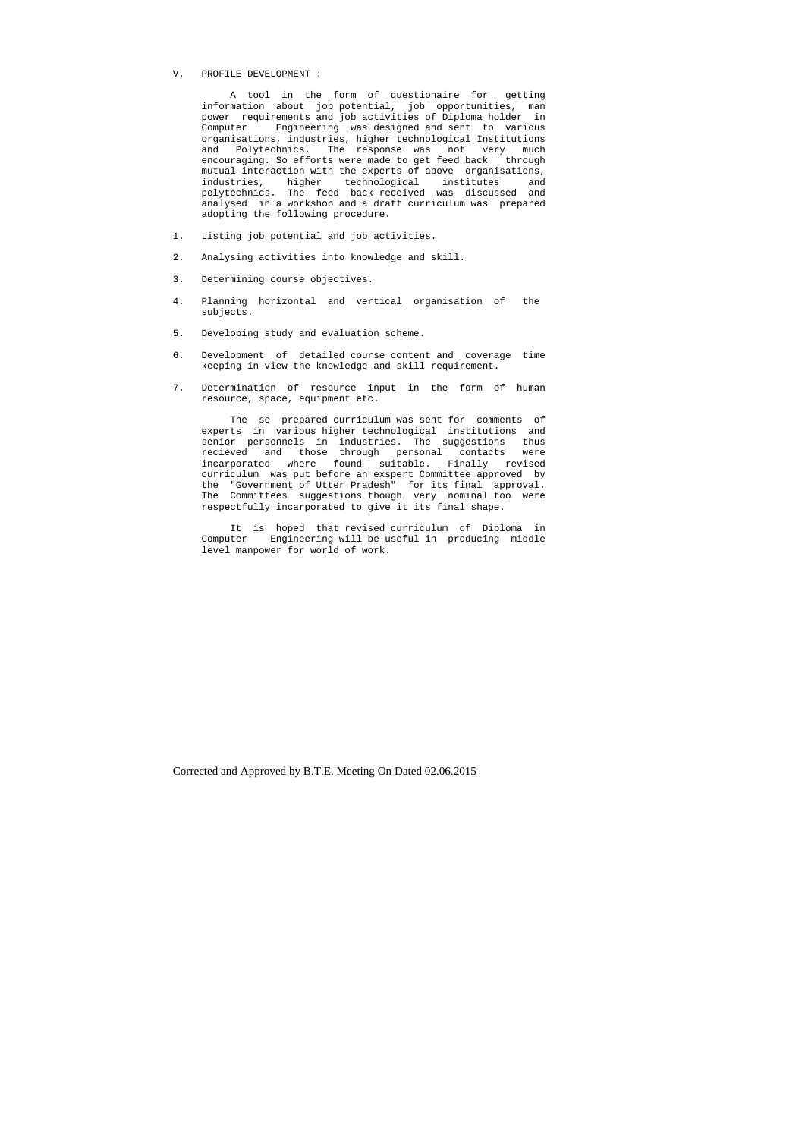#### V. PROFILE DEVELOPMENT :

 A tool in the form of questionaire for getting information about job potential, job opportunities, man power requirements and job activities of Diploma holder in Computer Engineering was designed and sent to various organisations, industries, higher technological Institutions and Polytechnics. The response was not very much encouraging. So efforts were made to get feed back through mutual interaction with the experts of above organisations, industries, higher technological institutes and polytechnics. The feed back received was discussed and analysed in a workshop and a draft curriculum was prepared adopting the following procedure.

- 1. Listing job potential and job activities.
- 2. Analysing activities into knowledge and skill.
- 3. Determining course objectives.
- 4. Planning horizontal and vertical organisation of the subjects.
- 5. Developing study and evaluation scheme.
- 6. Development of detailed course content and coverage time keeping in view the knowledge and skill requirement.
- 7. Determination of resource input in the form of human resource, space, equipment etc.

 The so prepared curriculum was sent for comments of experts in various higher technological institutions and senior personnels in industries. The suggestions thus recieved and those through personal contacts were incarporated where found suitable. Finally revised curriculum was put before an exspert Committee approved by the "Government of Utter Pradesh" for its final approval. The Committees suggestions though very nominal too were respectfully incarporated to give it its final shape.

 It is hoped that revised curriculum of Diploma in Computer Engineering will be useful in producing middle level manpower for world of work.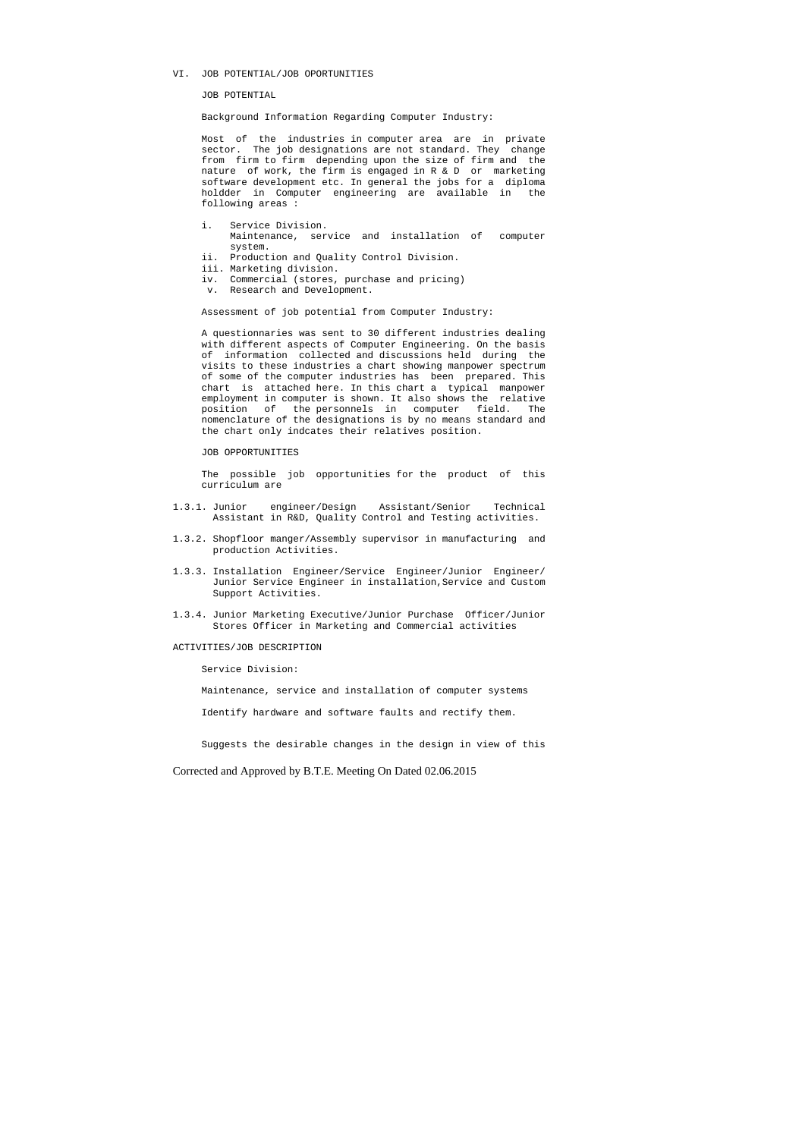#### VI. JOB POTENTIAL/JOB OPORTUNITIES

JOB POTENTIAL

Background Information Regarding Computer Industry:

Most of the industries in computer area are in private sector. The job designations are not standard. They change from firm to firm depending upon the size of firm and the nature of work, the firm is engaged in R & D or marketing software development etc. In general the jobs for a diploma holdder in Computer engineering are available in the following areas :

- i. Service Division. Maintenance, service and installation of computer system.
- ii. Production and Quality Control Division.
- iii. Marketing division.
- iv. Commercial (stores, purchase and pricing)
- v. Research and Development.

Assessment of job potential from Computer Industry:

 A questionnaries was sent to 30 different industries dealing with different aspects of Computer Engineering. On the basis of information collected and discussions held during the visits to these industries a chart showing manpower spectrum of some of the computer industries has been prepared. This chart is attached here. In this chart a typical manpower employment in computer is shown. It also shows the relative position of the personnels in computer field. The nomenclature of the designations is by no means standard and the chart only indcates their relatives position.

#### JOB OPPORTUNITIES

 The possible job opportunities for the product of this curriculum are

- 1.3.1. Junior engineer/Design Assistant/Senior Technical Assistant in R&D, Quality Control and Testing activities.
- 1.3.2. Shopfloor manger/Assembly supervisor in manufacturing and production Activities.
- 1.3.3. Installation Engineer/Service Engineer/Junior Engineer/ Junior Service Engineer in installation,Service and Custom Support Activities.
- 1.3.4. Junior Marketing Executive/Junior Purchase Officer/Junior Stores Officer in Marketing and Commercial activities

#### ACTIVITIES/JOB DESCRIPTION

Service Division:

Maintenance, service and installation of computer systems

Identify hardware and software faults and rectify them.

Suggests the desirable changes in the design in view of this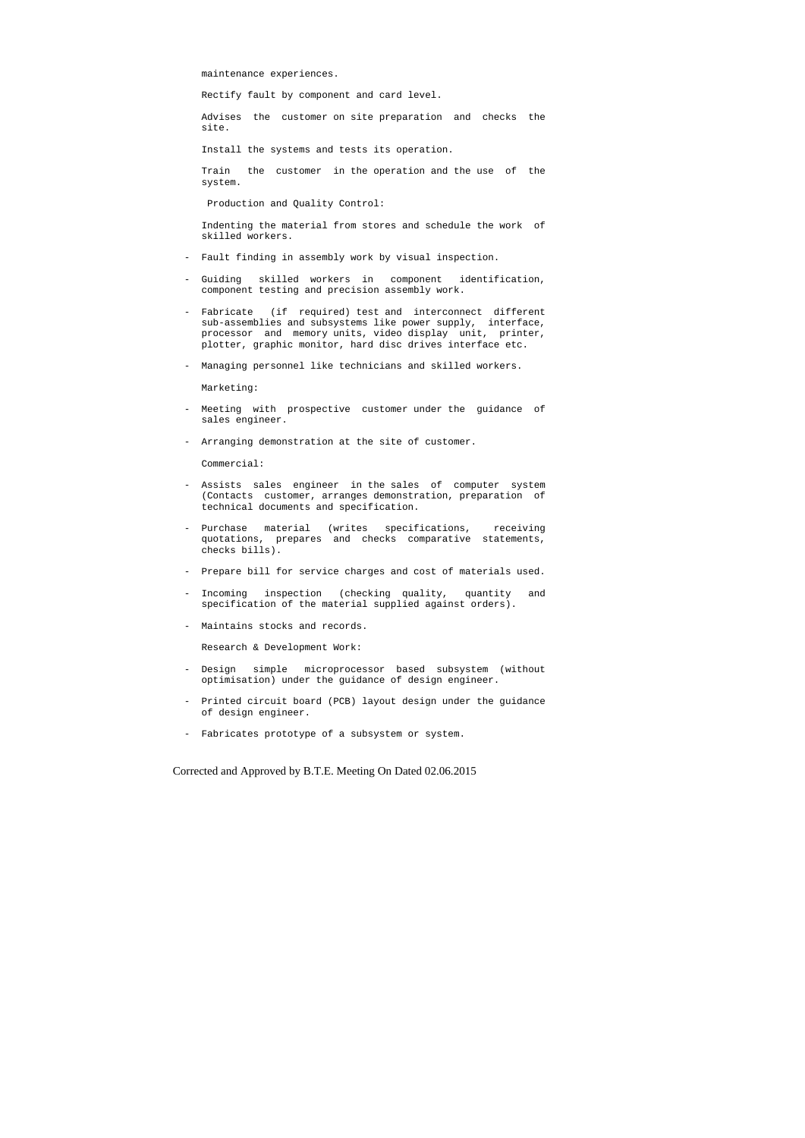maintenance experiences.

Rectify fault by component and card level.

 Advises the customer on site preparation and checks the site.

Install the systems and tests its operation.

 Train the customer in the operation and the use of the system.

Production and Quality Control:

 Indenting the material from stores and schedule the work of skilled workers.

- Fault finding in assembly work by visual inspection.
- Guiding skilled workers in component identification, component testing and precision assembly work.
- Fabricate (if required) test and interconnect different sub-assemblies and subsystems like power supply, interface, processor and memory units, video display unit, printer, plotter, graphic monitor, hard disc drives interface etc.
- Managing personnel like technicians and skilled workers.

Marketing:

- Meeting with prospective customer under the guidance of sales engineer.
- Arranging demonstration at the site of customer.

Commercial:

- Assists sales engineer in the sales of computer system (Contacts customer, arranges demonstration, preparation of technical documents and specification.
- Purchase material (writes specifications, receiving quotations, prepares and checks comparative statements, checks bills).
- Prepare bill for service charges and cost of materials used.
- Incoming inspection (checking quality, quantity and specification of the material supplied against orders).
- Maintains stocks and records.

Research & Development Work:

- Design simple microprocessor based subsystem (without optimisation) under the guidance of design engineer.
- Printed circuit board (PCB) layout design under the guidance of design engineer.
- Fabricates prototype of a subsystem or system.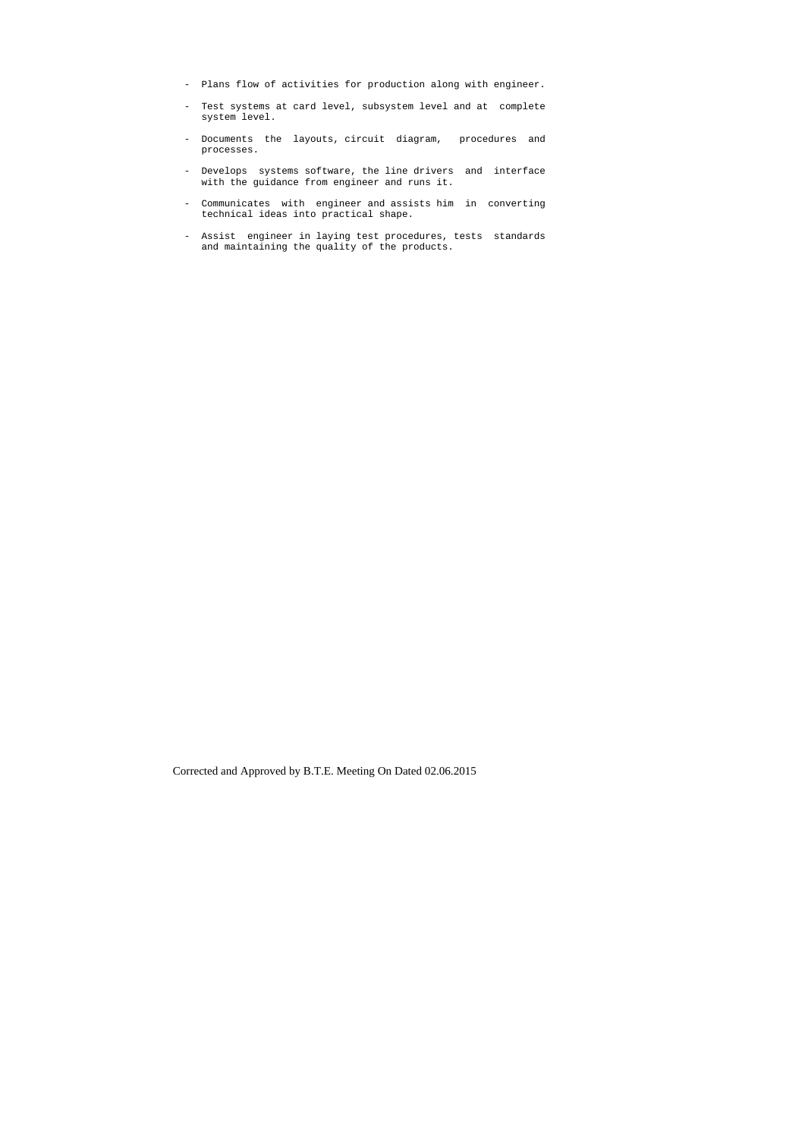- Plans flow of activities for production along with engineer.
- Test systems at card level, subsystem level and at complete system level.
- Documents the layouts, circuit diagram, procedures and processes.
- Develops systems software, the line drivers and interface with the guidance from engineer and runs it.
- Communicates with engineer and assists him in converting technical ideas into practical shape.
- Assist engineer in laying test procedures, tests standards and maintaining the quality of the products.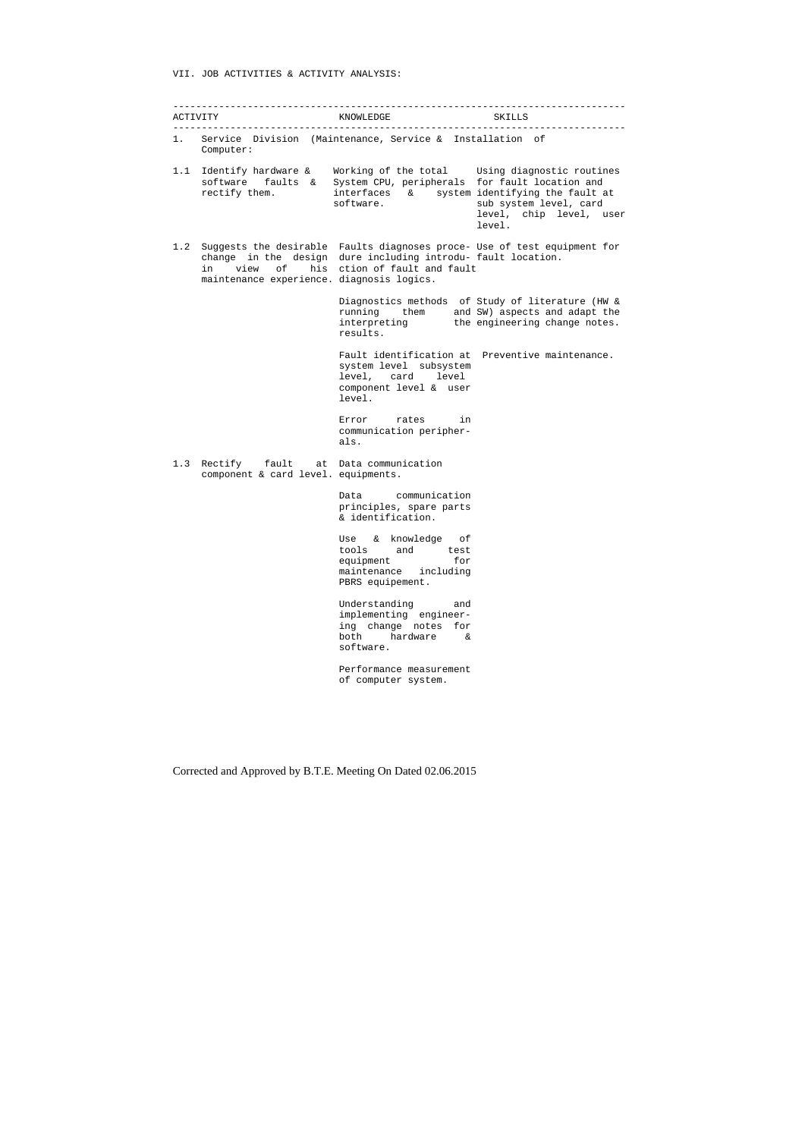#### VII. JOB ACTIVITIES & ACTIVITY ANALYSIS:

------------------------------------------------------------------------------- ACTIVITY KNOWLEDGE SKILLS ------------------------------------------------------------------------------- 1. Service Division (Maintenance, Service & Installation of Computer: 1.1 Identify hardware & Working of the total Using diagnostic routines software faults & System CPU, peripherals for fault location and rectify them. interfaces & system identifying the fault at software. Some sub system level, card level, chip level, user level. 1.2 Suggests the desirable Faults diagnoses proce- Use of test equipment for change in the design dure including introdu- fault location. in view of his ction of fault and fault maintenance experience. diagnosis logics. Diagnostics methods of Study of literature (HW & running them and SW) aspects and adapt the interpreting the engineering change notes. results. Fault identification at Preventive maintenance. system level subsystem level, card level component level & user level. Error rates in communication peripher als. 1.3 Rectify fault at Data communication component & card level. equipments. Data communication principles, spare parts & identification. Use & knowledge of tools and test equipment for maintenance including PBRS equipement. Understanding and implementing engineer ing change notes for both hardware & software. Performance measurement of computer system.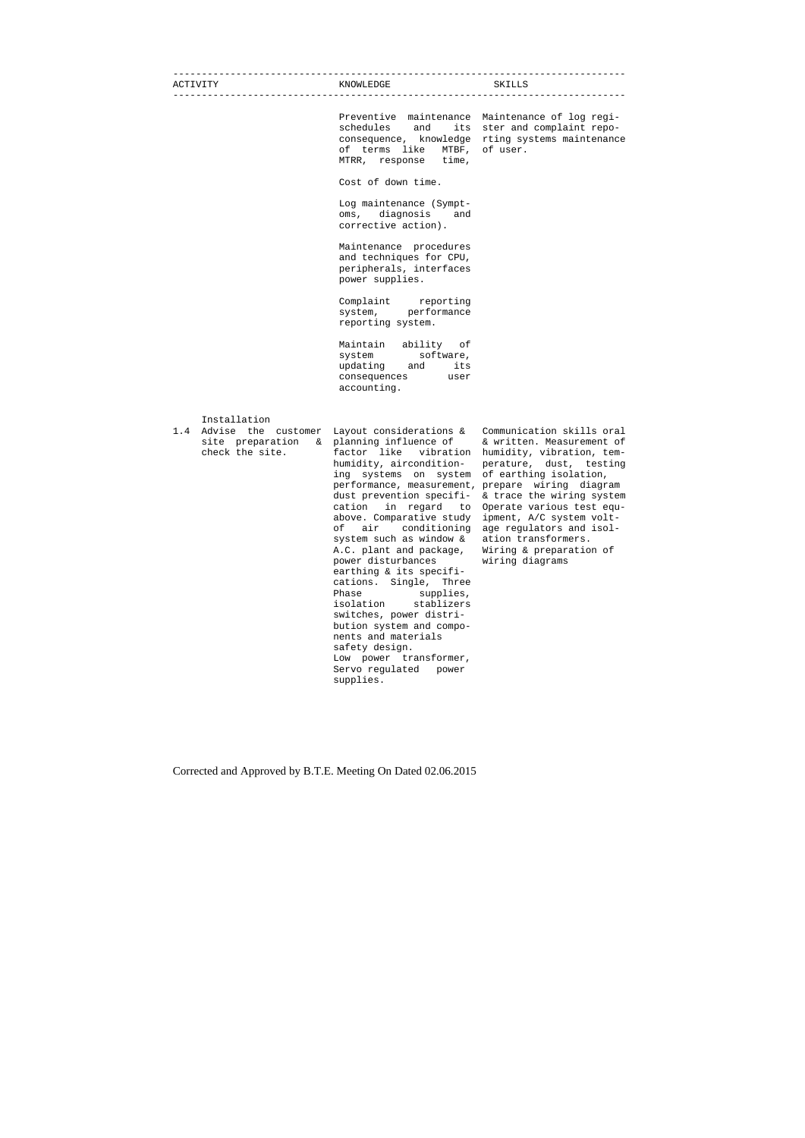| ACTIVITY                                                                          | KNOWLEDGE                                                                                                                                                                                                                                                                                                                                                                                                                                                                                                                                                                                                                                               | SKILLS                                                                                                                                                                                                                                                                                                                          |
|-----------------------------------------------------------------------------------|---------------------------------------------------------------------------------------------------------------------------------------------------------------------------------------------------------------------------------------------------------------------------------------------------------------------------------------------------------------------------------------------------------------------------------------------------------------------------------------------------------------------------------------------------------------------------------------------------------------------------------------------------------|---------------------------------------------------------------------------------------------------------------------------------------------------------------------------------------------------------------------------------------------------------------------------------------------------------------------------------|
|                                                                                   | Preventive maintenance<br>schedules and<br>its<br>consequence, knowledge<br>of terms like MTBF,<br>MTRR, response time,                                                                                                                                                                                                                                                                                                                                                                                                                                                                                                                                 | Maintenance of log regi-<br>ster and complaint repo-<br>rting systems maintenance<br>of user.                                                                                                                                                                                                                                   |
|                                                                                   | Cost of down time.                                                                                                                                                                                                                                                                                                                                                                                                                                                                                                                                                                                                                                      |                                                                                                                                                                                                                                                                                                                                 |
|                                                                                   | Log maintenance (Sympt-<br>oms, diagnosis and<br>corrective action).                                                                                                                                                                                                                                                                                                                                                                                                                                                                                                                                                                                    |                                                                                                                                                                                                                                                                                                                                 |
|                                                                                   | Maintenance procedures<br>and techniques for CPU,<br>peripherals, interfaces<br>power supplies.                                                                                                                                                                                                                                                                                                                                                                                                                                                                                                                                                         |                                                                                                                                                                                                                                                                                                                                 |
|                                                                                   | Complaint reporting<br>system, performance<br>reporting system.                                                                                                                                                                                                                                                                                                                                                                                                                                                                                                                                                                                         |                                                                                                                                                                                                                                                                                                                                 |
|                                                                                   | Maintain ability of<br>system software,<br>updating and<br>its<br>consequences user<br>accounting.                                                                                                                                                                                                                                                                                                                                                                                                                                                                                                                                                      |                                                                                                                                                                                                                                                                                                                                 |
| Installation<br>Advise the customer<br>1.4<br>site preparation<br>check the site. | Layout considerations &<br>& planning influence of<br>factor like vibration<br>humidity, aircondition-<br>ing systems on system<br>performance, measurement, prepare wiring diagram<br>dust prevention specifi-<br>cation<br>in regard<br>to<br>above. Comparative study<br>of<br>air conditioning<br>system such as window &<br>A.C. plant and package,<br>power disturbances<br>earthing & its specifi-<br>cations. Single, Three<br>Phase<br>supplies,<br>isolation<br>stablizers<br>switches, power distri-<br>bution system and compo-<br>nents and materials<br>safety design.<br>Low power transformer,<br>Servo regulated<br>power<br>supplies. | Communication skills oral<br>& written. Measurement of<br>humidity, vibration, tem-<br>perature, dust, testing<br>of earthing isolation,<br>& trace the wiring system<br>Operate various test equ-<br>ipment, A/C system volt-<br>age regulators and isol-<br>ation transformers.<br>Wiring & preparation of<br>wiring diagrams |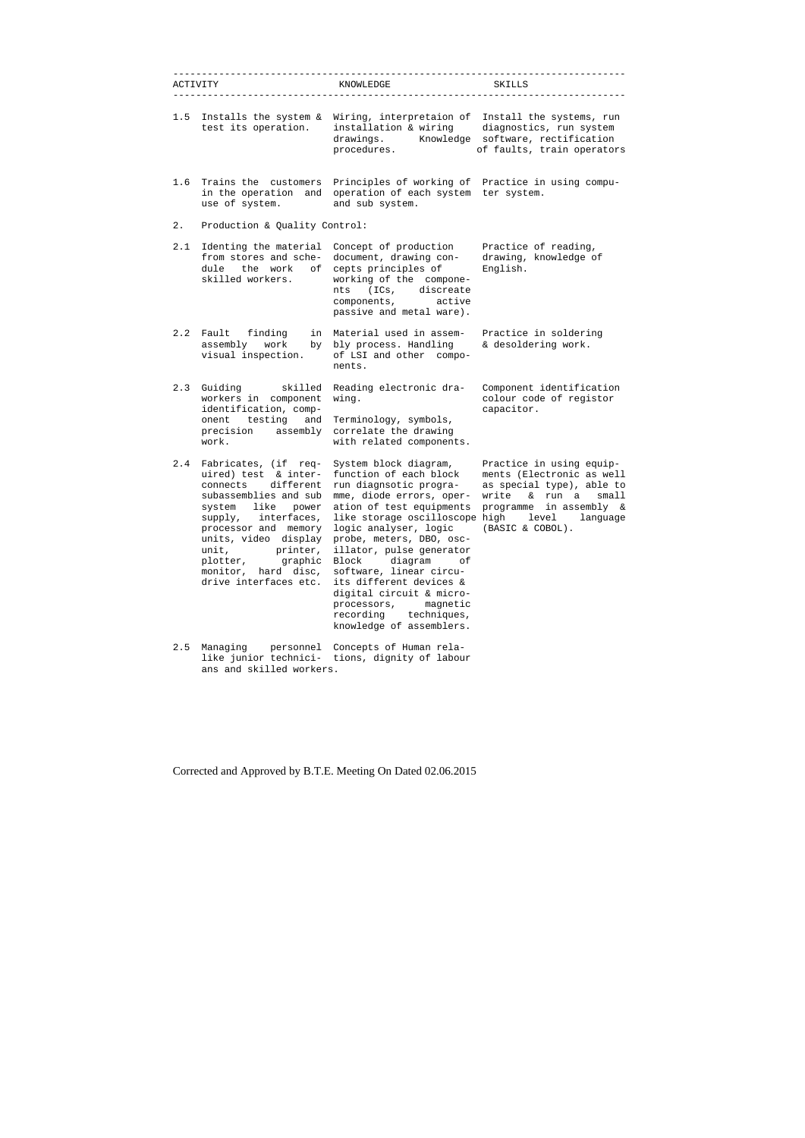|       | -------------------<br>ACTIVITY                                                                                                                                                                                                                            | KNOWLEDGE                                                                                                                                                                                                                                                                                                                                                                                   | SKILLS                                                                                                                                                                                                                                       |
|-------|------------------------------------------------------------------------------------------------------------------------------------------------------------------------------------------------------------------------------------------------------------|---------------------------------------------------------------------------------------------------------------------------------------------------------------------------------------------------------------------------------------------------------------------------------------------------------------------------------------------------------------------------------------------|----------------------------------------------------------------------------------------------------------------------------------------------------------------------------------------------------------------------------------------------|
| 1.5   | Installs the system &<br>test its operation.                                                                                                                                                                                                               | Wiring, interpretaion of<br>installation & wiring<br>drawings.<br>Knowledge<br>procedures.                                                                                                                                                                                                                                                                                                  | Install the systems, run<br>diagnostics, run system<br>software, rectification<br>of faults, train operators                                                                                                                                 |
| 1.6   | Trains the customers<br>in the operation and<br>use of system.                                                                                                                                                                                             | Principles of working of Practice in using compu-<br>operation of each system ter system.<br>and sub system.                                                                                                                                                                                                                                                                                |                                                                                                                                                                                                                                              |
| $2$ . | Production & Quality Control:                                                                                                                                                                                                                              |                                                                                                                                                                                                                                                                                                                                                                                             |                                                                                                                                                                                                                                              |
| 2.1   | Identing the material<br>from stores and sche-<br>dule the work<br>оf<br>skilled workers.                                                                                                                                                                  | Concept of production<br>document, drawing con-<br>cepts principles of<br>working of the compone-<br>(ICs, discreate)<br>nts<br>components,<br>active<br>passive and metal ware).                                                                                                                                                                                                           | Practice of reading,<br>drawing, knowledge of<br>English.                                                                                                                                                                                    |
| 2.2   | Fault finding<br>assembly<br>work<br>by<br>visual inspection.                                                                                                                                                                                              | in Material used in assem-<br>bly process. Handling<br>of LSI and other compo-<br>nents.                                                                                                                                                                                                                                                                                                    | Practice in soldering<br>& desoldering work.                                                                                                                                                                                                 |
| 2.3   | Guiding<br>skilled<br>workers in component<br>identification, comp-<br>onent testing<br>and<br>precision assembly<br>work.                                                                                                                                 | Reading electronic dra-<br>wing.<br>Terminology, symbols,<br>correlate the drawing<br>with related components.                                                                                                                                                                                                                                                                              | Component identification<br>colour code of registor<br>capacitor.                                                                                                                                                                            |
| 2.4   | Fabricates, (if req-<br>uired) test & inter-<br>different<br>connects<br>system like<br>power<br>supply, interfaces,<br>processor and memory<br>units, video display<br>unit, printer,<br>plotter, graphic<br>monitor, hard disc,<br>drive interfaces etc. | System block diagram,<br>function of each block<br>run diagnsotic progra-<br>like storage oscilloscope high level<br>logic analyser, logic<br>probe, meters, DBO, osc-<br>illator, pulse generator<br>diagram<br>Block<br>оf<br>software, linear circu-<br>its different devices &<br>digital circuit & micro-<br>processors, magnetic<br>recording techniques,<br>knowledge of assemblers. | Practice in using equip-<br>ments (Electronic as well<br>as special type), able to<br>subassemblies and sub mme, diode errors, oper- write & run a small<br>ation of test equipments programme in assembly &<br>language<br>(BASIC & COBOL). |
| 2.5   | Managing<br>personnel<br>like junior technici-<br>ans and skilled workers.                                                                                                                                                                                 | Concepts of Human rela-<br>tions, dignity of labour                                                                                                                                                                                                                                                                                                                                         |                                                                                                                                                                                                                                              |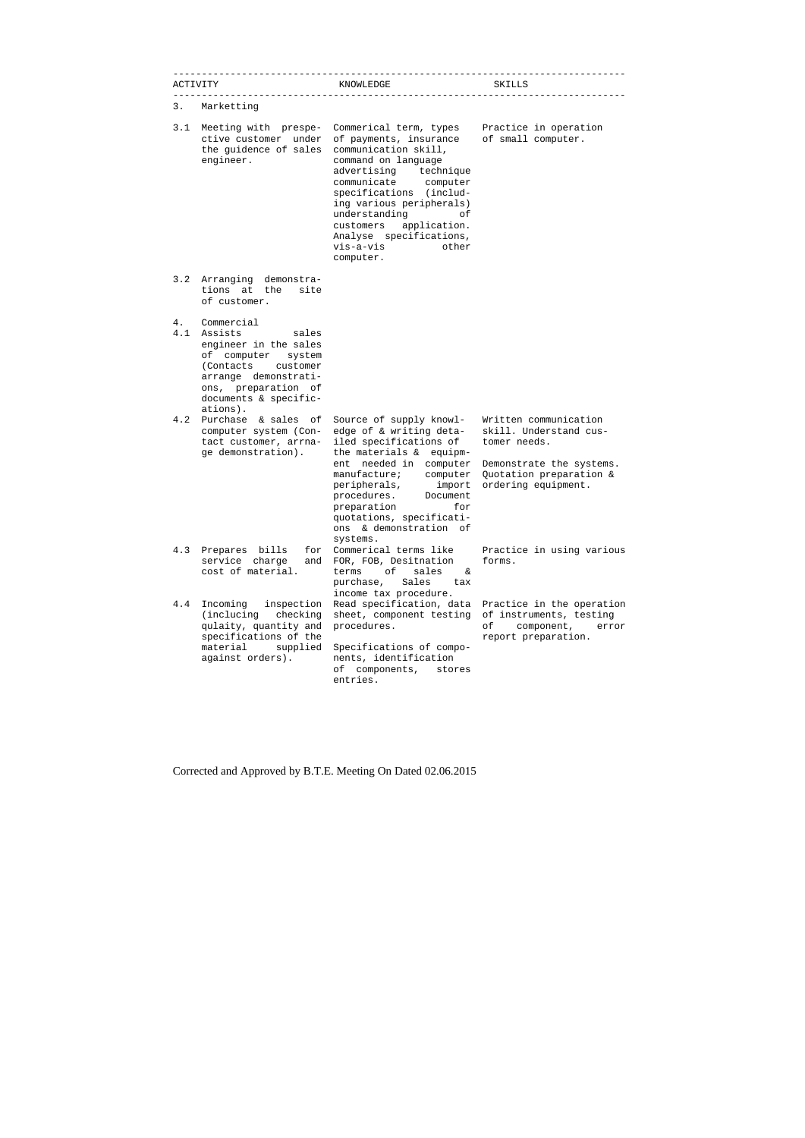|           | ACTIVITY                                                                                                                                                                                | KNOWLEDGE                                                                                                                                                                                                                                                                                                                 | SKILLS                                                                                                                                        |
|-----------|-----------------------------------------------------------------------------------------------------------------------------------------------------------------------------------------|---------------------------------------------------------------------------------------------------------------------------------------------------------------------------------------------------------------------------------------------------------------------------------------------------------------------------|-----------------------------------------------------------------------------------------------------------------------------------------------|
| 3.        | Marketting                                                                                                                                                                              |                                                                                                                                                                                                                                                                                                                           |                                                                                                                                               |
| 3.1       | Meeting with prespe-<br>ctive customer under<br>the guidence of sales<br>engineer.                                                                                                      | Commerical term, types<br>of payments, insurance<br>communication skill,<br>command on language<br>advertising technique<br>communicate computer<br>specifications (includ-<br>ing various peripherals)<br>understanding<br>оf<br>customers<br>application.<br>Analyse specifications,<br>vis-a-vis<br>other<br>computer. | Practice in operation<br>of small computer.                                                                                                   |
| 3.2       | Arranging demonstra-<br>tions at the<br>site<br>of customer.                                                                                                                            |                                                                                                                                                                                                                                                                                                                           |                                                                                                                                               |
| 4.<br>4.1 | Commercial<br>Assists<br>sales<br>engineer in the sales<br>of computer system<br>(Contacts customer<br>arrange demonstrati-<br>ons, preparation of<br>documents & specific-<br>ations). |                                                                                                                                                                                                                                                                                                                           |                                                                                                                                               |
| 4.2       | Purchase & sales of<br>computer system (Con-<br>tact customer, arrna-<br>ge demonstration).                                                                                             | Source of supply knowl-<br>edge of & writing deta-<br>iled specifications of<br>the materials & equipm-<br>ent needed in computer<br>manufacture;<br>computer<br>peripherals,<br>import<br>procedures. Document<br>preparation<br>for<br>quotations, specificati-<br>& demonstration<br>ons<br>of<br>systems.             | Written communication<br>skill. Understand cus-<br>tomer needs.<br>Demonstrate the systems.<br>Quotation preparation &<br>ordering equipment. |
| 4.3       | Prepares bills<br>for<br>service charge<br>and<br>cost of material.                                                                                                                     | Commerical terms like<br>FOR, FOB, Desitnation<br>оf<br>sales<br>terms<br>δ£<br>Sales<br>purchase,<br>tax<br>income tax procedure.                                                                                                                                                                                        | Practice in using various<br>forms.                                                                                                           |
| 4.4       | Incoming<br>inspection<br>(inclucing)<br>checking<br>qulaity, quantity and<br>specifications of the<br>material<br>supplied<br>against orders).                                         | Read specification, data<br>sheet, component testing<br>procedures.<br>Specifications of compo-<br>nents, identification<br>of<br>components,<br>stores<br>entries.                                                                                                                                                       | Practice in the operation<br>of instruments, testing<br>оf<br>component,<br>error<br>report preparation.                                      |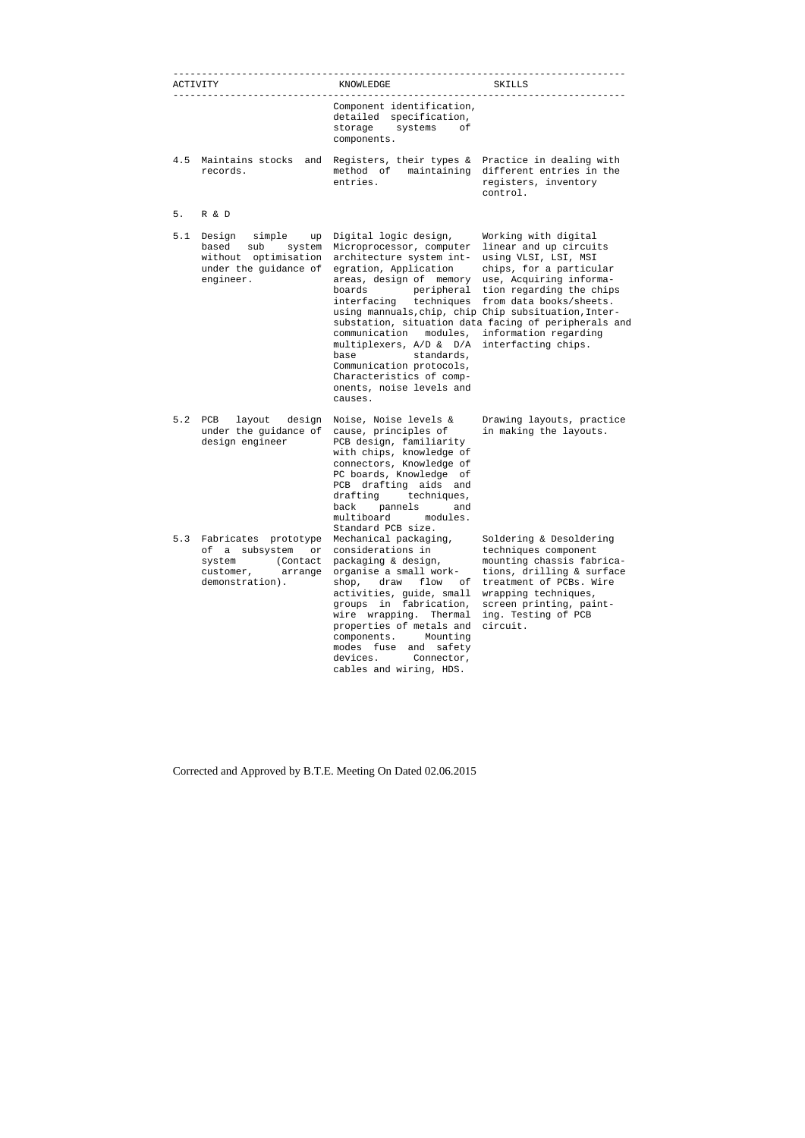|     | ACTIVITY                                                                                                       | KNOWLEDGE                                                                                                                                                                                                                                                                                                                                                                                                                | SKILLS                                                                                                                                                                                                                                                                                      |
|-----|----------------------------------------------------------------------------------------------------------------|--------------------------------------------------------------------------------------------------------------------------------------------------------------------------------------------------------------------------------------------------------------------------------------------------------------------------------------------------------------------------------------------------------------------------|---------------------------------------------------------------------------------------------------------------------------------------------------------------------------------------------------------------------------------------------------------------------------------------------|
|     |                                                                                                                | Component identification,<br>detailed specification,<br>storage<br>systems<br>оf<br>components.                                                                                                                                                                                                                                                                                                                          |                                                                                                                                                                                                                                                                                             |
| 4.5 | Maintains stocks<br>and<br>records.                                                                            | Registers, their types &<br>maintaining<br>method of<br>entries.                                                                                                                                                                                                                                                                                                                                                         | Practice in dealing with<br>different entries in the<br>registers, inventory<br>control.                                                                                                                                                                                                    |
| 5.  | R & D                                                                                                          |                                                                                                                                                                                                                                                                                                                                                                                                                          |                                                                                                                                                                                                                                                                                             |
| 5.1 | Design<br>simple<br>up<br>based<br>sub<br>system<br>without optimisation<br>under the guidance of<br>engineer. | Digital logic design,<br>Microprocessor, computer<br>architecture system int-<br>egration, Application<br>areas, design of memory<br>boards<br>peripheral<br>interfacing techniques<br>using mannuals, chip, chip Chip subsituation, Inter-<br>communication<br>modules.<br>multiplexers, A/D & D/A<br>standards,<br>base<br>Communication protocols,<br>Characteristics of comp-<br>onents, noise levels and<br>causes. | Working with digital<br>linear and up circuits<br>using VLSI, LSI, MSI<br>chips, for a particular<br>use, Acquiring informa-<br>tion regarding the chips<br>from data books/sheets.<br>substation, situation data facing of peripherals and<br>information regarding<br>interfacting chips. |
| 5.2 | layout<br>design<br>PCB<br>under the guidance of<br>design engineer                                            | Noise, Noise levels &<br>cause, principles of<br>PCB design, familiarity<br>with chips, knowledge of<br>connectors, Knowledge of<br>PC boards, Knowledge<br>оf<br>PCB drafting aids and<br>techniques,<br>drafting<br>back pannels<br>and<br>multiboard<br>modules.<br>Standard PCB size.                                                                                                                                | Drawing layouts, practice<br>in making the layouts.                                                                                                                                                                                                                                         |
| 5.3 | Fabricates prototype<br>of a subsystem<br>or<br>system (Contact<br>customer, arrange<br>demonstration).        | Mechanical packaging,<br>considerations in<br>packaging & design,<br>organise a small work-<br>shop,<br>draw<br>flow<br>оf<br>activities, guide, small<br>in fabrication,<br>groups<br>wire wrapping.<br>Thermal<br>properties of metals and<br>components. Mounting<br>modes fuse and safety<br>devices. Connector,<br>cables and wiring, HDS.                                                                          | Soldering & Desoldering<br>techniques component<br>mounting chassis fabrica-<br>tions, drilling & surface<br>treatment of PCBs, Wire<br>wrapping techniques,<br>screen printing, paint-<br>ing. Testing of PCB<br>circuit.                                                                  |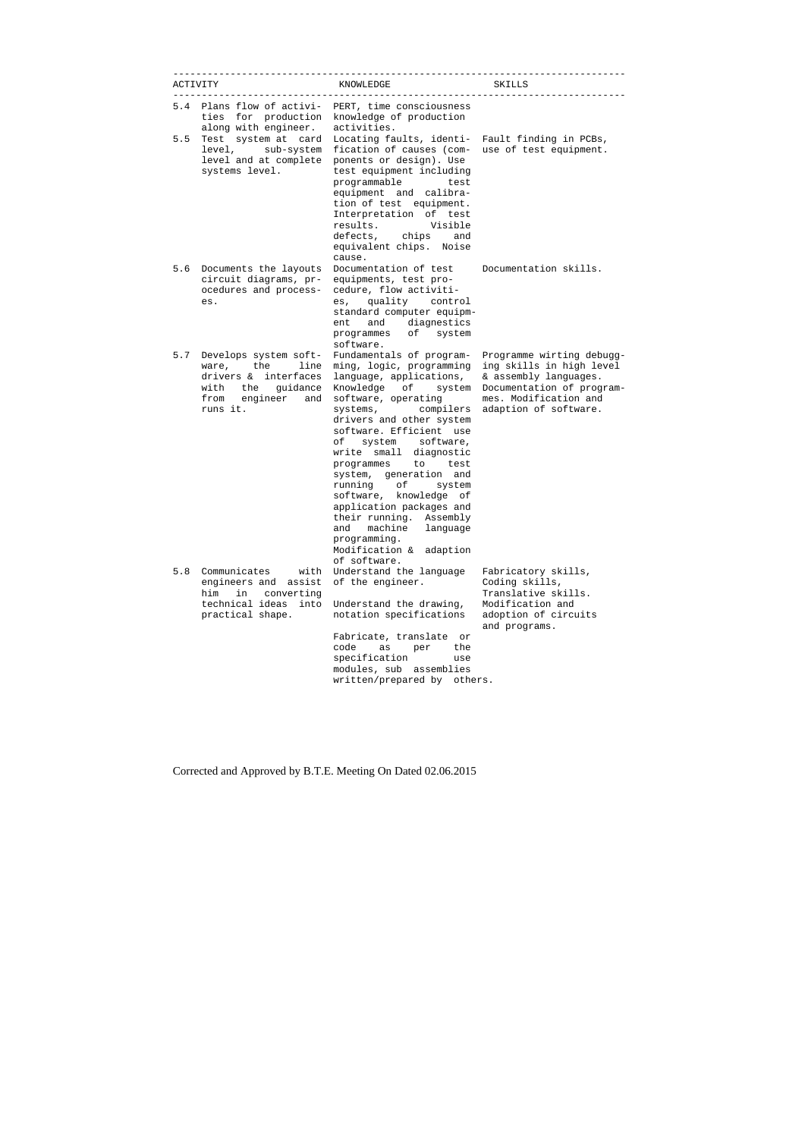|     | <b>ACTIVITY</b>                                                                                                                         | KNOWLEDGE                                                                                                                                                                                                                                                                                                                                                                                                                                                                                                                    | SKILLS                                                                                                                                                        |
|-----|-----------------------------------------------------------------------------------------------------------------------------------------|------------------------------------------------------------------------------------------------------------------------------------------------------------------------------------------------------------------------------------------------------------------------------------------------------------------------------------------------------------------------------------------------------------------------------------------------------------------------------------------------------------------------------|---------------------------------------------------------------------------------------------------------------------------------------------------------------|
| 5.4 | Plans flow of activi-<br>ties for production<br>along with engineer.                                                                    | PERT, time consciousness<br>knowledge of production<br>activities.                                                                                                                                                                                                                                                                                                                                                                                                                                                           |                                                                                                                                                               |
| 5.5 | level and at complete<br>systems level.                                                                                                 | Test system at card Locating faults, identi- Fault finding in PCBs,<br>level, sub-system fication of causes (com- use of test equipment.<br>ponents or design). Use<br>test equipment including<br>programmable<br>test<br>equipment and calibra-<br>tion of test equipment.<br>Interpretation of test<br>results.<br>Visible<br>defects, chips<br>and<br>equivalent chips. Noise<br>cause.                                                                                                                                  |                                                                                                                                                               |
| 5.6 | circuit diagrams, pr-<br>ocedures and process-<br>es.                                                                                   | Documents the layouts Documentation of test<br>equipments, test pro-<br>cedure, flow activiti-<br>es, quality control<br>standard computer equipm-<br>and diagnestics<br>ent<br>programmes of<br>system<br>software.                                                                                                                                                                                                                                                                                                         | Documentation skills.                                                                                                                                         |
| 5.7 | Develops system soft-<br>the<br>line<br>ware,<br>drivers & interfaces<br>guidance<br>with<br>the<br>from<br>engineer<br>and<br>runs it. | Fundamentals of program-<br>ming, logic, programming<br>language, applications,<br>Knowledge<br>of system<br>software, operating<br>systems, compilers<br>drivers and other system<br>software. Efficient use<br>of<br>system software,<br>write small diagnostic<br>programmes<br>to test<br>system, generation and<br>running of<br>system<br>software, knowledge of<br>application packages and<br>their running.<br>Assembly<br>machine<br>and<br>language<br>programming.<br>Modification &<br>adaption<br>of software. | Programme wirting debugg-<br>ing skills in high level<br>& assembly languages.<br>Documentation of program-<br>mes. Modification and<br>adaption of software. |
| 5.8 | Communicates<br>with<br>engineers and<br>assist<br>him<br>in<br>converting<br>technical ideas<br>into<br>practical shape.               | Understand the language<br>of the engineer.<br>Understand the drawing,<br>notation specifications<br>Fabricate, translate<br>or<br>the<br>code<br>as<br>per<br>specification<br>use<br>modules, sub<br>assemblies<br>written/prepared by<br>others.                                                                                                                                                                                                                                                                          | Fabricatory skills,<br>Coding skills,<br>Translative skills.<br>Modification and<br>adoption of circuits<br>and programs.                                     |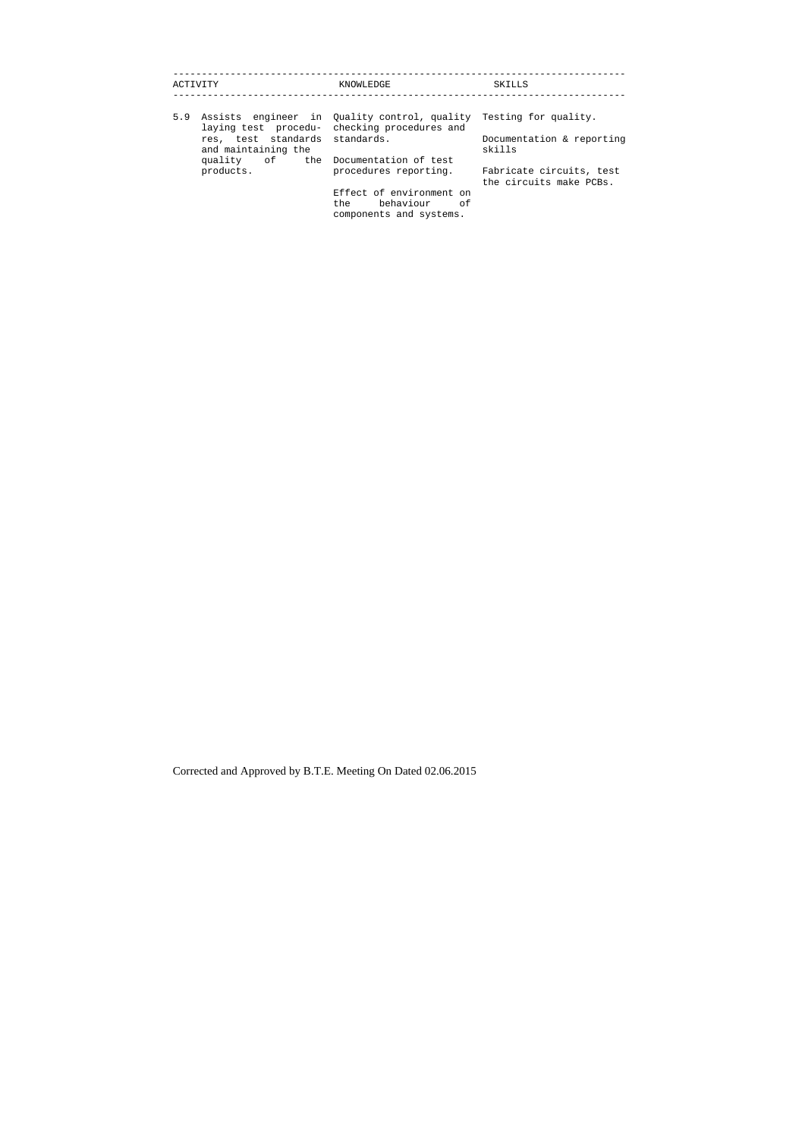| ACTIVITY                                              | KNOWLEDGE                                                                                                         | SKILLS                                              |
|-------------------------------------------------------|-------------------------------------------------------------------------------------------------------------------|-----------------------------------------------------|
| 5.9                                                   | Assists engineer in Ouality control, quality Testing for quality.<br>laying test procedu- checking procedures and |                                                     |
| res, test standards standards.<br>and maintaining the |                                                                                                                   | Documentation & reporting<br>skills                 |
| quality of the Documentation of test                  |                                                                                                                   |                                                     |
| products.                                             | procedures reporting.                                                                                             | Fabricate circuits, test<br>the circuits make PCBs. |
|                                                       | Effect of environment on<br>the behaviour of<br>components and systems.                                           |                                                     |
|                                                       |                                                                                                                   |                                                     |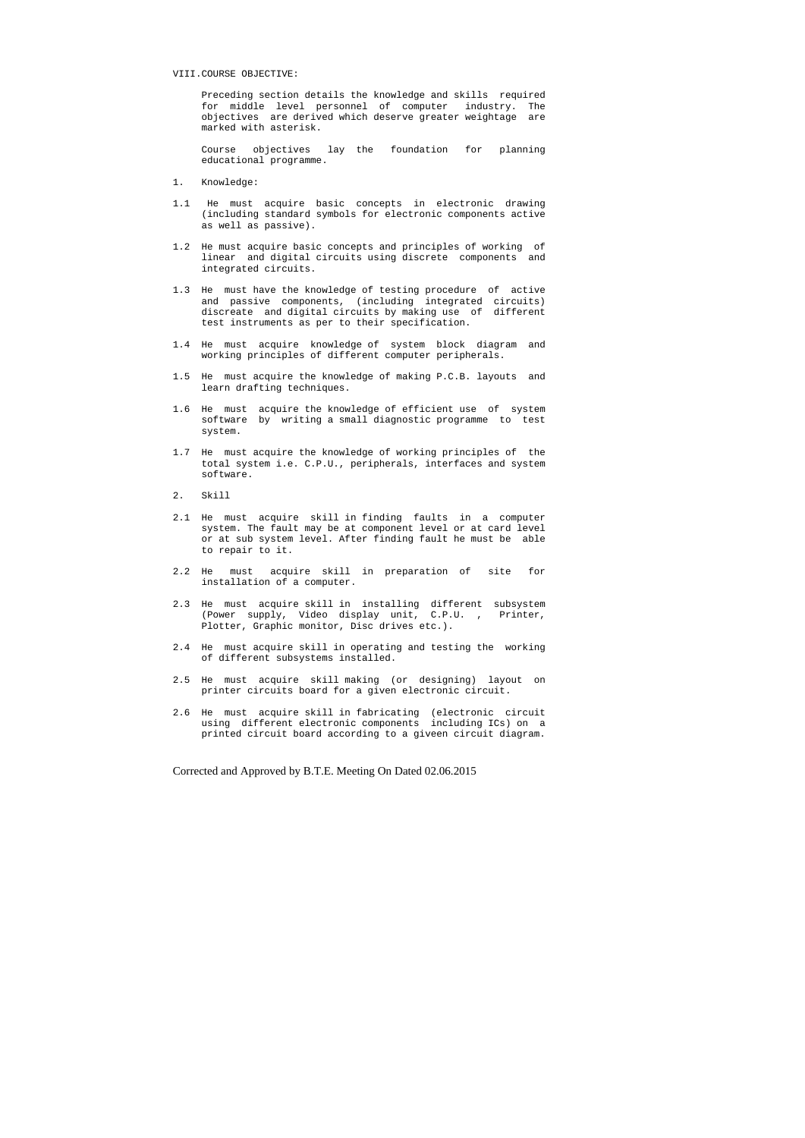#### VIII.COURSE OBJECTIVE:

 Preceding section details the knowledge and skills required for middle level personnel of computer industry. The objectives are derived which deserve greater weightage are marked with asterisk.

 Course objectives lay the foundation for planning educational programme.

- 1. Knowledge:
- 1.1 He must acquire basic concepts in electronic drawing (including standard symbols for electronic components active as well as passive).
- 1.2 He must acquire basic concepts and principles of working of linear and digital circuits using discrete components and integrated circuits.
- 1.3 He must have the knowledge of testing procedure of active and passive components, (including integrated circuits) discreate and digital circuits by making use of different test instruments as per to their specification.
- 1.4 He must acquire knowledge of system block diagram and working principles of different computer peripherals.
- 1.5 He must acquire the knowledge of making P.C.B. layouts and learn drafting techniques.
- 1.6 He must acquire the knowledge of efficient use of system software by writing a small diagnostic programme to test system.
- 1.7 He must acquire the knowledge of working principles of the total system i.e. C.P.U., peripherals, interfaces and system software.
- 2. Skill
- 2.1 He must acquire skill in finding faults in a computer system. The fault may be at component level or at card level or at sub system level. After finding fault he must be able to repair to it.
- 2.2 He must acquire skill in preparation of site for installation of a computer.
- 2.3 He must acquire skill in installing different subsystem (Power supply, Video display unit, C.P.U. , Printer, Plotter, Graphic monitor, Disc drives etc.).
- 2.4 He must acquire skill in operating and testing the working of different subsystems installed.
- 2.5 He must acquire skill making (or designing) layout on printer circuits board for a given electronic circuit.
- 2.6 He must acquire skill in fabricating (electronic circuit using different electronic components including ICs) on a printed circuit board according to a giveen circuit diagram.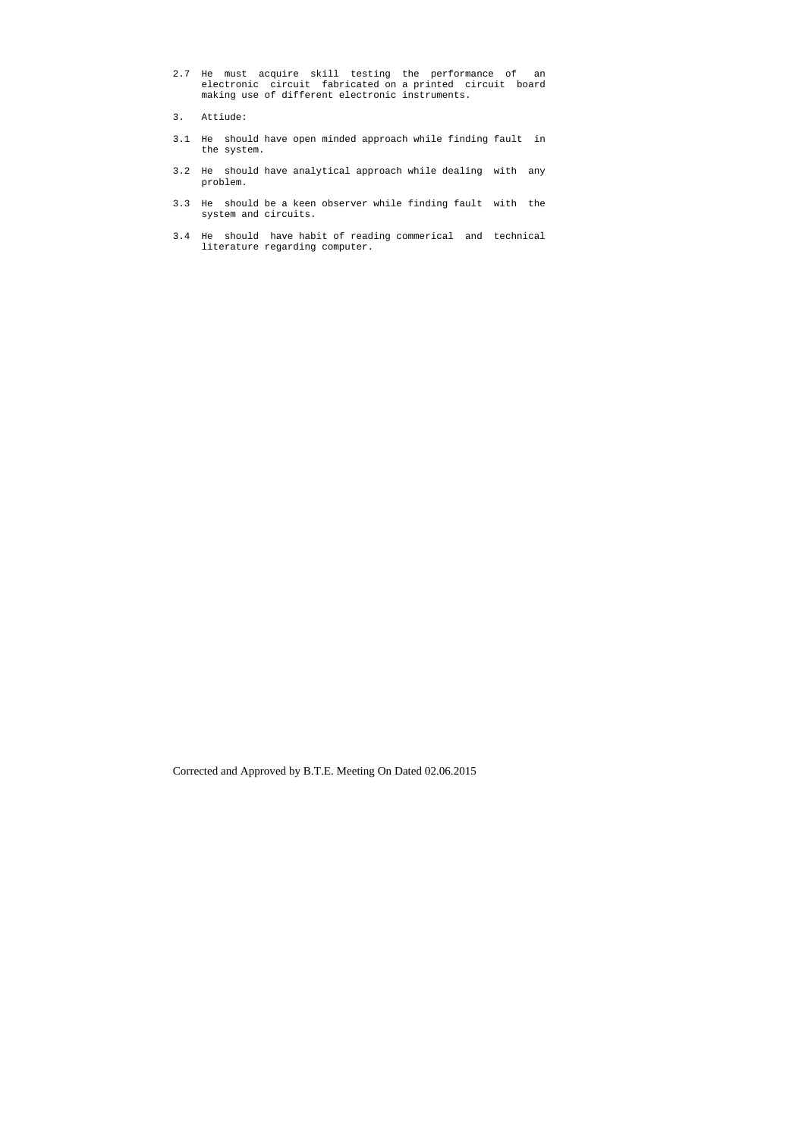- 2.7 He must acquire skill testing the performance of an electronic circuit fabricated on a printed circuit board making use of different electronic instruments.
- 3. Attiude:
- 3.1 He should have open minded approach while finding fault in the system.
- 3.2 He should have analytical approach while dealing with any problem.
- 3.3 He should be a keen observer while finding fault with the system and circuits.
- 3.4 He should have habit of reading commerical and technical literature regarding computer.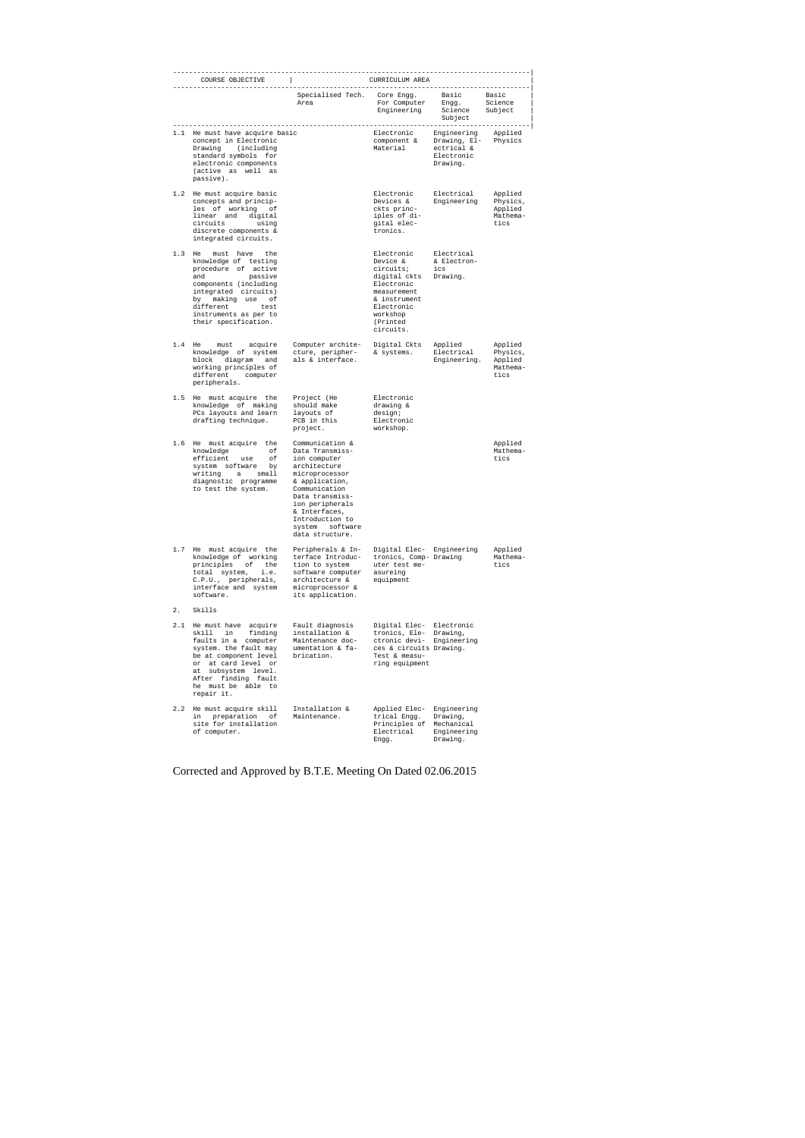|     | COURSE OBJECTIVE<br>. _ _ _ _ _ _ _ _ _ _ _ _ _ _ _ _ _                                                                                                                                                                                     |                                                                                                                                                                                                                                            | CURRICULUM AREA<br>--------------------------------------                                                                                            |                                                                     |                                                    |
|-----|---------------------------------------------------------------------------------------------------------------------------------------------------------------------------------------------------------------------------------------------|--------------------------------------------------------------------------------------------------------------------------------------------------------------------------------------------------------------------------------------------|------------------------------------------------------------------------------------------------------------------------------------------------------|---------------------------------------------------------------------|----------------------------------------------------|
|     |                                                                                                                                                                                                                                             | Specialised Tech.<br>Area                                                                                                                                                                                                                  | Core Engg.<br>For Computer<br>Engineering                                                                                                            | Basic<br>Engg.<br>Science<br>Subject                                | Basic<br>Science<br>Subject                        |
|     | 1.1 He must have acquire basic<br>concept in Electronic<br>Drawing<br>(including)<br>standard symbols for<br>electronic components<br>(active as well as<br>passive).                                                                       |                                                                                                                                                                                                                                            | Electronic<br>component &<br>Material                                                                                                                | Engineering<br>Drawing, El-<br>ectrical &<br>Electronic<br>Drawing. | Applied<br>Physics                                 |
|     | 1.2 He must acquire basic<br>concepts and princip-<br>les of working of<br>linear and<br>digital<br>circuits<br>using<br>discrete components &<br>integrated circuits.                                                                      |                                                                                                                                                                                                                                            | Electronic<br>Devices &<br>ckts princ-<br>iples of di-<br>gital elec-<br>tronics.                                                                    | Electrical<br>Engineering                                           | Applied<br>Physics,<br>Applied<br>Mathema-<br>tics |
| 1.3 | must have<br>He<br>the<br>knowledge of testing<br>procedure of active<br>and<br>passive<br>components (including<br>integrated circuits)<br>by making use<br>оf<br>different<br>test<br>instruments as per to<br>their specification.       |                                                                                                                                                                                                                                            | Electronic<br>Device &<br>circuits;<br>digital ckts<br>Electronic<br>measurement<br>& instrument<br>Electronic<br>workshop<br>(Printed)<br>circuits. | Electrical<br>& Electron-<br>ics<br>Drawing.                        |                                                    |
|     | 1.4 He<br>acquire<br>must<br>knowledge of system<br>block diagram and<br>working principles of<br>different computer<br>peripherals.                                                                                                        | Computer archite-<br>cture, peripher-<br>als & interface.                                                                                                                                                                                  | Digital Ckts<br>& systems.                                                                                                                           | Applied<br>Electrical<br>Engineering.                               | Applied<br>Physics,<br>Applied<br>Mathema-<br>tics |
|     | 1.5 He must acquire the<br>knowledge of making<br>PCs layouts and learn<br>drafting technique.                                                                                                                                              | Project (He<br>should make<br>layouts of<br>PCB in this<br>project.                                                                                                                                                                        | Electronic<br>drawing &<br>design;<br>Electronic<br>workshop.                                                                                        |                                                                     |                                                    |
|     | 1.6 He must acquire the<br>knowledge<br>оf<br>efficient<br>оf<br>use<br>system software<br>by<br>writing<br>small1<br>a<br>diagnostic programme<br>to test the system.                                                                      | Communication &<br>Data Transmiss-<br>ion computer<br>architecture<br>microprocessor<br>& application,<br>Communication<br>Data transmiss-<br>ion peripherals<br>& Interfaces,<br>Introduction to<br>system<br>software<br>data structure. |                                                                                                                                                      |                                                                     | Applied<br>Mathema-<br>tics                        |
| 1.7 | He must acquire the<br>knowledge of working<br>principles<br>оf<br>the<br>total system,<br>i.e.<br>C.P.U., peripherals,<br>interface and system<br>software.                                                                                | Peripherals & In-<br>terface Introduc-<br>tion to system<br>software computer<br>architecture &<br>microprocessor &<br>its application.                                                                                                    | Digital Elec- Engineering<br>tronics, Comp- Drawing<br>uter test me-<br>asureing<br>equipment                                                        |                                                                     | Applied<br>Mathema-<br>tics                        |
| 2.  | Skills                                                                                                                                                                                                                                      |                                                                                                                                                                                                                                            |                                                                                                                                                      |                                                                     |                                                    |
|     | 2.1 He must have acquire<br>skill<br>in<br>finding<br>faults in a computer<br>system. the fault may<br>be at component level<br>at card level or<br>or<br>subsystem level.<br>at<br>After finding fault<br>he must be able to<br>repair it. | Fault diagnosis<br>installation &<br>Maintenance doc-<br>umentation & fa-<br>brication.                                                                                                                                                    | Digital Elec- Electronic<br>tronics, Ele-<br>ctronic devi-<br>ces & circuits Drawing.<br>Test & measu-<br>ring equipment                             | Drawing,<br>Engineering                                             |                                                    |
|     | 2.2 He must acquire skill<br>in<br>preparation<br>оf<br>site for installation<br>of computer.                                                                                                                                               | Installation &<br>Maintenance.                                                                                                                                                                                                             | Applied Elec-<br>trical Engg.<br>Principles of<br>Electrical<br>Engg.                                                                                | Engineering<br>Drawing,<br>Mechanical<br>Engineering<br>Drawing.    |                                                    |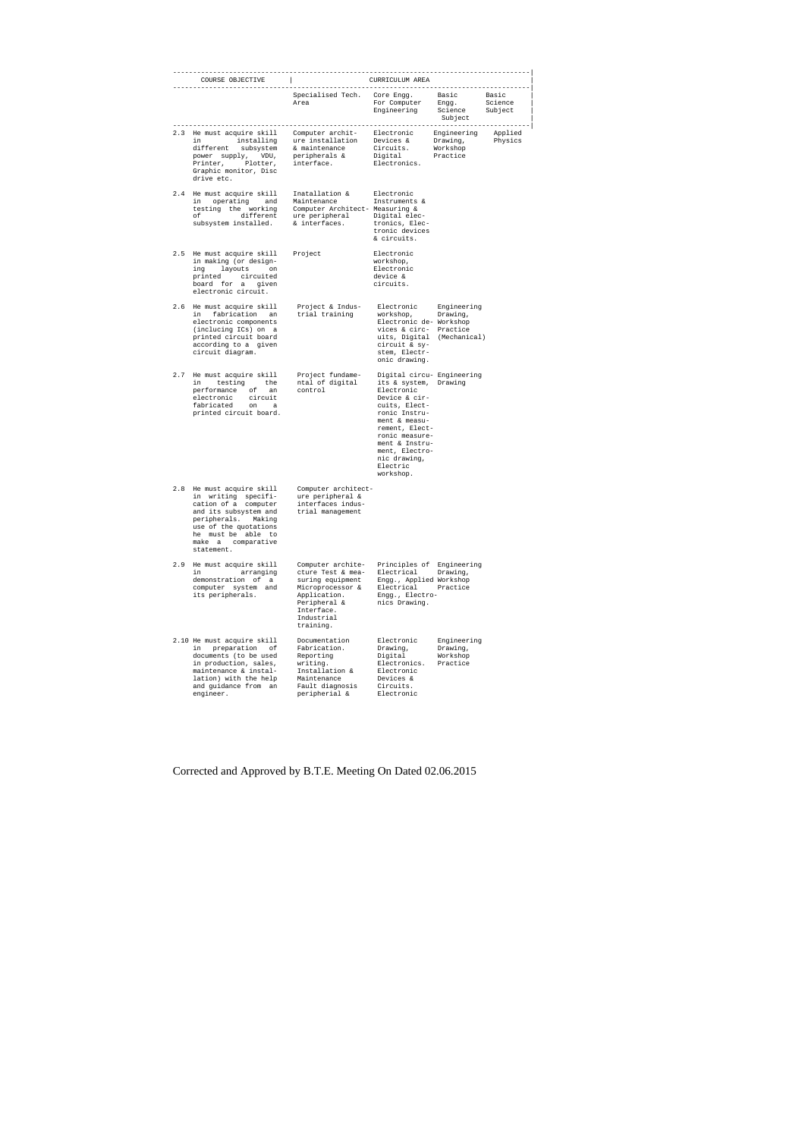|     | COURSE OBJECTIVE                                                                                                                                                                                                                                                             | CURRICULUM AREA                                                                                                                                         |                                                                                                                                                                                                                                                        |                                                 |                             |  |
|-----|------------------------------------------------------------------------------------------------------------------------------------------------------------------------------------------------------------------------------------------------------------------------------|---------------------------------------------------------------------------------------------------------------------------------------------------------|--------------------------------------------------------------------------------------------------------------------------------------------------------------------------------------------------------------------------------------------------------|-------------------------------------------------|-----------------------------|--|
|     |                                                                                                                                                                                                                                                                              | Specialised Tech. Core Engg. Basic<br>Area For Computer Engg.<br>Engineering Science                                                                    |                                                                                                                                                                                                                                                        | Subject                                         | Basic<br>Science<br>Subject |  |
|     | 2.3 He must acquire skill Computer archit-<br>in installing ure installation Devices & Drawing,<br>different subsystem & maintenance Circuits. Workshop<br>power supply, VDU, peripherals & Digital Practice<br>Printer, Plotter, int<br>Graphic monitor, Disc<br>drive etc. |                                                                                                                                                         |                                                                                                                                                                                                                                                        |                                                 | Applied<br>Physics          |  |
|     | 2.4 He must acquire skill<br>measured and maintenance instruments &<br>testing the working and Maintenance Instruments &<br>testing the working Computer Architect-Measuring &<br>of different ure peripheral Digital elec-<br>subsystem installed. & interfaces. troni      | Inatallation &                                                                                                                                          | Electronic<br>tronics, Elec-<br>tronic devices<br>& circuits.                                                                                                                                                                                          |                                                 |                             |  |
|     | 2.5 He must acquire skill<br>in making (or design-<br>ing layouts on<br>printed circuited<br>board for a given<br>electronic circuit.                                                                                                                                        | Project                                                                                                                                                 | Electronic<br>workshop,<br>Electronic<br>device &<br>circuits.                                                                                                                                                                                         |                                                 |                             |  |
|     | 2.6 He must acquire skill<br>in fabrication an<br>electronic components<br>(inclucing ICs) on a<br>printed circuit board<br>according to a given<br>circuit diagram.                                                                                                         | Project & Indus-<br>trial training                                                                                                                      | Electronic Engineering<br>workshop, Drawing,<br>Electronic de- Workshop<br>vices & circ- Practice<br>uits, Digital (Mechanical)<br>circuit & sy-<br>stem, Electr-<br>onic drawing.                                                                     |                                                 |                             |  |
|     | 2.7 He must acquire skill Project fundame-<br>in testing the<br>performance of an<br>electronic circuit<br>fabricated on a<br>printed circuit board.                                                                                                                         | ntal of digital<br>control                                                                                                                              | Digital circu- Engineering<br>its & system, Drawing<br>Electronic<br>Device & cir-<br>cuits, Elect-<br>ronic Instru-<br>ment & measu-<br>rement, Elect-<br>ronic measure-<br>ment & Instru-<br>ment, Electro-<br>nic drawing,<br>Electric<br>workshop. |                                                 |                             |  |
|     | 2.8 He must acquire skill<br>in writing specifi-<br>cation of a computer<br>and its subsystem and<br>peripherals.<br>Making<br>use of the quotations<br>he must be able to<br>make a<br>comparative<br>statement.                                                            | Computer architect-<br>ure peripheral &<br>interfaces indus-<br>trial management                                                                        |                                                                                                                                                                                                                                                        |                                                 |                             |  |
| 2.9 | He must acquire skill<br>in<br>arranging<br>demonstration of a<br>computer system and<br>its peripherals.                                                                                                                                                                    | Computer archite-<br>cture Test & mea-<br>suring equipment<br>Microprocessor &<br>Application.<br>Peripheral &<br>Interface.<br>Industrial<br>training. | Principles of<br>Electrical<br>Engg., Applied Workshop<br>Electrical<br>Engg., Electro-<br>nics Drawing.                                                                                                                                               | Engineering<br>Drawing,<br>Practice             |                             |  |
|     | 2.10 He must acquire skill<br>in<br>preparation<br>оf<br>documents (to be used<br>in production, sales,<br>maintenance & instal-<br>lation) with the help<br>and guidance from an<br>engineer.                                                                               | Documentation<br>Fabrication.<br>Reporting<br>writing.<br>Installation &<br>Maintenance<br>Fault diagnosis<br>peripherial &                             | Electronic<br>Drawing,<br>Digital<br>Electronics.<br>Electronic<br>Devices &<br>Circuits.<br>Electronic                                                                                                                                                | Engineering<br>Drawing,<br>Workshop<br>Practice |                             |  |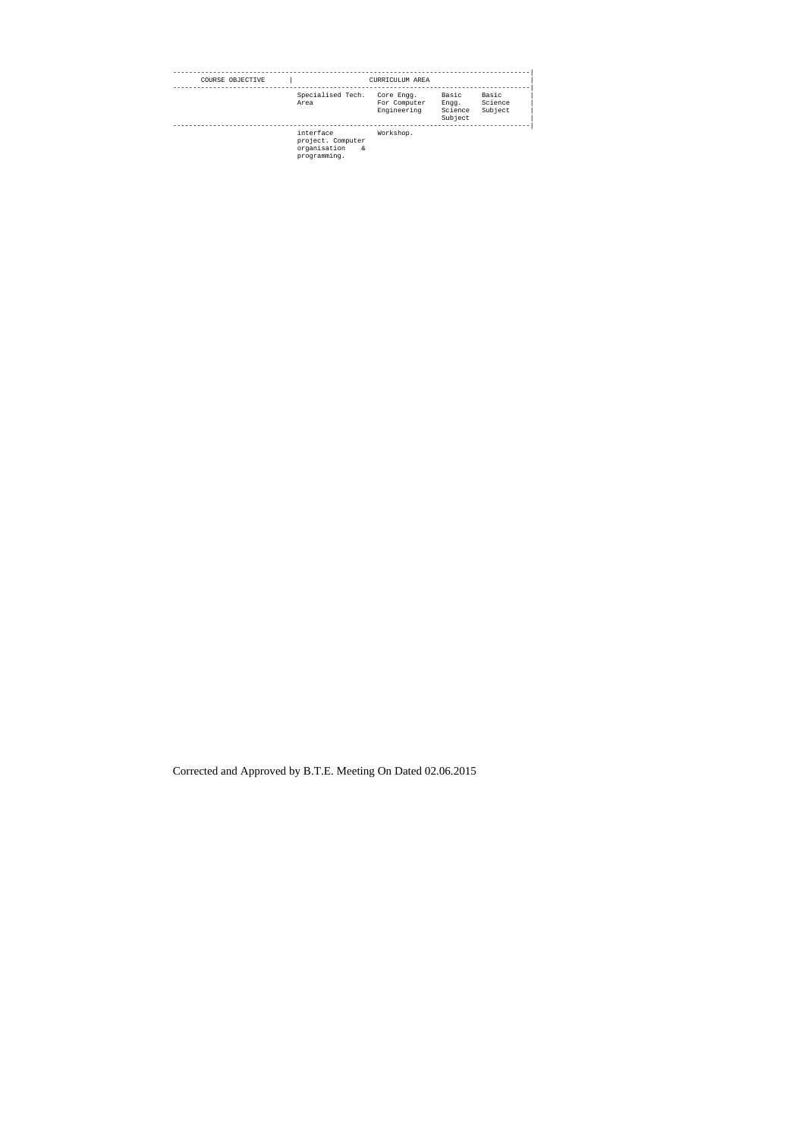| COURSE OBJECTIVE |                                                                     | CURRICULUM AREA                           |                                      |                             |
|------------------|---------------------------------------------------------------------|-------------------------------------------|--------------------------------------|-----------------------------|
|                  | Specialised Tech.<br>Area                                           | Core Engg.<br>For Computer<br>Engineering | Basic<br>Engg.<br>Science<br>Subject | Basic<br>Science<br>Subject |
|                  | interface<br>project. Computer<br>organisation<br>&<br>programming. | Workshop.                                 |                                      |                             |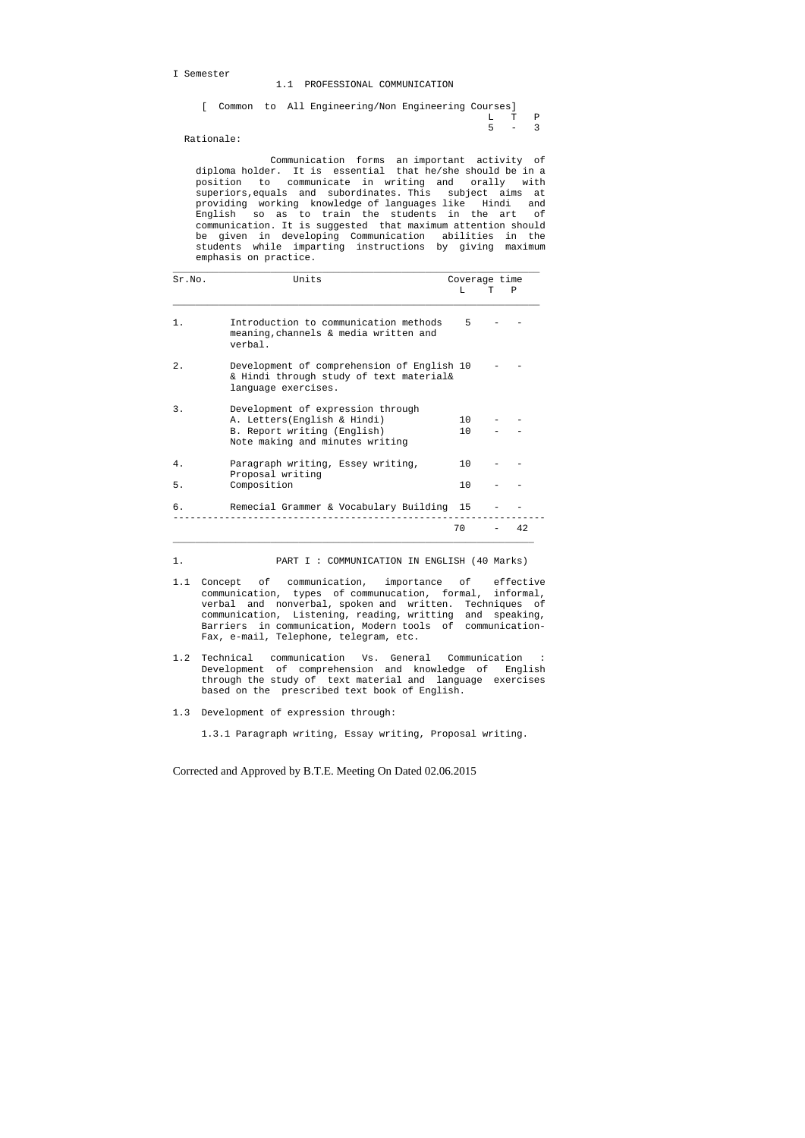I Semester

1.1 PROFESSIONAL COMMUNICATION

|  |  | [ Common to All Engineering/Non Engineering Courses] |  |       |  |
|--|--|------------------------------------------------------|--|-------|--|
|  |  |                                                      |  | L T P |  |
|  |  |                                                      |  | 5 – 3 |  |

Rationale:

 Communication forms an important activity of diploma holder. It is essential that he/she should be in a position to communicate in writing and orally with superiors,equals and subordinates. This subject aims at providing working knowledge of languages like Hindi and English so as to train the students in the art of communication. It is suggested that maximum attention should be given in developing Communication abilities in the students while imparting instructions by giving maximum emphasis on practice.

| Sr.NO. | Units                                                                                                                               |                        | Coverage time |
|--------|-------------------------------------------------------------------------------------------------------------------------------------|------------------------|---------------|
|        |                                                                                                                                     | T.                     | P             |
| $1$ .  | Introduction to communication methods<br>meaning, channels & media written and<br>verbal.                                           | 5                      |               |
| 2.1    | Development of comprehension of English 10<br>& Hindi through study of text material&<br>language exercises.                        |                        |               |
| 3.     | Development of expression through<br>A. Letters (English & Hindi)<br>B. Report writing (English)<br>Note making and minutes writing | 10 <sup>1</sup><br>1 O |               |
| 4.     | Paragraph writing, Essey writing,<br>Proposal writing                                                                               | 1 Q                    |               |
| 5.     | Composition                                                                                                                         | 10                     |               |
| б.     | Remecial Grammer & Vocabulary Building 15                                                                                           |                        |               |
|        |                                                                                                                                     | 70                     | 42            |

1. PART I : COMMUNICATION IN ENGLISH (40 Marks)

- 1.1 Concept of communication, importance of effective communication, types of communucation, formal, informal, verbal and nonverbal, spoken and written. Techniques of communication, Listening, reading, writting and speaking, Barriers in communication, Modern tools of communication- Fax, e-mail, Telephone, telegram, etc.
- 1.2 Technical communication Vs. General Communication : Development of comprehension and knowledge of English through the study of text material and language exercises based on the prescribed text book of English.
- 1.3 Development of expression through:

1.3.1 Paragraph writing, Essay writing, Proposal writing.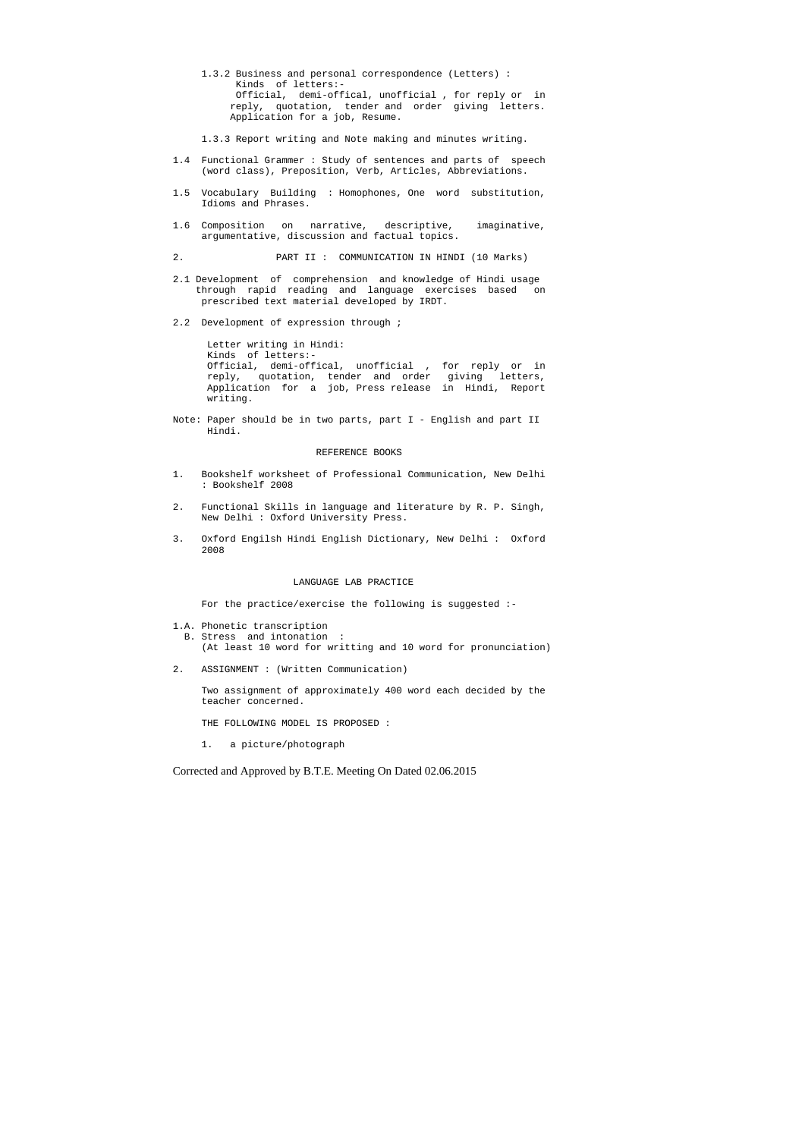- 1.3.2 Business and personal correspondence (Letters) : Kinds of letters:- Official, demi-offical, unofficial , for reply or in reply, quotation, tender and order giving letters. Application for a job, Resume.
- 1.3.3 Report writing and Note making and minutes writing.
- 1.4 Functional Grammer : Study of sentences and parts of speech (word class), Preposition, Verb, Articles, Abbreviations.
- 1.5 Vocabulary Building : Homophones, One word substitution, Idioms and Phrases.
- 1.6 Composition on narrative, descriptive, imaginative, argumentative, discussion and factual topics.
- 2. PART II : COMMUNICATION IN HINDI (10 Marks)
- 2.1 Development of comprehension and knowledge of Hindi usage through rapid reading and language exercises based on prescribed text material developed by IRDT.
- 2.2 Development of expression through ;

 Letter writing in Hindi: Kinds of letters:- Official, demi-offical, unofficial , for reply or in reply, quotation, tender and order giving letters, Application for a job, Press release in Hindi, Report writing.

Note: Paper should be in two parts, part I - English and part II Hindi.

#### REFERENCE BOOKS

- 1. Bookshelf worksheet of Professional Communication, New Delhi : Bookshelf 2008
- 2. Functional Skills in language and literature by R. P. Singh, New Delhi : Oxford University Press.
- 3. Oxford Engilsh Hindi English Dictionary, New Delhi : Oxford 2008

#### LANGUAGE LAB PRACTICE

For the practice/exercise the following is suggested :-

1.A. Phonetic transcription

 B. Stress and intonation : (At least 10 word for writting and 10 word for pronunciation)

2. ASSIGNMENT : (Written Communication)

 Two assignment of approximately 400 word each decided by the teacher concerned.

THE FOLLOWING MODEL IS PROPOSED :

1. a picture/photograph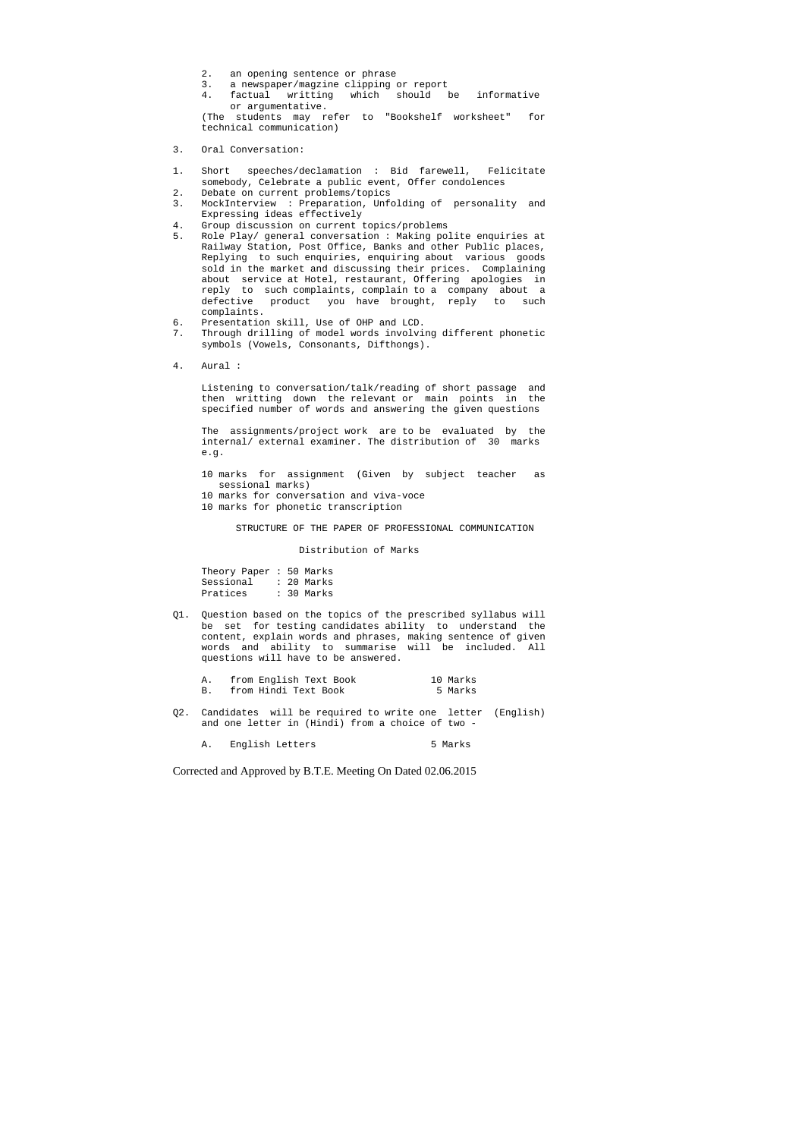- 2. an opening sentence or phrase
- 3. a newspaper/magzine clipping or report
- 4. factual writting which should be informative or argumentative.

 (The students may refer to "Bookshelf worksheet" for technical communication)

- 3. Oral Conversation:
- 1. Short speeches/declamation : Bid farewell, Felicitate somebody, Celebrate a public event, Offer condolences
- 2. Debate on current problems/topics
- 3. MockInterview : Preparation, Unfolding of personality and Expressing ideas effectively
- 4. Group discussion on current topics/problems
- 5. Role Play/ general conversation : Making polite enquiries at Railway Station, Post Office, Banks and other Public places, Replying to such enquiries, enquiring about various goods sold in the market and discussing their prices. Complaining about service at Hotel, restaurant, Offering apologies in reply to such complaints, complain to a company about a defective product you have brought, reply to such complaints.
- 6. Presentation skill, Use of OHP and LCD.
- 7. Through drilling of model words involving different phonetic symbols (Vowels, Consonants, Difthongs).
- 4. Aural :

 Theory Paper : 50 Marks Sessional : 20 Marks Pratices : 30 Marks

 Listening to conversation/talk/reading of short passage and then writting down the relevant or main points in the specified number of words and answering the given questions

 The assignments/project work are to be evaluated by the internal/ external examiner. The distribution of 30 marks e.g.

- 10 marks for assignment (Given by subject teacher as sessional marks)
- 10 marks for conversation and viva-voce
- 10 marks for phonetic transcription

STRUCTURE OF THE PAPER OF PROFESSIONAL COMMUNICATION

Distribution of Marks

Q1. Question based on the topics of the prescribed syllabus will be set for testing candidates ability to understand the content, explain words and phrases, making sentence of given words and ability to summarise will be included. All questions will have to be answered.

| from English Text Book | 10 Marks |
|------------------------|----------|
| from Hindi Text Book   | 5 Marks  |

Q2. Candidates will be required to write one letter (English) and one letter in (Hindi) from a choice of two -

A. English Letters 5 Marks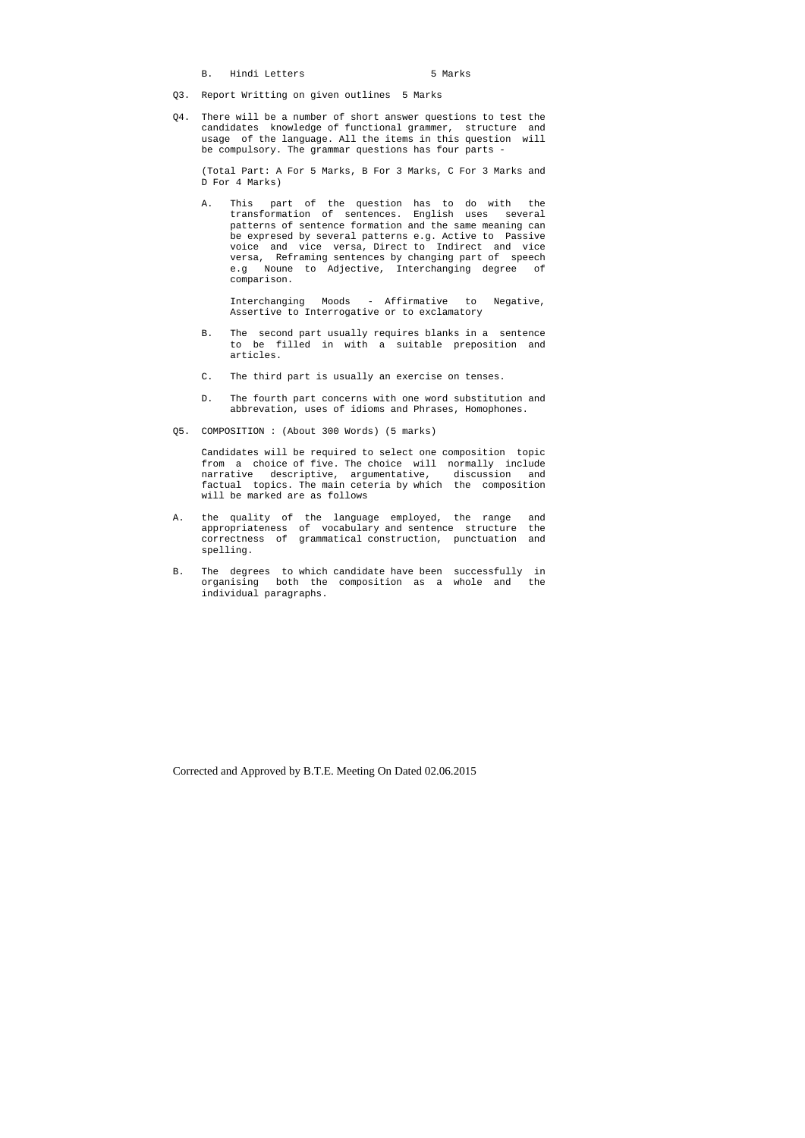B. Hindi Letters 5 Marks

- Q3. Report Writting on given outlines 5 Marks
- Q4. There will be a number of short answer questions to test the candidates knowledge of functional grammer, structure and usage of the language. All the items in this question will be compulsory. The grammar questions has four parts -

 (Total Part: A For 5 Marks, B For 3 Marks, C For 3 Marks and D For 4 Marks)

 A. This part of the question has to do with the transformation of sentences. English uses several patterns of sentence formation and the same meaning can be expresed by several patterns e.g. Active to Passive voice and vice versa, Direct to Indirect and vice versa, Reframing sentences by changing part of speech e.g Noune to Adjective, Interchanging degree of comparison.

 Interchanging Moods - Affirmative to Negative, Assertive to Interrogative or to exclamatory

- B. The second part usually requires blanks in a sentence to be filled in with a suitable preposition and articles.
- C. The third part is usually an exercise on tenses.
- D. The fourth part concerns with one word substitution and abbrevation, uses of idioms and Phrases, Homophones.
- Q5. COMPOSITION : (About 300 Words) (5 marks)

 Candidates will be required to select one composition topic from a choice of five. The choice will normally include narrative descriptive, argumentative, discussion and factual topics. The main ceteria by which the composition will be marked are as follows

- A. the quality of the language employed, the range and appropriateness of vocabulary and sentence structure the correctness of grammatical construction, punctuation and spelling.
- B. The degrees to which candidate have been successfully in organising both the composition as a whole and the individual paragraphs.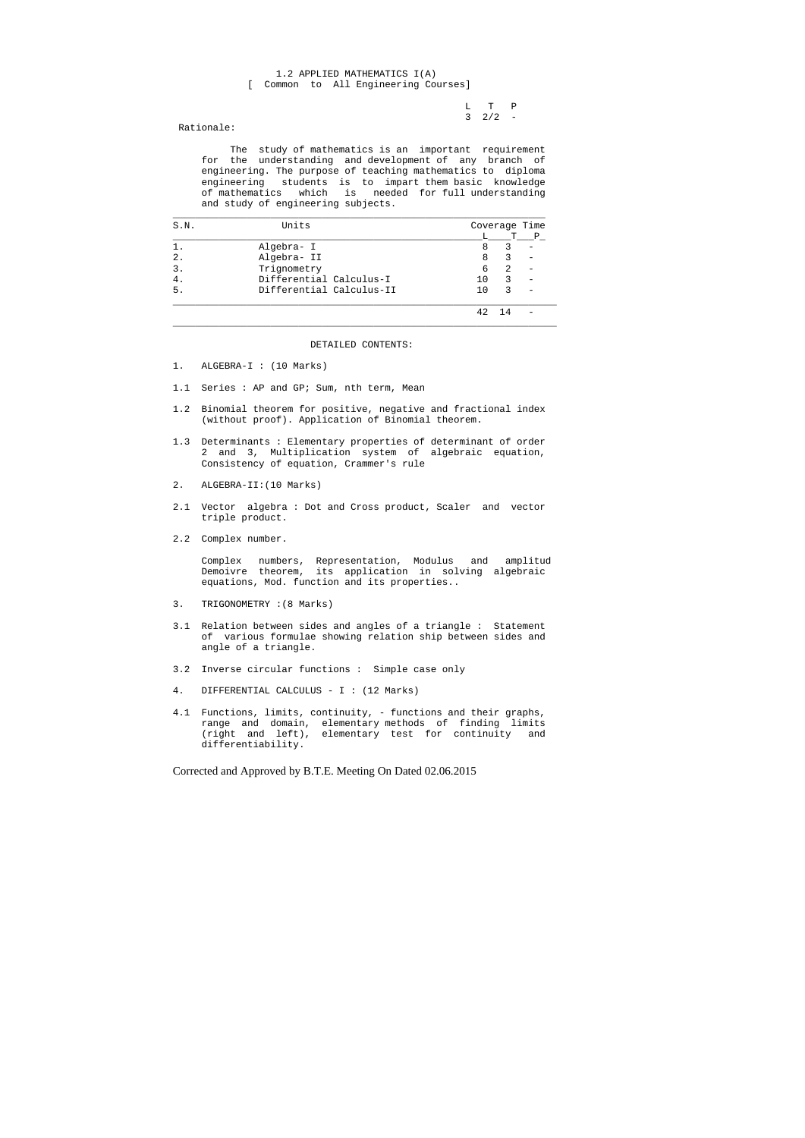L T P  $3 \t2/2 -$ 

## 1.2 APPLIED MATHEMATICS I(A) [ Common to All Engineering Courses]

Rationale:

 The study of mathematics is an important requirement for the understanding and development of any branch of engineering. The purpose of teaching mathematics to diploma engineering students is to impart them basic knowledge of mathematics which is needed for full understanding and study of engineering subjects.

| S.N.           | Units                    |    | Coverage Time |              |
|----------------|--------------------------|----|---------------|--------------|
|                |                          |    | т             | $\mathbf{P}$ |
|                | Algebra- I               | 8  | 3             |              |
| 2.             | Algebra- II              | 8  |               |              |
| $\mathbf{3}$ . | Trignometry              | 6  | 2             |              |
| 4 <sup>1</sup> | Differential Calculus-I  | 10 | 3             |              |
| 5.             | Differential Calculus-II | 10 | 3             |              |
|                |                          | 42 | 14            |              |

DETAILED CONTENTS:

- 1. ALGEBRA-I : (10 Marks)
- 1.1 Series : AP and GP; Sum, nth term, Mean
- 1.2 Binomial theorem for positive, negative and fractional index (without proof). Application of Binomial theorem.
- 1.3 Determinants : Elementary properties of determinant of order 2 and 3, Multiplication system of algebraic equation, Consistency of equation, Crammer's rule
- 2. ALGEBRA-II:(10 Marks)
- 2.1 Vector algebra : Dot and Cross product, Scaler and vector triple product.
- 2.2 Complex number.

 Complex numbers, Representation, Modulus and amplitud Demoivre theorem, its application in solving algebraic equations, Mod. function and its properties..

- 3. TRIGONOMETRY :(8 Marks)
- 3.1 Relation between sides and angles of a triangle : Statement of various formulae showing relation ship between sides and angle of a triangle.
- 3.2 Inverse circular functions : Simple case only
- 4. DIFFERENTIAL CALCULUS I : (12 Marks)
- 4.1 Functions, limits, continuity, functions and their graphs, range and domain, elementary methods of finding limits (right and left), elementary test for continuity and differentiability.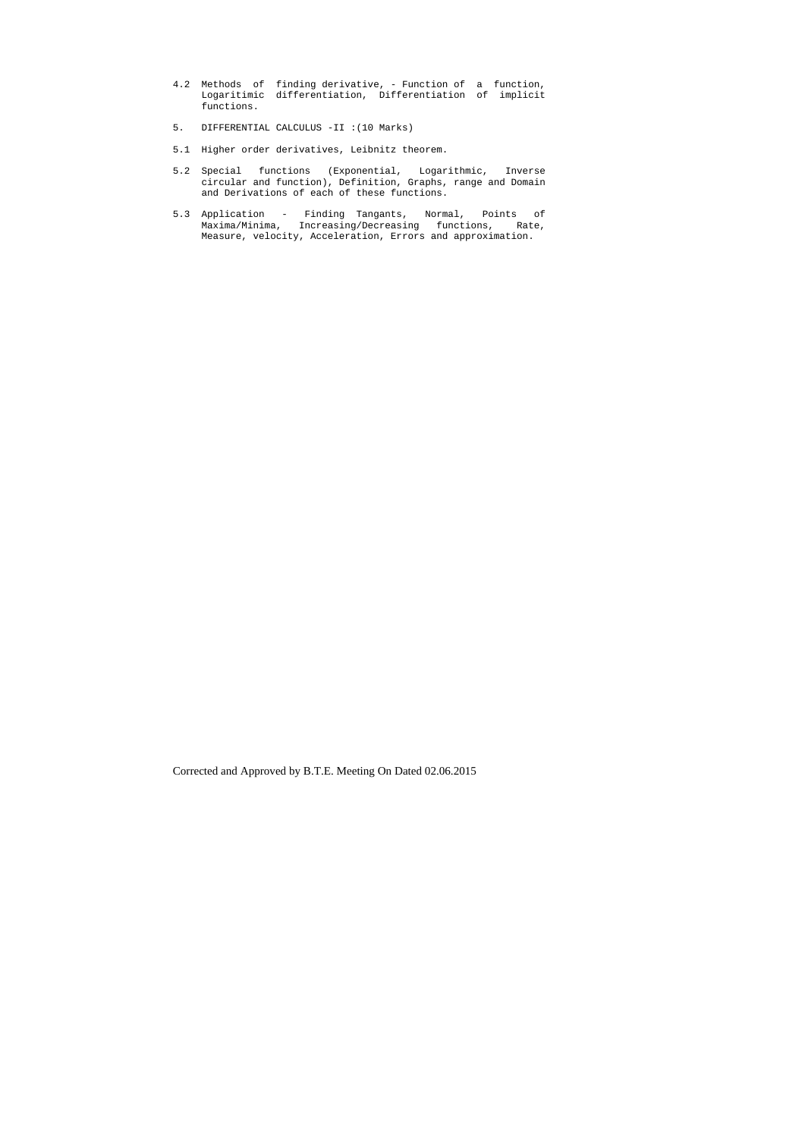- 4.2 Methods of finding derivative, Function of a function, Logaritimic differentiation, Differentiation of implicit functions.
- 5. DIFFERENTIAL CALCULUS -II :(10 Marks)
- 5.1 Higher order derivatives, Leibnitz theorem.
- 5.2 Special functions (Exponential, Logarithmic, Inverse circular and function), Definition, Graphs, range and Domain and Derivations of each of these functions.
- 5.3 Application Finding Tangants, Normal, Points of Maxima/Minima, Increasing/Decreasing functions, Rate, Measure, velocity, Acceleration, Errors and approximation.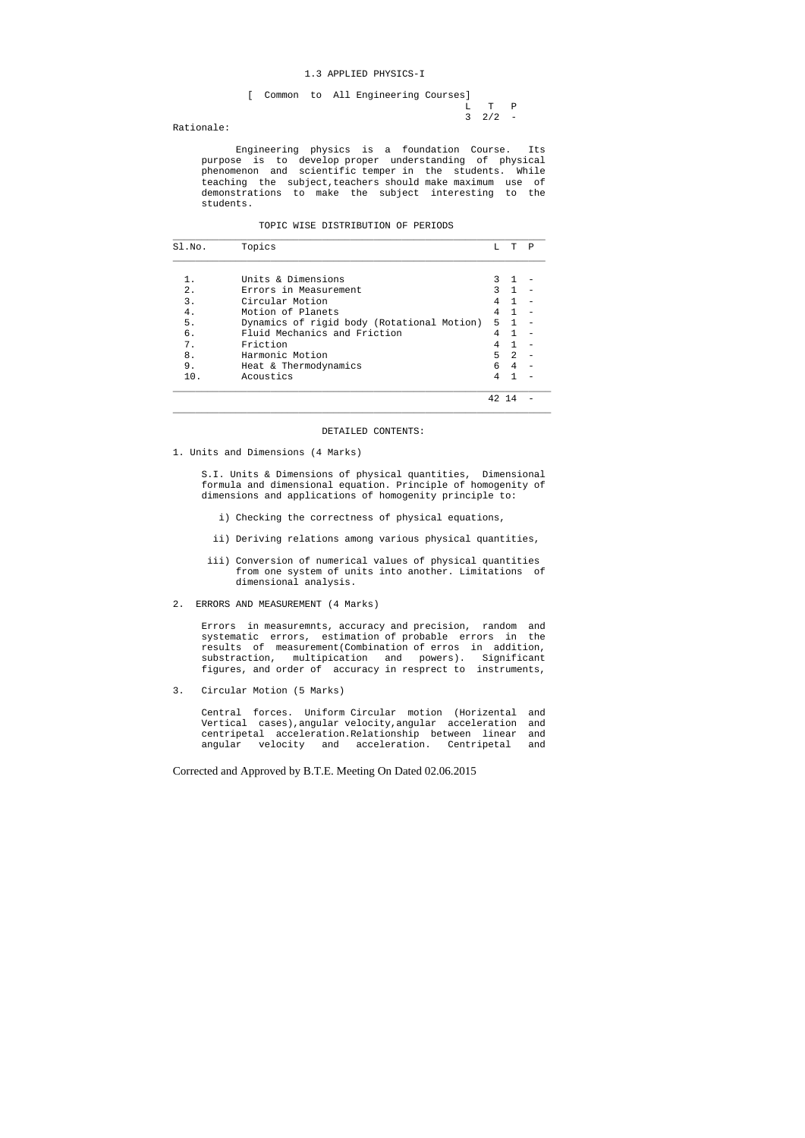L T P  $3 \t2/2 -$ 

#### 1.3 APPLIED PHYSICS-I

[ Common to All Engineering Courses]

Rationale:

 Engineering physics is a foundation Course. Its purpose is to develop proper understanding of physical phenomenon and scientific temper in the students. While teaching the subject,teachers should make maximum use of demonstrations to make the subject interesting to the students.

| TOPIC WISE DISTRIBUTION OF PERIODS |
|------------------------------------|

| SI.NO. | Topics                                     | т.            | Ͳ              | P |
|--------|--------------------------------------------|---------------|----------------|---|
|        |                                            |               |                |   |
|        | Units & Dimensions                         |               |                |   |
| 2.     | Errors in Measurement                      | $\mathcal{R}$ | $\mathbf{1}$   |   |
| 3.     | Circular Motion                            | 4             | $\mathbf{1}$   |   |
| 4.     | Motion of Planets                          | 4             | $\mathbf{1}$   |   |
| 5.     | Dynamics of rigid body (Rotational Motion) | 5             | $\overline{1}$ |   |
| б.     | Fluid Mechanics and Friction               | 4             | 1              |   |
| 7.     | Friction                                   | 4             | $\mathbf{1}$   |   |
| 8.     | Harmonic Motion                            | 5             | $\mathfrak{D}$ |   |
| 9.     | Heat & Thermodynamics                      | 6             | 4              |   |
| 10.    | Acoustics                                  |               |                |   |
|        |                                            |               |                |   |

#### DETAILED CONTENTS:

 $\_$  ,  $\_$  ,  $\_$  ,  $\_$  ,  $\_$  ,  $\_$  ,  $\_$  ,  $\_$  ,  $\_$  ,  $\_$  ,  $\_$  ,  $\_$  ,  $\_$  ,  $\_$  ,  $\_$  ,  $\_$  ,  $\_$  ,  $\_$  ,  $\_$  ,  $\_$  ,  $\_$  ,  $\_$  ,  $\_$  ,  $\_$  ,  $\_$  ,  $\_$  ,  $\_$  ,  $\_$  ,  $\_$  ,  $\_$  ,  $\_$  ,  $\_$  ,  $\_$  ,  $\_$  ,  $\_$  ,  $\_$  ,  $\_$  ,

1. Units and Dimensions (4 Marks)

 S.I. Units & Dimensions of physical quantities, Dimensional formula and dimensional equation. Principle of homogenity of dimensions and applications of homogenity principle to:

- i) Checking the correctness of physical equations,
- ii) Deriving relations among various physical quantities,
- iii) Conversion of numerical values of physical quantities from one system of units into another. Limitations of dimensional analysis.
- 2. ERRORS AND MEASUREMENT (4 Marks)

 Errors in measuremnts, accuracy and precision, random and systematic errors, estimation of probable errors in the results of measurement(Combination of erros in addition, substraction, multipication and powers). Significant figures, and order of accuracy in resprect to instruments,

3. Circular Motion (5 Marks)

 Central forces. Uniform Circular motion (Horizental and Vertical cases),angular velocity,angular acceleration and centripetal acceleration.Relationship between linear and angular velocity and acceleration. Centripetal and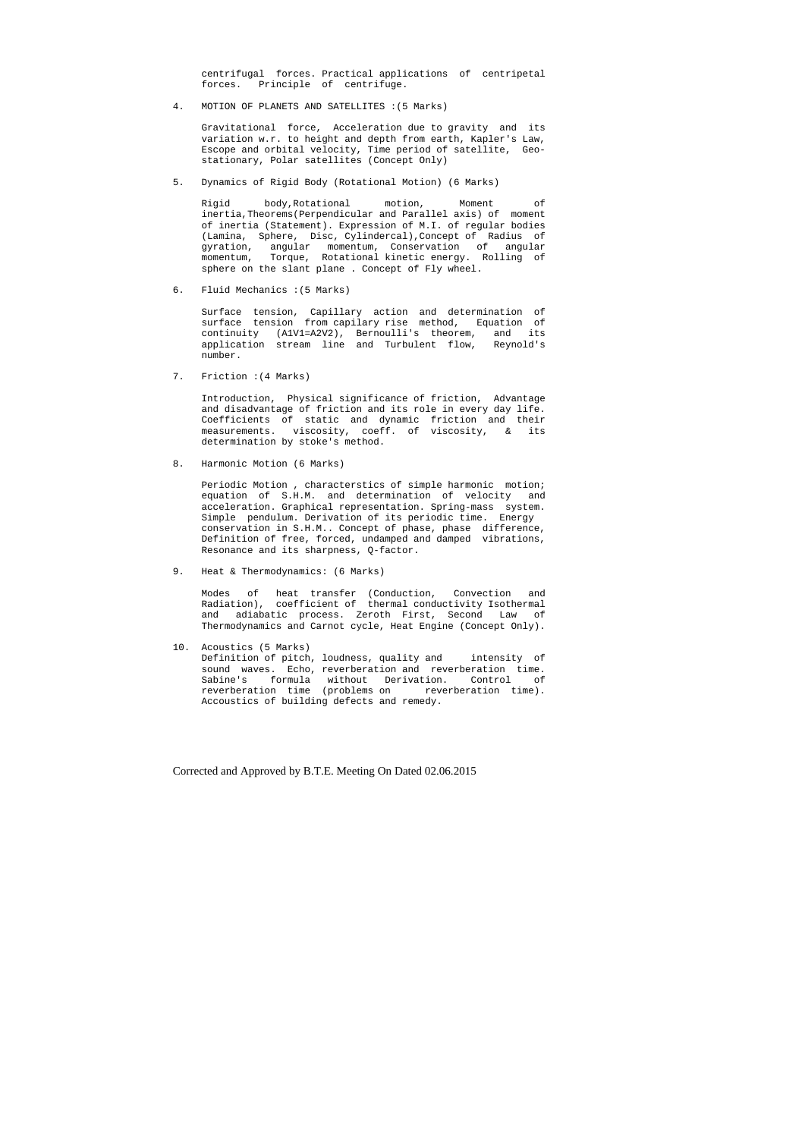centrifugal forces. Practical applications of centripetal forces. Principle of centrifuge.

4. MOTION OF PLANETS AND SATELLITES :(5 Marks)

 Gravitational force, Acceleration due to gravity and its variation w.r. to height and depth from earth, Kapler's Law, Escope and orbital velocity, Time period of satellite, Geo stationary, Polar satellites (Concept Only)

5. Dynamics of Rigid Body (Rotational Motion) (6 Marks)

 Rigid body,Rotational motion, Moment of inertia,Theorems(Perpendicular and Parallel axis) of moment of inertia (Statement). Expression of M.I. of regular bodies (Lamina, Sphere, Disc, Cylindercal),Concept of Radius of gyration, angular momentum, Conservation of angular momentum, Torque, Rotational kinetic energy. Rolling of sphere on the slant plane . Concept of Fly wheel.

6. Fluid Mechanics :(5 Marks)

 Surface tension, Capillary action and determination of surface tension from capilary rise method, Equation of continuity (A1V1=A2V2), Bernoulli's theorem, and its application stream line and Turbulent flow, Reynold's number.

7. Friction :(4 Marks)

 Introduction, Physical significance of friction, Advantage and disadvantage of friction and its role in every day life. Coefficients of static and dynamic friction and their measurements. viscosity, coeff. of viscosity, & its determination by stoke's method.

8. Harmonic Motion (6 Marks)

 Periodic Motion , characterstics of simple harmonic motion; equation of S.H.M. and determination of velocity and acceleration. Graphical representation. Spring-mass system. Simple pendulum. Derivation of its periodic time. Energy conservation in S.H.M.. Concept of phase, phase difference, Definition of free, forced, undamped and damped vibrations, Resonance and its sharpness, Q-factor.

9. Heat & Thermodynamics: (6 Marks)

 Modes of heat transfer (Conduction, Convection and Radiation), coefficient of thermal conductivity Isothermal and adiabatic process. Zeroth First, Second Law of Thermodynamics and Carnot cycle, Heat Engine (Concept Only).

10. Acoustics (5 Marks) Definition of pitch, loudness, quality and intensity of sound waves. Echo, reverberation and reverberation time. Sabine's formula without Derivation. Control of reverberation time (problems on reverberation time). Accoustics of building defects and remedy.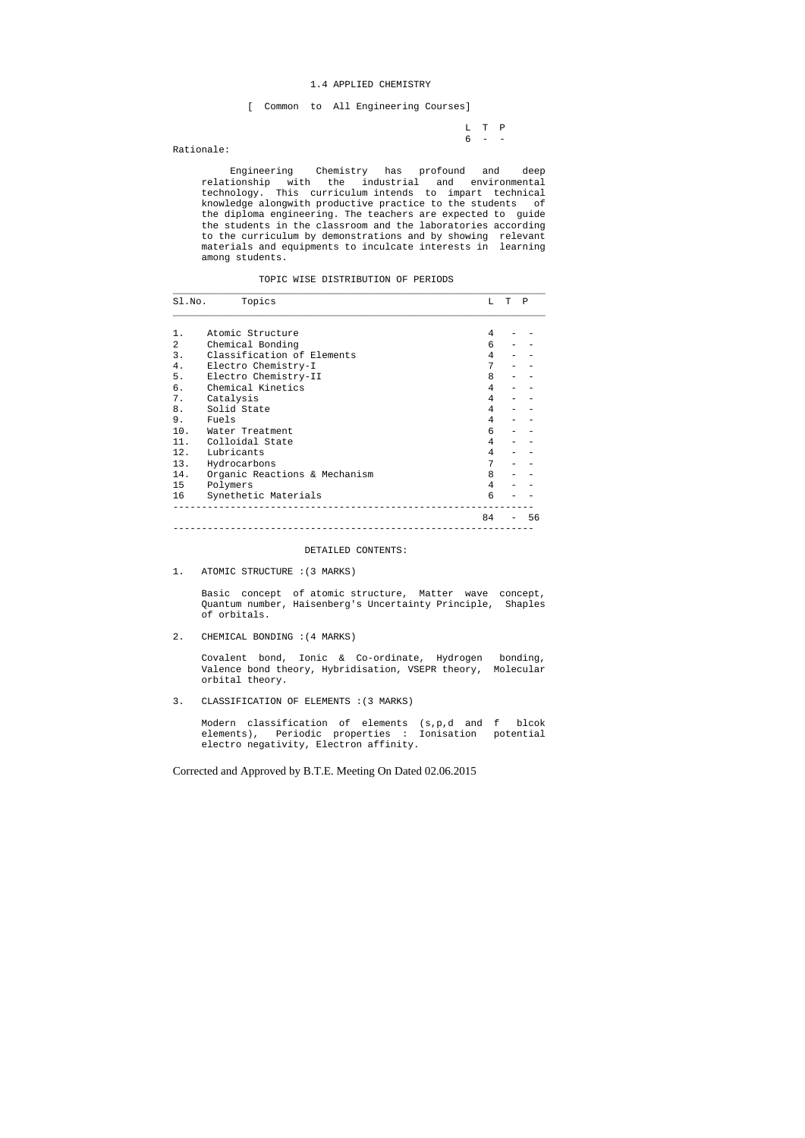L T P  $6 - -$ 

#### 1.4 APPLIED CHEMISTRY

[ Common to All Engineering Courses]

Rationale:

 Engineering Chemistry has profound and deep relationship with the industrial and environmental technology. This curriculum intends to impart technical knowledge alongwith productive practice to the students of the diploma engineering. The teachers are expected to guide the students in the classroom and the laboratories according to the curriculum by demonstrations and by showing relevant materials and equipments to inculcate interests in learning among students.

TOPIC WISE DISTRIBUTION OF PERIODS

| Sl.No. | Topics                        | T. | т | P  |
|--------|-------------------------------|----|---|----|
| 1.     | Atomic Structure              | 4  |   |    |
| 2      | Chemical Bonding              | 6  |   |    |
| 3.     | Classification of Elements    | 4  |   |    |
| 4.     | Electro Chemistry-I           | 7  |   |    |
| 5.     | Electro Chemistry-II          | 8  |   |    |
| б.     | Chemical Kinetics             | 4  |   |    |
| 7.     | Catalysis                     | 4  |   |    |
| 8.     | Solid State                   | 4  |   |    |
| 9.     | Fuels                         | 4  |   |    |
| 10.    | Water Treatment               | 6  |   |    |
| 11.    | Colloidal State               | 4  |   |    |
|        | 12. Lubricants                | 4  |   |    |
| 13.    | Hydrocarbons                  | 7  |   |    |
| 14.    | Organic Reactions & Mechanism | 8  |   |    |
| 15     | Polymers                      | 4  |   |    |
| 16     | Synethetic Materials          | 6  |   |    |
|        |                               | 84 |   | 56 |

#### DETAILED CONTENTS:

1. ATOMIC STRUCTURE :(3 MARKS)

 Basic concept of atomic structure, Matter wave concept, Quantum number, Haisenberg's Uncertainty Principle, Shaples of orbitals.

2. CHEMICAL BONDING :(4 MARKS)

 Covalent bond, Ionic & Co-ordinate, Hydrogen bonding, Valence bond theory, Hybridisation, VSEPR theory, Molecular orbital theory.

3. CLASSIFICATION OF ELEMENTS :(3 MARKS)

 Modern classification of elements (s,p,d and f blcok elements), Periodic properties : Ionisation potential electro negativity, Electron affinity.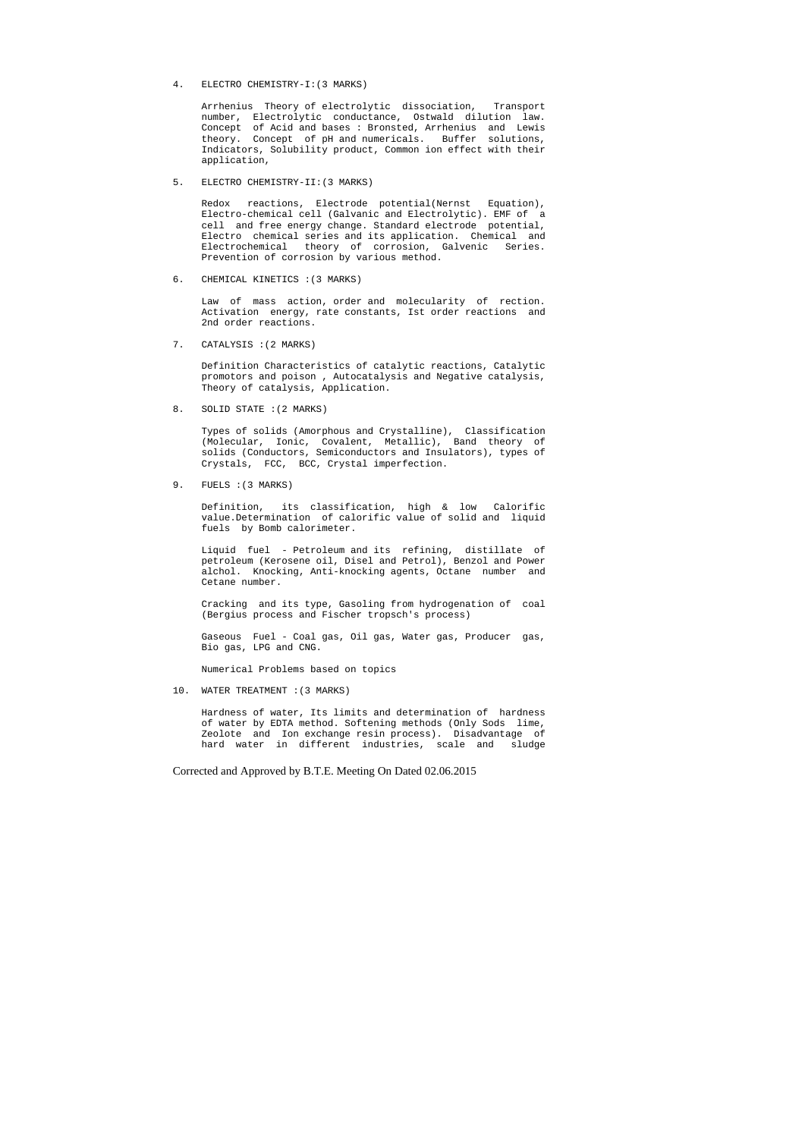4. ELECTRO CHEMISTRY-I:(3 MARKS)

 Arrhenius Theory of electrolytic dissociation, Transport number, Electrolytic conductance, Ostwald dilution law. Concept of Acid and bases : Bronsted, Arrhenius and Lewis theory. Concept of pH and numericals. Buffer solutions, Indicators, Solubility product, Common ion effect with their application,

5. ELECTRO CHEMISTRY-II:(3 MARKS)

 Redox reactions, Electrode potential(Nernst Equation), Electro-chemical cell (Galvanic and Electrolytic). EMF of a cell and free energy change. Standard electrode potential, Electro chemical series and its application. Chemical and Electrochemical theory of corrosion, Galvenic Series. Prevention of corrosion by various method.

6. CHEMICAL KINETICS :(3 MARKS)

 Law of mass action, order and molecularity of rection. Activation energy, rate constants, Ist order reactions and 2nd order reactions.

7. CATALYSIS :(2 MARKS)

 Definition Characteristics of catalytic reactions, Catalytic promotors and poison , Autocatalysis and Negative catalysis, Theory of catalysis, Application.

8. SOLID STATE :(2 MARKS)

 Types of solids (Amorphous and Crystalline), Classification (Molecular, Ionic, Covalent, Metallic), Band theory of solids (Conductors, Semiconductors and Insulators), types of Crystals, FCC, BCC, Crystal imperfection.

9. FUELS :(3 MARKS)

 Definition, its classification, high & low Calorific value.Determination of calorific value of solid and liquid fuels by Bomb calorimeter.

 Liquid fuel - Petroleum and its refining, distillate of petroleum (Kerosene oil, Disel and Petrol), Benzol and Power alchol. Knocking, Anti-knocking agents, Octane number and Cetane number.

 Cracking and its type, Gasoling from hydrogenation of coal (Bergius process and Fischer tropsch's process)

 Gaseous Fuel - Coal gas, Oil gas, Water gas, Producer gas, Bio gas, LPG and CNG.

Numerical Problems based on topics

10. WATER TREATMENT :(3 MARKS)

 Hardness of water, Its limits and determination of hardness of water by EDTA method. Softening methods (Only Sods lime, Zeolote and Ion exchange resin process). Disadvantage of hard water in different industries, scale and sludge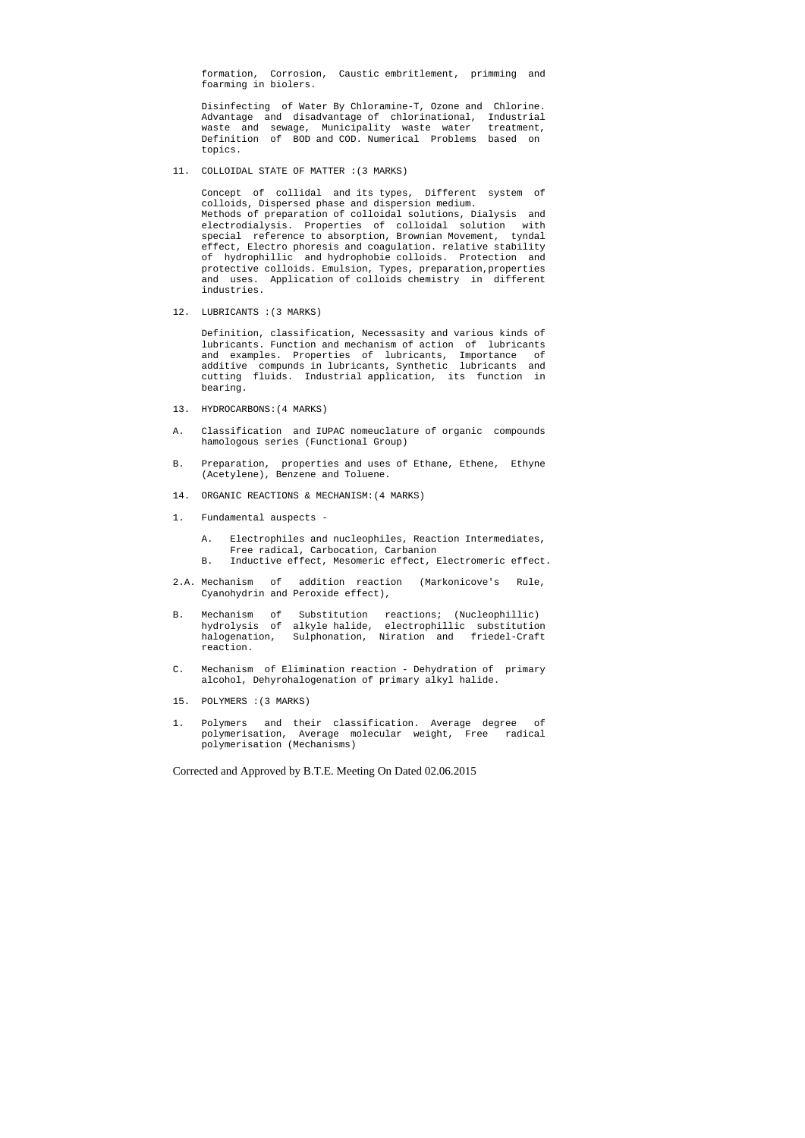formation, Corrosion, Caustic embritlement, primming and foarming in biolers.

 Disinfecting of Water By Chloramine-T, Ozone and Chlorine. Advantage and disadvantage of chlorinational, Industrial waste and sewage, Municipality waste water treatment, Definition of BOD and COD. Numerical Problems based on topics.

11. COLLOIDAL STATE OF MATTER :(3 MARKS)

 Concept of collidal and its types, Different system of colloids, Dispersed phase and dispersion medium. Methods of preparation of colloidal solutions, Dialysis and electrodialysis. Properties of colloidal solution with special reference to absorption, Brownian Movement, tyndal effect, Electro phoresis and coagulation. relative stability of hydrophillic and hydrophobie colloids. Protection and protective colloids. Emulsion, Types, preparation,properties and uses. Application of colloids chemistry in different industries.

12. LUBRICANTS :(3 MARKS)

 Definition, classification, Necessasity and various kinds of lubricants. Function and mechanism of action of lubricants and examples. Properties of lubricants, Importance of additive compunds in lubricants, Synthetic lubricants and cutting fluids. Industrial application, its function in bearing.

- 13. HYDROCARBONS:(4 MARKS)
- A. Classification and IUPAC nomeuclature of organic compounds hamologous series (Functional Group)
- B. Preparation, properties and uses of Ethane, Ethene, Ethyne (Acetylene), Benzene and Toluene.
- 14. ORGANIC REACTIONS & MECHANISM:(4 MARKS)
- 1. Fundamental auspects
	- A. Electrophiles and nucleophiles, Reaction Intermediates, Free radical, Carbocation, Carbanion
	- B. Inductive effect, Mesomeric effect, Electromeric effect.
- 2.A. Mechanism of addition reaction (Markonicove's Rule, Cyanohydrin and Peroxide effect),
- B. Mechanism of Substitution reactions; (Nucleophillic) hydrolysis of alkyle halide, electrophillic substitution halogenation, Sulphonation, Niration and friedel-Craft reaction.
- C. Mechanism of Elimination reaction Dehydration of primary alcohol, Dehyrohalogenation of primary alkyl halide.
- 15. POLYMERS :(3 MARKS)
- 1. Polymers and their classification. Average degree of polymerisation, Average molecular weight, Free radical polymerisation (Mechanisms)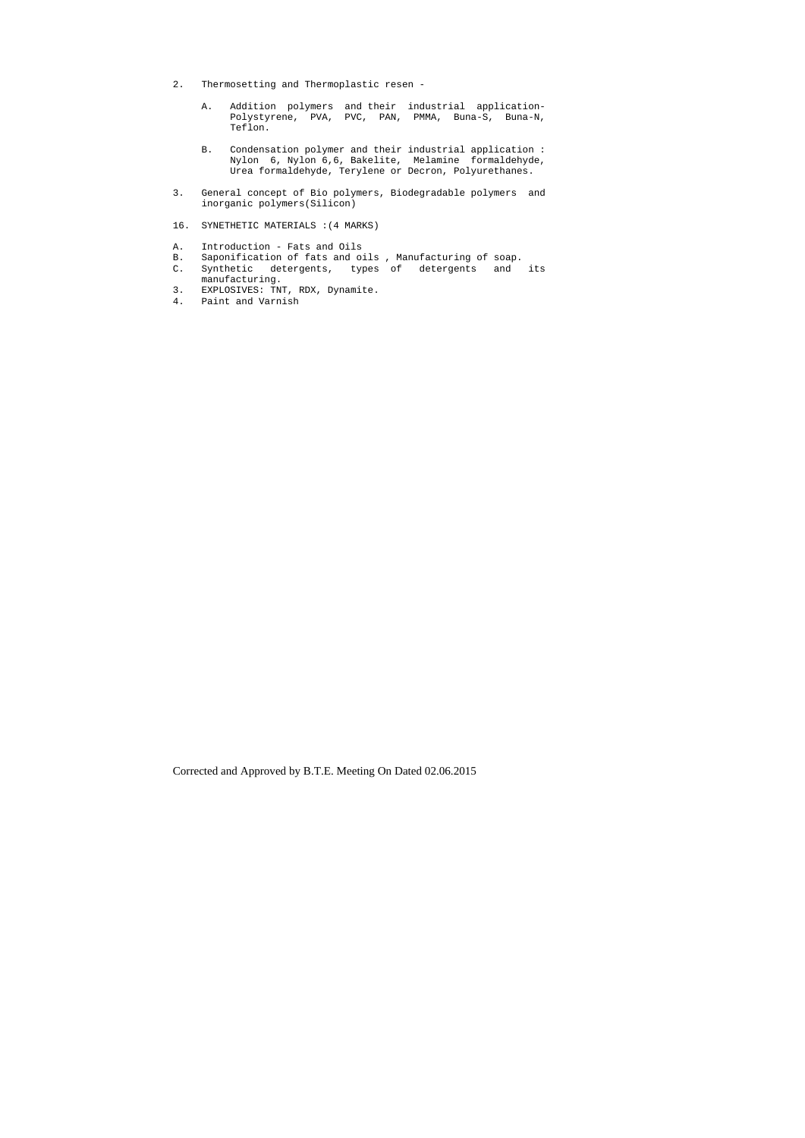- 2. Thermosetting and Thermoplastic resen
	- A. Addition polymers and their industrial application- Polystyrene, PVA, PVC, PAN, PMMA, Buna-S, Buna-N, Teflon.
- B. Condensation polymer and their industrial application : Nylon 6, Nylon 6,6, Bakelite, Melamine formaldehyde, Urea formaldehyde, Terylene or Decron, Polyurethanes.
- 3. General concept of Bio polymers, Biodegradable polymers and inorganic polymers(Silicon)
- 16. SYNETHETIC MATERIALS :(4 MARKS)
- A. Introduction Fats and Oils
- B. Saponification of fats and oils , Manufacturing of soap.
- C. Synthetic detergents, types of detergents and its manufacturing.
- 3. EXPLOSIVES: TNT, RDX, Dynamite.
- 4. Paint and Varnish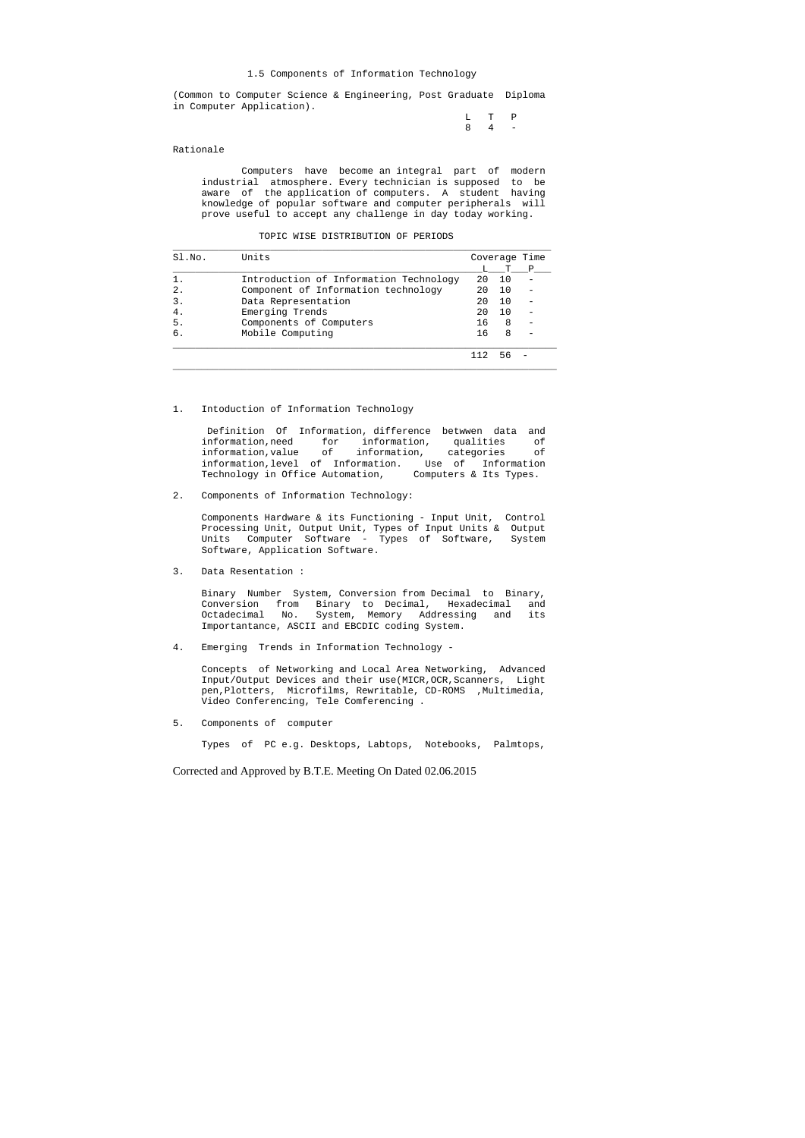#### 1.5 Components of Information Technology

(Common to Computer Science & Engineering, Post Graduate Diploma in Computer Application).

> L T P 8 4 -

Rationale

 Computers have become an integral part of modern industrial atmosphere. Every technician is supposed to be aware of the application of computers. A student having knowledge of popular software and computer peripherals will prove useful to accept any challenge in day today working.

| TOPIC WISE DISTRIBUTION OF PERIODS |
|------------------------------------|

 Definition Of Information, difference betwwen data and information,need for information, qualities of information,value of information, categories of information, level of Information. Use of Information<br>Technology in Office Automation, Computers & Its Types. Technology in Office Automation,

| SI.NO. | Units                                  |    |     | Coverage Time |
|--------|----------------------------------------|----|-----|---------------|
|        |                                        |    |     | P             |
|        | Introduction of Information Technology | 20 | 1 O |               |
| 2.     | Component of Information technology    | 20 | 1 O |               |
| 3.     | Data Representation                    | 20 | 10  |               |
| 4.     | Emerging Trends                        | 20 | 1 O |               |
| 5.     | Components of Computers                | 16 | 8   |               |
| б.     | Mobile Computing                       | 16 | 8   |               |
|        |                                        |    |     |               |

 $\_$  ,  $\_$  ,  $\_$  ,  $\_$  ,  $\_$  ,  $\_$  ,  $\_$  ,  $\_$  ,  $\_$  ,  $\_$  ,  $\_$  ,  $\_$  ,  $\_$  ,  $\_$  ,  $\_$  ,  $\_$  ,  $\_$  ,  $\_$  ,  $\_$  ,  $\_$  ,  $\_$  ,  $\_$  ,  $\_$  ,  $\_$  ,  $\_$  ,  $\_$  ,  $\_$  ,  $\_$  ,  $\_$  ,  $\_$  ,  $\_$  ,  $\_$  ,  $\_$  ,  $\_$  ,  $\_$  ,  $\_$  ,  $\_$  ,

### 1. Intoduction of Information Technology

2. Components of Information Technology:

 Components Hardware & its Functioning - Input Unit, Control Processing Unit, Output Unit, Types of Input Units & Output Units Computer Software - Types of Software, System Software, Application Software.

3. Data Resentation :

 Binary Number System, Conversion from Decimal to Binary, Conversion from Binary to Decimal, Hexadecimal and Octadecimal No. System, Memory Addressing and its Importantance, ASCII and EBCDIC coding System.

4. Emerging Trends in Information Technology -

 Concepts of Networking and Local Area Networking, Advanced Input/Output Devices and their use(MICR,OCR,Scanners, Light pen,Plotters, Microfilms, Rewritable, CD-ROMS ,Multimedia, Video Conferencing, Tele Comferencing .

5. Components of computer

Types of PC e.g. Desktops, Labtops, Notebooks, Palmtops,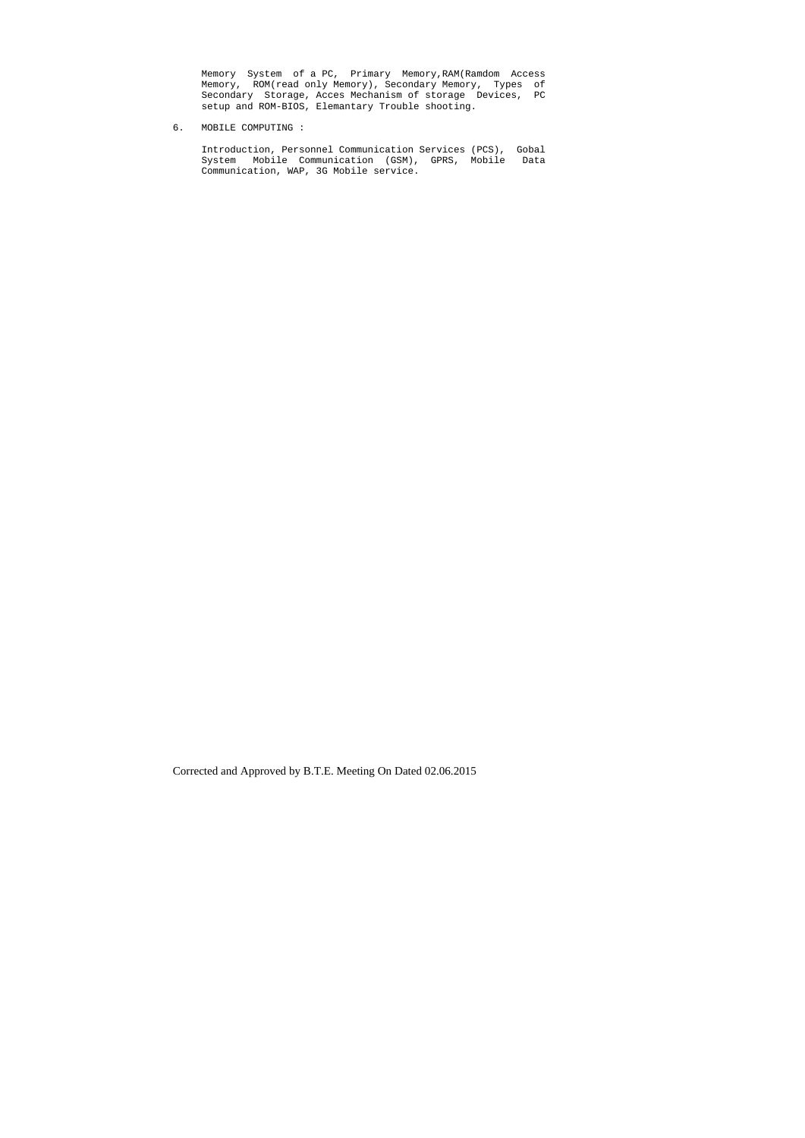Memory System of a PC, Primary Memory,RAM(Ramdom Access Memory, ROM(read only Memory), Secondary Memory, Types of Secondary Storage, Acces Mechanism of storage Devices, PC setup and ROM-BIOS, Elemantary Trouble shooting.

6. MOBILE COMPUTING :

 Introduction, Personnel Communication Services (PCS), Gobal System Mobile Communication (GSM), GPRS, Mobile Data Communication, WAP, 3G Mobile service.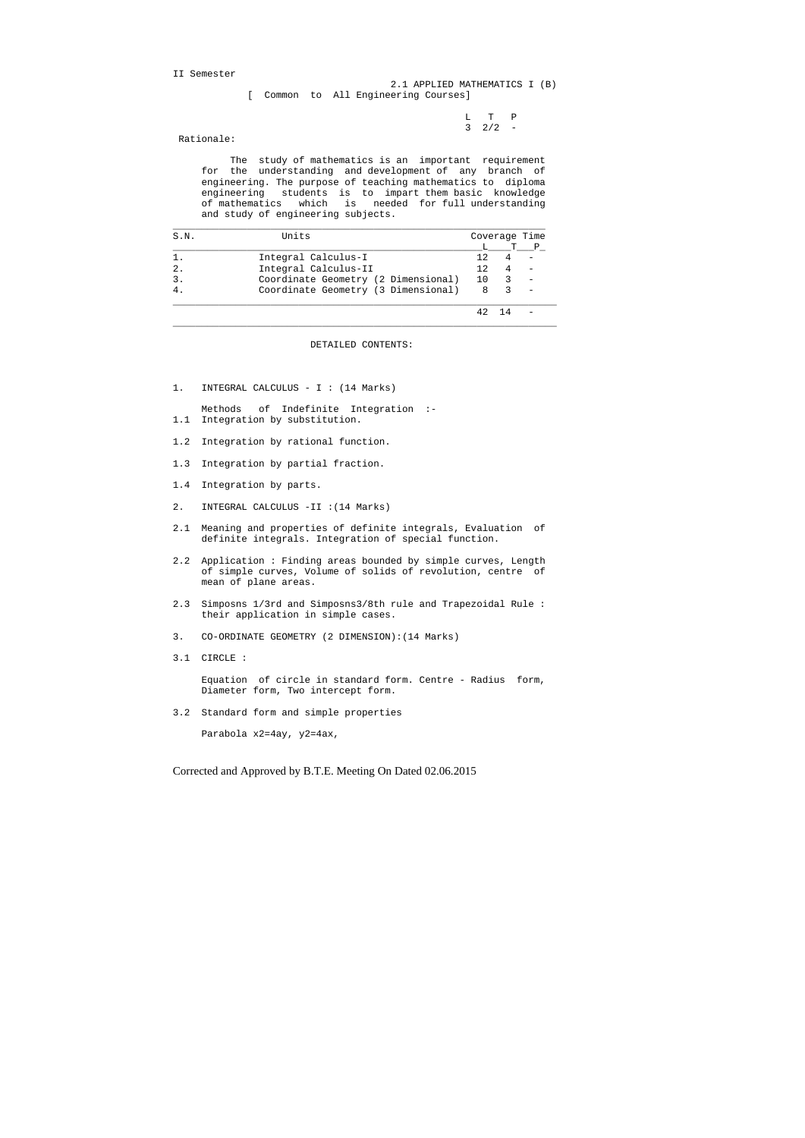II Semester

 L T P  $3 \t2/2 -$ 

# 2.1 APPLIED MATHEMATICS I (B) [ Common to All Engineering Courses]

Rationale:

 The study of mathematics is an important requirement for the understanding and development of any branch of engineering. The purpose of teaching mathematics to diploma engineering students is to impart them basic knowledge of mathematics which is needed for full understanding and study of engineering subjects.

| S.N. | Units                               |     | Coverage Time |  |
|------|-------------------------------------|-----|---------------|--|
|      |                                     |     |               |  |
|      | Integral Calculus-I                 | 12. |               |  |
|      | Integral Calculus-II                | 12. |               |  |
|      | Coordinate Geometry (2 Dimensional) | 10  |               |  |
|      | Coordinate Geometry (3 Dimensional) | 8   |               |  |
|      |                                     |     |               |  |

DETAILED CONTENTS:

 $\_$  ,  $\_$  ,  $\_$  ,  $\_$  ,  $\_$  ,  $\_$  ,  $\_$  ,  $\_$  ,  $\_$  ,  $\_$  ,  $\_$  ,  $\_$  ,  $\_$  ,  $\_$  ,  $\_$  ,  $\_$  ,  $\_$  ,  $\_$  ,  $\_$  ,  $\_$  ,  $\_$  ,  $\_$  ,  $\_$  ,  $\_$  ,  $\_$  ,  $\_$  ,  $\_$  ,  $\_$  ,  $\_$  ,  $\_$  ,  $\_$  ,  $\_$  ,  $\_$  ,  $\_$  ,  $\_$  ,  $\_$  ,  $\_$  ,

1. INTEGRAL CALCULUS - I : (14 Marks)

 Methods of Indefinite Integration :- 1.1 Integration by substitution.

- 1.2 Integration by rational function.
- 1.3 Integration by partial fraction.
- 1.4 Integration by parts.
- 2. INTEGRAL CALCULUS -II :(14 Marks)
- 2.1 Meaning and properties of definite integrals, Evaluation of definite integrals. Integration of special function.
- 2.2 Application : Finding areas bounded by simple curves, Length of simple curves, Volume of solids of revolution, centre of mean of plane areas.
- 2.3 Simposns 1/3rd and Simposns3/8th rule and Trapezoidal Rule : their application in simple cases.
- 3. CO-ORDINATE GEOMETRY (2 DIMENSION):(14 Marks)
- 3.1 CIRCLE :

 Equation of circle in standard form. Centre - Radius form, Diameter form, Two intercept form.

3.2 Standard form and simple properties

Parabola x2=4ay, y2=4ax,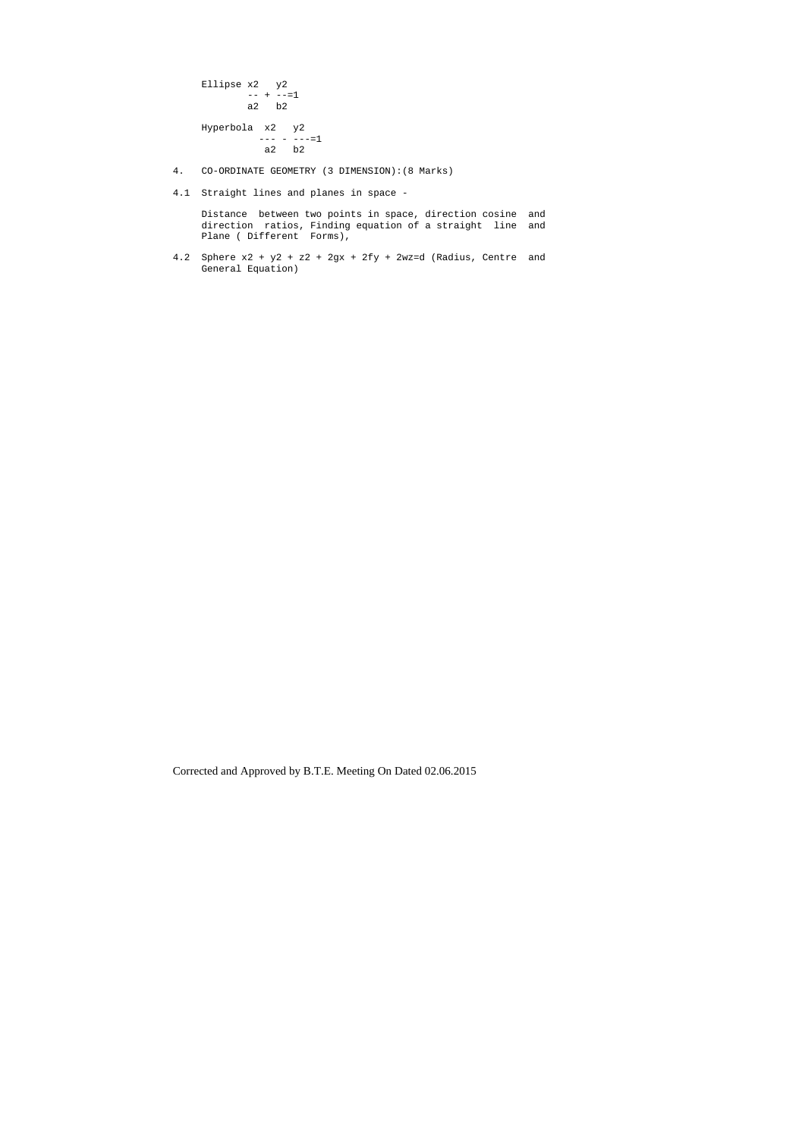```
 Ellipse x2 y2 
-+ -=1 a2 b2 
 Hyperbola x2 y2 
--- - - - -1 a2 b2
```
- 4. CO-ORDINATE GEOMETRY (3 DIMENSION):(8 Marks)
- 4.1 Straight lines and planes in space -

 Distance between two points in space, direction cosine and direction ratios, Finding equation of a straight line and Plane ( Different Forms),

4.2 Sphere x2 + y2 + z2 + 2gx + 2fy + 2wz=d (Radius, Centre and General Equation)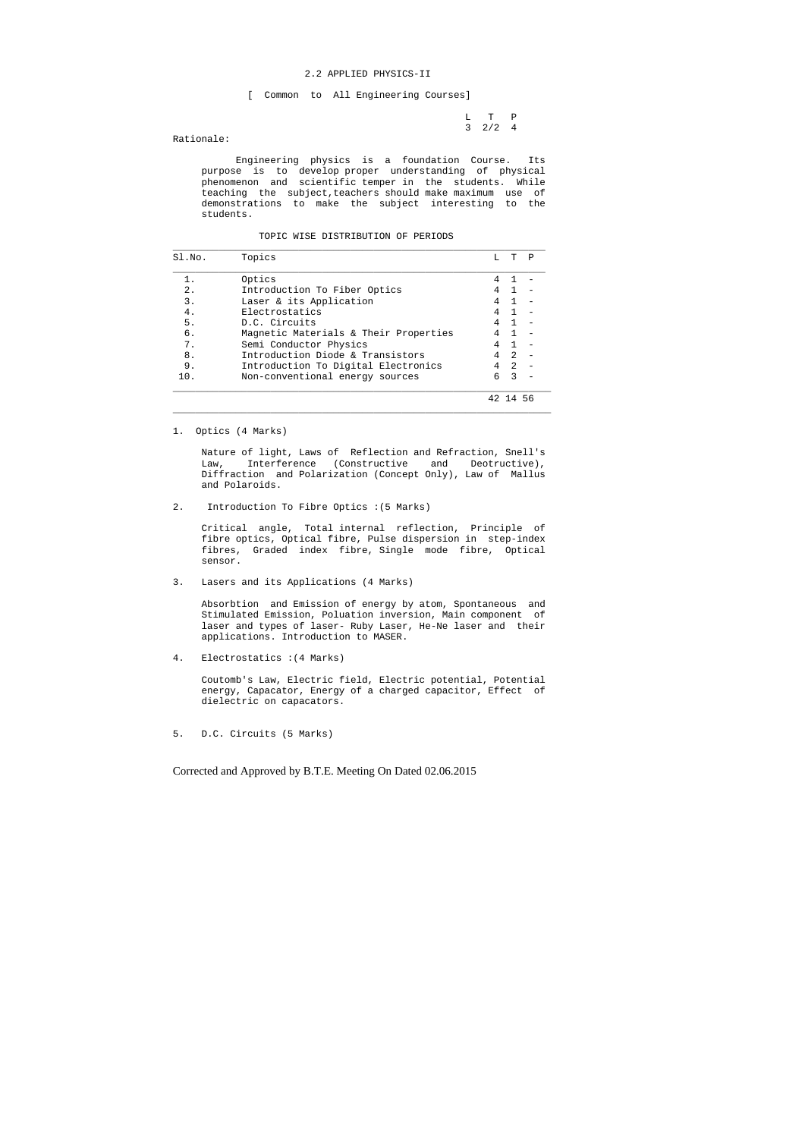## 2.2 APPLIED PHYSICS-II

[ Common to All Engineering Courses]

 L T P 3 2/2 4

Rationale:

 Engineering physics is a foundation Course. Its purpose is to develop proper understanding of physical phenomenon and scientific temper in the students. While teaching the subject,teachers should make maximum use of demonstrations to make the subject interesting to the students.

## TOPIC WISE DISTRIBUTION OF PERIODS

| Sl.No. | Topics                                |   | T              | P |
|--------|---------------------------------------|---|----------------|---|
|        | Optics                                |   |                |   |
| 2.     | Introduction To Fiber Optics          | 4 |                |   |
| 3.     | Laser & its Application               | 4 |                |   |
| 4.     | Electrostatics                        | 4 |                |   |
| 5.     | D.C. Circuits                         | 4 |                |   |
| б.     | Magnetic Materials & Their Properties |   |                |   |
| 7.     | Semi Conductor Physics                |   |                |   |
| 8.     | Introduction Diode & Transistors      | 4 | $\mathfrak{D}$ |   |
| 9.     | Introduction To Digital Electronics   | 4 | $\mathfrak{D}$ |   |
| 10.    | Non-conventional energy sources       | б | 3              |   |
|        |                                       |   |                |   |

1. Optics (4 Marks)

 Nature of light, Laws of Reflection and Refraction, Snell's Law, Interference (Constructive and Deotructive), Diffraction and Polarization (Concept Only), Law of Mallus and Polaroids.

 $\_$  ,  $\_$  ,  $\_$  ,  $\_$  ,  $\_$  ,  $\_$  ,  $\_$  ,  $\_$  ,  $\_$  ,  $\_$  ,  $\_$  ,  $\_$  ,  $\_$  ,  $\_$  ,  $\_$  ,  $\_$  ,  $\_$  ,  $\_$  ,  $\_$  ,  $\_$  ,  $\_$  ,  $\_$  ,  $\_$  ,  $\_$  ,  $\_$  ,  $\_$  ,  $\_$  ,  $\_$  ,  $\_$  ,  $\_$  ,  $\_$  ,  $\_$  ,  $\_$  ,  $\_$  ,  $\_$  ,  $\_$  ,  $\_$  ,

2. Introduction To Fibre Optics :(5 Marks)

 Critical angle, Total internal reflection, Principle of fibre optics, Optical fibre, Pulse dispersion in step-index fibres, Graded index fibre, Single mode fibre, Optical sensor.

3. Lasers and its Applications (4 Marks)

 Absorbtion and Emission of energy by atom, Spontaneous and Stimulated Emission, Poluation inversion, Main component of laser and types of laser- Ruby Laser, He-Ne laser and their applications. Introduction to MASER.

4. Electrostatics :(4 Marks)

 Coutomb's Law, Electric field, Electric potential, Potential energy, Capacator, Energy of a charged capacitor, Effect of dielectric on capacators.

5. D.C. Circuits (5 Marks)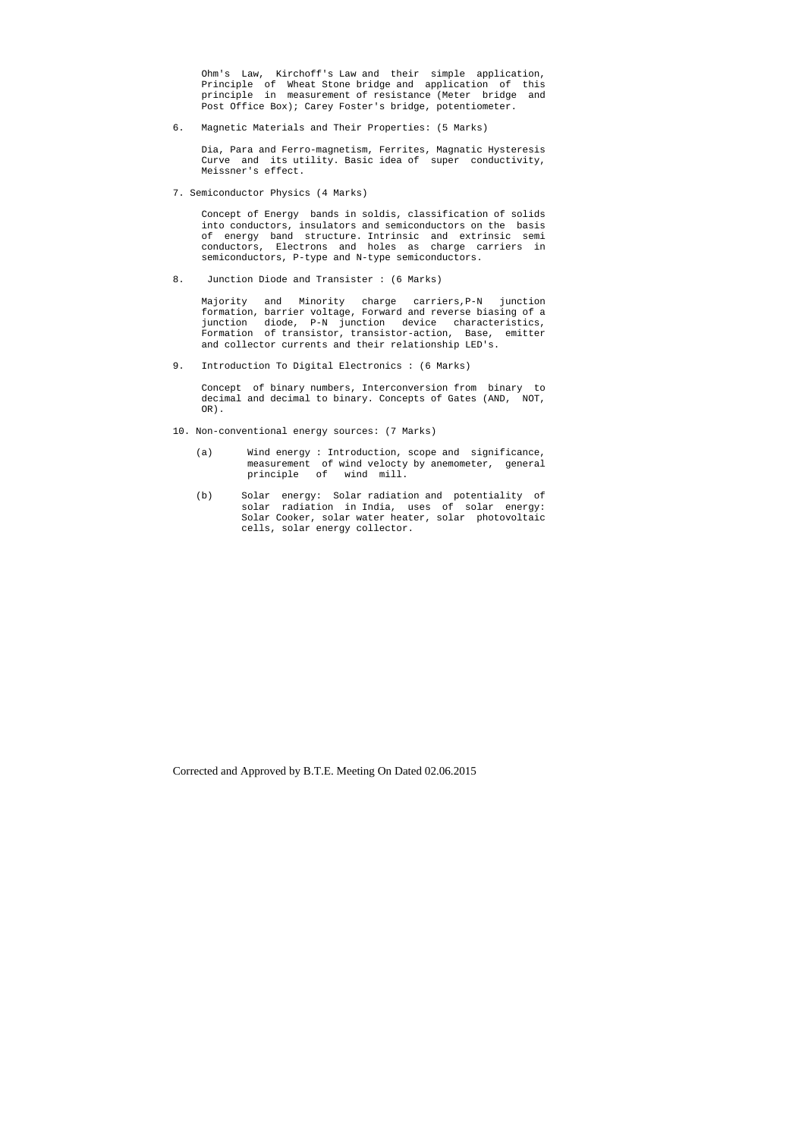Ohm's Law, Kirchoff's Law and their simple application, Principle of Wheat Stone bridge and application of this principle in measurement of resistance (Meter bridge and Post Office Box); Carey Foster's bridge, potentiometer.

6. Magnetic Materials and Their Properties: (5 Marks)

 Dia, Para and Ferro-magnetism, Ferrites, Magnatic Hysteresis Curve and its utility. Basic idea of super conductivity, Meissner's effect.

7. Semiconductor Physics (4 Marks)

 Concept of Energy bands in soldis, classification of solids into conductors, insulators and semiconductors on the basis of energy band structure. Intrinsic and extrinsic semi conductors, Electrons and holes as charge carriers in semiconductors, P-type and N-type semiconductors.

8. Junction Diode and Transister : (6 Marks)

 Majority and Minority charge carriers,P-N junction formation, barrier voltage, Forward and reverse biasing of a junction diode, P-N junction device characteristics, Formation of transistor, transistor-action, Base, emitter and collector currents and their relationship LED's.

9. Introduction To Digital Electronics : (6 Marks)

 Concept of binary numbers, Interconversion from binary to decimal and decimal to binary. Concepts of Gates (AND, NOT, OR).

- 10. Non-conventional energy sources: (7 Marks)
- (a) Wind energy : Introduction, scope and significance, measurement of wind velocty by anemometer, general principle of wind mill.
	- (b) Solar energy: Solar radiation and potentiality of solar radiation in India, uses of solar energy: Solar Cooker, solar water heater, solar photovoltaic cells, solar energy collector.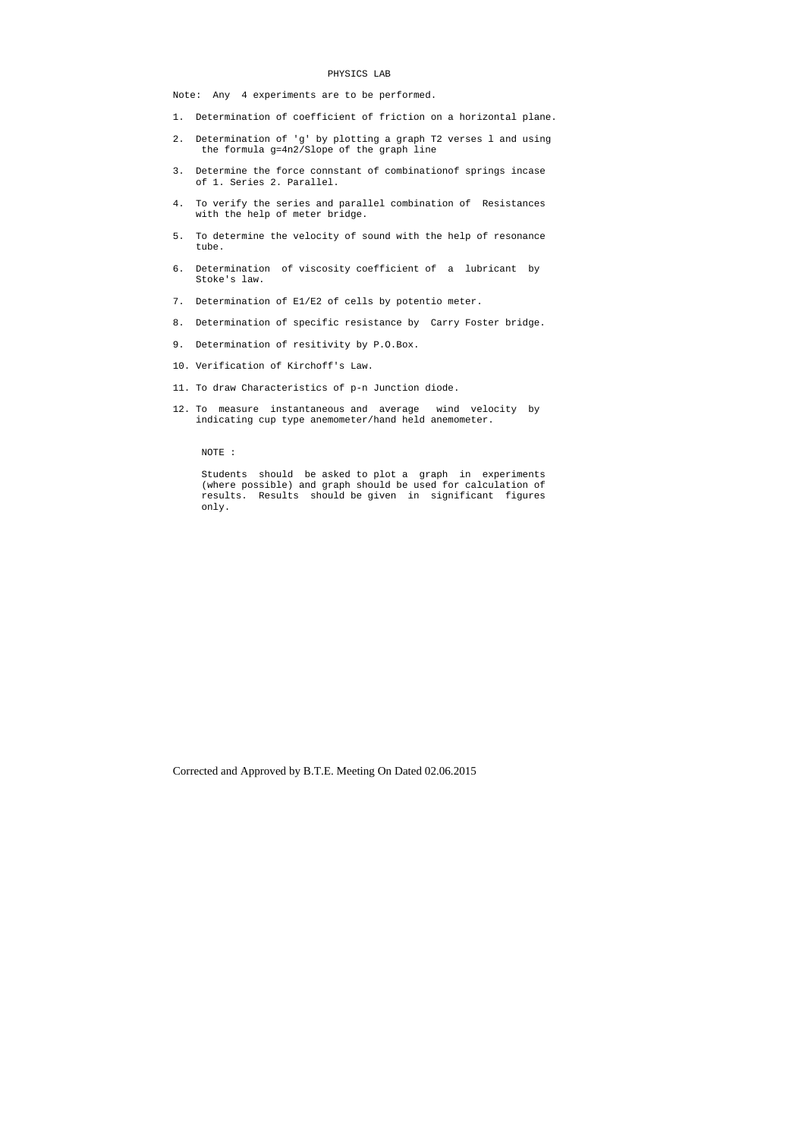#### PHYSICS LAB

Note: Any 4 experiments are to be performed.

- 1. Determination of coefficient of friction on a horizontal plane.
- 2. Determination of 'g' by plotting a graph T2 verses l and using the formula g=4n2/Slope of the graph line
- 3. Determine the force connstant of combinationof springs incase of 1. Series 2. Parallel.
- 4. To verify the series and parallel combination of Resistances with the help of meter bridge.
- 5. To determine the velocity of sound with the help of resonance tube.
- 6. Determination of viscosity coefficient of a lubricant by Stoke's law.
- 7. Determination of E1/E2 of cells by potentio meter.
- 8. Determination of specific resistance by Carry Foster bridge.
- 9. Determination of resitivity by P.O.Box.
- 10. Verification of Kirchoff's Law.
- 11. To draw Characteristics of p-n Junction diode.
- 12. To measure instantaneous and average wind velocity by indicating cup type anemometer/hand held anemometer.

NOTE :

 Students should be asked to plot a graph in experiments (where possible) and graph should be used for calculation of results. Results should be given in significant figures only.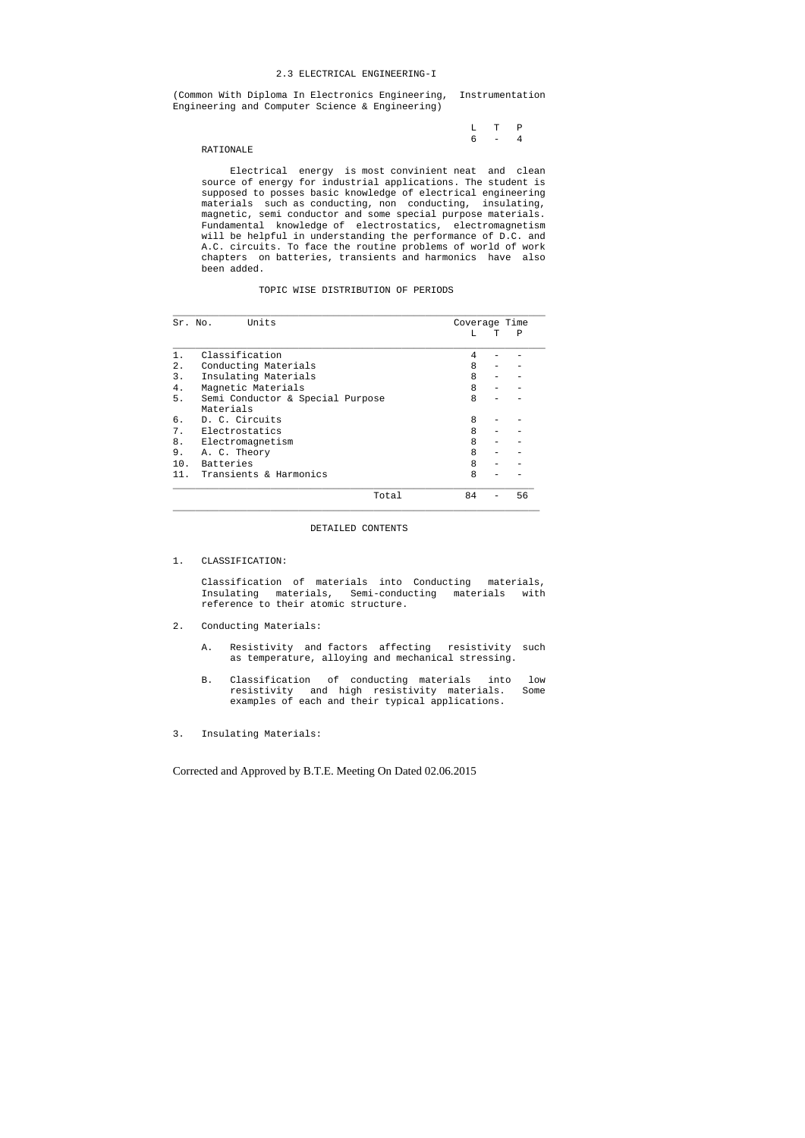#### 2.3 ELECTRICAL ENGINEERING-I

(Common With Diploma In Electronics Engineering, Instrumentation Engineering and Computer Science & Engineering)

|  | $L T P$ |  |
|--|---------|--|
|  | $6 - 4$ |  |

## RATIONALE

 Electrical energy is most convinient neat and clean source of energy for industrial applications. The student is supposed to posses basic knowledge of electrical engineering materials such as conducting, non conducting, insulating, magnetic, semi conductor and some special purpose materials. Fundamental knowledge of electrostatics, electromagnetism will be helpful in understanding the performance of D.C. and A.C. circuits. To face the routine problems of world of work chapters on batteries, transients and harmonics have also been added.

## TOPIC WISE DISTRIBUTION OF PERIODS

| Sr. No. | Units                            | Coverage Time |   |    |
|---------|----------------------------------|---------------|---|----|
|         |                                  | т.            | Τ | Ρ  |
| 1.      | Classification                   | 4             |   |    |
| 2.      | Conducting Materials             | 8             |   |    |
| 3.      | Insulating Materials             | 8             |   |    |
| 4.      | Magnetic Materials               | 8             |   |    |
| 5.      | Semi Conductor & Special Purpose | 8             |   |    |
|         | Materials                        |               |   |    |
| б.      | D. C. Circuits                   | 8             |   |    |
| 7.      | Electrostatics                   | 8             |   |    |
| 8.      | Electromagnetism                 | 8             |   |    |
| 9.      | A. C. Theory                     | 8             |   |    |
| 10.     | Batteries                        | 8             |   |    |
| 11.     | Transients & Harmonics           | 8             |   |    |
|         | Total                            | 84            |   | 56 |

\_\_\_\_\_\_\_\_\_\_\_\_\_\_\_\_\_\_\_\_\_\_\_\_\_\_\_\_\_\_\_\_\_\_\_\_\_\_\_\_\_\_\_\_\_\_\_\_\_\_\_\_\_\_\_\_\_\_\_\_\_\_\_\_

### DETAILED CONTENTS

# 1. CLASSIFICATION:

 Classification of materials into Conducting materials, Insulating materials, Semi-conducting materials with reference to their atomic structure.

# 2. Conducting Materials:

- A. Resistivity and factors affecting resistivity such as temperature, alloying and mechanical stressing.
- B. Classification of conducting materials into low resistivity and high resistivity materials. Some examples of each and their typical applications.
- 3. Insulating Materials: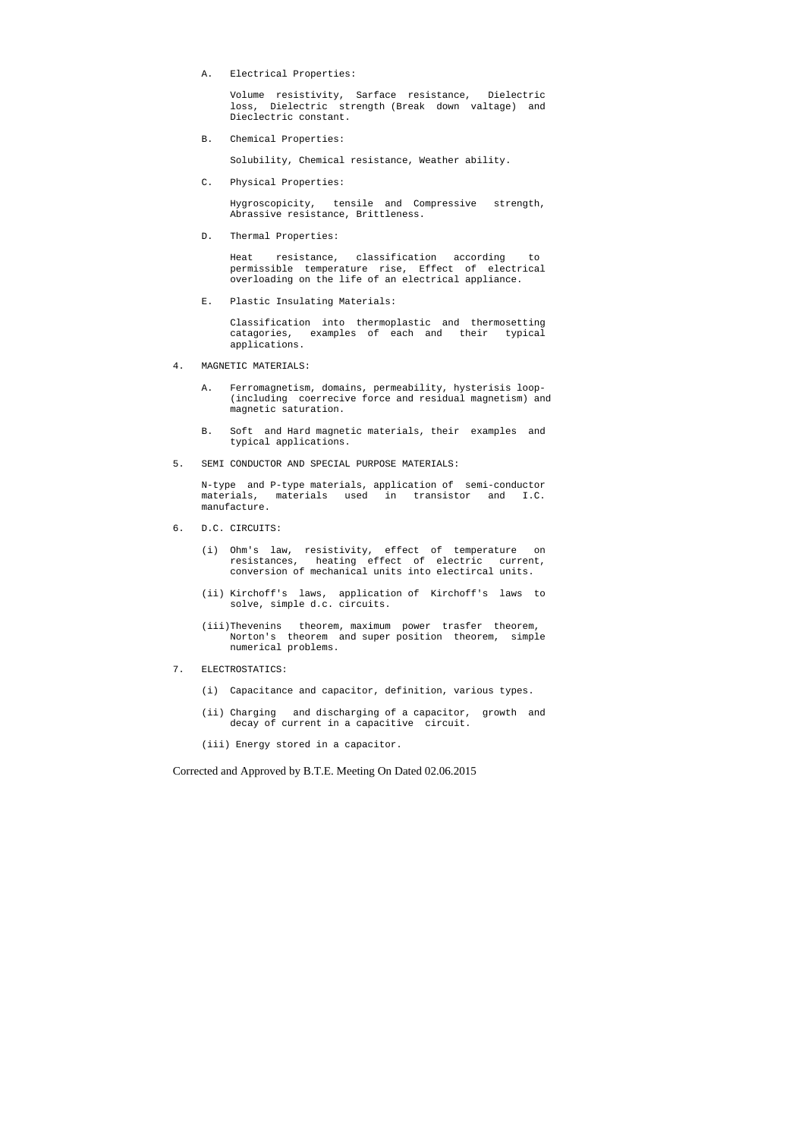A. Electrical Properties:

 Volume resistivity, Sarface resistance, Dielectric loss, Dielectric strength (Break down valtage) and Dieclectric constant.

B. Chemical Properties:

Solubility, Chemical resistance, Weather ability.

C. Physical Properties:

 Hygroscopicity, tensile and Compressive strength, Abrassive resistance, Brittleness.

D. Thermal Properties:

 Heat resistance, classification according to permissible temperature rise, Effect of electrical overloading on the life of an electrical appliance.

E. Plastic Insulating Materials:

 Classification into thermoplastic and thermosetting catagories, examples of each and their typical applications.

- 4. MAGNETIC MATERIALS:
	- A. Ferromagnetism, domains, permeability, hysterisis loop- (including coerrecive force and residual magnetism) and magnetic saturation.
	- B. Soft and Hard magnetic materials, their examples and typical applications.
- 5. SEMI CONDUCTOR AND SPECIAL PURPOSE MATERIALS:

 N-type and P-type materials, application of semi-conductor materials, materials used in transistor and I.C. manufacture.

- 6. D.C. CIRCUITS:
- (i) Ohm's law, resistivity, effect of temperature on resistances, heating effect of electric current, conversion of mechanical units into electircal units.
	- (ii) Kirchoff's laws, application of Kirchoff's laws to solve, simple d.c. circuits.
	- (iii)Thevenins theorem, maximum power trasfer theorem, Norton's theorem and super position theorem, simple numerical problems.
- 7. ELECTROSTATICS:
	- (i) Capacitance and capacitor, definition, various types.
	- (ii) Charging and discharging of a capacitor, growth and decay of current in a capacitive circuit.
	- (iii) Energy stored in a capacitor.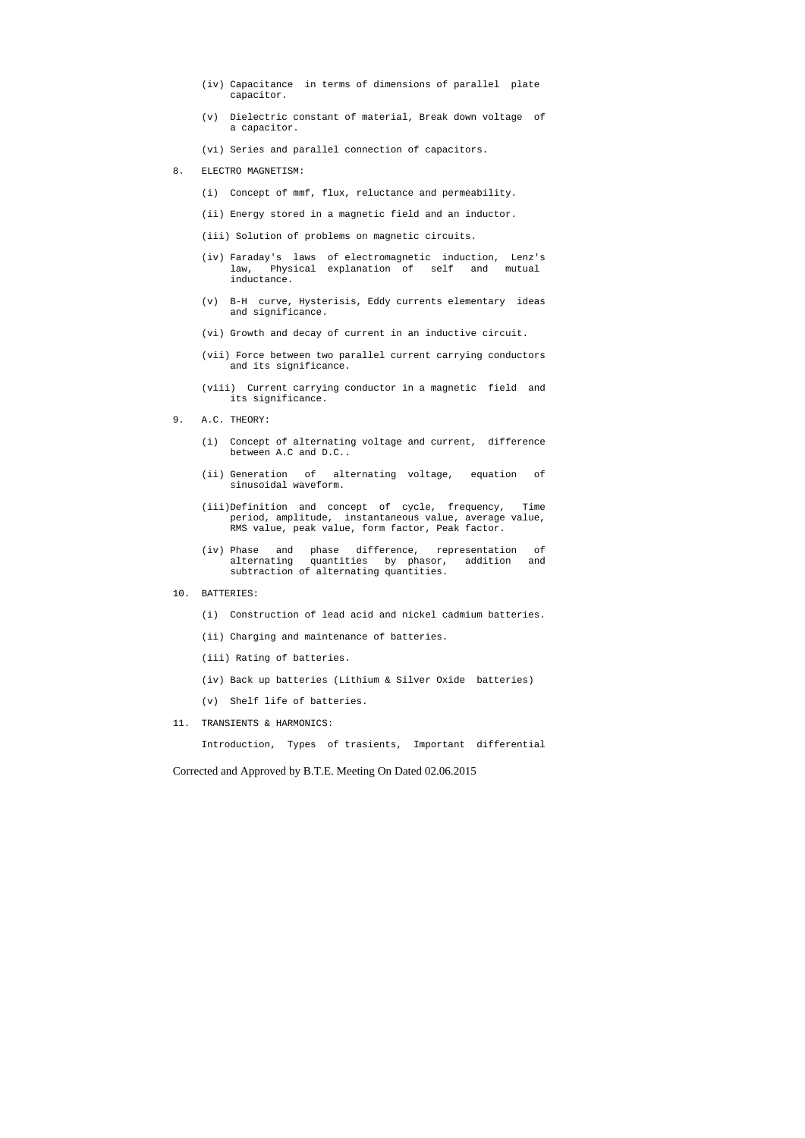- (iv) Capacitance in terms of dimensions of parallel plate capacitor.
- (v) Dielectric constant of material, Break down voltage of a capacitor.
- (vi) Series and parallel connection of capacitors.
- 8. ELECTRO MAGNETISM:
	- (i) Concept of mmf, flux, reluctance and permeability.
	- (ii) Energy stored in a magnetic field and an inductor.
	- (iii) Solution of problems on magnetic circuits.
	- (iv) Faraday's laws of electromagnetic induction, Lenz's law, Physical explanation of self and mutual inductance.
	- (v) B-H curve, Hysterisis, Eddy currents elementary ideas and significance.
	- (vi) Growth and decay of current in an inductive circuit.
	- (vii) Force between two parallel current carrying conductors and its significance.
	- (viii) Current carrying conductor in a magnetic field and its significance.
- 9. A.C. THEORY:
	- (i) Concept of alternating voltage and current, difference between A.C and D.C..
	- (ii) Generation of alternating voltage, equation of sinusoidal waveform.
	- (iii)Definition and concept of cycle, frequency, Time period, amplitude, instantaneous value, average value, RMS value, peak value, form factor, Peak factor.
- (iv) Phase and phase difference, representation of alternating quantities by phasor, addition and subtraction of alternating quantities.
- 10. BATTERIES:
	- (i) Construction of lead acid and nickel cadmium batteries.
	- (ii) Charging and maintenance of batteries.
	- (iii) Rating of batteries.
	- (iv) Back up batteries (Lithium & Silver Oxide batteries)
	- (v) Shelf life of batteries.
- 11. TRANSIENTS & HARMONICS:

Introduction, Types of trasients, Important differential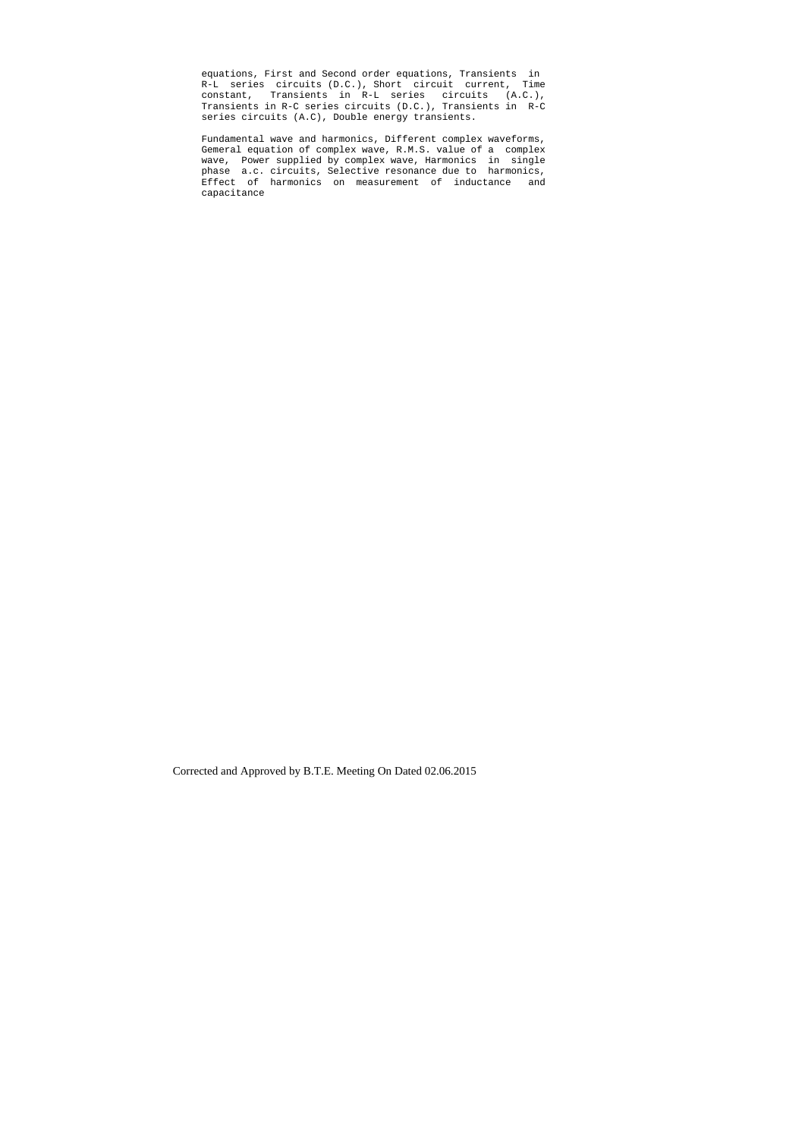equations, First and Second order equations, Transients in R-L series circuits (D.C.), Short circuit current, Time constant, Transients in R-L series circuits (A.C.), Transients in R-C series circuits (D.C.), Transients in R-C series circuits (A.C), Double energy transients.

 Fundamental wave and harmonics, Different complex waveforms, Gemeral equation of complex wave, R.M.S. value of a complex wave, Power supplied by complex wave, Harmonics in single phase a.c. circuits, Selective resonance due to harmonics, Effect of harmonics on measurement of inductance and capacitance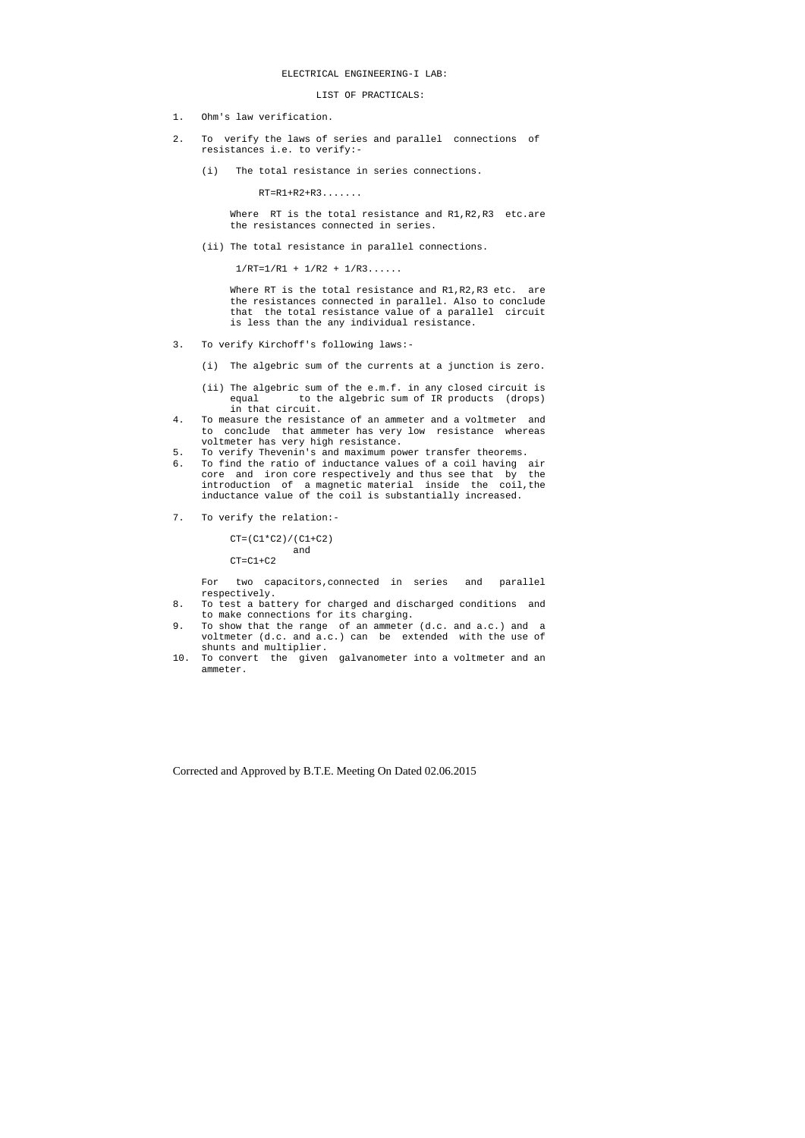LIST OF PRACTICALS:

- 1. Ohm's law verification.
- 2. To verify the laws of series and parallel connections of resistances i.e. to verify:-
	- (i) The total resistance in series connections.

Where RT is the total resistance and R1, R2, R3 etc.are the resistances connected in series.

RT=R1+R2+R3.......

Where RT is the total resistance and R1, R2, R3 etc. are the resistances connected in parallel. Also to conclude that the total resistance value of a parallel circuit is less than the any individual resistance.

(ii) The total resistance in parallel connections.

 $1/RT=1/RI + 1/R2 + 1/R3...$ 

```
CT=(C1*C2)/(C1+C2) and
```
 $CT=C1+C2$ 

- 3. To verify Kirchoff's following laws:-
	- (i) The algebric sum of the currents at a junction is zero.
	- (ii) The algebric sum of the e.m.f. in any closed circuit is equal to the algebric sum of IR products (drops) in that circuit.
- 4. To measure the resistance of an ammeter and a voltmeter and to conclude that ammeter has very low resistance whereas voltmeter has very high resistance.
- 5. To verify Thevenin's and maximum power transfer theorems.<br>5. To find the ratio of inductance values of a coil having
- To find the ratio of inductance values of a coil having air core and iron core respectively and thus see that by the introduction of a magnetic material inside the coil,the inductance value of the coil is substantially increased.
- 7. To verify the relation:-

 For two capacitors,connected in series and parallel respectively.

- 8. To test a battery for charged and discharged conditions and to make connections for its charging.
- 9. To show that the range of an ammeter (d.c. and a.c.) and a voltmeter (d.c. and a.c.) can be extended with the use of shunts and multiplier.
- 10. To convert the given galvanometer into a voltmeter and an ammeter.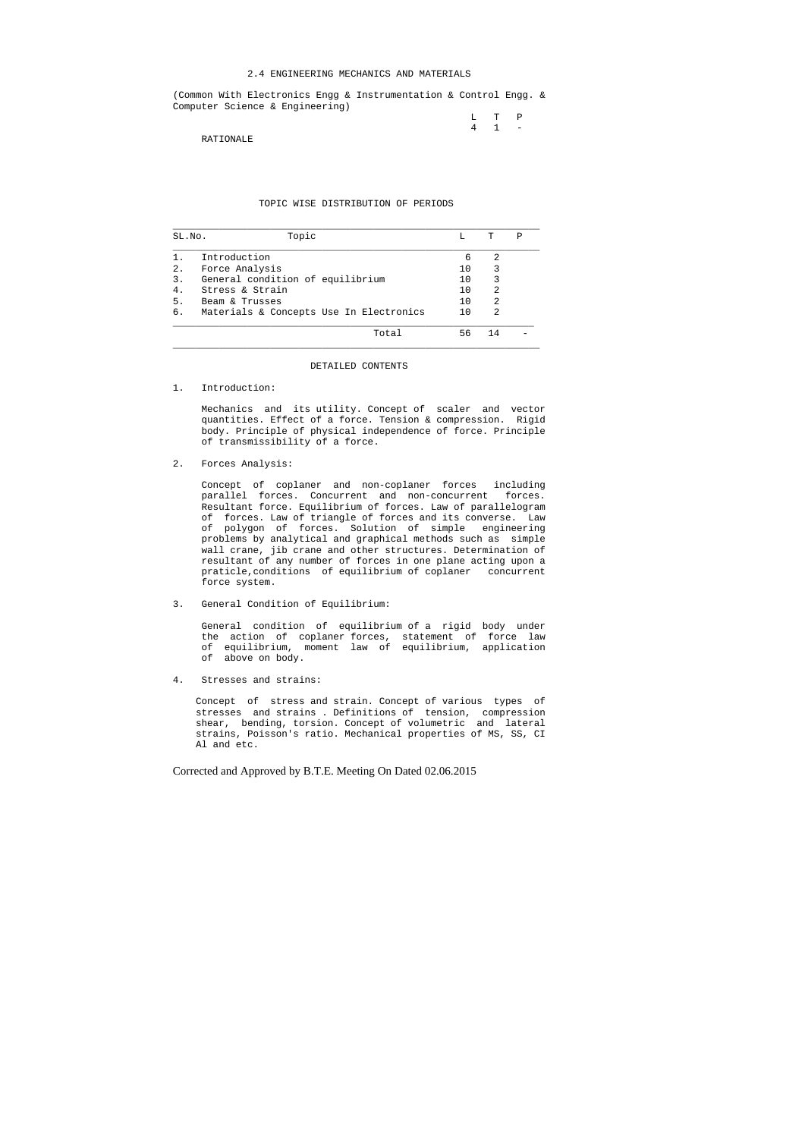### 2.4 ENGINEERING MECHANICS AND MATERIALS

(Common With Electronics Engg & Instrumentation & Control Engg. & Computer Science & Engineering)

> L T P 4 1 -

RATIONALE

# TOPIC WISE DISTRIBUTION OF PERIODS

| SL.No. | Topic                                   | т.  | Ͳ  | Ρ |
|--------|-----------------------------------------|-----|----|---|
|        | Introduction                            | 6   | 2  |   |
| 2.     | Force Analysis                          | 10  | 3  |   |
| 3.     | General condition of equilibrium        |     | 3  |   |
| 4.     | Stress & Strain                         | 10  | 2  |   |
| 5.     | Beam & Trusses                          | 10  | 2  |   |
| б.     | Materials & Concepts Use In Electronics | 1 O | 2  |   |
|        | Total                                   | 56  | 14 |   |

#### DETAILED CONTENTS

#### 1. Introduction:

 Mechanics and its utility. Concept of scaler and vector quantities. Effect of a force. Tension & compression. Rigid body. Principle of physical independence of force. Principle of transmissibility of a force.

2. Forces Analysis:

 Concept of coplaner and non-coplaner forces including parallel forces. Concurrent and non-concurrent forces. Resultant force. Equilibrium of forces. Law of parallelogram of forces. Law of triangle of forces and its converse. Law of polygon of forces. Solution of simple engineering problems by analytical and graphical methods such as simple wall crane, jib crane and other structures. Determination of resultant of any number of forces in one plane acting upon a praticle,conditions of equilibrium of coplaner concurrent force system.

3. General Condition of Equilibrium:

 General condition of equilibrium of a rigid body under the action of coplaner forces, statement of force law of equilibrium, moment law of equilibrium, application of above on body.

4. Stresses and strains:

 Concept of stress and strain. Concept of various types of stresses and strains . Definitions of tension, compression shear, bending, torsion. Concept of volumetric and lateral strains, Poisson's ratio. Mechanical properties of MS, SS, CI Al and etc.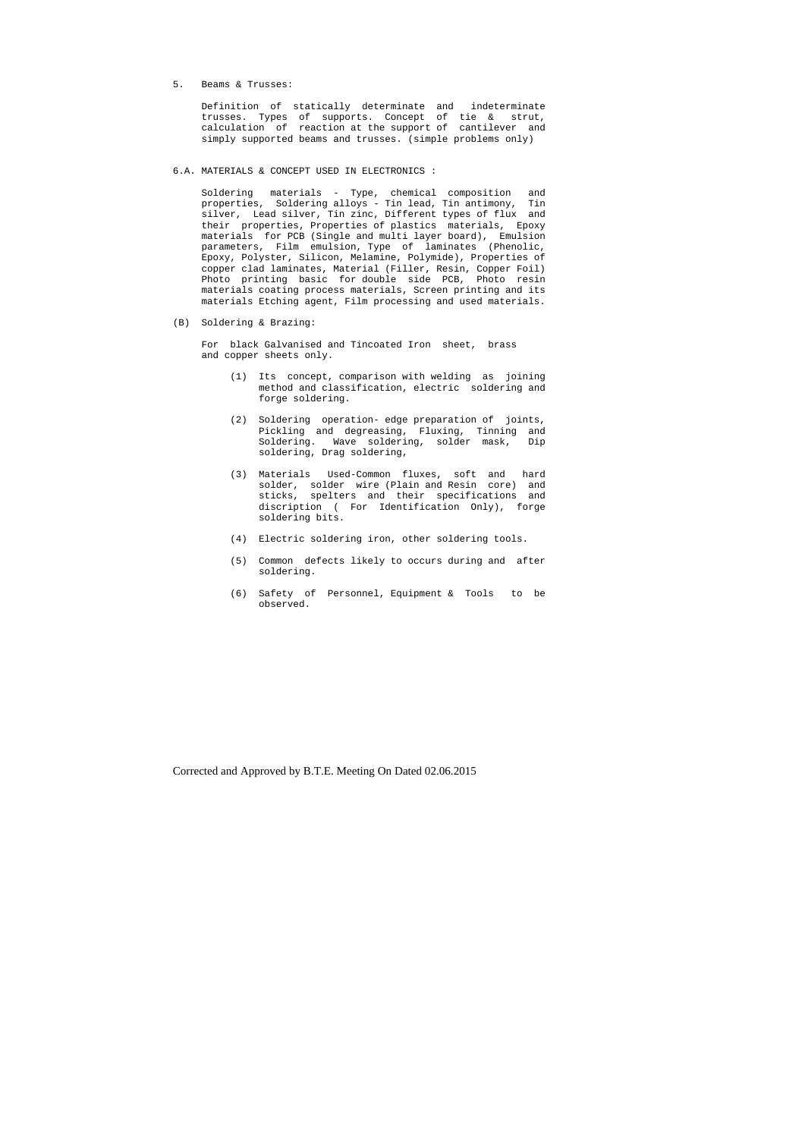5. Beams & Trusses:

 Definition of statically determinate and indeterminate trusses. Types of supports. Concept of tie & strut, calculation of reaction at the support of cantilever and simply supported beams and trusses. (simple problems only)

6.A. MATERIALS & CONCEPT USED IN ELECTRONICS :

 Soldering materials - Type, chemical composition and properties, Soldering alloys - Tin lead, Tin antimony, Tin silver, Lead silver, Tin zinc, Different types of flux and their properties, Properties of plastics materials, Epoxy materials for PCB (Single and multi layer board), Emulsion parameters, Film emulsion, Type of laminates (Phenolic, Epoxy, Polyster, Silicon, Melamine, Polymide), Properties of copper clad laminates, Material (Filler, Resin, Copper Foil) Photo printing basic for double side PCB, Photo resin materials coating process materials, Screen printing and its materials Etching agent, Film processing and used materials.

(B) Soldering & Brazing:

 For black Galvanised and Tincoated Iron sheet, brass and copper sheets only.

- (1) Its concept, comparison with welding as joining method and classification, electric soldering and forge soldering.
- (2) Soldering operation- edge preparation of joints, Pickling and degreasing, Fluxing, Tinning and Soldering. Wave soldering, solder mask, Dip soldering, Drag soldering,
- (3) Materials Used-Common fluxes, soft and hard solder, solder wire (Plain and Resin core) and sticks, spelters and their specifications and discription ( For Identification Only), forge soldering bits.
- (4) Electric soldering iron, other soldering tools.
- (5) Common defects likely to occurs during and after soldering.
- (6) Safety of Personnel, Equipment & Tools to be observed.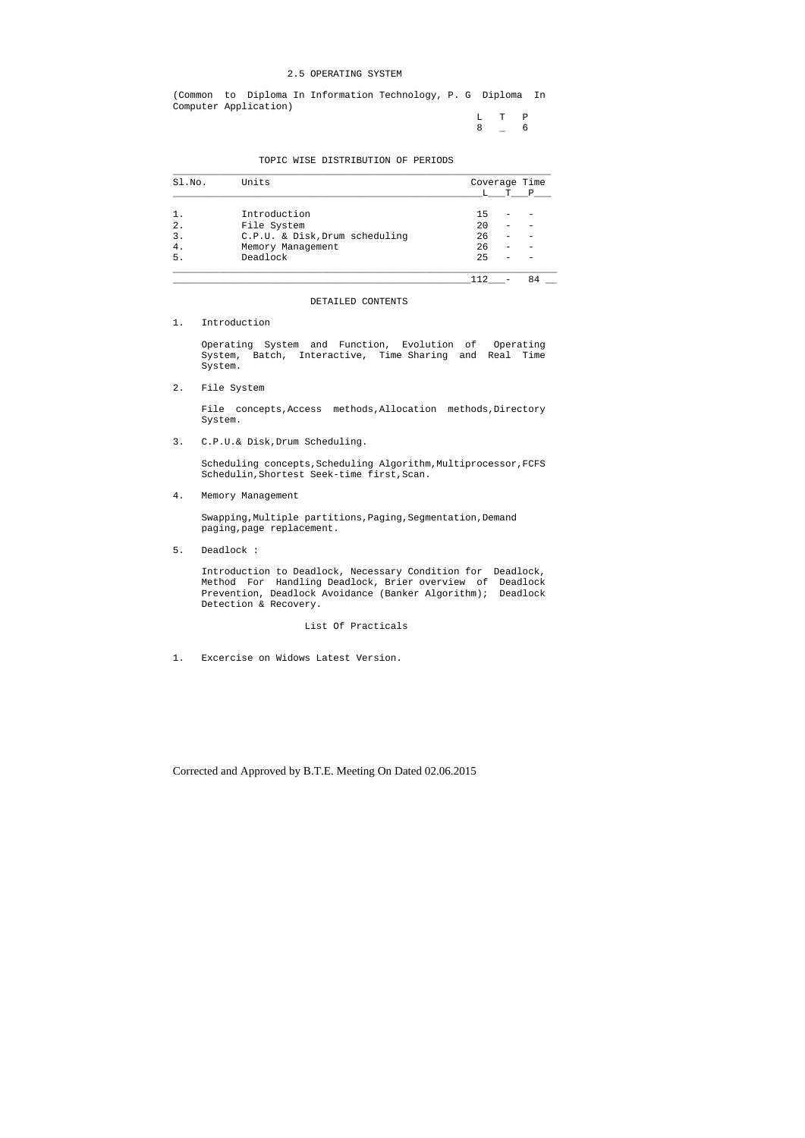## 2.5 OPERATING SYSTEM

 L T P  $8 - 6$ 

(Common to Diploma In Information Technology, P. G Diploma In Computer Application)

#### TOPIC WISE DISTRIBUTION OF PERIODS

| Sl.No.         | Units                          | Coverage Time |   |              |  |
|----------------|--------------------------------|---------------|---|--------------|--|
|                |                                |               | T | $\mathbf{P}$ |  |
| 1.             | Introduction                   | 15            |   |              |  |
| $2$ .          | File System                    | 20            |   |              |  |
| $\mathbf{3}$ . | C.P.U. & Disk, Drum scheduling | 26            |   |              |  |
| 4.             | Memory Management              | 26            |   |              |  |
| 5.             | Deadlock                       | 25            |   |              |  |
|                |                                |               |   |              |  |

File concepts, Access methods, Allocation methods, Directory System.

Scheduling concepts, Scheduling Algorithm, Multiprocessor, FCFS Schedulin,Shortest Seek-time first,Scan.

DETAILED CONTENTS

1. Introduction

 Operating System and Function, Evolution of Operating System, Batch, Interactive, Time Sharing and Real Time System.

2. File System

3. C.P.U.& Disk,Drum Scheduling.

4. Memory Management

 Swapping,Multiple partitions,Paging,Segmentation,Demand paging,page replacement.

5. Deadlock :

 Introduction to Deadlock, Necessary Condition for Deadlock, Method For Handling Deadlock, Brier overview of Deadlock Prevention, Deadlock Avoidance (Banker Algorithm); Deadlock Detection & Recovery.

# List Of Practicals

1. Excercise on Widows Latest Version.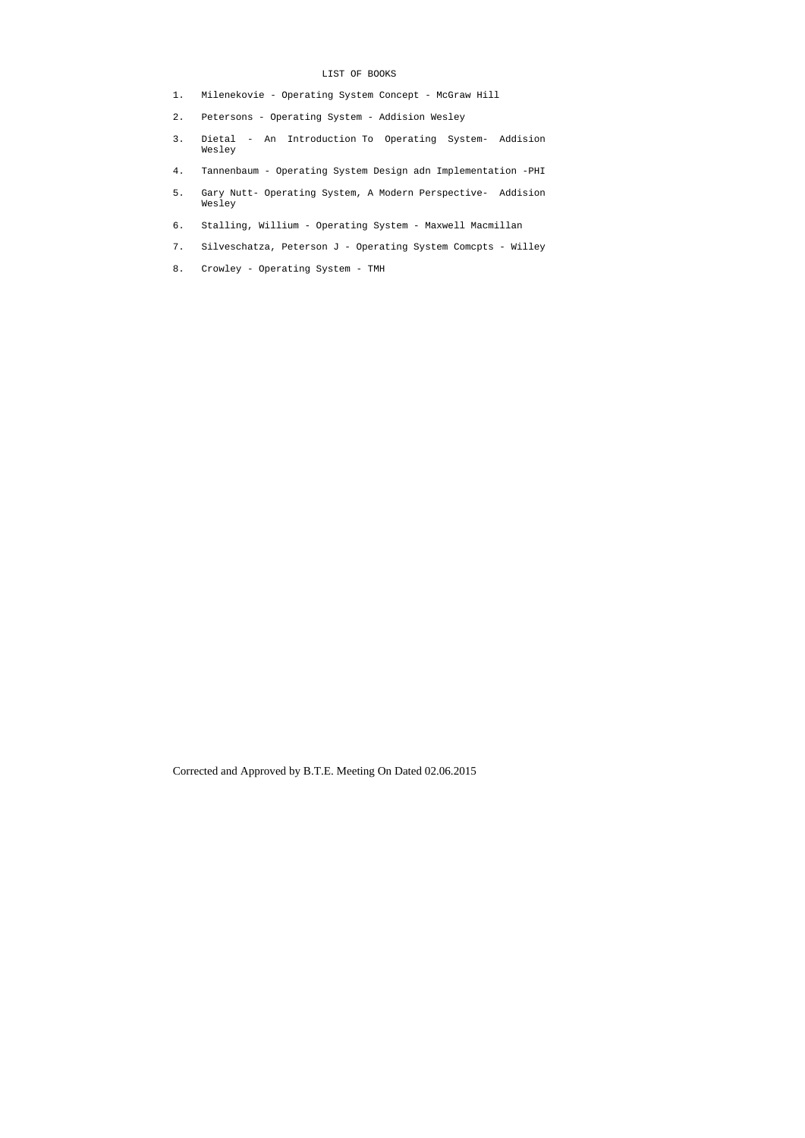# LIST OF BOOKS

- 1. Milenekovie Operating System Concept McGraw Hill
- 2. Petersons Operating System Addision Wesley
- 3. Dietal An Introduction To Operating System- Addision Wesley
- 4. Tannenbaum Operating System Design adn Implementation -PHI
- 5. Gary Nutt- Operating System, A Modern Perspective- Addision Wesley
- 6. Stalling, Willium Operating System Maxwell Macmillan
- 7. Silveschatza, Peterson J Operating System Comcpts Willey
- 8. Crowley Operating System TMH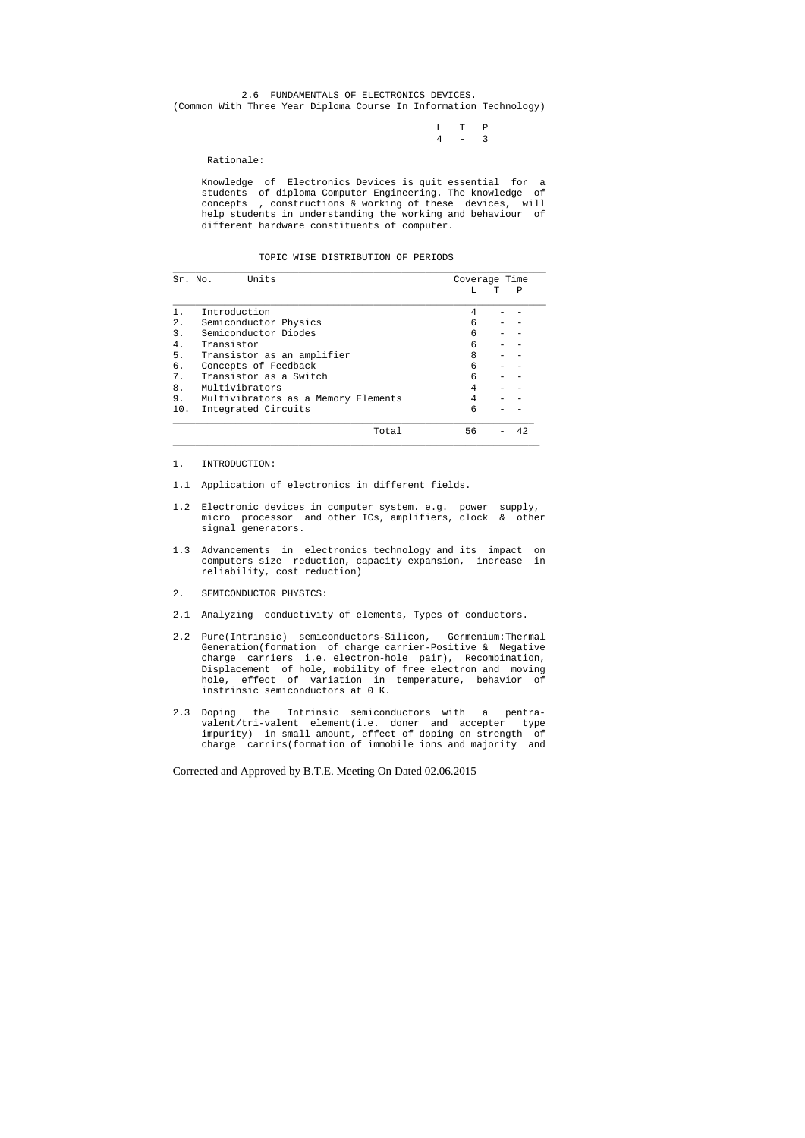2.6 FUNDAMENTALS OF ELECTRONICS DEVICES. (Common With Three Year Diploma Course In Information Technology)

> L T P 4 - 3

Rationale:

 Knowledge of Electronics Devices is quit essential for a students of diploma Computer Engineering. The knowledge of concepts , constructions & working of these devices, will help students in understanding the working and behaviour of different hardware constituents of computer.

TOPIC WISE DISTRIBUTION OF PERIODS

| Sr. No. | Units                               | Coverage Time |   |    |
|---------|-------------------------------------|---------------|---|----|
|         |                                     | т.            | Ͳ | Ρ  |
|         | Introduction                        | 4             |   |    |
| $2$ .   | Semiconductor Physics               | 6             |   |    |
| 3.      | Semiconductor Diodes                | 6             |   |    |
| 4.      | Transistor                          | 6             |   |    |
| 5.      | Transistor as an amplifier          | 8             |   |    |
| б.      | Concepts of Feedback                | 6             |   |    |
| 7.      | Transistor as a Switch              | 6             |   |    |
| 8.      | Multivibrators                      | 4             |   |    |
| 9.      | Multivibrators as a Memory Elements | 4             |   |    |
| 10.     | Integrated Circuits                 | 6             |   |    |
|         | Total                               | 56            |   | 42 |

- 1. INTRODUCTION:
- 1.1 Application of electronics in different fields.
- 1.2 Electronic devices in computer system. e.g. power supply, micro processor and other ICs, amplifiers, clock & other signal generators.
- 1.3 Advancements in electronics technology and its impact on computers size reduction, capacity expansion, increase in reliability, cost reduction)
- 2. SEMICONDUCTOR PHYSICS:
- 2.1 Analyzing conductivity of elements, Types of conductors.
- 2.2 Pure(Intrinsic) semiconductors-Silicon, Germenium:Thermal Generation(formation of charge carrier-Positive & Negative charge carriers i.e. electron-hole pair), Recombination, Displacement of hole, mobility of free electron and moving hole, effect of variation in temperature, behavior of instrinsic semiconductors at 0 K.
- 2.3 Doping the Intrinsic semiconductors with a pentra valent/tri-valent element(i.e. doner and accepter type impurity) in small amount, effect of doping on strength of charge carrirs(formation of immobile ions and majority and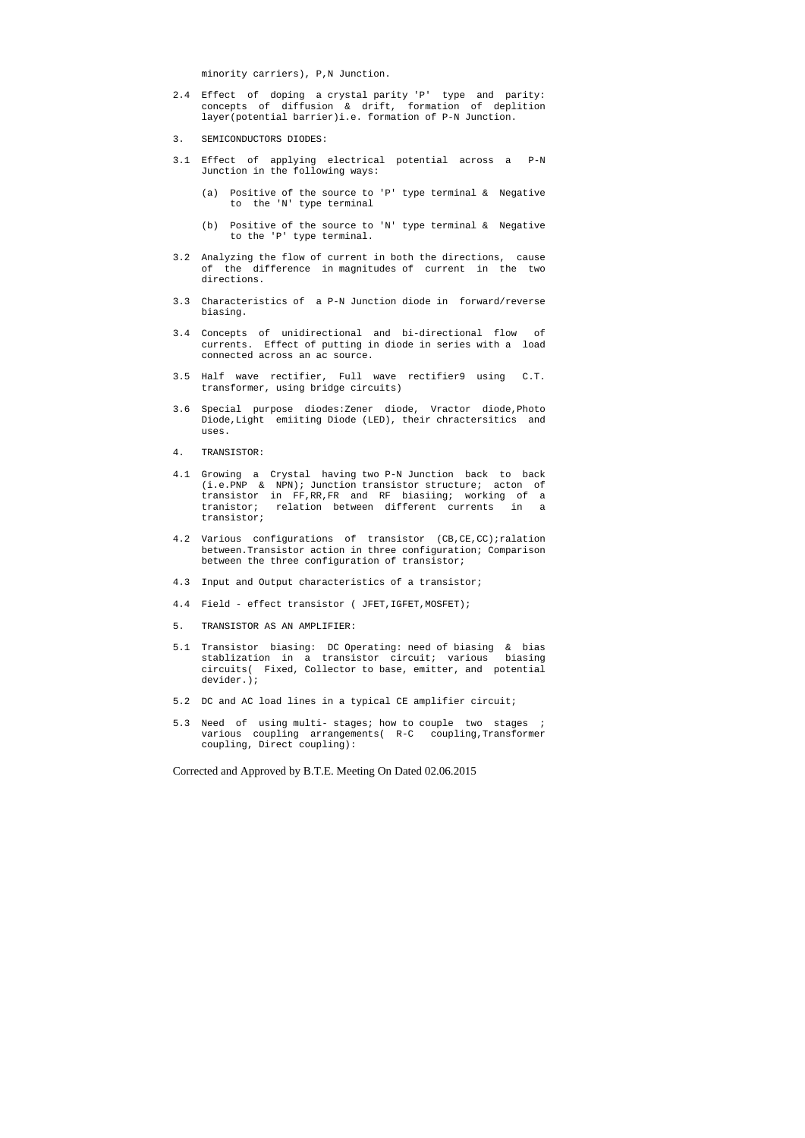minority carriers), P,N Junction.

- 2.4 Effect of doping a crystal parity 'P' type and parity: concepts of diffusion & drift, formation of deplition layer(potential barrier)i.e. formation of P-N Junction.
- 3. SEMICONDUCTORS DIODES:
- 3.1 Effect of applying electrical potential across a P-N Junction in the following ways:
	- (a) Positive of the source to 'P' type terminal & Negative to the 'N' type terminal
	- (b) Positive of the source to 'N' type terminal & Negative to the 'P' type terminal.
- 3.2 Analyzing the flow of current in both the directions, cause of the difference in magnitudes of current in the two directions.
- 3.3 Characteristics of a P-N Junction diode in forward/reverse biasing.
- 3.4 Concepts of unidirectional and bi-directional flow of currents. Effect of putting in diode in series with a load connected across an ac source.
- 3.5 Half wave rectifier, Full wave rectifier9 using C.T. transformer, using bridge circuits)
- 3.6 Special purpose diodes:Zener diode, Vractor diode,Photo Diode,Light emiiting Diode (LED), their chractersitics and uses.
- 4. TRANSISTOR:
- 4.1 Growing a Crystal having two P-N Junction back to back (i.e.PNP & NPN); Junction transistor structure; acton of transistor in FF,RR,FR and RF biasiing; working of a tranistor; relation between different currents in a transistor;
- 4.2 Various configurations of transistor (CB,CE,CC);ralation between.Transistor action in three configuration; Comparison between the three configuration of transistor;
- 4.3 Input and Output characteristics of a transistor;
- 4.4 Field effect transistor ( JFET, IGFET, MOSFET);
- 5. TRANSISTOR AS AN AMPLIFIER:
- 5.1 Transistor biasing: DC Operating: need of biasing & bias stablization in a transistor circuit; various biasing circuits( Fixed, Collector to base, emitter, and potential devider.);
- 5.2 DC and AC load lines in a typical CE amplifier circuit;
- 5.3 Need of using multi- stages; how to couple two stages ; various coupling arrangements( R-C coupling,Transformer coupling, Direct coupling):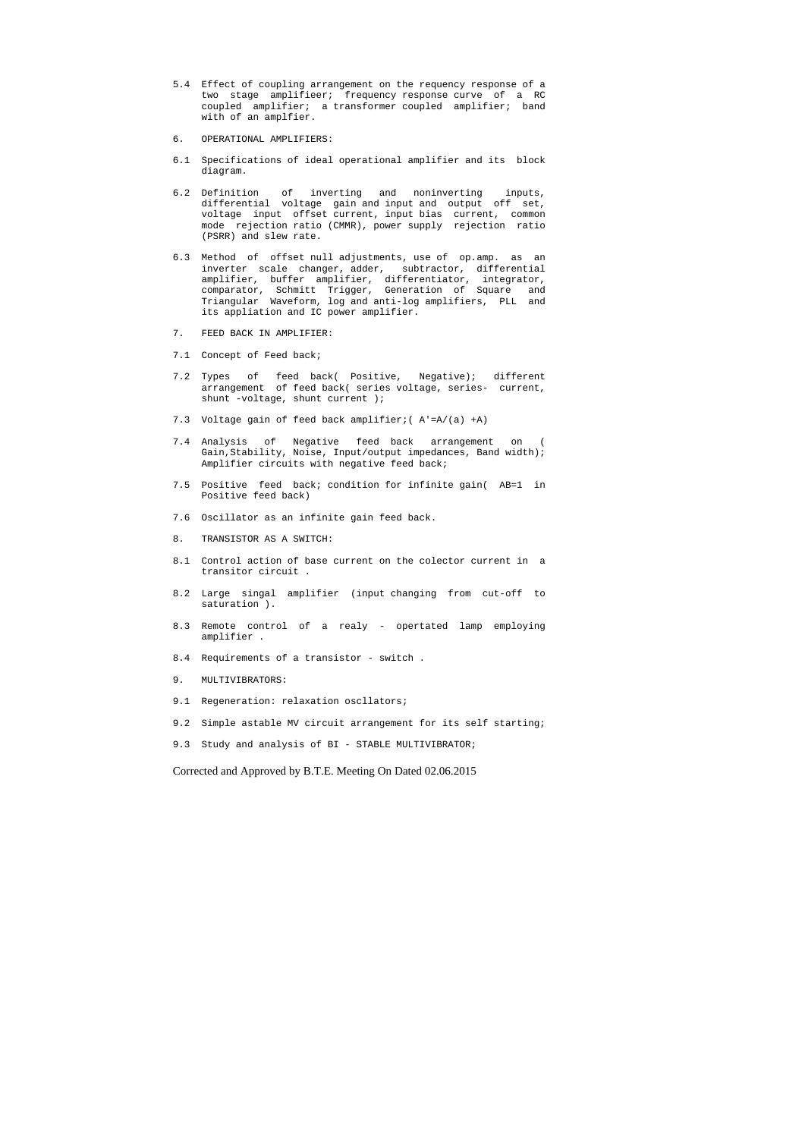- 5.4 Effect of coupling arrangement on the requency response of a two stage amplifieer; frequency response curve of a RC coupled amplifier; a transformer coupled amplifier; band with of an amplfier.
- 6. OPERATIONAL AMPLIFIERS:
- 6.1 Specifications of ideal operational amplifier and its block diagram.
- 6.2 Definition of inverting and noninverting inputs, differential voltage gain and input and output off set, voltage input offset current, input bias current, common mode rejection ratio (CMMR), power supply rejection ratio (PSRR) and slew rate.
- 6.3 Method of offset null adjustments, use of op.amp. as an inverter scale changer, adder, subtractor, differential amplifier, buffer amplifier, differentiator, integrator, comparator, Schmitt Trigger, Generation of Square and Triangular Waveform, log and anti-log amplifiers, PLL and its appliation and IC power amplifier.
- 7. FEED BACK IN AMPLIFIER:
- 7.1 Concept of Feed back;
- 7.2 Types of feed back( Positive, Negative); different arrangement of feed back( series voltage, series- current, shunt -voltage, shunt current );
- 7.3 Voltage gain of feed back amplifier;( A'=A/(a) +A)
- 7.4 Analysis of Negative feed back arrangement on ( Gain,Stability, Noise, Input/output impedances, Band width); Amplifier circuits with negative feed back;
- 7.5 Positive feed back; condition for infinite gain( AB=1 in Positive feed back)
- 7.6 Oscillator as an infinite gain feed back.
- 8. TRANSISTOR AS A SWITCH:
- 8.1 Control action of base current on the colector current in a transitor circuit .
- 8.2 Large singal amplifier (input changing from cut-off to saturation ).
- 8.3 Remote control of a realy opertated lamp employing amplifier .
- 8.4 Requirements of a transistor switch .
- 9. MULTIVIBRATORS:
- 9.1 Regeneration: relaxation oscllators;
- 9.2 Simple astable MV circuit arrangement for its self starting;
- 9.3 Study and analysis of BI STABLE MULTIVIBRATOR;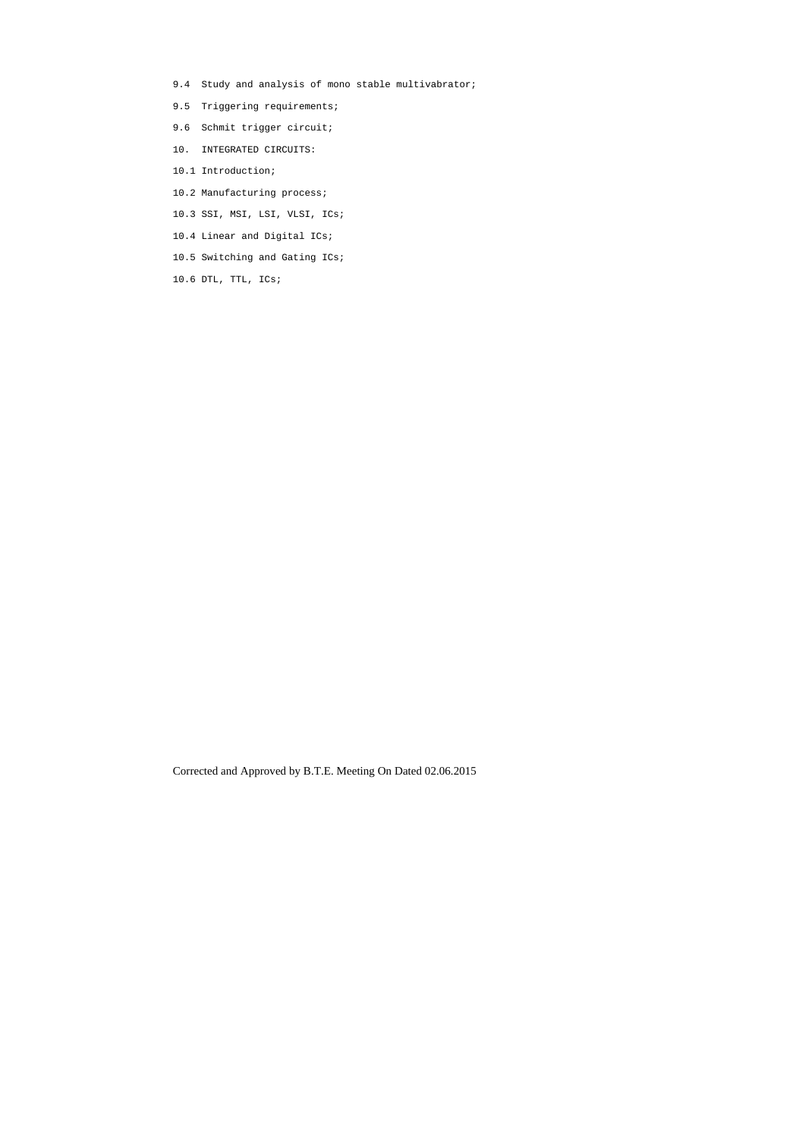- 9.4 Study and analysis of mono stable multivabrator;
- 9.5 Triggering requirements;
- 9.6 Schmit trigger circuit;
- 10. INTEGRATED CIRCUITS:
- 10.1 Introduction;
- 10.2 Manufacturing process;
- 10.3 SSI, MSI, LSI, VLSI, ICs;
- 10.4 Linear and Digital ICs;
- 10.5 Switching and Gating ICs;
- 10.6 DTL, TTL, ICs;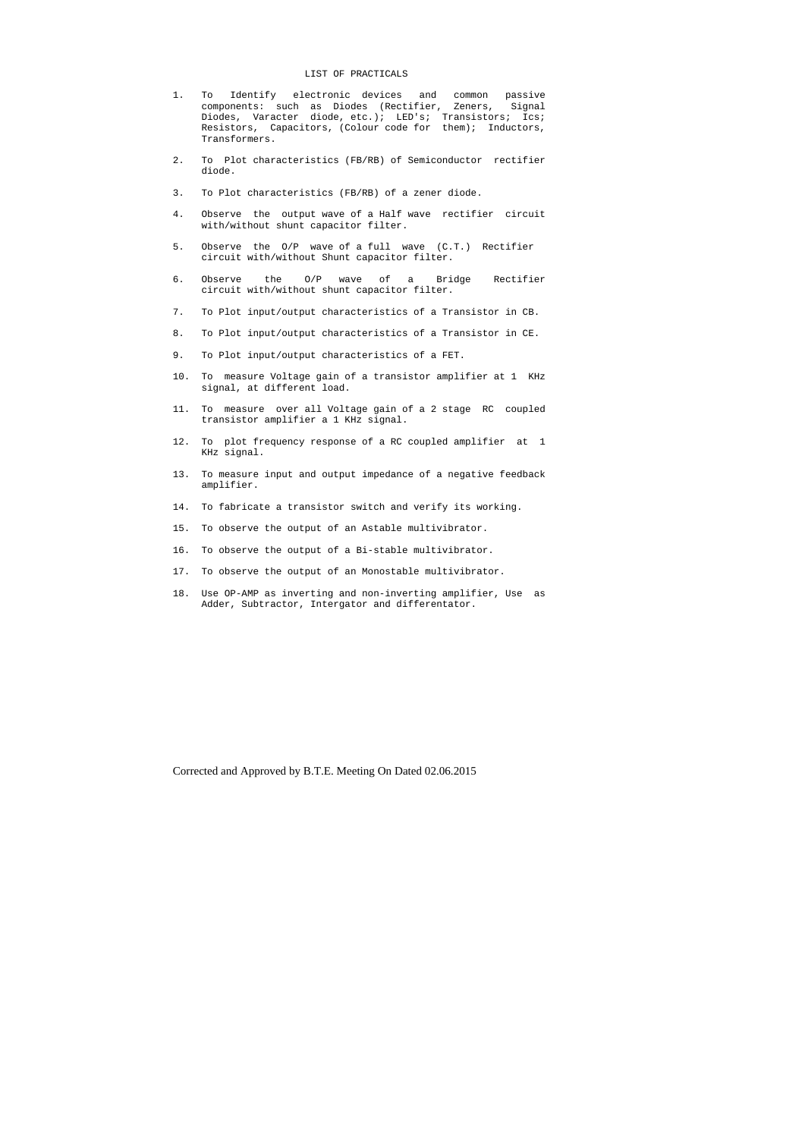### LIST OF PRACTICALS

- 1. To Identify electronic devices and common passive components: such as Diodes (Rectifier, Zeners, Signal Diodes, Varacter diode, etc.); LED's; Transistors; Ics; Resistors, Capacitors, (Colour code for them); Inductors, Transformers.
- 2. To Plot characteristics (FB/RB) of Semiconductor rectifier diode.
- 3. To Plot characteristics (FB/RB) of a zener diode.
- 4. Observe the output wave of a Half wave rectifier circuit with/without shunt capacitor filter.
- 5. Observe the O/P wave of a full wave (C.T.) Rectifier circuit with/without Shunt capacitor filter.
- 6. Observe the O/P wave of a Bridge Rectifier circuit with/without shunt capacitor filter.
- 7. To Plot input/output characteristics of a Transistor in CB.
- 8. To Plot input/output characteristics of a Transistor in CE.
- 9. To Plot input/output characteristics of a FET.
- 10. To measure Voltage gain of a transistor amplifier at 1 KHz signal, at different load.
- 11. To measure over all Voltage gain of a 2 stage RC coupled transistor amplifier a 1 KHz signal.
- 12. To plot frequency response of a RC coupled amplifier at 1 KHz signal.
- 13. To measure input and output impedance of a negative feedback amplifier.
- 14. To fabricate a transistor switch and verify its working.
- 15. To observe the output of an Astable multivibrator.
- 16. To observe the output of a Bi-stable multivibrator.
- 17. To observe the output of an Monostable multivibrator.
- 18. Use OP-AMP as inverting and non-inverting amplifier, Use as Adder, Subtractor, Intergator and differentator.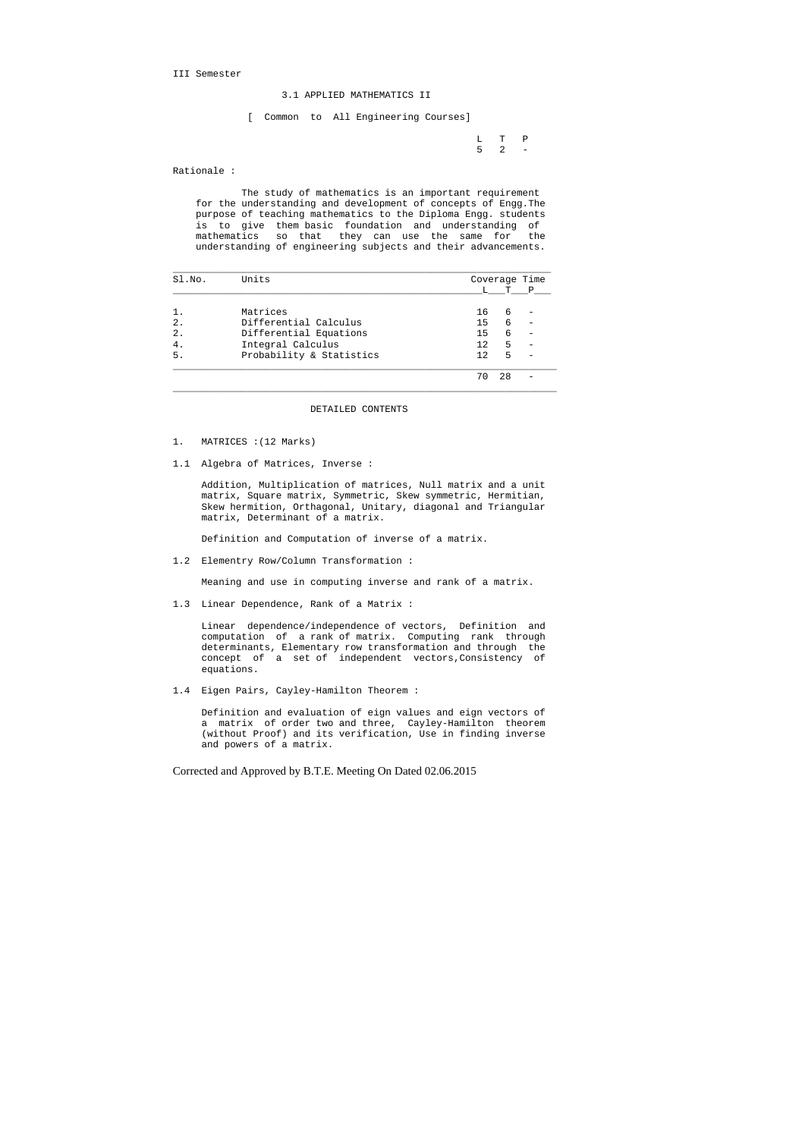III Semester

# 3.1 APPLIED MATHEMATICS II

[ Common to All Engineering Courses]

L T P<br>5 2 –  $5 \t 2 \t -$ 

Rationale :

 The study of mathematics is an important requirement for the understanding and development of concepts of Engg.The purpose of teaching mathematics to the Diploma Engg. students is to give them basic foundation and understanding of mathematics so that they can use the same for the understanding of engineering subjects and their advancements.

| Sl.No.           | Units                    | Coverage Time |    |   |
|------------------|--------------------------|---------------|----|---|
|                  |                          |               | т  | P |
|                  | Matrices                 | 16            | 6  |   |
| $\overline{2}$ . | Differential Calculus    | 15            | 6  |   |
| $\overline{2}$ . | Differential Equations   | 15            | 6  |   |
| 4.               | Integral Calculus        | 12            | 5  |   |
| 5.               | Probability & Statistics | 12            | 5  |   |
|                  |                          | 70            | 28 |   |

#### DETAILED CONTENTS

- 1. MATRICES :(12 Marks)
- 1.1 Algebra of Matrices, Inverse :

 Addition, Multiplication of matrices, Null matrix and a unit matrix, Square matrix, Symmetric, Skew symmetric, Hermitian, Skew hermition, Orthagonal, Unitary, diagonal and Triangular matrix, Determinant of a matrix.

Definition and Computation of inverse of a matrix.

1.2 Elementry Row/Column Transformation :

Meaning and use in computing inverse and rank of a matrix.

1.3 Linear Dependence, Rank of a Matrix :

 Linear dependence/independence of vectors, Definition and computation of a rank of matrix. Computing rank through determinants, Elementary row transformation and through the concept of a set of independent vectors,Consistency of equations.

1.4 Eigen Pairs, Cayley-Hamilton Theorem :

 Definition and evaluation of eign values and eign vectors of a matrix of order two and three, Cayley-Hamilton theorem (without Proof) and its verification, Use in finding inverse and powers of a matrix.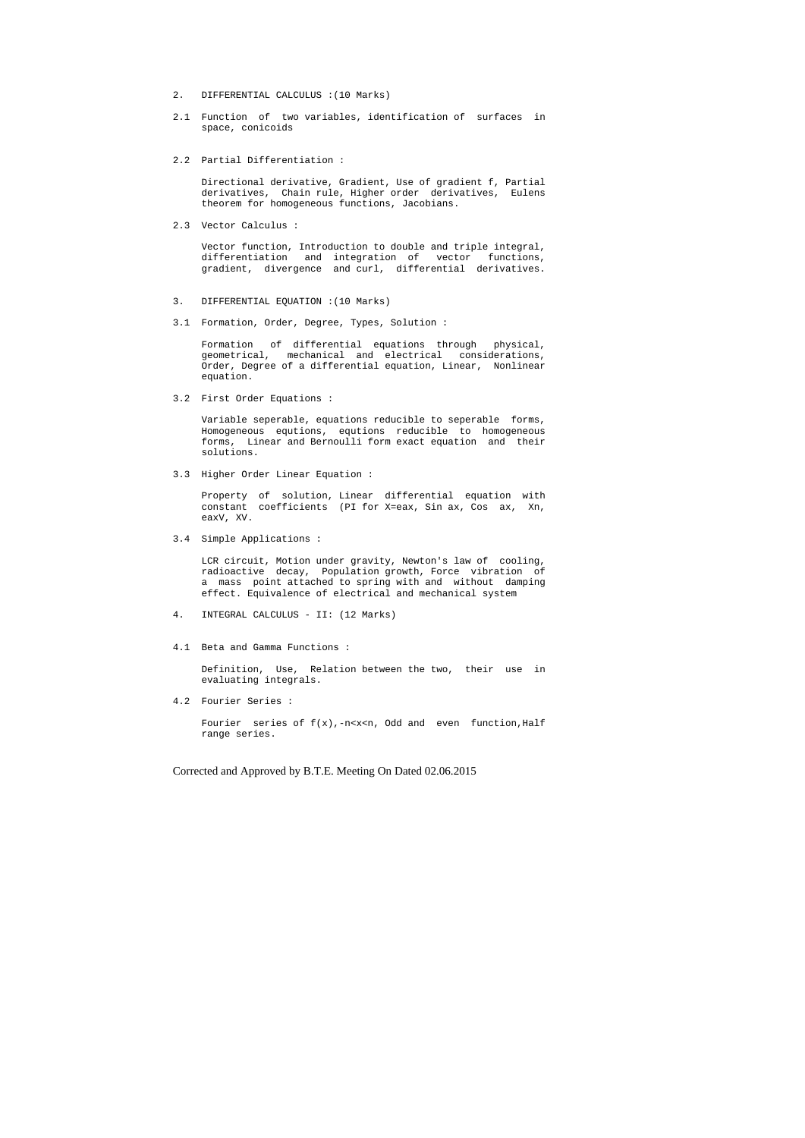- 2. DIFFERENTIAL CALCULUS :(10 Marks)
- 2.1 Function of two variables, identification of surfaces in space, conicoids
- 2.2 Partial Differentiation :

 Directional derivative, Gradient, Use of gradient f, Partial derivatives, Chain rule, Higher order derivatives, Eulens theorem for homogeneous functions, Jacobians.

2.3 Vector Calculus :

 Vector function, Introduction to double and triple integral, differentiation and integration of vector functions, gradient, divergence and curl, differential derivatives.

- 3. DIFFERENTIAL EQUATION :(10 Marks)
- 3.1 Formation, Order, Degree, Types, Solution :

 Formation of differential equations through physical, geometrical, mechanical and electrical considerations, Order, Degree of a differential equation, Linear, Nonlinear equation.

3.2 First Order Equations :

Fourier series of  $f(x)$ ,-n<x<n, Odd and even function, Half range series.

 Variable seperable, equations reducible to seperable forms, Homogeneous equtions, equtions reducible to homogeneous forms, Linear and Bernoulli form exact equation and their solutions.

3.3 Higher Order Linear Equation :

 Property of solution, Linear differential equation with constant coefficients (PI for X=eax, Sin ax, Cos ax, Xn, eaxV, XV.

3.4 Simple Applications :

 LCR circuit, Motion under gravity, Newton's law of cooling, radioactive decay, Population growth, Force vibration of a mass point attached to spring with and without damping effect. Equivalence of electrical and mechanical system

- 4. INTEGRAL CALCULUS II: (12 Marks)
- 4.1 Beta and Gamma Functions :

 Definition, Use, Relation between the two, their use in evaluating integrals.

4.2 Fourier Series :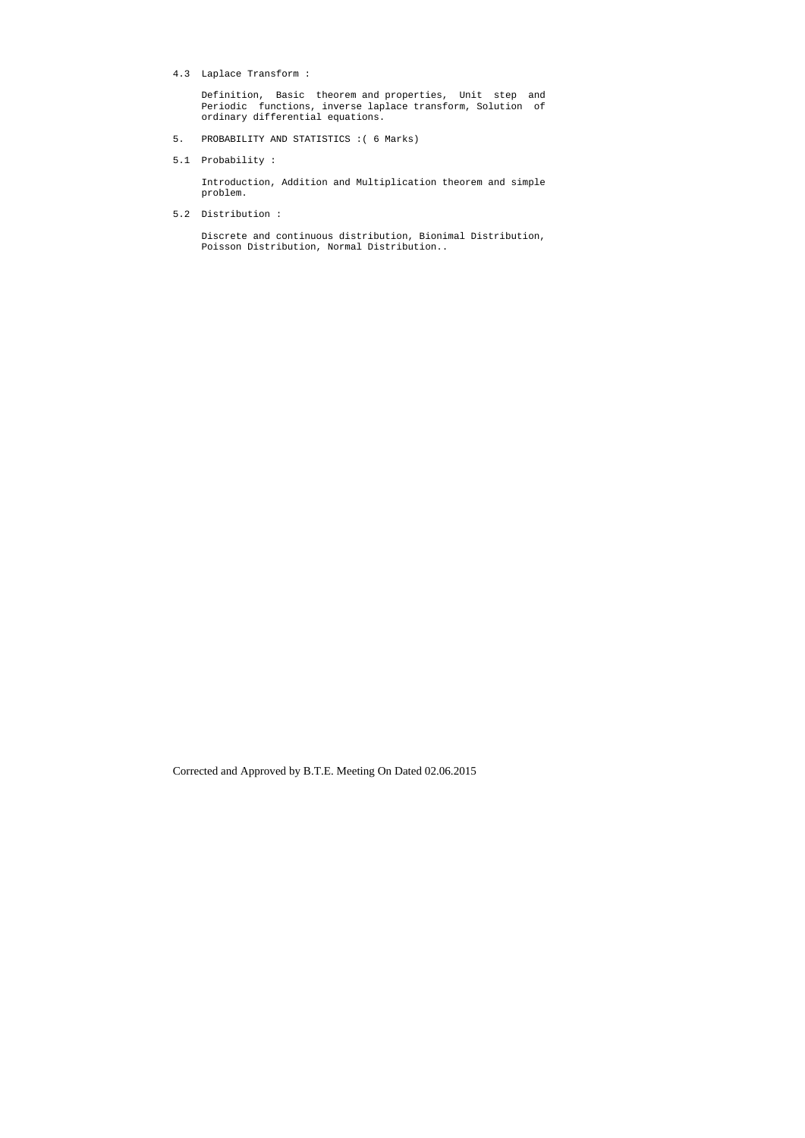4.3 Laplace Transform :

 Definition, Basic theorem and properties, Unit step and Periodic functions, inverse laplace transform, Solution of ordinary differential equations.

- 5. PROBABILITY AND STATISTICS :( 6 Marks)
- 5.1 Probability :

 Introduction, Addition and Multiplication theorem and simple problem.

5.2 Distribution :

 Discrete and continuous distribution, Bionimal Distribution, Poisson Distribution, Normal Distribution..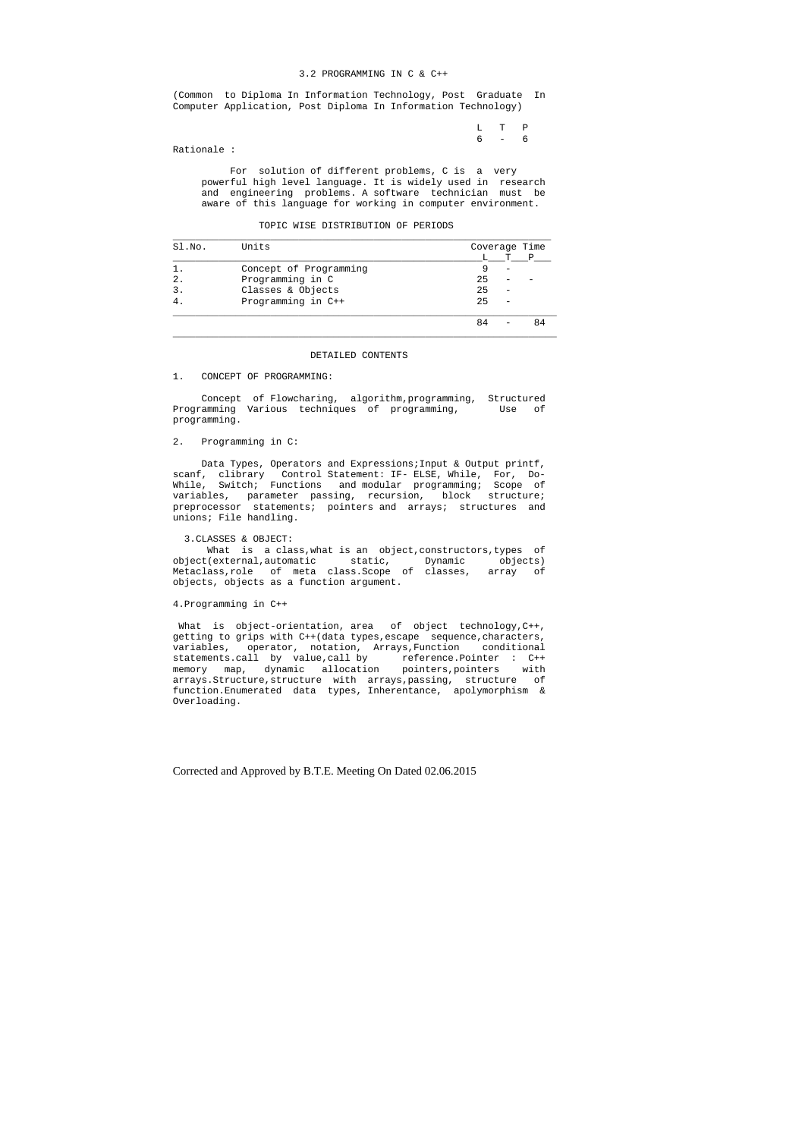### 3.2 PROGRAMMING IN C & C++

 L T P  $6 - 6$ 

(Common to Diploma In Information Technology, Post Graduate In Computer Application, Post Diploma In Information Technology)

Rationale :

 For solution of different problems, C is a very powerful high level language. It is widely used in research and engineering problems. A software technician must be aware of this language for working in computer environment.

| TOPIC WISE DISTRIBUTION OF PERIODS |
|------------------------------------|

| Sl.No.        | Units                  | Coverage Time |   |    |
|---------------|------------------------|---------------|---|----|
|               |                        |               | т | P  |
|               | Concept of Programming |               |   |    |
| $\mathcal{L}$ | Programming in C       | 25            |   |    |
| 3             | Classes & Objects      | 25            |   |    |
|               | Programming in C++     | 25            |   |    |
|               |                        | 84            |   | 84 |

Data Types, Operators and Expressions; Input & Output printf, scanf, clibrary Control Statement: IF- ELSE, While, For, Do-While, Switch; Functions and modular programming; Scope of variables, parameter passing, recursion, block structure; preprocessor statements; pointers and arrays; structures and unions; File handling.

#### DETAILED CONTENTS

# 1. CONCEPT OF PROGRAMMING:

 Concept of Flowcharing, algorithm,programming, Structured Programming Various techniques of programming, Use of programming.

# 2. Programming in C:

## 3.CLASSES & OBJECT:

 What is a class,what is an object,constructors,types of object(external,automatic static, Dynamic objects) Metaclass,role of meta class.Scope of classes, array of objects, objects as a function argument.

## 4.Programming in C++

 What is object-orientation, area of object technology,C++, getting to grips with C++(data types, escape sequence, characters, variables, operator, notation, Arrays,Function conditional statements.call by value,call by reference.Pointer : C++<br>memory map, dynamic allocation pointers,pointers with memory map, dynamic allocation pointers, pointers arrays.Structure,structure with arrays,passing, structure of function.Enumerated data types, Inherentance, apolymorphism & Overloading.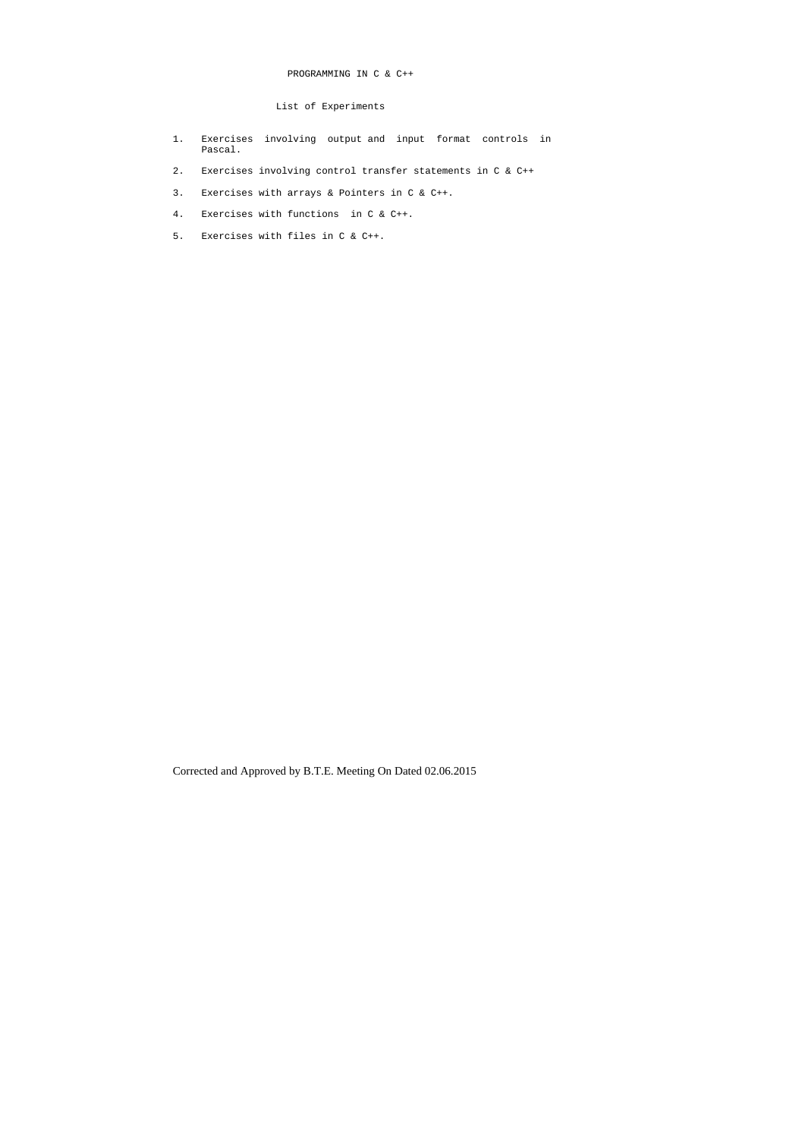# PROGRAMMING IN C & C++

# List of Experiments

- 1. Exercises involving output and input format controls in Pascal.
- 2. Exercises involving control transfer statements in C & C++
- 3. Exercises with arrays & Pointers in C & C++.
- 4. Exercises with functions in C & C++.
- 5. Exercises with files in C & C++.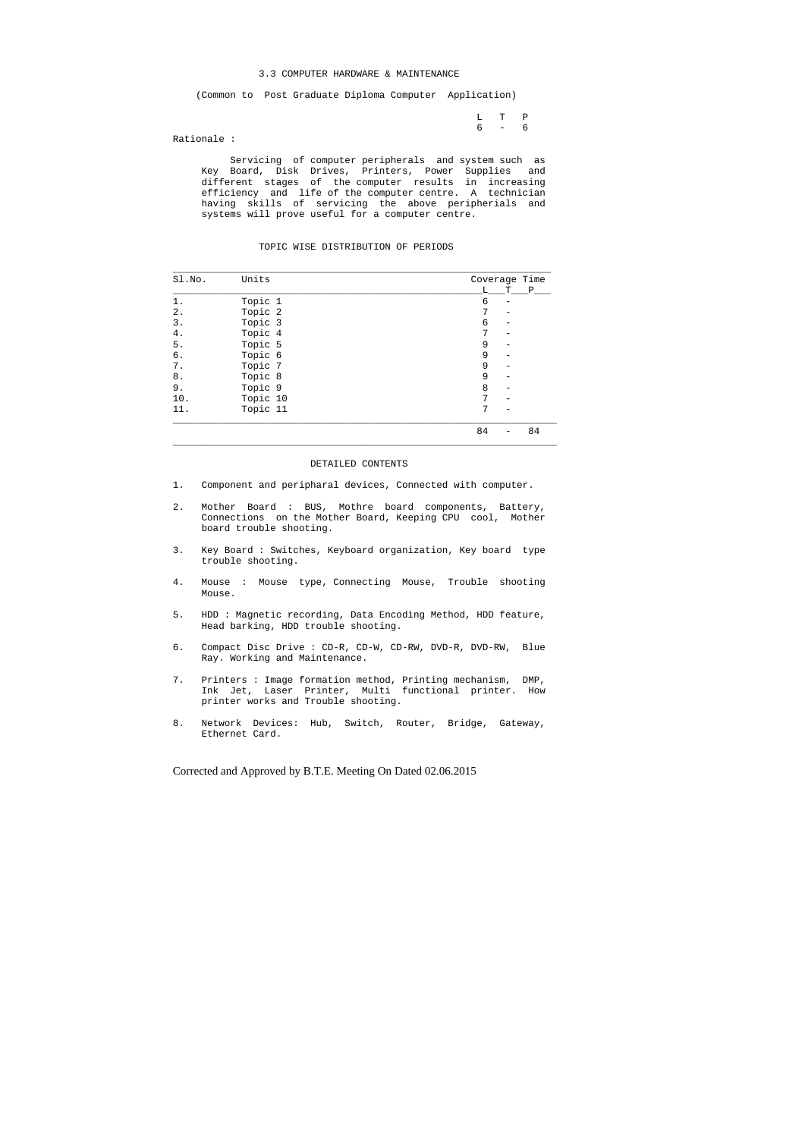### 3.3 COMPUTER HARDWARE & MAINTENANCE

(Common to Post Graduate Diploma Computer Application)

 L T P 6 - 6

Rationale :

 Servicing of computer peripherals and system such as Key Board, Disk Drives, Printers, Power Supplies and different stages of the computer results in increasing efficiency and life of the computer centre. A technician having skills of servicing the above peripherials and systems will prove useful for a computer centre.

### TOPIC WISE DISTRIBUTION OF PERIODS

| Sl.No. | Units    | Coverage Time |   |    |
|--------|----------|---------------|---|----|
|        |          | L             | т | Ρ  |
| 1.     | Topic 1  | 6             |   |    |
| $2$ .  | Topic 2  | 7             |   |    |
| $3$ .  | Topic 3  | 6             |   |    |
| 4.     | Topic 4  | 7             |   |    |
| 5.     | Topic 5  | 9             |   |    |
| б.     | Topic 6  | 9             |   |    |
| 7.     | Topic 7  | 9             |   |    |
| 8.     | Topic 8  | 9             |   |    |
| 9.     | Topic 9  | 8             |   |    |
| 10.    | Topic 10 | 7             |   |    |
| 11.    | Topic 11 | 7             |   |    |
|        |          | 84            |   | 84 |

\_\_\_\_\_\_\_\_\_\_\_\_\_\_\_\_\_\_\_\_\_\_\_\_\_\_\_\_\_\_\_\_\_\_\_\_\_\_\_\_\_\_\_\_\_\_\_\_\_\_\_\_\_\_\_\_\_\_\_\_\_\_\_\_\_\_\_

#### DETAILED CONTENTS

- 1. Component and peripharal devices, Connected with computer.
- 2. Mother Board : BUS, Mothre board components, Battery, Connections on the Mother Board, Keeping CPU cool, Mother board trouble shooting.
- 3. Key Board : Switches, Keyboard organization, Key board type trouble shooting.
- 4. Mouse : Mouse type, Connecting Mouse, Trouble shooting Mouse.
- 5. HDD : Magnetic recording, Data Encoding Method, HDD feature, Head barking, HDD trouble shooting.
- 6. Compact Disc Drive : CD-R, CD-W, CD-RW, DVD-R, DVD-RW, Blue Ray. Working and Maintenance.
- 7. Printers : Image formation method, Printing mechanism, DMP, Ink Jet, Laser Printer, Multi functional printer. How printer works and Trouble shooting.
- 8. Network Devices: Hub, Switch, Router, Bridge, Gateway, Ethernet Card.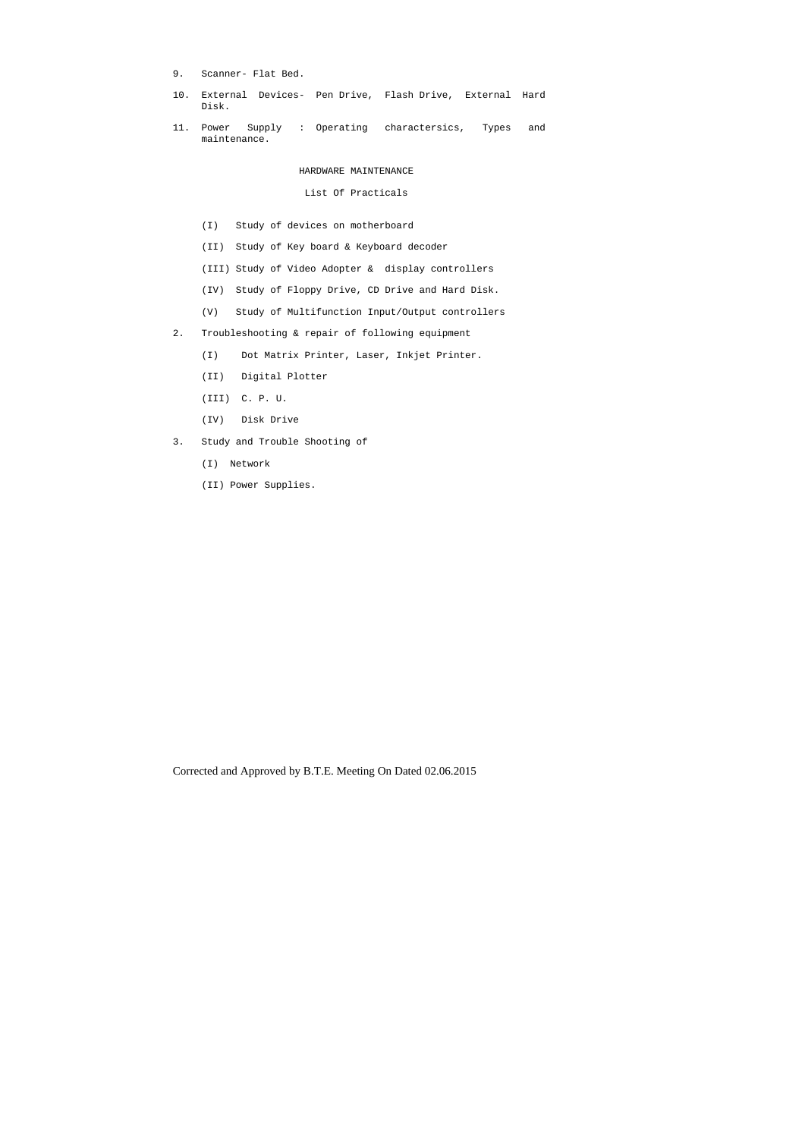- 9. Scanner- Flat Bed.
- 10. External Devices- Pen Drive, Flash Drive, External Hard Disk.
- 11. Power Supply : Operating charactersics, Types and maintenance.

# HARDWARE MAINTENANCE

# List Of Practicals

- (I) Study of devices on motherboard
- (II) Study of Key board & Keyboard decoder
- (III) Study of Video Adopter & display controllers
- (IV) Study of Floppy Drive, CD Drive and Hard Disk.
- (V) Study of Multifunction Input/Output controllers
- 2. Troubleshooting & repair of following equipment
	- (I) Dot Matrix Printer, Laser, Inkjet Printer.
	- (II) Digital Plotter
	- (III) C. P. U.
	- (IV) Disk Drive
- 3. Study and Trouble Shooting of
	- (I) Network
	- (II) Power Supplies.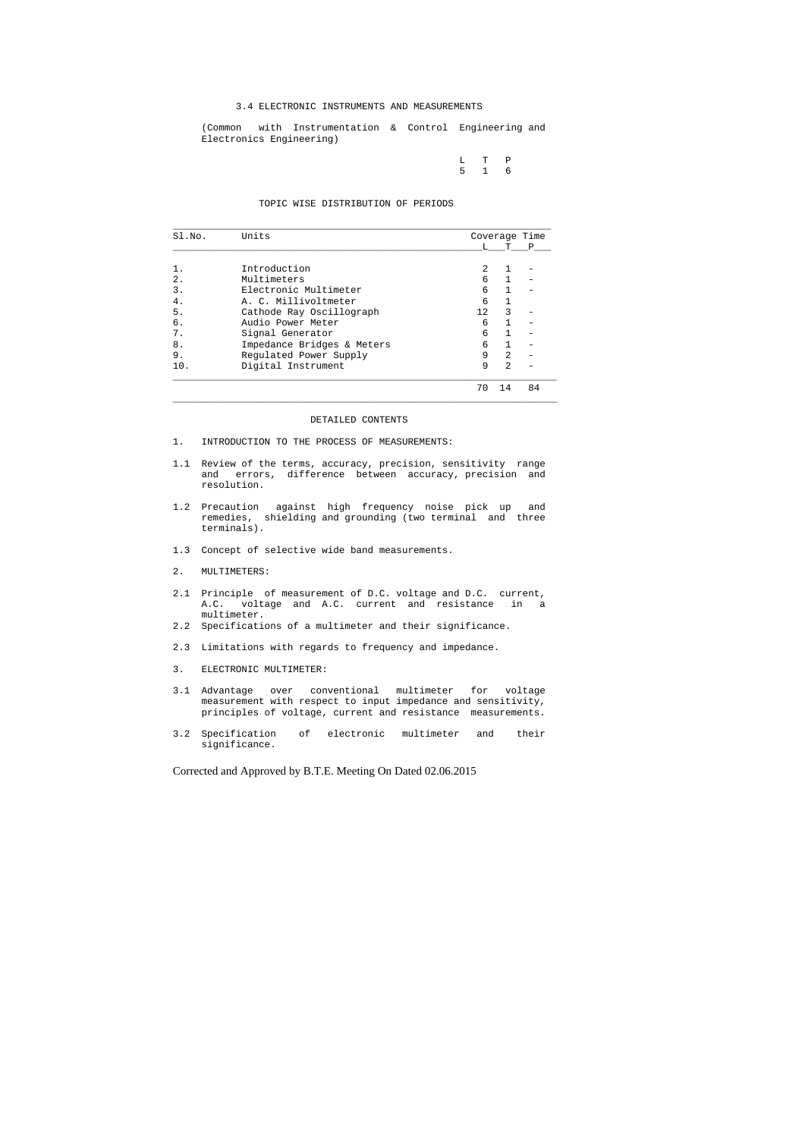## 3.4 ELECTRONIC INSTRUMENTS AND MEASUREMENTS

 (Common with Instrumentation & Control Engineering and Electronics Engineering)

|  | $L$ T P           |  |
|--|-------------------|--|
|  | $5\quad 1\quad 6$ |  |

## TOPIC WISE DISTRIBUTION OF PERIODS

| SI.NO. | Units                      | Coverage Time |                |    |
|--------|----------------------------|---------------|----------------|----|
|        |                            | т.            |                | P  |
|        | Introduction               | $\mathcal{L}$ |                |    |
| $2$ .  | Multimeters                | 6             |                |    |
| 3.     | Electronic Multimeter      | 6             |                |    |
| 4.     | A. C. Millivoltmeter       | 6             |                |    |
| 5.     | Cathode Ray Oscillograph   | 12.           | 3              |    |
| б.     | Audio Power Meter          | 6             |                |    |
| 7.     | Signal Generator           | 6             |                |    |
| 8.     | Impedance Bridges & Meters | 6             |                |    |
| 9.     | Regulated Power Supply     | 9             | $\mathfrak{D}$ |    |
| 10.    | Digital Instrument         | 9             | $\mathfrak{D}$ |    |
|        |                            | 70            | 14             | 84 |

#### DETAILED CONTENTS

 $\_$  ,  $\_$  ,  $\_$  ,  $\_$  ,  $\_$  ,  $\_$  ,  $\_$  ,  $\_$  ,  $\_$  ,  $\_$  ,  $\_$  ,  $\_$  ,  $\_$  ,  $\_$  ,  $\_$  ,  $\_$  ,  $\_$  ,  $\_$  ,  $\_$  ,  $\_$  ,  $\_$  ,  $\_$  ,  $\_$  ,  $\_$  ,  $\_$  ,  $\_$  ,  $\_$  ,  $\_$  ,  $\_$  ,  $\_$  ,  $\_$  ,  $\_$  ,  $\_$  ,  $\_$  ,  $\_$  ,  $\_$  ,  $\_$  ,

- 1. INTRODUCTION TO THE PROCESS OF MEASUREMENTS:
- 1.1 Review of the terms, accuracy, precision, sensitivity range and errors, difference between accuracy, precision and resolution.
- 1.2 Precaution against high frequency noise pick up and remedies, shielding and grounding (two terminal and three terminals).
- 1.3 Concept of selective wide band measurements.
- 2. MULTIMETERS:
- 2.1 Principle of measurement of D.C. voltage and D.C. current, A.C. voltage and A.C. current and resistance in a multimeter.
- 2.2 Specifications of a multimeter and their significance.
- 2.3 Limitations with regards to frequency and impedance.
- 3. ELECTRONIC MULTIMETER:
- 3.1 Advantage over conventional multimeter for voltage measurement with respect to input impedance and sensitivity, principles of voltage, current and resistance measurements.
- 3.2 Specification of electronic multimeter and their significance.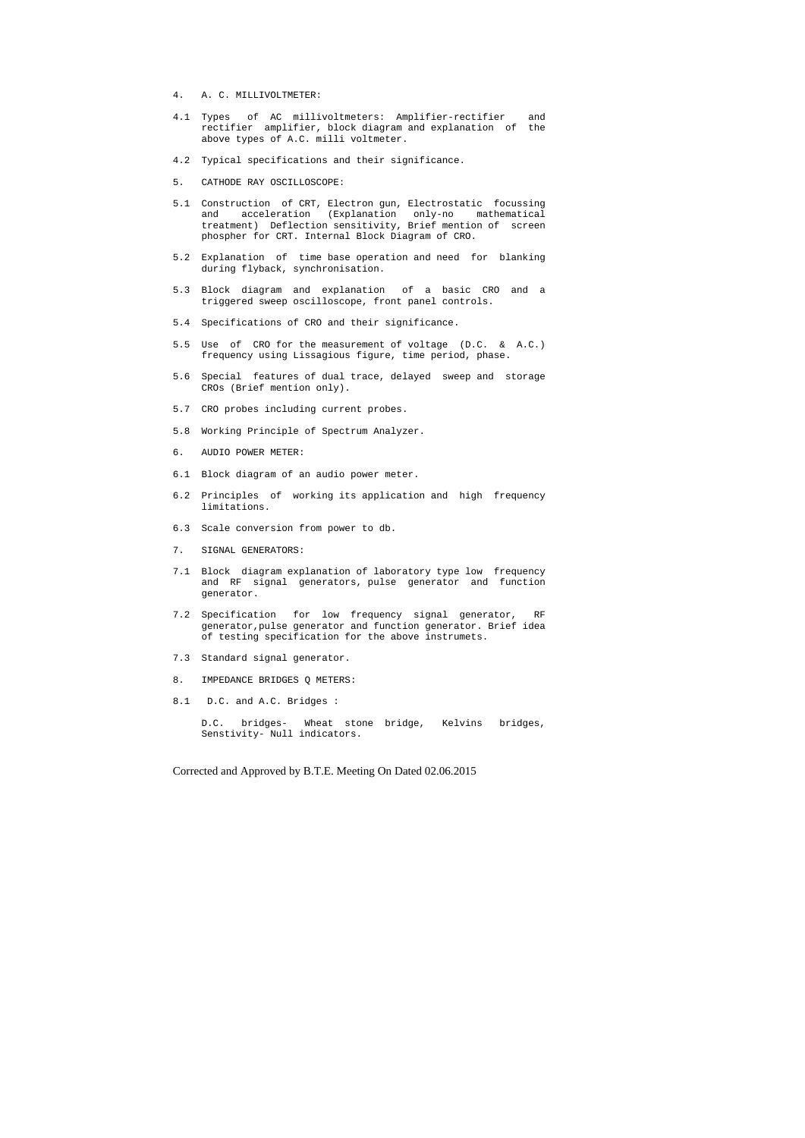- 4. A. C. MILLIVOLTMETER:
- 4.1 Types of AC millivoltmeters: Amplifier-rectifier and rectifier amplifier, block diagram and explanation of the above types of A.C. milli voltmeter.
- 4.2 Typical specifications and their significance.
- 5. CATHODE RAY OSCILLOSCOPE:
- 5.1 Construction of CRT, Electron gun, Electrostatic focussing and acceleration (Explanation only-no mathematical treatment) Deflection sensitivity, Brief mention of screen phospher for CRT. Internal Block Diagram of CRO.
- 5.2 Explanation of time base operation and need for blanking during flyback, synchronisation.
- 5.3 Block diagram and explanation of a basic CRO and a triggered sweep oscilloscope, front panel controls.
- 5.4 Specifications of CRO and their significance.
- 5.5 Use of CRO for the measurement of voltage (D.C. & A.C.) frequency using Lissagious figure, time period, phase.
- 5.6 Special features of dual trace, delayed sweep and storage CROs (Brief mention only).
- 5.7 CRO probes including current probes.
- 5.8 Working Principle of Spectrum Analyzer.
- 6. AUDIO POWER METER:
- 6.1 Block diagram of an audio power meter.
- 6.2 Principles of working its application and high frequency limitations.
- 6.3 Scale conversion from power to db.
- 7. SIGNAL GENERATORS:
- 7.1 Block diagram explanation of laboratory type low frequency and RF signal generators, pulse generator and function generator.
- 7.2 Specification for low frequency signal generator, RF generator,pulse generator and function generator. Brief idea of testing specification for the above instrumets.
- 7.3 Standard signal generator.
- 8. IMPEDANCE BRIDGES Q METERS:
- 8.1 D.C. and A.C. Bridges :

 D.C. bridges- Wheat stone bridge, Kelvins bridges, Senstivity- Null indicators.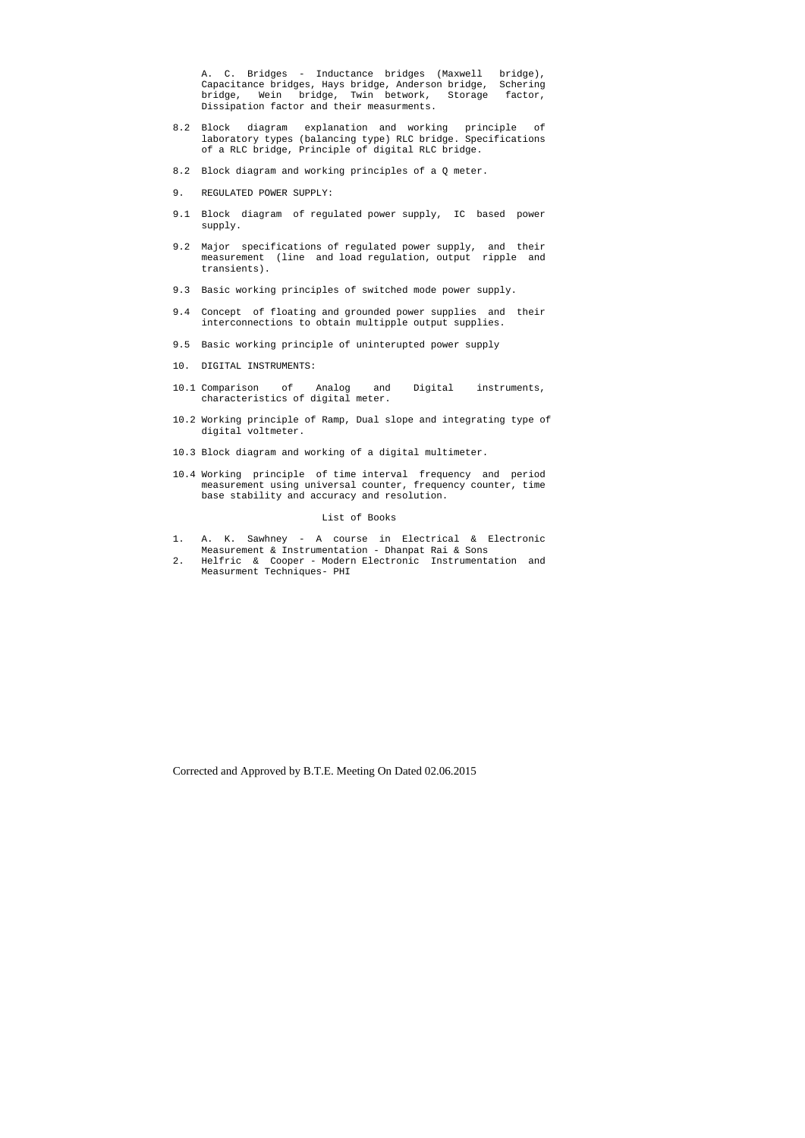A. C. Bridges - Inductance bridges (Maxwell bridge), Capacitance bridges, Hays bridge, Anderson bridge, Schering bridge, Wein bridge, Twin betwork, Storage factor, Dissipation factor and their measurments.

- 8.2 Block diagram explanation and working principle of laboratory types (balancing type) RLC bridge. Specifications of a RLC bridge, Principle of digital RLC bridge.
- 8.2 Block diagram and working principles of a Q meter.
- 9. REGULATED POWER SUPPLY:
- 9.1 Block diagram of regulated power supply, IC based power supply.
- 9.2 Major specifications of regulated power supply, and their measurement (line and load regulation, output ripple and transients).
- 9.3 Basic working principles of switched mode power supply.
- 9.4 Concept of floating and grounded power supplies and their interconnections to obtain multipple output supplies.
- 9.5 Basic working principle of uninterupted power supply
- 10. DIGITAL INSTRUMENTS:
- 10.1 Comparison of Analog and Digital instruments, characteristics of digital meter.
- 10.2 Working principle of Ramp, Dual slope and integrating type of digital voltmeter.
- 10.3 Block diagram and working of a digital multimeter.
- 10.4 Working principle of time interval frequency and period measurement using universal counter, frequency counter, time base stability and accuracy and resolution.

### List of Books

- 1. A. K. Sawhney A course in Electrical & Electronic Measurement & Instrumentation - Dhanpat Rai & Sons
- 2. Helfric & Cooper Modern Electronic Instrumentation and Measurment Techniques- PHI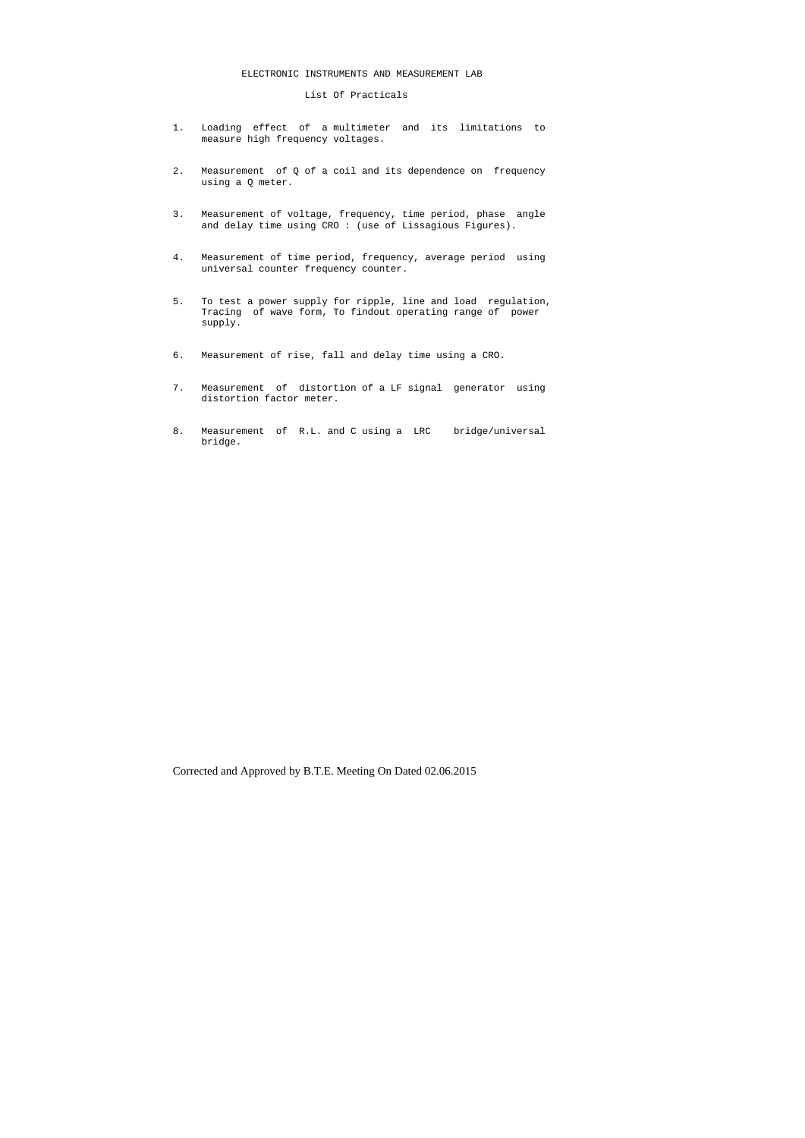# ELECTRONIC INSTRUMENTS AND MEASUREMENT LAB

List Of Practicals

- 1. Loading effect of a multimeter and its limitations to measure high frequency voltages.
- 2. Measurement of Q of a coil and its dependence on frequency using a Q meter.
- 3. Measurement of voltage, frequency, time period, phase angle and delay time using CRO : (use of Lissagious Figures).
- 4. Measurement of time period, frequency, average period using universal counter frequency counter.
- 5. To test a power supply for ripple, line and load regulation, Tracing of wave form, To findout operating range of power supply.
- 6. Measurement of rise, fall and delay time using a CRO.
- 7. Measurement of distortion of a LF signal generator using distortion factor meter.
- 8. Measurement of R.L. and C using a LRC bridge/universal bridge.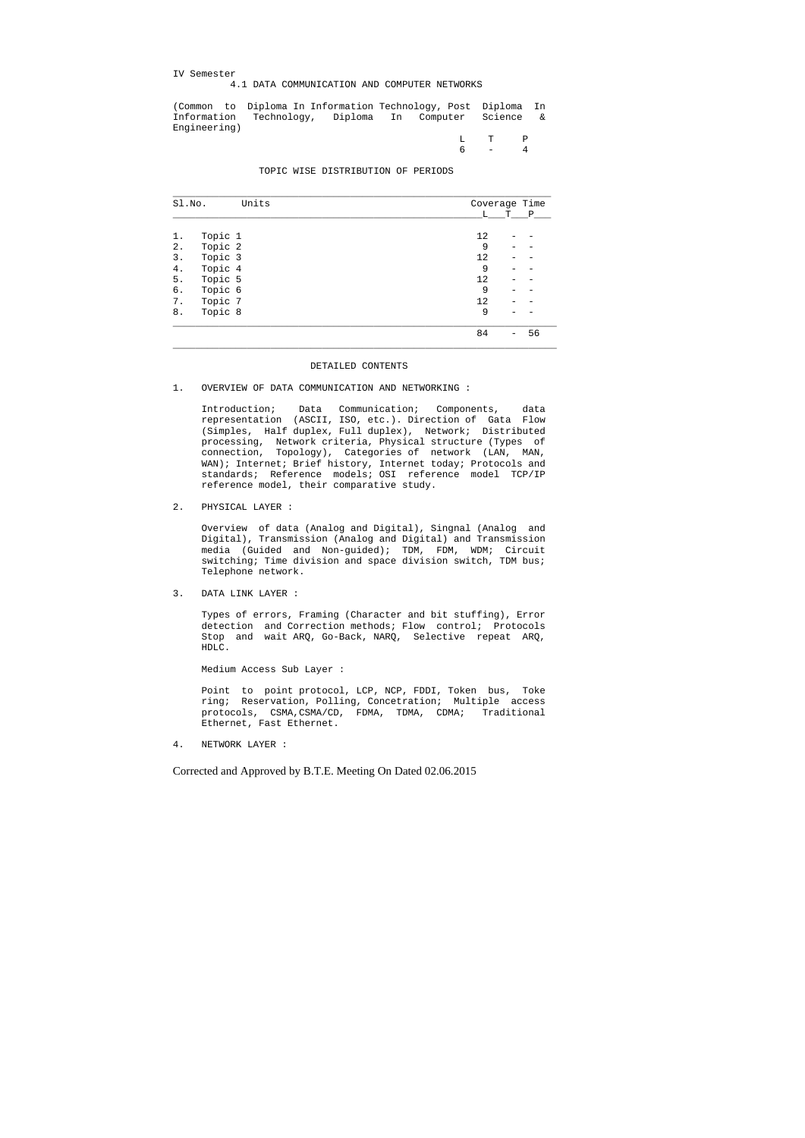IV Semester

# 4.1 DATA COMMUNICATION AND COMPUTER NETWORKS

(Common to Diploma In Information Technology, Post Diploma In Information Technology, Diploma In Computer Science & Engineering)

|  | $L$ T P |
|--|---------|
|  | $6 - 4$ |

TOPIC WISE DISTRIBUTION OF PERIODS

| Units<br>Sl.No.  | Coverage Time |    |
|------------------|---------------|----|
|                  | L<br>Т        | Ρ  |
|                  |               |    |
| Topic 1<br>ı.    | 12            |    |
| Topic 2<br>2.    | 9             |    |
| Topic 3<br>3.    | 12            |    |
| Topic 4<br>4.    | 9             |    |
| Topic 5<br>$5$ . | 12            |    |
| Topic 6<br>б.    | 9             |    |
| Topic 7<br>$7$ . | 12            |    |
| Topic 8<br>8.    | 9             |    |
|                  | 84            | 56 |

#### DETAILED CONTENTS

## 1. OVERVIEW OF DATA COMMUNICATION AND NETWORKING :

 Introduction; Data Communication; Components, data representation (ASCII, ISO, etc.). Direction of Gata Flow (Simples, Half duplex, Full duplex), Network; Distributed processing, Network criteria, Physical structure (Types of connection, Topology), Categories of network (LAN, MAN, WAN); Internet; Brief history, Internet today; Protocols and standards; Reference models; OSI reference model TCP/IP reference model, their comparative study.

2. PHYSICAL LAYER :

 Overview of data (Analog and Digital), Singnal (Analog and Digital), Transmission (Analog and Digital) and Transmission media (Guided and Non-guided); TDM, FDM, WDM; Circuit switching; Time division and space division switch, TDM bus; Telephone network.

3. DATA LINK LAYER :

 Types of errors, Framing (Character and bit stuffing), Error detection and Correction methods; Flow control; Protocols Stop and wait ARQ, Go-Back, NARQ, Selective repeat ARQ, HDLC.

Medium Access Sub Layer :

 Point to point protocol, LCP, NCP, FDDI, Token bus, Toke ring; Reservation, Polling, Concetration; Multiple access protocols, CSMA,CSMA/CD, FDMA, TDMA, CDMA; Traditional Ethernet, Fast Ethernet.

4. NETWORK LAYER :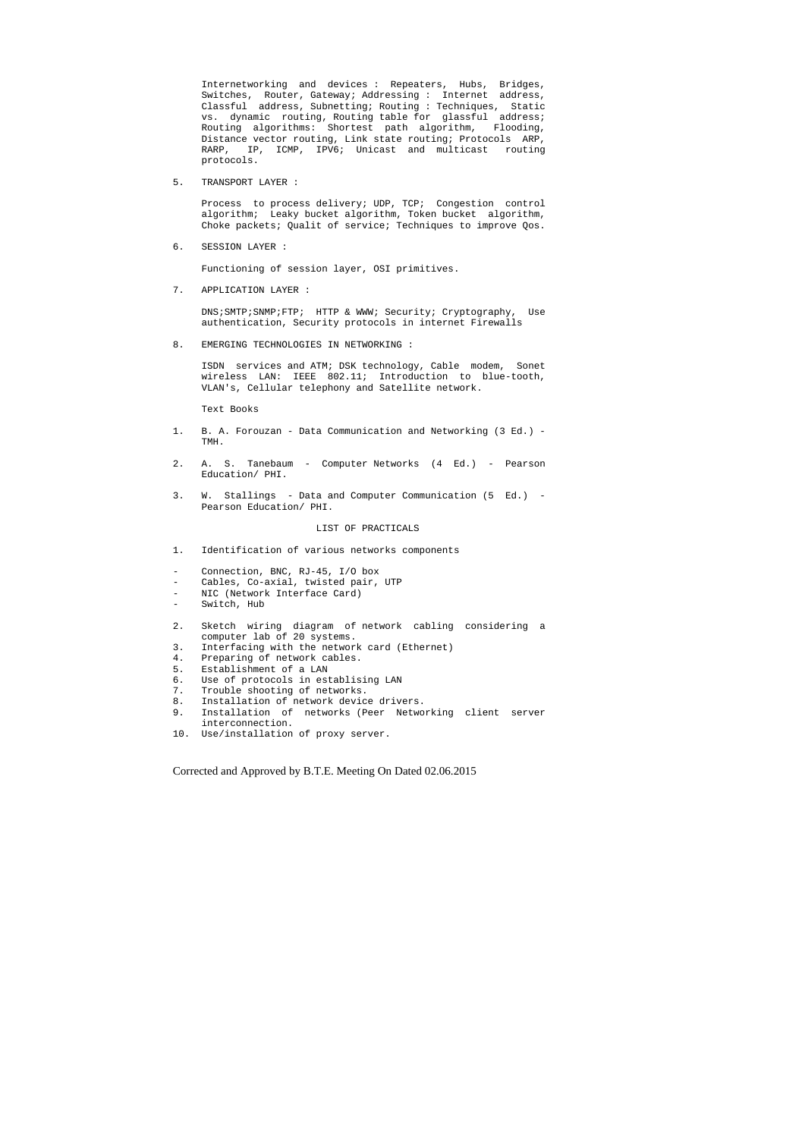Internetworking and devices : Repeaters, Hubs, Bridges, Switches, Router, Gateway; Addressing : Internet address, Classful address, Subnetting; Routing : Techniques, Static vs. dynamic routing, Routing table for glassful address; Routing algorithms: Shortest path algorithm, Flooding, Distance vector routing, Link state routing; Protocols ARP, RARP, IP, ICMP, IPV6; Unicast and multicast routing protocols.

5. TRANSPORT LAYER :

 Process to process delivery; UDP, TCP; Congestion control algorithm; Leaky bucket algorithm, Token bucket algorithm, Choke packets; Qualit of service; Techniques to improve Qos.

6. SESSION LAYER :

Functioning of session layer, OSI primitives.

7. APPLICATION LAYER :

 DNS;SMTP;SNMP;FTP; HTTP & WWW; Security; Cryptography, Use authentication, Security protocols in internet Firewalls

8. EMERGING TECHNOLOGIES IN NETWORKING :

 ISDN services and ATM; DSK technology, Cable modem, Sonet wireless LAN: IEEE 802.11; Introduction to blue-tooth, VLAN's, Cellular telephony and Satellite network.

Text Books

- 1. B. A. Forouzan Data Communication and Networking (3 Ed.) TMH.
- 2. A. S. Tanebaum Computer Networks (4 Ed.) Pearson Education/ PHI.
- 3. W. Stallings Data and Computer Communication (5 Ed.) Pearson Education/ PHI.

#### LIST OF PRACTICALS

- 1. Identification of various networks components
- Connection, BNC, RJ-45, I/O box
- Cables, Co-axial, twisted pair, UTP
- NIC (Network Interface Card)
- Switch, Hub
- 2. Sketch wiring diagram of network cabling considering a computer lab of 20 systems.
- 3. Interfacing with the network card (Ethernet)
- 4. Preparing of network cables.
- 5. Establishment of a LAN
- 6. Use of protocols in establising LAN
- 7. Trouble shooting of networks.
- 8. Installation of network device drivers.
- 9. Installation of networks (Peer Networking client server interconnection.
- 10. Use/installation of proxy server.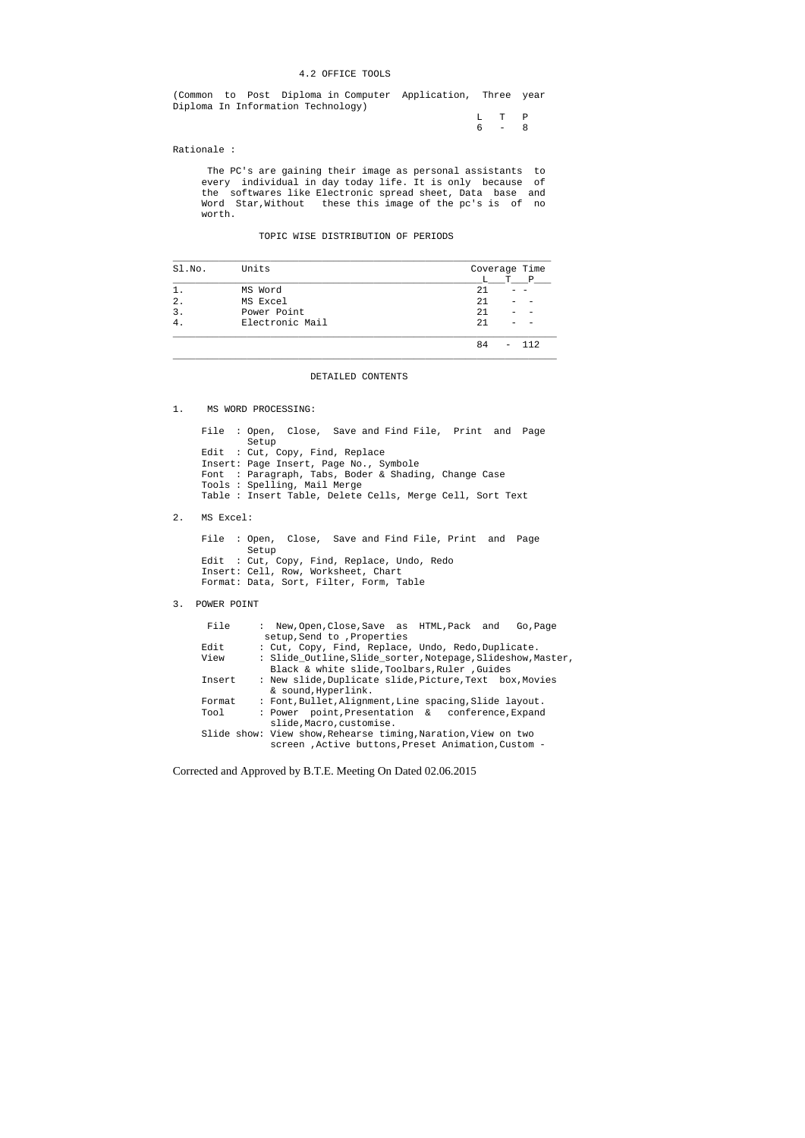### 4.2 OFFICE TOOLS

(Common to Post Diploma in Computer Application, Three year Diploma In Information Technology)

> L T P 6 - 8

Rationale :

 The PC's are gaining their image as personal assistants to every individual in day today life. It is only because of the softwares like Electronic spread sheet, Data base and Word Star,Without these this image of the pc's is of no worth.

# TOPIC WISE DISTRIBUTION OF PERIODS

| Sl.No.           | Units           | Coverage Time |
|------------------|-----------------|---------------|
|                  |                 | T P<br>L.     |
|                  | MS Word         | 21            |
| $\overline{2}$ . | MS Excel        | 21            |
| $\mathbf{3}$ .   | Power Point     | 21            |
|                  | Electronic Mail | 21            |
|                  |                 | QД            |

## DETAILED CONTENTS

 $\_$  ,  $\_$  ,  $\_$  ,  $\_$  ,  $\_$  ,  $\_$  ,  $\_$  ,  $\_$  ,  $\_$  ,  $\_$  ,  $\_$  ,  $\_$  ,  $\_$  ,  $\_$  ,  $\_$  ,  $\_$  ,  $\_$  ,  $\_$  ,  $\_$  ,  $\_$  ,  $\_$  ,  $\_$  ,  $\_$  ,  $\_$  ,  $\_$  ,  $\_$  ,  $\_$  ,  $\_$  ,  $\_$  ,  $\_$  ,  $\_$  ,  $\_$  ,  $\_$  ,  $\_$  ,  $\_$  ,  $\_$  ,  $\_$  ,

1. MS WORD PROCESSING:

 File : Open, Close, Save and Find File, Print and Page Setup Edit : Cut, Copy, Find, Replace Insert: Page Insert, Page No., Symbole Font : Paragraph, Tabs, Boder & Shading, Change Case Tools : Spelling, Mail Merge Table : Insert Table, Delete Cells, Merge Cell, Sort Text

2. MS Excel:

 File : Open, Close, Save and Find File, Print and Page Setup Edit : Cut, Copy, Find, Replace, Undo, Redo Insert: Cell, Row, Worksheet, Chart Format: Data, Sort, Filter, Form, Table

3. POWER POINT

| File   | : New,Open,Close,Save as HTML,Pack and<br>Go, Page            |
|--------|---------------------------------------------------------------|
|        | setup, Send to, Properties                                    |
| Edit   | : Cut, Copy, Find, Replace, Undo, Redo, Duplicate.            |
| View   | : Slide_Outline, Slide_sorter, Notepage, Slideshow, Master,   |
|        | Black & white slide, Toolbars, Ruler, Guides                  |
| Insert | : New slide, Duplicate slide, Picture, Text box, Movies       |
|        | & sound, Hyperlink.                                           |
| Format | : Font, Bullet, Alignment, Line spacing, Slide layout.        |
| Tool   | : Power point, Presentation & conference, Expand              |
|        | slide, Macro, customise.                                      |
|        | Slide show: View show, Rehearse timing, Naration, View on two |
|        | screen , Active buttons, Preset Animation, Custom -           |
|        |                                                               |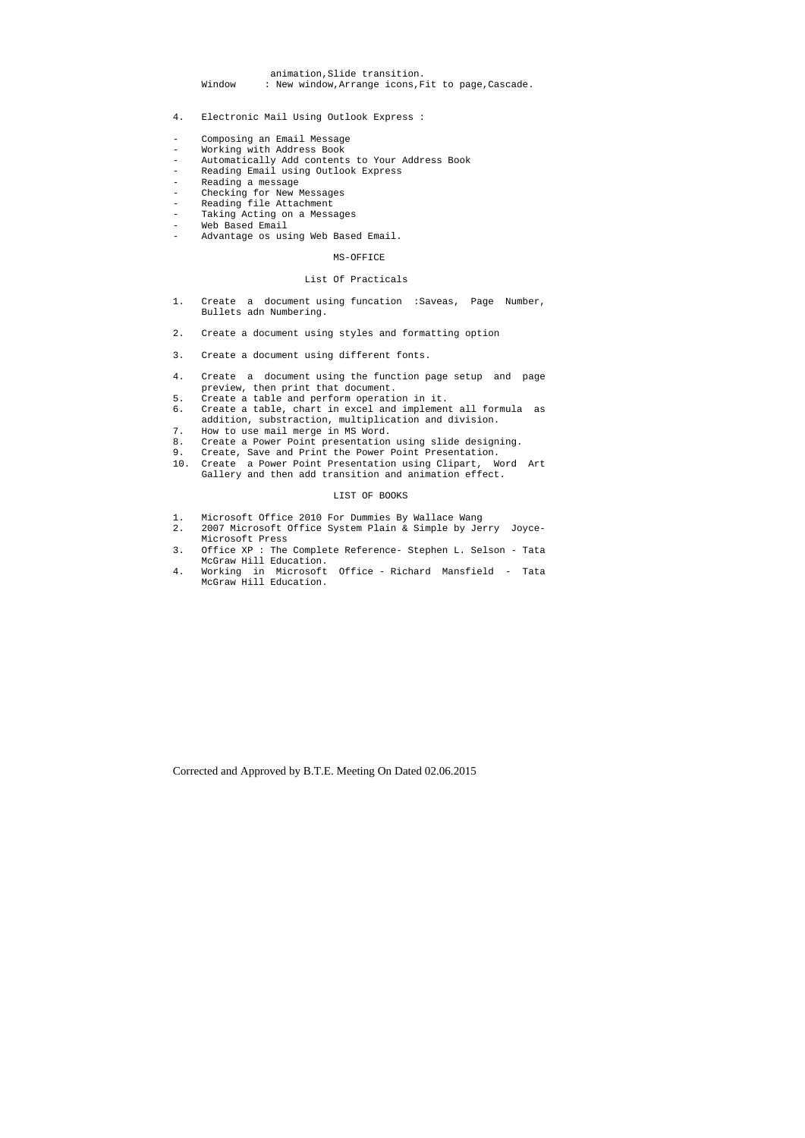- 4. Electronic Mail Using Outlook Express :
- Composing an Email Message
- Working with Address Book
- Automatically Add contents to Your Address Book
- Reading Email using Outlook Express<br>- Reading a message
- Reading a message
- Checking for New Messages
- Reading file Attachment
- Taking Acting on a Messages
- Web Based Email
- Advantage os using Web Based Email.

 animation,Slide transition. Window : New window,Arrange icons,Fit to page,Cascade.

#### MS-OFFICE

# List Of Practicals

- 1. Create a document using funcation :Saveas, Page Number, Bullets adn Numbering.
- 2. Create a document using styles and formatting option
- 3. Create a document using different fonts.
- 4. Create a document using the function page setup and page preview, then print that document.
- 5. Create a table and perform operation in it.
- 6. Create a table, chart in excel and implement all formula as addition, substraction, multiplication and division.
- 7. How to use mail merge in MS Word.
- 8. Create a Power Point presentation using slide designing.
- 9. Create, Save and Print the Power Point Presentation.
- 10. Create a Power Point Presentation using Clipart, Word Art Gallery and then add transition and animation effect.

#### LIST OF BOOKS

- 1. Microsoft Office 2010 For Dummies By Wallace Wang
- 2. 2007 Microsoft Office System Plain & Simple by Jerry Joyce- Microsoft Press
- 3. Office XP : The Complete Reference- Stephen L. Selson Tata McGraw Hill Education.
- 4. Working in Microsoft Office Richard Mansfield Tata McGraw Hill Education.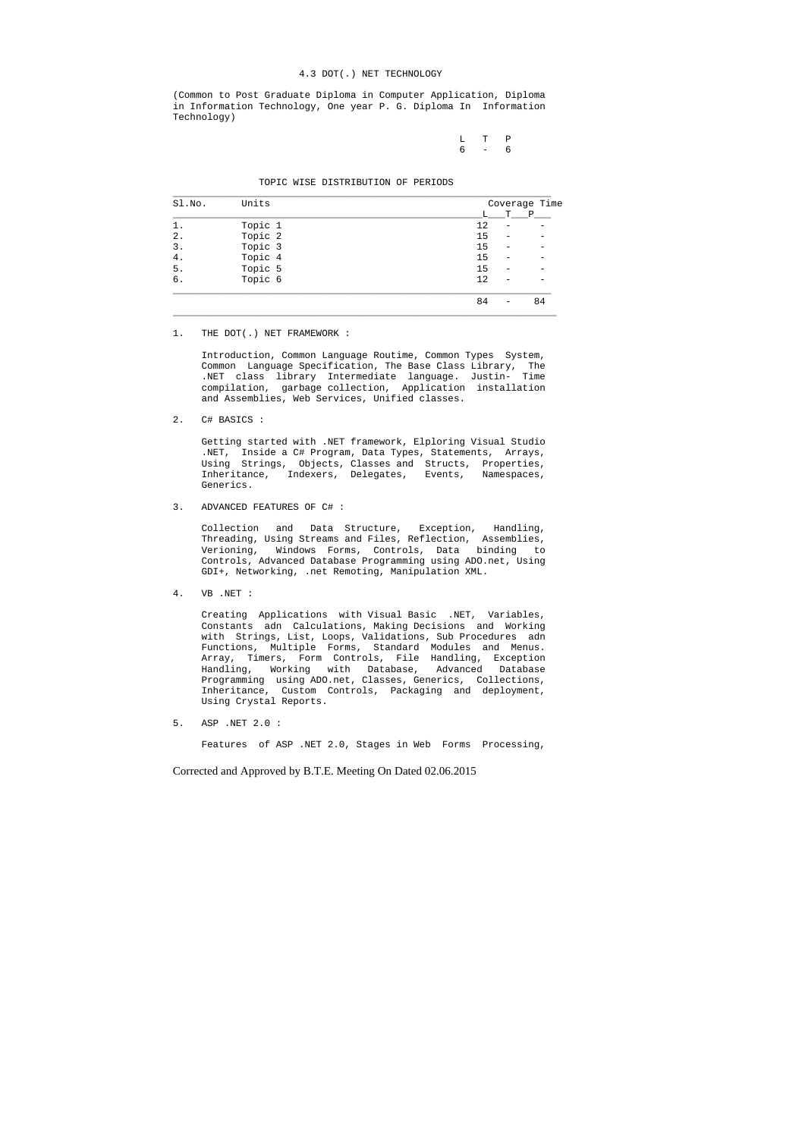#### 4.3 DOT(.) NET TECHNOLOGY

(Common to Post Graduate Diploma in Computer Application, Diploma in Information Technology, One year P. G. Diploma In Information Technology)

|  | $L$ T P |  |
|--|---------|--|
|  | 6 – 6   |  |

#### TOPIC WISE DISTRIBUTION OF PERIODS

| Sl.No. | Units   |    | Coverage Time |              |  |  |
|--------|---------|----|---------------|--------------|--|--|
|        |         |    | т             | $\mathbf{P}$ |  |  |
|        | Topic 1 | 12 |               |              |  |  |
| 2.     | Topic 2 | 15 |               |              |  |  |
| 3.     | Topic 3 | 15 |               |              |  |  |
| 4.     | Topic 4 | 15 |               |              |  |  |
| 5.     | Topic 5 | 15 |               |              |  |  |
| б.     | Topic 6 | 12 |               |              |  |  |
|        |         | 84 |               | 84           |  |  |

1. THE DOT(.) NET FRAMEWORK :

 Introduction, Common Language Routime, Common Types System, Common Language Specification, The Base Class Library, The .NET class library Intermediate language. Justin- Time compilation, garbage collection, Application installation and Assemblies, Web Services, Unified classes.

2. C# BASICS :

 Getting started with .NET framework, Elploring Visual Studio .NET, Inside a C# Program, Data Types, Statements, Arrays, Using Strings, Objects, Classes and Structs, Properties, Inheritance, Indexers, Delegates, Events, Namespaces, Generics.

3. ADVANCED FEATURES OF C# :

 Collection and Data Structure, Exception, Handling, Threading, Using Streams and Files, Reflection, Assemblies, Verioning, Windows Forms, Controls, Data binding to Controls, Advanced Database Programming using ADO.net, Using GDI+, Networking, .net Remoting, Manipulation XML.

4. VB .NET :

 Creating Applications with Visual Basic .NET, Variables, Constants adn Calculations, Making Decisions and Working with Strings, List, Loops, Validations, Sub Procedures adn Functions, Multiple Forms, Standard Modules and Menus. Array, Timers, Form Controls, File Handling, Exception Handling, Working with Database, Advanced Database Programming using ADO.net, Classes, Generics, Collections, Inheritance, Custom Controls, Packaging and deployment, Using Crystal Reports.

5. ASP .NET 2.0 :

Features of ASP .NET 2.0, Stages in Web Forms Processing,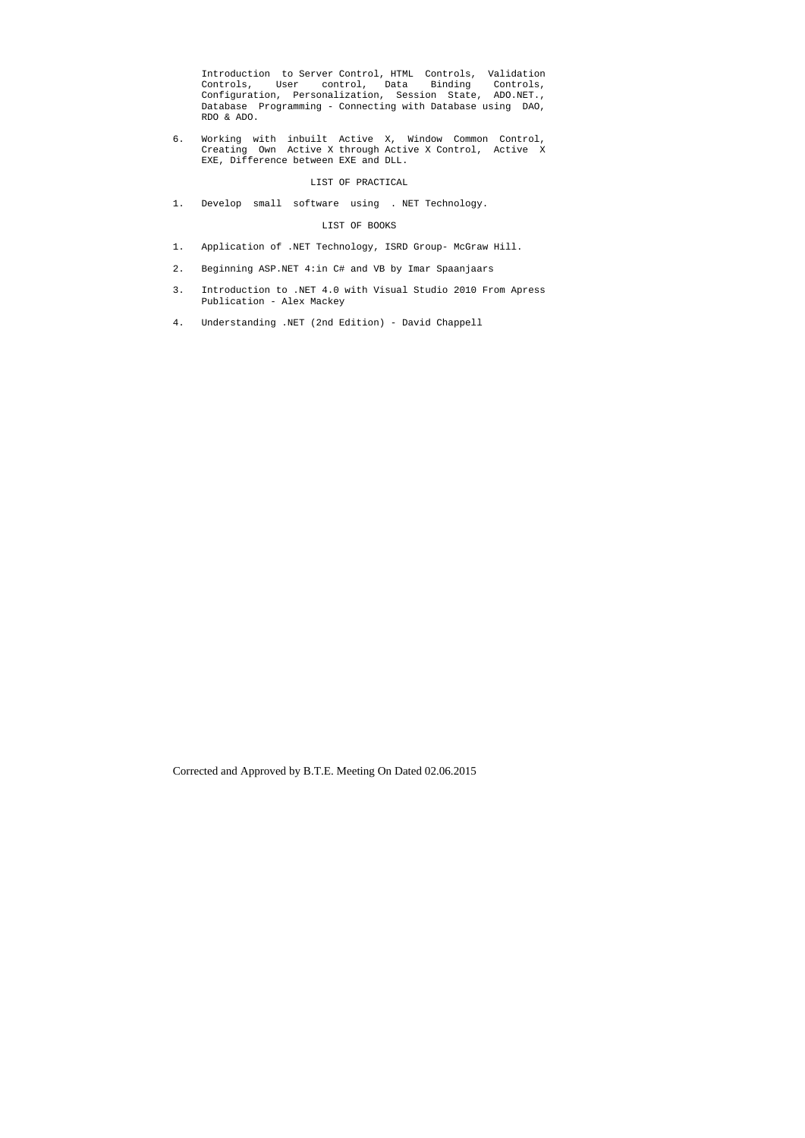Introduction to Server Control, HTML Controls, Validation Controls, User control, Data Binding Controls, Configuration, Personalization, Session State, ADO.NET., Database Programming - Connecting with Database using DAO, RDO & ADO.

6. Working with inbuilt Active X, Window Common Control, Creating Own Active X through Active X Control, Active X EXE, Difference between EXE and DLL.

## LIST OF PRACTICAL

1. Develop small software using . NET Technology.

## LIST OF BOOKS

- 1. Application of .NET Technology, ISRD Group- McGraw Hill.
- 2. Beginning ASP.NET 4:in C# and VB by Imar Spaanjaars
- 3. Introduction to .NET 4.0 with Visual Studio 2010 From Apress Publication - Alex Mackey
- 4. Understanding .NET (2nd Edition) David Chappell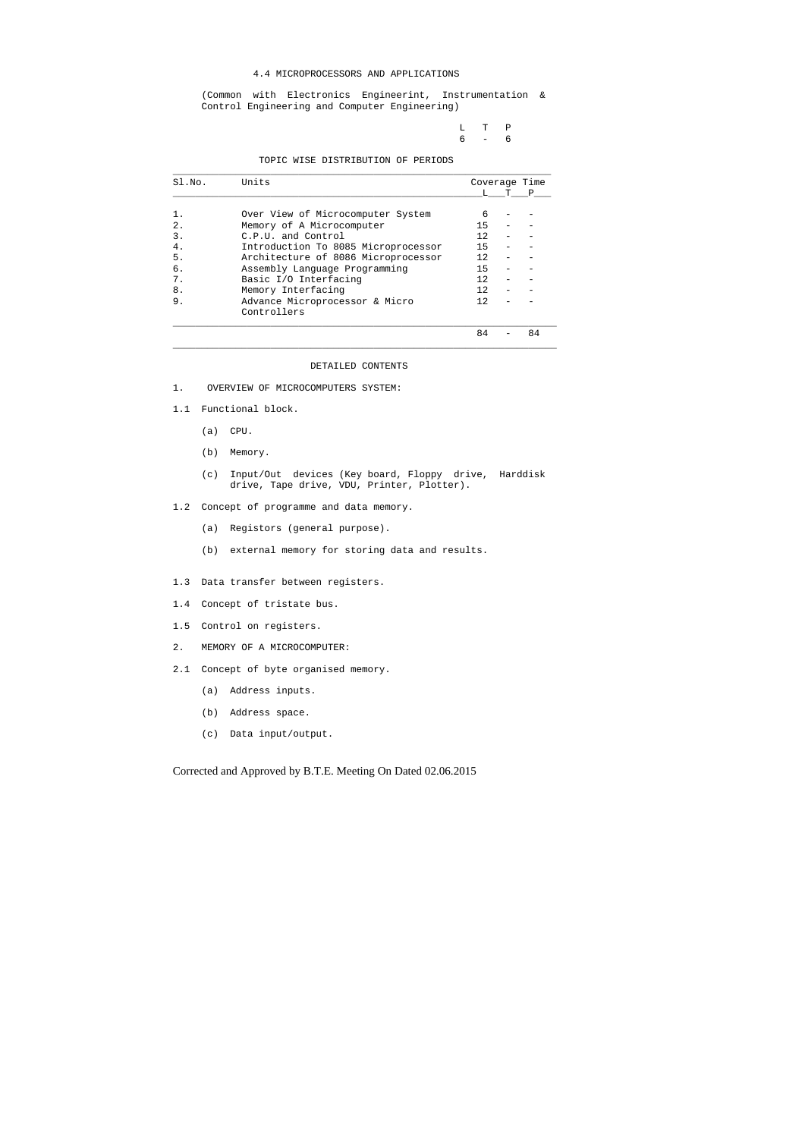## 4.4 MICROPROCESSORS AND APPLICATIONS

 (Common with Electronics Engineerint, Instrumentation & Control Engineering and Computer Engineering)

> L T P 6 - 6

TOPIC WISE DISTRIBUTION OF PERIODS

| Sl.No. | Units                               |     | Coverage Time |
|--------|-------------------------------------|-----|---------------|
|        |                                     |     |               |
|        | Over View of Microcomputer System   | 6   |               |
| 2.     | Memory of A Microcomputer           | 15  |               |
| 3.     | C.P.U. and Control                  | 12. |               |
| 4.     | Introduction To 8085 Microprocessor | 15  |               |
| 5.     | Architecture of 8086 Microprocessor | 12. |               |
| б.     | Assembly Language Programming       | 15  |               |
| 7.     | Basic I/O Interfacing               | 12  |               |
| 8.     | Memory Interfacing                  | 12. |               |
| 9.     | Advance Microprocessor & Micro      | 12. |               |
|        | Controllers                         |     |               |
|        |                                     | 84  | 84            |

\_\_\_\_\_\_\_\_\_\_\_\_\_\_\_\_\_\_\_\_\_\_\_\_\_\_\_\_\_\_\_\_\_\_\_\_\_\_\_\_\_\_\_\_\_\_\_\_\_\_\_\_\_\_\_\_\_\_\_\_\_\_\_\_\_\_\_

## DETAILED CONTENTS

1. OVERVIEW OF MICROCOMPUTERS SYSTEM:

- 1.1 Functional block.
	- (a) CPU.
	- (b) Memory.
	- (c) Input/Out devices (Key board, Floppy drive, Harddisk drive, Tape drive, VDU, Printer, Plotter).
- 1.2 Concept of programme and data memory.
	- (a) Registors (general purpose).
	- (b) external memory for storing data and results.
- 1.3 Data transfer between registers.
- 1.4 Concept of tristate bus.
- 1.5 Control on registers.
- 2. MEMORY OF A MICROCOMPUTER:
- 2.1 Concept of byte organised memory.
	- (a) Address inputs.
	- (b) Address space.
	- (c) Data input/output.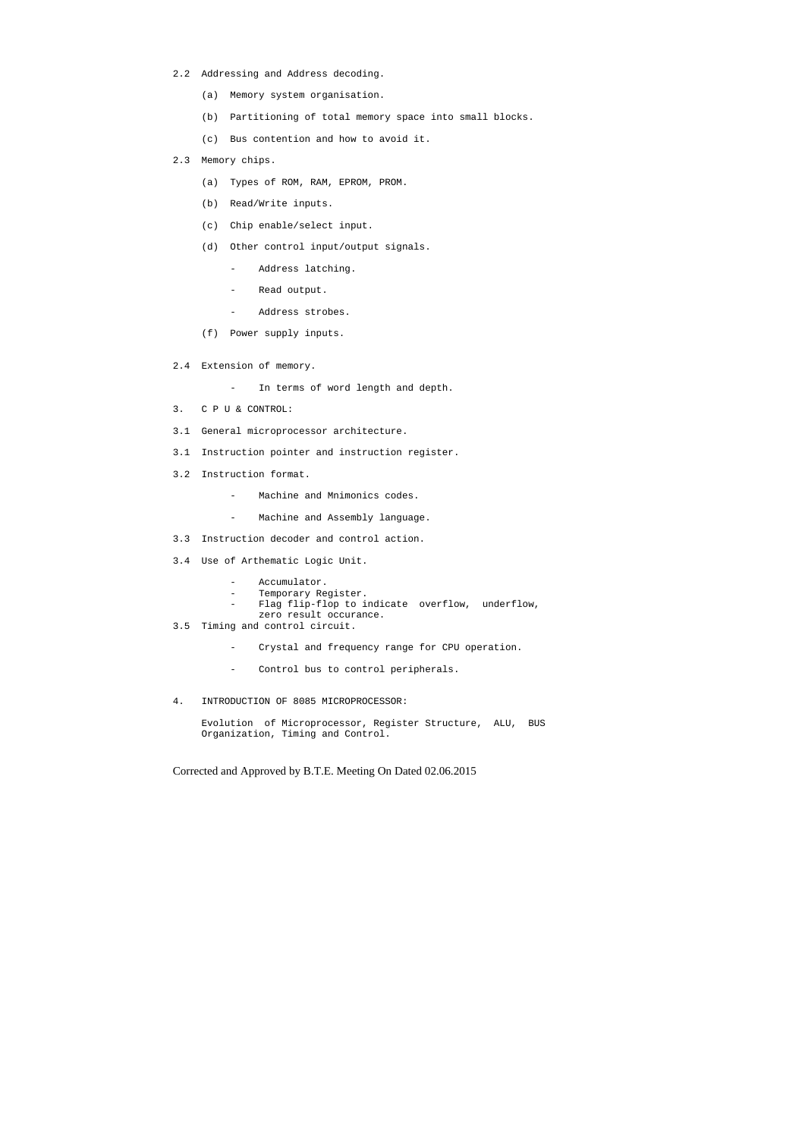- 2.2 Addressing and Address decoding.
	- (a) Memory system organisation.
	- (b) Partitioning of total memory space into small blocks.
	- (c) Bus contention and how to avoid it.
- 2.3 Memory chips.
	- (a) Types of ROM, RAM, EPROM, PROM.
	- (b) Read/Write inputs.
	- (c) Chip enable/select input.
	- (d) Other control input/output signals.
		- Address latching.
		- Read output.
		- Address strobes.
	- (f) Power supply inputs.
- 2.4 Extension of memory.
	- In terms of word length and depth.
- 3. C P U & CONTROL:
- 3.1 General microprocessor architecture.
- 3.1 Instruction pointer and instruction register.
- 3.2 Instruction format.
	- Machine and Mnimonics codes.
	- Machine and Assembly language.
- 3.3 Instruction decoder and control action.
- 3.4 Use of Arthematic Logic Unit.
	- Accumulator.
	- Temporary Register.
	- Flag flip-flop to indicate overflow, underflow,
	- zero result occurance.
- 3.5 Timing and control circuit.
	- Crystal and frequency range for CPU operation.
	- Control bus to control peripherals.
- 4. INTRODUCTION OF 8085 MICROPROCESSOR:

 Evolution of Microprocessor, Register Structure, ALU, BUS Organization, Timing and Control.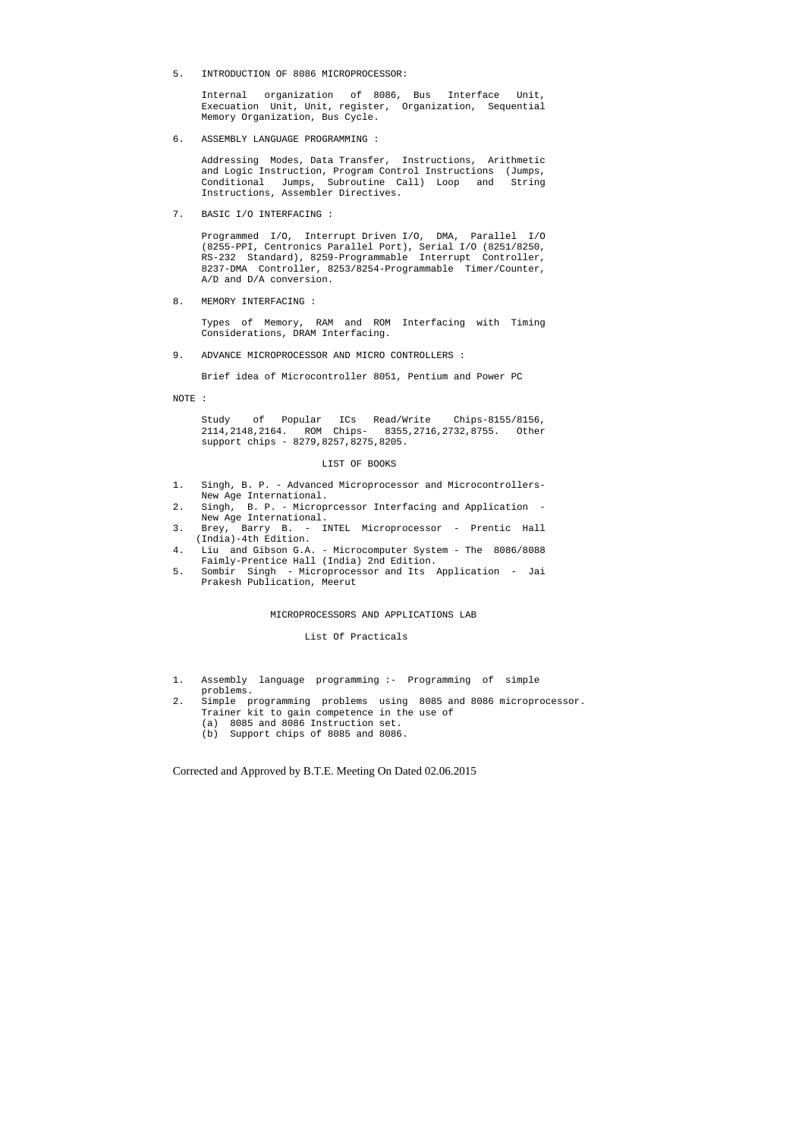5. INTRODUCTION OF 8086 MICROPROCESSOR:

 Internal organization of 8086, Bus Interface Unit, Execuation Unit, Unit, register, Organization, Sequential Memory Organization, Bus Cycle.

6. ASSEMBLY LANGUAGE PROGRAMMING :

 Addressing Modes, Data Transfer, Instructions, Arithmetic and Logic Instruction, Program Control Instructions (Jumps, Conditional Jumps, Subroutine Call) Loop and String Instructions, Assembler Directives.

7. BASIC I/O INTERFACING :

 Programmed I/O, Interrupt Driven I/O, DMA, Parallel I/O (8255-PPI, Centronics Parallel Port), Serial I/O (8251/8250, RS-232 Standard), 8259-Programmable Interrupt Controller, 8237-DMA Controller, 8253/8254-Programmable Timer/Counter, A/D and D/A conversion.

8. MEMORY INTERFACING :

 Types of Memory, RAM and ROM Interfacing with Timing Considerations, DRAM Interfacing.

9. ADVANCE MICROPROCESSOR AND MICRO CONTROLLERS :

Brief idea of Microcontroller 8051, Pentium and Power PC

NOTE :

 Study of Popular ICs Read/Write Chips-8155/8156, 2114,2148,2164. ROM Chips- 8355,2716,2732,8755. Other support chips - 8279,8257,8275,8205.

#### LIST OF BOOKS

- 1. Singh, B. P. Advanced Microprocessor and Microcontrollers- New Age International.
- 2. Singh, B. P. Microprcessor Interfacing and Application New Age International.
- 3. Brey, Barry B. INTEL Microprocessor Prentic Hall (India)-4th Edition.
- 4. Liu and Gibson G.A. Microcomputer System The 8086/8088 Faimly-Prentice Hall (India) 2nd Edition.
- 5. Sombir Singh Microprocessor and Its Application Jai Prakesh Publication, Meerut

#### MICROPROCESSORS AND APPLICATIONS LAB

#### List Of Practicals

- 1. Assembly language programming :- Programming of simple problems.
- 2. Simple programming problems using 8085 and 8086 microprocessor. Trainer kit to gain competence in the use of
	- (a) 8085 and 8086 Instruction set.
	- (b) Support chips of 8085 and 8086.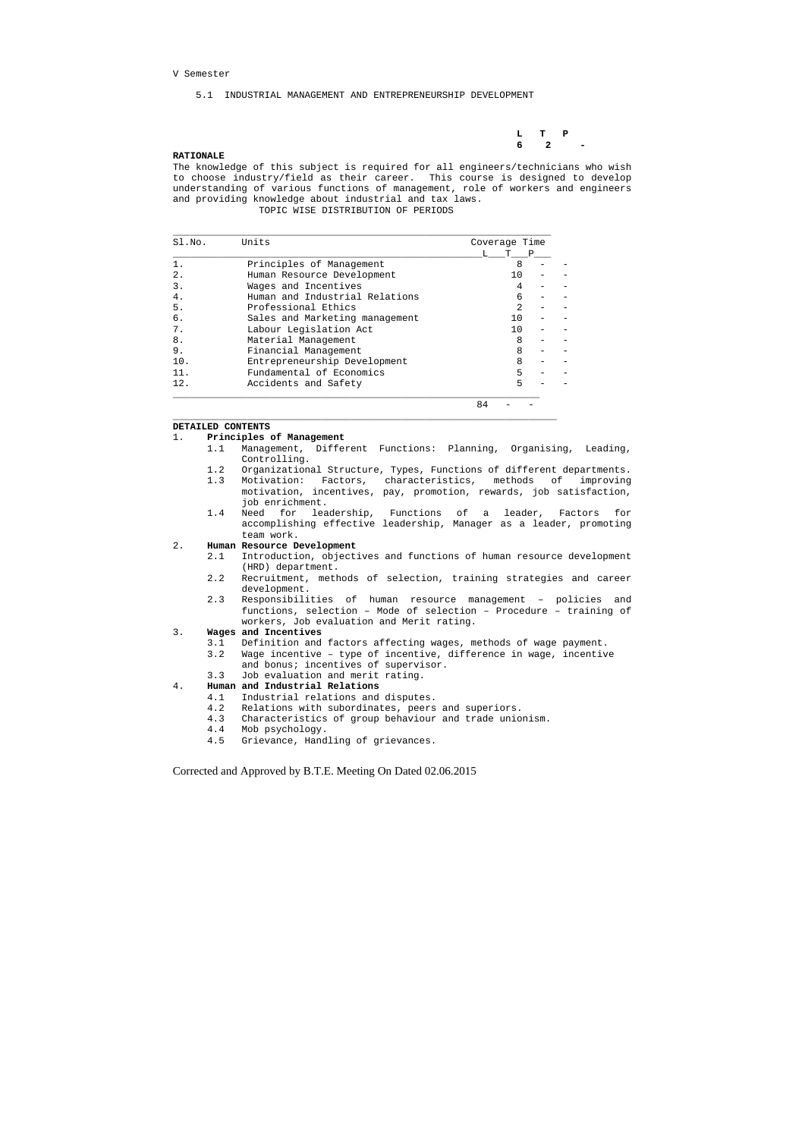**L T P 6** 2 –

#### V Semester

5.1 INDUSTRIAL MANAGEMENT AND ENTREPRENEURSHIP DEVELOPMENT

## **RATIONALE**

The knowledge of this subject is required for all engineers/technicians who wish to choose industry/field as their career. This course is designed to develop understanding of various functions of management, role of workers and engineers and providing knowledge about industrial and tax laws. TOPIC WISE DISTRIBUTION OF PERIODS

| SI.NO. | Units                          | Coverage Time  |   |  |
|--------|--------------------------------|----------------|---|--|
|        |                                |                | P |  |
|        | Principles of Management       | 8              |   |  |
| 2.     | Human Resource Development     | 10             |   |  |
| 3.     | Wages and Incentives           |                |   |  |
| 4.     | Human and Industrial Relations | 6              |   |  |
| 5.     | Professional Ethics            | $\mathfrak{D}$ |   |  |
| б.     | Sales and Marketing management | 1 O            |   |  |
| 7.     | Labour Legislation Act         | 1 O            |   |  |
| 8.     | Material Management            | 8              |   |  |
| 9.     | Financial Management           | 8              |   |  |
| 10.    | Entrepreneurship Development   | 8              |   |  |
| 11.    | Fundamental of Economics       | 5              |   |  |
| 12.    | Accidents and Safety           |                |   |  |

 $\_$  ,  $\_$  ,  $\_$  ,  $\_$  ,  $\_$  ,  $\_$  ,  $\_$  ,  $\_$  ,  $\_$  ,  $\_$  ,  $\_$  ,  $\_$  ,  $\_$  ,  $\_$  ,  $\_$  ,  $\_$  ,  $\_$  ,  $\_$  ,  $\_$  ,  $\_$  ,  $\_$  ,  $\_$  ,  $\_$  ,  $\_$  ,  $\_$  ,  $\_$  ,  $\_$  ,  $\_$  ,  $\_$  ,  $\_$  ,  $\_$  ,  $\_$  ,  $\_$  ,  $\_$  ,  $\_$  ,  $\_$  ,  $\_$  ,

84 - -

#### **DETAILED CONTENTS**

#### 1. **Principles of Management**

- 1.1 Management, Different Functions: Planning, Organising, Leading, Controlling.
- 1.2 Organizational Structure, Types, Functions of different departments.
- 1.3 Motivation: Factors, characteristics, methods of improving motivation, incentives, pay, promotion, rewards, job satisfaction, job enrichment.
- 1.4 Need for leadership, Functions of a leader, Factors for accomplishing effective leadership, Manager as a leader, promoting team work.

#### 2. **Human Resource Development**

- 2.1 Introduction, objectives and functions of human resource development (HRD) department.
- 2.2 Recruitment, methods of selection, training strategies and career development.
- 2.3 Responsibilities of human resource management policies and functions, selection – Mode of selection – Procedure – training of workers, Job evaluation and Merit rating.

#### 3. **Wages and Incentives**

- 3.1 Definition and factors affecting wages, methods of wage payment.
- 3.2 Wage incentive type of incentive, difference in wage, incentive and bonus; incentives of supervisor.
- 3.3 Job evaluation and merit rating.

### 4. **Human and Industrial Relations**

- 4.1 Industrial relations and disputes.
- 4.2 Relations with subordinates, peers and superiors.
- 4.3 Characteristics of group behaviour and trade unionism.
- 4.4 Mob psychology.
- 4.5 Grievance, Handling of grievances.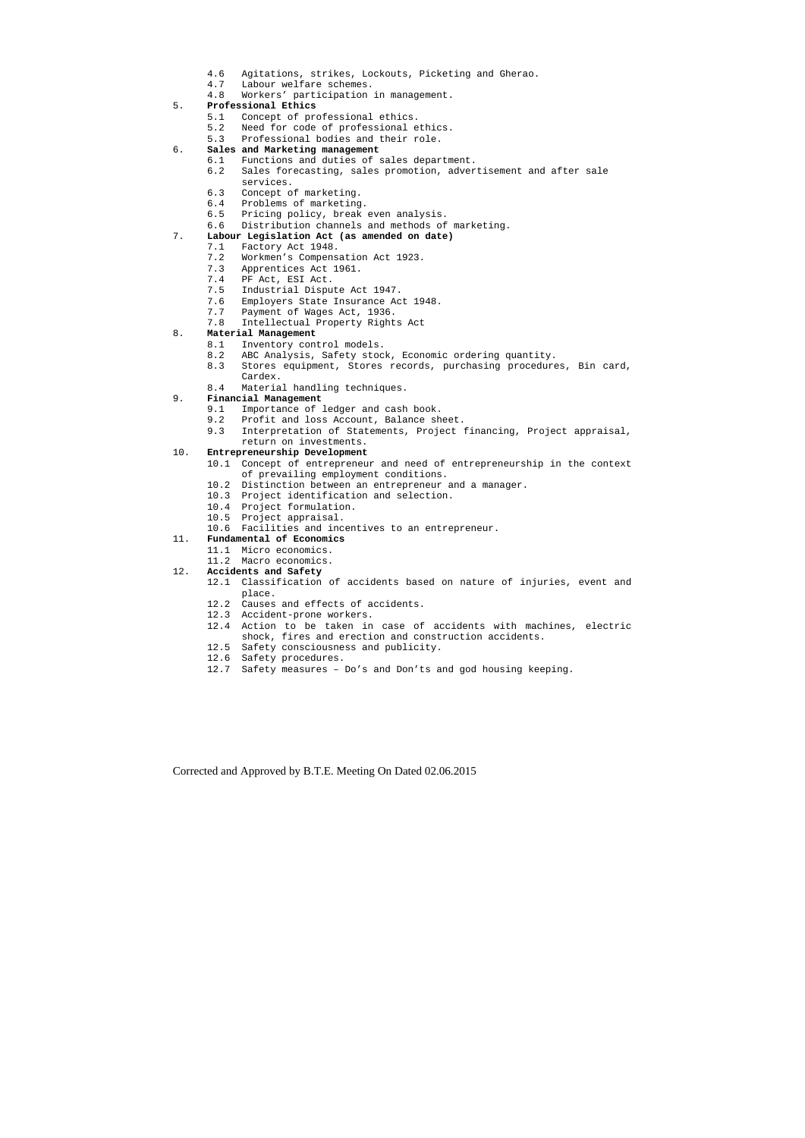- 4.6 Agitations, strikes, Lockouts, Picketing and Gherao.
- 4.7 Labour welfare schemes.
- 4.8 Workers' participation in management.

## 5. **Professional Ethics**

- 5.1 Concept of professional ethics.
- 5.2 Need for code of professional ethics.
- 5.3 Professional bodies and their role.

## 6. **Sales and Marketing management**

- 6.1 Functions and duties of sales department.
- 6.2 Sales forecasting, sales promotion, advertisement and after sale services.
- 6.3 Concept of marketing.
- 6.4 Problems of marketing.
- 6.5 Pricing policy, break even analysis.
- 6.6 Distribution channels and methods of marketing.

## 7. **Labour Legislation Act (as amended on date)**

- 7.1 Factory Act 1948.
- 7.2 Workmen's Compensation Act 1923.
- 7.3 Apprentices Act 1961.
- 7.4 PF Act, ESI Act.
- 7.5 Industrial Dispute Act 1947.
- 7.6 Employers State Insurance Act 1948.
- 7.7 Payment of Wages Act, 1936.
- 7.8 Intellectual Property Rights Act

## 8. **Material Management**

- 8.1 Inventory control models.
- 8.2 ABC Analysis, Safety stock, Economic ordering quantity.
- 8.3 Stores equipment, Stores records, purchasing procedures, Bin card, Cardex.
- 8.4 Material handling techniques.

### 9. **Financial Management**

- 9.1 Importance of ledger and cash book.
- 9.2 Profit and loss Account, Balance sheet.
- 9.3 Interpretation of Statements, Project financing, Project appraisal, return on investments.

### 10. **Entrepreneurship Development**

- 10.1 Concept of entrepreneur and need of entrepreneurship in the context of prevailing employment conditions.
- 10.2 Distinction between an entrepreneur and a manager.
- 10.3 Project identification and selection.
- 10.4 Project formulation.
- 10.5 Project appraisal.
- 10.6 Facilities and incentives to an entrepreneur.

## 11. **Fundamental of Economics**

- 11.1 Micro economics.
- 11.2 Macro economics.
- 12. **Accidents and Safety** 
	- 12.1 Classification of accidents based on nature of injuries, event and place.
	- 12.2 Causes and effects of accidents.
	- 12.3 Accident-prone workers.
	- 12.4 Action to be taken in case of accidents with machines, electric shock, fires and erection and construction accidents.
	- 12.5 Safety consciousness and publicity.
	- 12.6 Safety procedures.
	- 12.7 Safety measures Do's and Don'ts and god housing keeping.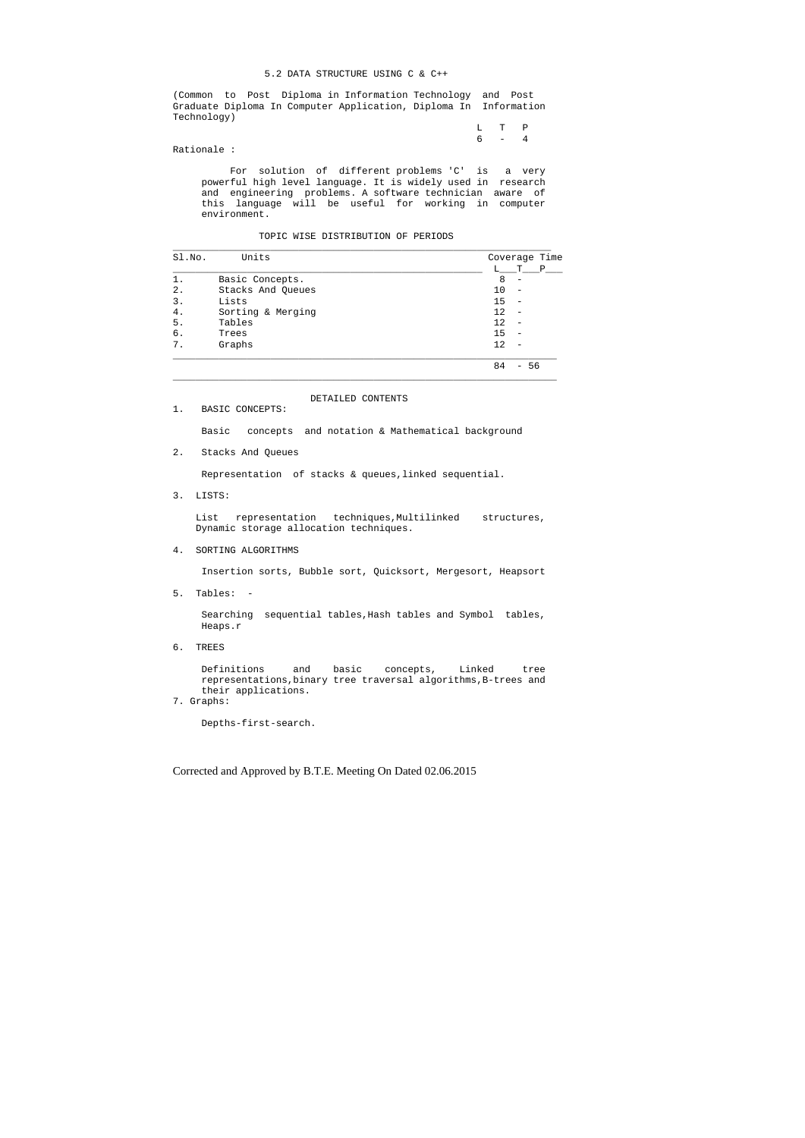#### 5.2 DATA STRUCTURE USING C & C++

(Common to Post Diploma in Information Technology and Post Graduate Diploma In Computer Application, Diploma In Information Technology)

|  | $L T P$ |  |
|--|---------|--|
|  | $6 - 4$ |  |

Rationale :

 For solution of different problems 'C' is a very powerful high level language. It is widely used in research and engineering problems. A software technician aware of this language will be useful for working in computer environment.

## TOPIC WISE DISTRIBUTION OF PERIODS

| Sl.No. | Units             | Coverage Time                         |
|--------|-------------------|---------------------------------------|
|        |                   | $\mathbf{P}$<br>т                     |
|        | Basic Concepts.   | 8<br>-                                |
| 2.     | Stacks And Queues | 10                                    |
| 3.     | Lists             | 15                                    |
| 4.     | Sorting & Merging | 12                                    |
| 5.     | Tables            | 12                                    |
| б.     | Trees             | 15                                    |
| 7.     | Graphs            | 12                                    |
|        |                   | 84<br>-56<br>$\overline{\phantom{0}}$ |

## DETAILED CONTENTS

1. BASIC CONCEPTS:

Basic concepts and notation & Mathematical background

2. Stacks And Queues

Representation of stacks & queues,linked sequential.

3. LISTS:

 List representation techniques,Multilinked structures, Dynamic storage allocation techniques.

4. SORTING ALGORITHMS

Insertion sorts, Bubble sort, Quicksort, Mergesort, Heapsort

5. Tables: -

 Searching sequential tables,Hash tables and Symbol tables, Heaps.r

6. TREES

 Definitions and basic concepts, Linked tree representations,binary tree traversal algorithms,B-trees and their applications.

7. Graphs:

Depths-first-search.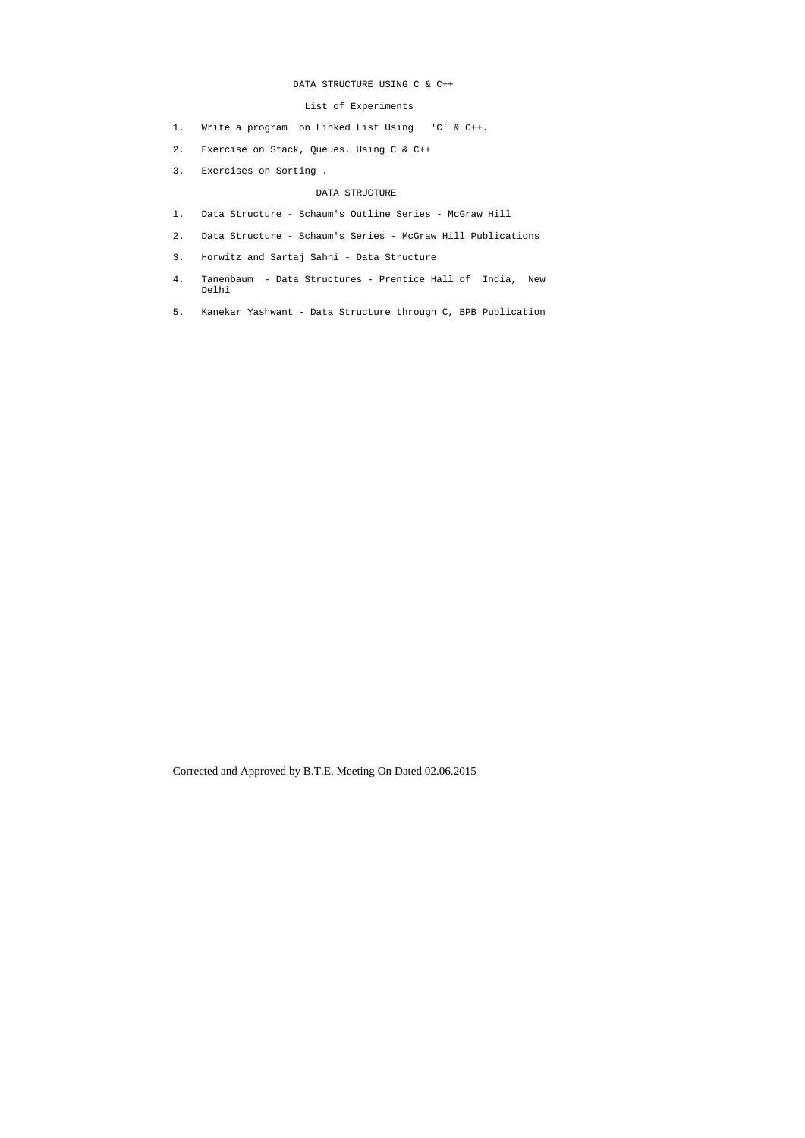## DATA STRUCTURE USING C & C++

## List of Experiments

- 1. Write a program on Linked List Using 'C' & C++.
- 2. Exercise on Stack, Queues. Using C & C++
- 3. Exercises on Sorting .

## DATA STRUCTURE

- 1. Data Structure Schaum's Outline Series McGraw Hill
- 2. Data Structure Schaum's Series McGraw Hill Publications
- 3. Horwitz and Sartaj Sahni Data Structure
- 4. Tanenbaum Data Structures Prentice Hall of India, New Delhi
- 5. Kanekar Yashwant Data Structure through C, BPB Publication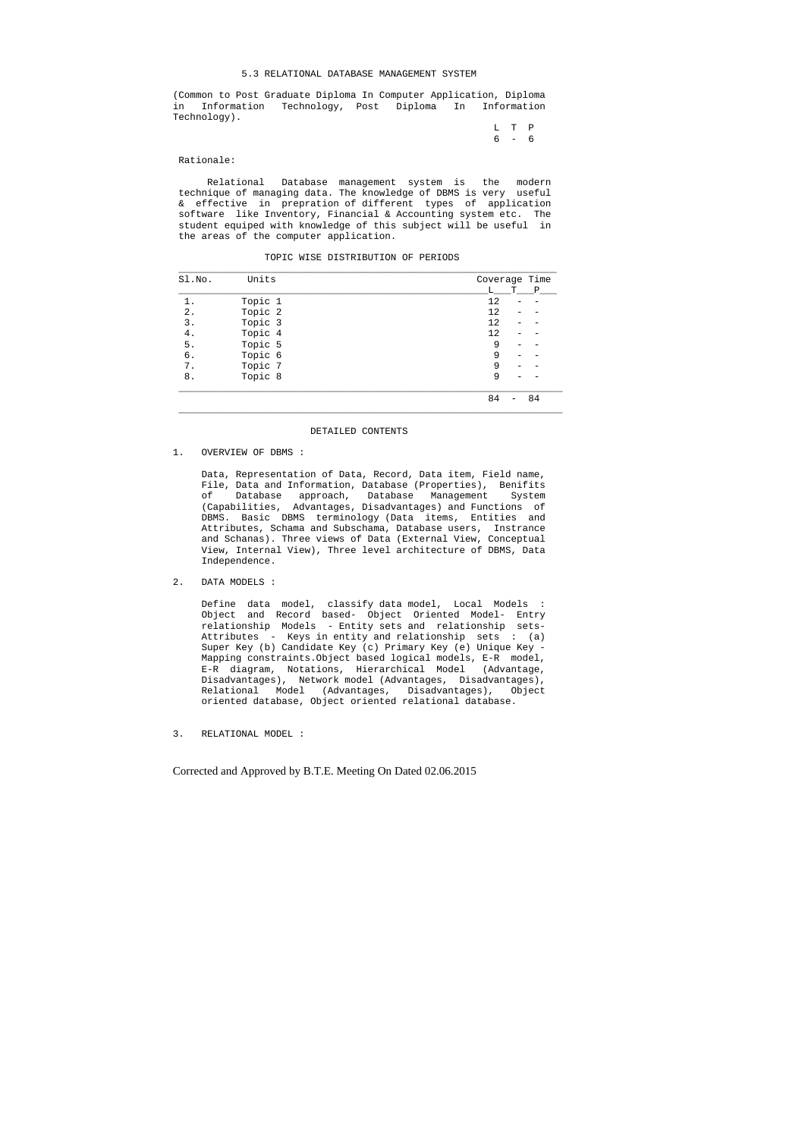#### 5.3 RELATIONAL DATABASE MANAGEMENT SYSTEM

(Common to Post Graduate Diploma In Computer Application, Diploma in Information Technology, Post Diploma In Information Technology).

> L T P 6 - 6

#### Rationale:

 Relational Database management system is the modern technique of managing data. The knowledge of DBMS is very useful & effective in prepration of different types of application software like Inventory, Financial & Accounting system etc. The student equiped with knowledge of this subject will be useful in the areas of the computer application.

TOPIC WISE DISTRIBUTION OF PERIODS

| Sl.No. | Units   | Coverage Time |
|--------|---------|---------------|
|        |         | т<br>Ρ<br>T.  |
|        | Topic 1 | 12            |
| 2.     | Topic 2 | 12            |
| 3.     | Topic 3 | 12            |
| 4.     | Topic 4 | 12            |
| 5.     | Topic 5 | 9             |
| б.     | Topic 6 | 9             |
| 7.     | Topic 7 | 9             |
| 8.     | Topic 8 | 9             |
|        |         | 84<br>84      |

#### DETAILED CONTENTS

1. OVERVIEW OF DBMS :

 Data, Representation of Data, Record, Data item, Field name, File, Data and Information, Database (Properties), Benifits of Database approach, Database Management System (Capabilities, Advantages, Disadvantages) and Functions of DBMS. Basic DBMS terminology (Data items, Entities and Attributes, Schama and Subschama, Database users, Instrance and Schanas). Three views of Data (External View, Conceptual View, Internal View), Three level architecture of DBMS, Data Independence.

2. DATA MODELS :

 Define data model, classify data model, Local Models : Object and Record based- Object Oriented Model- Entry relationship Models - Entity sets and relationship sets- Attributes - Keys in entity and relationship sets : (a) Super Key (b) Candidate Key (c) Primary Key (e) Unique Key - Mapping constraints.Object based logical models, E-R model, E-R diagram, Notations, Hierarchical Model (Advantage, Disadvantages), Network model (Advantages, Disadvantages), Relational Model (Advantages, Disadvantages), Object oriented database, Object oriented relational database.

3. RELATIONAL MODEL :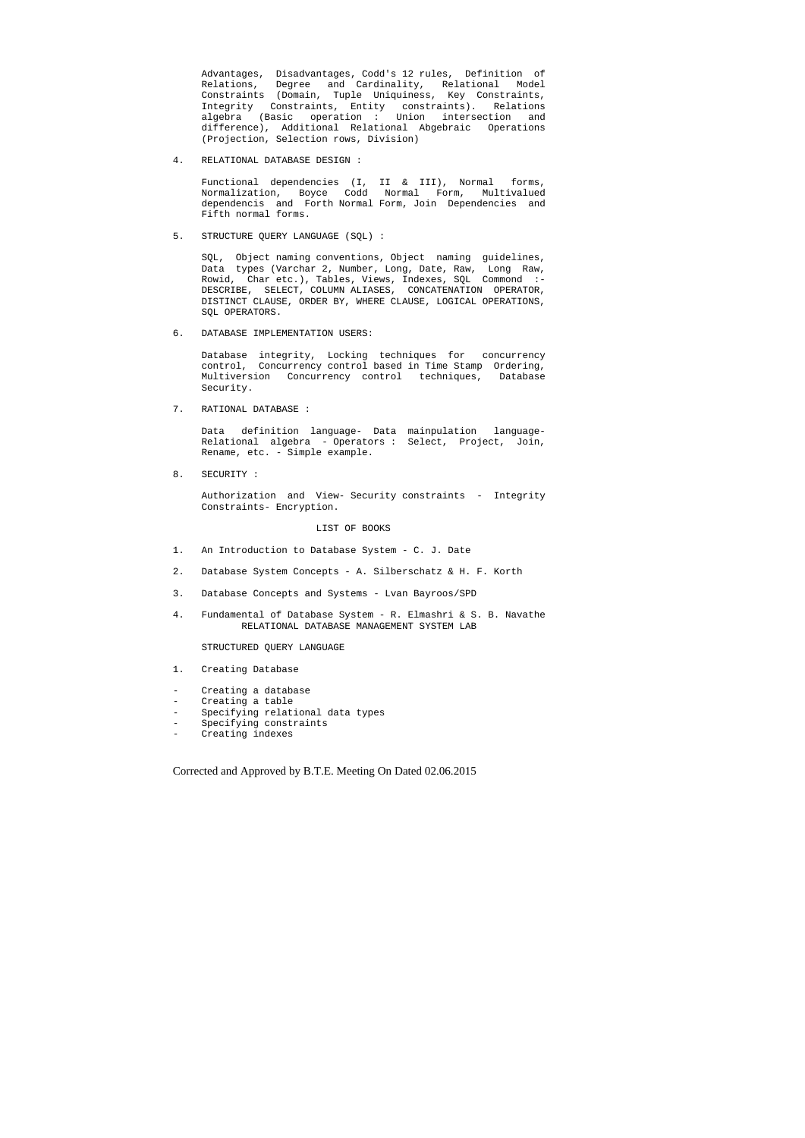Advantages, Disadvantages, Codd's 12 rules, Definition of Relations, Degree and Cardinality, Relational Model Constraints (Domain, Tuple Uniquiness, Key Constraints, Integrity Constraints, Entity constraints). Relations algebra (Basic operation : Union intersection and difference), Additional Relational Abgebraic Operations (Projection, Selection rows, Division)

4. RELATIONAL DATABASE DESIGN :

 Functional dependencies (I, II & III), Normal forms, Normalization, Boyce Codd Normal Form, Multivalued dependencis and Forth Normal Form, Join Dependencies and Fifth normal forms.

5. STRUCTURE QUERY LANGUAGE (SQL) :

 SQL, Object naming conventions, Object naming guidelines, Data types (Varchar 2, Number, Long, Date, Raw, Long Raw, Rowid, Char etc.), Tables, Views, Indexes, SQL Commond :- DESCRIBE, SELECT, COLUMN ALIASES, CONCATENATION OPERATOR, DISTINCT CLAUSE, ORDER BY, WHERE CLAUSE, LOGICAL OPERATIONS, SQL OPERATORS.

- 1. Creating Database
- Creating a database
- Creating a table
- Specifying relational data types
- Specifying constraints
- Creating indexes

6. DATABASE IMPLEMENTATION USERS:

 Database integrity, Locking techniques for concurrency control, Concurrency control based in Time Stamp Ordering, Multiversion Concurrency control techniques, Database Security.

7. RATIONAL DATABASE :

 Data definition language- Data mainpulation language- Relational algebra - Operators : Select, Project, Join, Rename, etc. - Simple example.

8. SECURITY :

 Authorization and View- Security constraints - Integrity Constraints- Encryption.

#### LIST OF BOOKS

- 1. An Introduction to Database System C. J. Date
- 2. Database System Concepts A. Silberschatz & H. F. Korth
- 3. Database Concepts and Systems Lvan Bayroos/SPD
- 4. Fundamental of Database System R. Elmashri & S. B. Navathe RELATIONAL DATABASE MANAGEMENT SYSTEM LAB

#### STRUCTURED QUERY LANGUAGE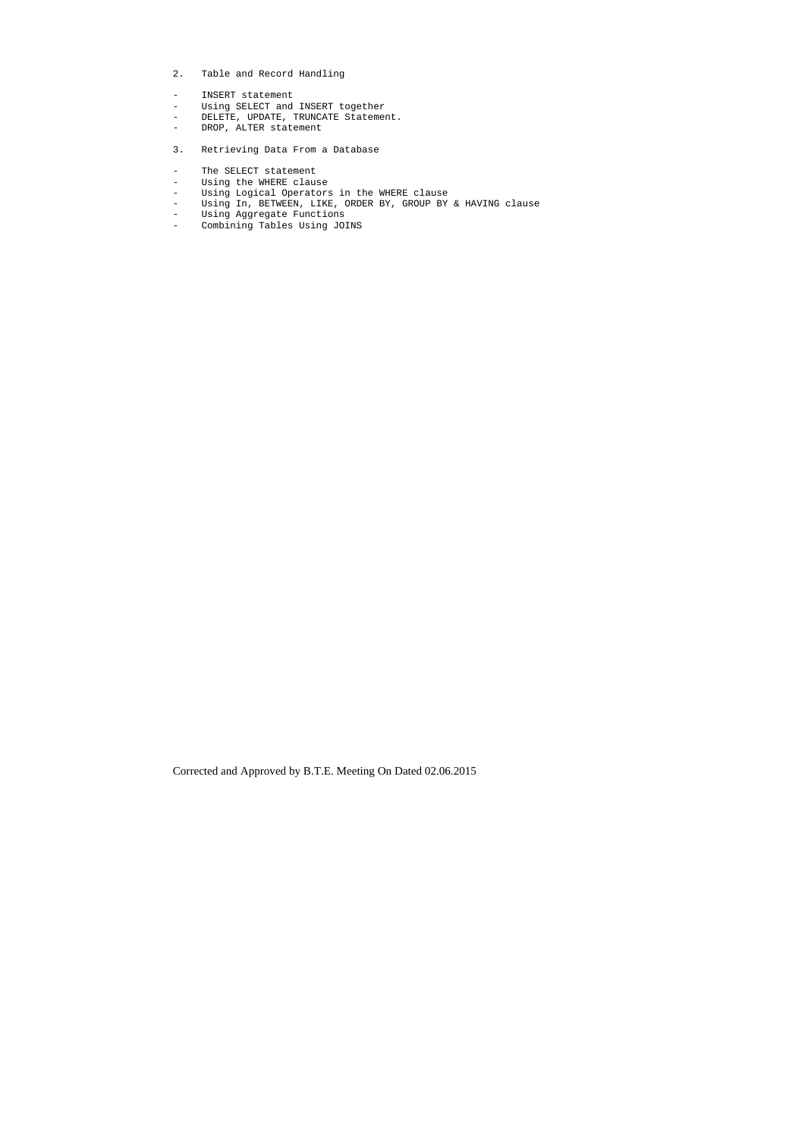- 2. Table and Record Handling
- INSERT statement
- Using SELECT and INSERT together
- DELETE, UPDATE, TRUNCATE Statement.
- DROP, ALTER statement
- 3. Retrieving Data From a Database
- The SELECT statement
- Using the WHERE clause<br>- Using Logical Operators
- Using Logical Operators in the WHERE clause
- Using In, BETWEEN, LIKE, ORDER BY, GROUP BY & HAVING clause
- Using Aggregate Functions
- Combining Tables Using JOINS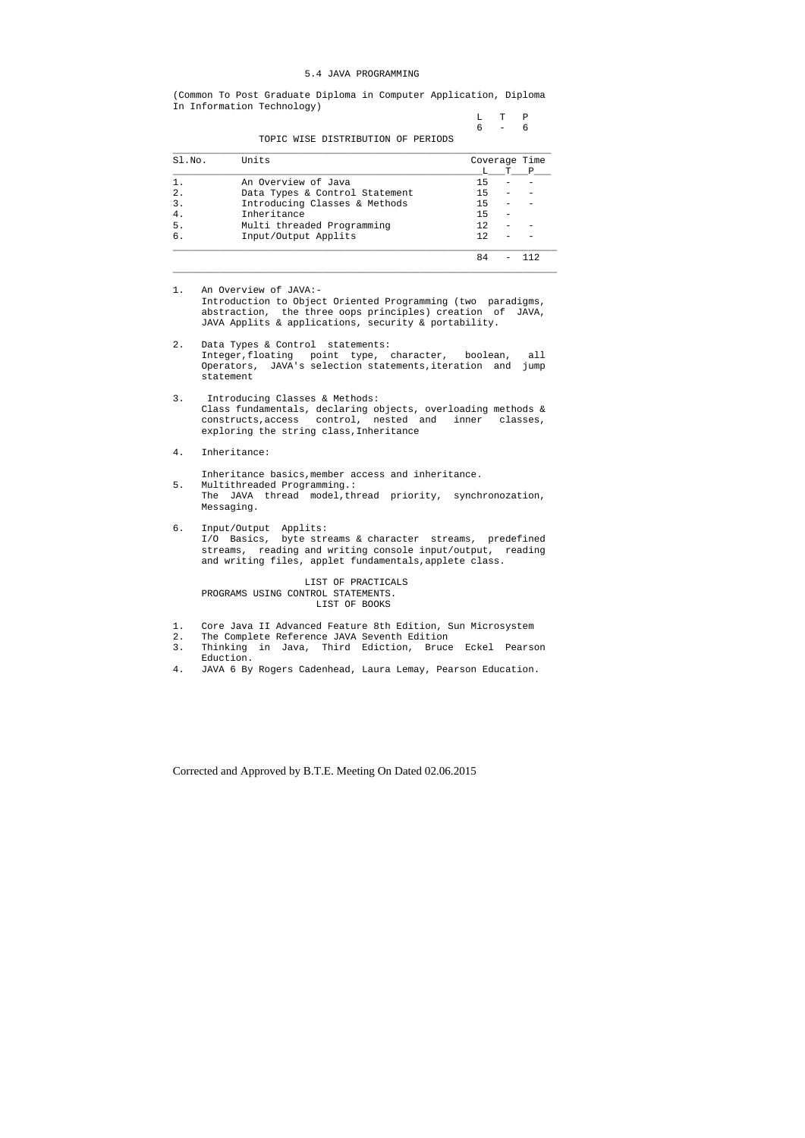#### 5.4 JAVA PROGRAMMING

(Common To Post Graduate Diploma in Computer Application, Diploma In Information Technology)

|  | L T P   |  |
|--|---------|--|
|  | $6 - 6$ |  |

TOPIC WISE DISTRIBUTION OF PERIODS

| SI.NO.           | Units                          | Coverage Time |  |   |  |
|------------------|--------------------------------|---------------|--|---|--|
|                  |                                |               |  | P |  |
|                  | An Overview of Java            | 15            |  |   |  |
| $\mathfrak{D}$ . | Data Types & Control Statement | 15            |  |   |  |
|                  | Introducing Classes & Methods  | 15            |  |   |  |
|                  | Inheritance                    | 15            |  |   |  |
| 5.               | Multi threaded Programming     | 12.           |  |   |  |
| б.               | Input/Output Applits           | 12            |  |   |  |
|                  |                                |               |  |   |  |

1. An Overview of JAVA:- Introduction to Object Oriented Programming (two paradigms, abstraction, the three oops principles) creation of JAVA, JAVA Applits & applications, security & portability.

 $\_$  ,  $\_$  ,  $\_$  ,  $\_$  ,  $\_$  ,  $\_$  ,  $\_$  ,  $\_$  ,  $\_$  ,  $\_$  ,  $\_$  ,  $\_$  ,  $\_$  ,  $\_$  ,  $\_$  ,  $\_$  ,  $\_$  ,  $\_$  ,  $\_$  ,  $\_$  ,  $\_$  ,  $\_$  ,  $\_$  ,  $\_$  ,  $\_$  ,  $\_$  ,  $\_$  ,  $\_$  ,  $\_$  ,  $\_$  ,  $\_$  ,  $\_$  ,  $\_$  ,  $\_$  ,  $\_$  ,  $\_$  ,  $\_$  ,

- 1. Core Java II Advanced Feature 8th Edition, Sun Microsystem<br>2. The Complete Reference JAVA Seventh Edition
- The Complete Reference JAVA Seventh Edition
- 3. Thinking in Java, Third Ediction, Bruce Eckel Pearson Eduction.
- 4. JAVA 6 By Rogers Cadenhead, Laura Lemay, Pearson Education.
- 2. Data Types & Control statements: Integer,floating point type, character, boolean, all Operators, JAVA's selection statements,iteration and jump statement
- 3. Introducing Classes & Methods: Class fundamentals, declaring objects, overloading methods & constructs,access control, nested and inner classes, exploring the string class,Inheritance
- 4. Inheritance:

Inheritance basics,member access and inheritance.

- 5. Multithreaded Programming.: The JAVA thread model,thread priority, synchronozation, Messaging.
- 6. Input/Output Applits: I/O Basics, byte streams & character streams, predefined streams, reading and writing console input/output, reading and writing files, applet fundamentals,applete class.

 LIST OF PRACTICALS PROGRAMS USING CONTROL STATEMENTS. LIST OF BOOKS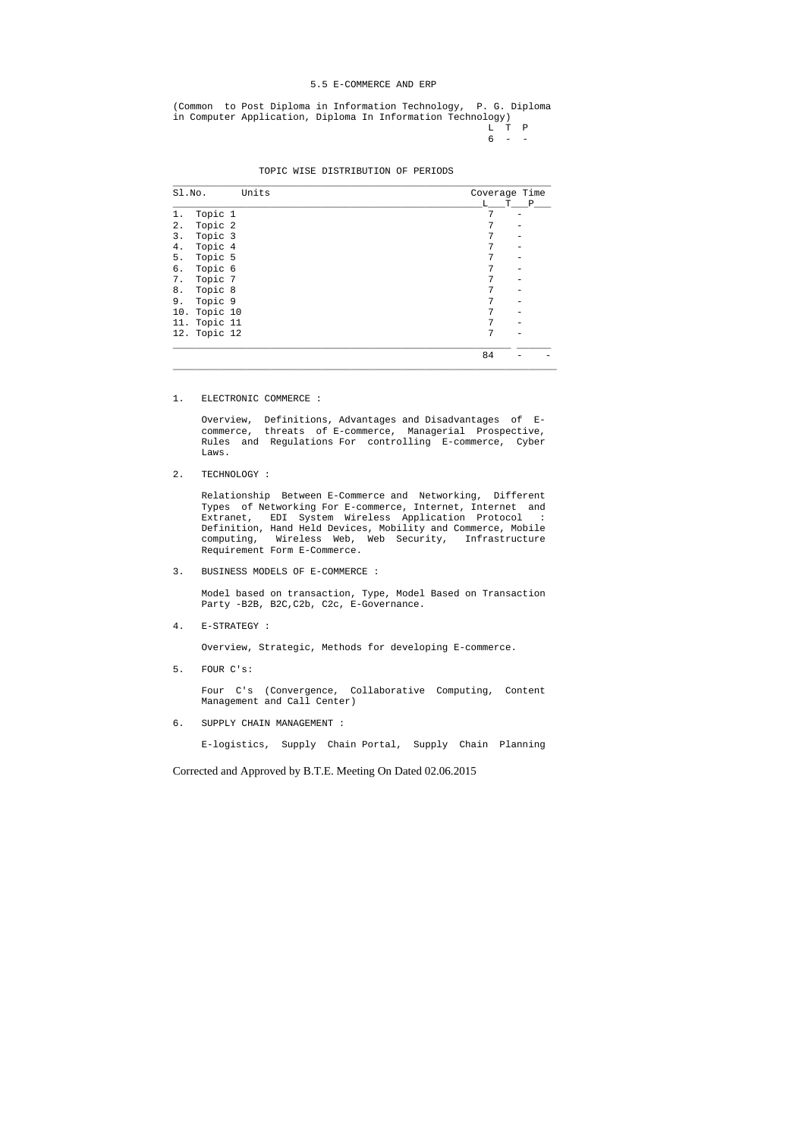#### 5.5 E-COMMERCE AND ERP

- L T P
- $6 -$

(Common to Post Diploma in Information Technology, P. G. Diploma in Computer Application, Diploma In Information Technology)

| Sl.No. | Units        | Coverage Time |  |
|--------|--------------|---------------|--|
|        |              | L<br>T P      |  |
| 1.     | Topic 1      | 7             |  |
| 2.     | Topic 2      | 7             |  |
| 3.     | Topic 3      | 7             |  |
| 4.     | Topic 4      | 7             |  |
| 5.     | Topic 5      | 7             |  |
| б.     | Topic 6      | 7             |  |
| 7.     | Topic 7      | 7             |  |
| 8.     | Topic 8      | 7             |  |
| 9.     | Topic 9      | 7             |  |
| 10.    | Topic 10     | 7             |  |
|        | 11. Topic 11 | 7             |  |
|        | 12. Topic 12 | 7             |  |
|        |              | 84            |  |

1. ELECTRONIC COMMERCE :

 Overview, Definitions, Advantages and Disadvantages of E commerce, threats of E-commerce, Managerial Prospective, Rules and Regulations For controlling E-commerce, Cyber Laws.

2. TECHNOLOGY :

 Relationship Between E-Commerce and Networking, Different Types of Networking For E-commerce, Internet, Internet and Extranet, EDI System Wireless Application Protocol : Definition, Hand Held Devices, Mobility and Commerce, Mobile computing, Wireless Web, Web Security, Infrastructure Requirement Form E-Commerce.

3. BUSINESS MODELS OF E-COMMERCE :

 Model based on transaction, Type, Model Based on Transaction Party -B2B, B2C,C2b, C2c, E-Governance.

4. E-STRATEGY :

Overview, Strategic, Methods for developing E-commerce.

5. FOUR C's:

 Four C's (Convergence, Collaborative Computing, Content Management and Call Center)

6. SUPPLY CHAIN MANAGEMENT :

E-logistics, Supply Chain Portal, Supply Chain Planning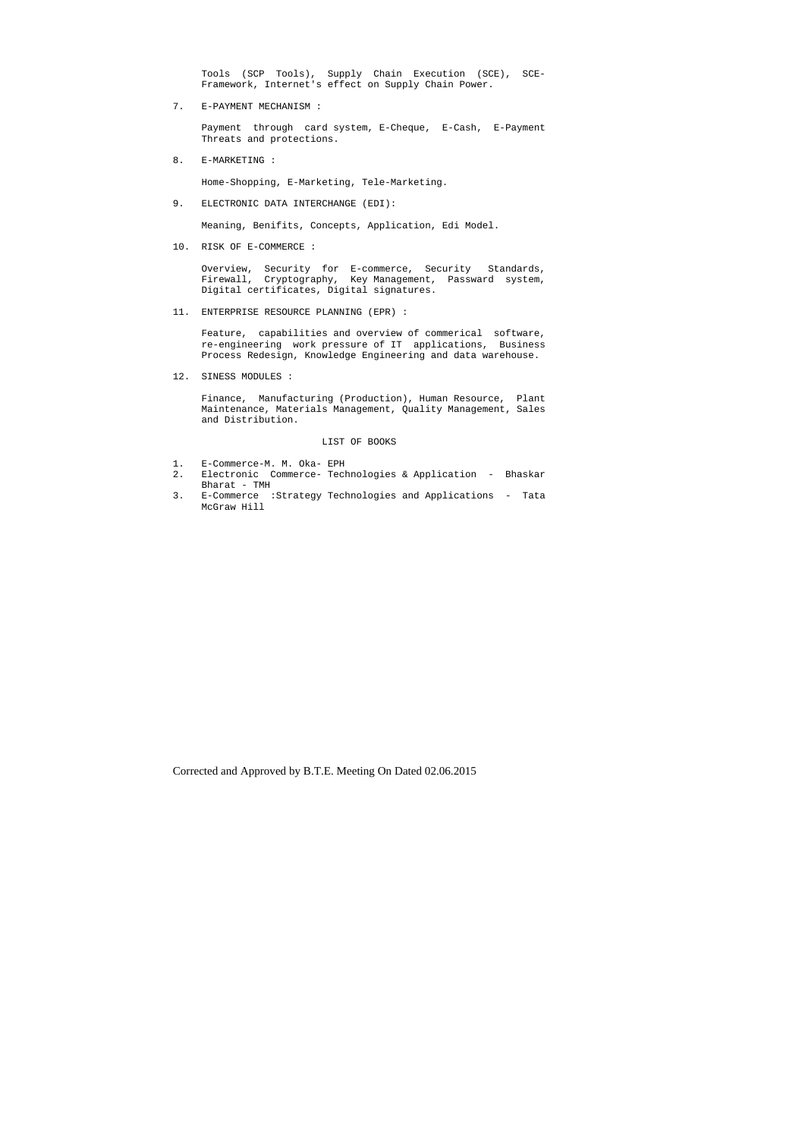Tools (SCP Tools), Supply Chain Execution (SCE), SCE- Framework, Internet's effect on Supply Chain Power.

7. E-PAYMENT MECHANISM :

 Payment through card system, E-Cheque, E-Cash, E-Payment Threats and protections.

8. E-MARKETING :

Home-Shopping, E-Marketing, Tele-Marketing.

9. ELECTRONIC DATA INTERCHANGE (EDI):

Meaning, Benifits, Concepts, Application, Edi Model.

10. RISK OF E-COMMERCE :

 Overview, Security for E-commerce, Security Standards, Firewall, Cryptography, Key Management, Passward system, Digital certificates, Digital signatures.

11. ENTERPRISE RESOURCE PLANNING (EPR) :

 Feature, capabilities and overview of commerical software, re-engineering work pressure of IT applications, Business Process Redesign, Knowledge Engineering and data warehouse.

12. SINESS MODULES :

 Finance, Manufacturing (Production), Human Resource, Plant Maintenance, Materials Management, Quality Management, Sales and Distribution.

#### LIST OF BOOKS

- 1. E-Commerce-M. M. Oka- EPH
- 2. Electronic Commerce- Technologies & Application Bhaskar Bharat - TMH
- 3. E-Commerce :Strategy Technologies and Applications Tata McGraw Hill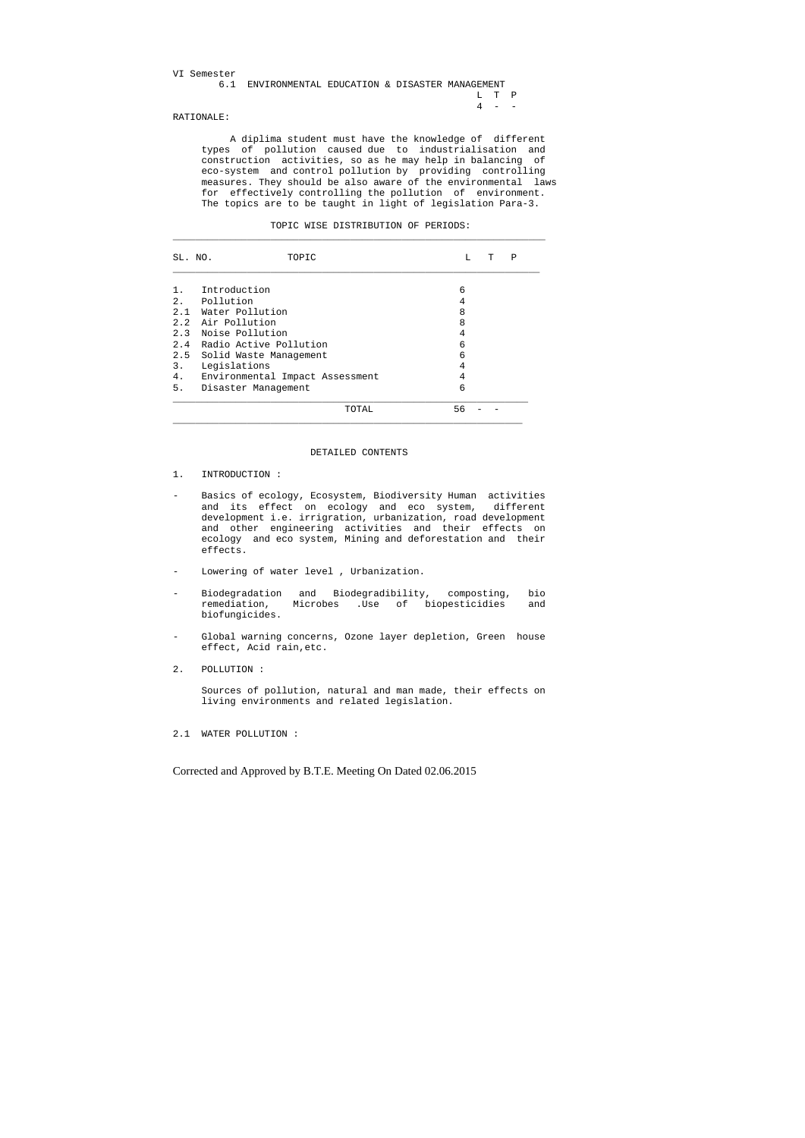| VI Semester |                                                   |  |  |         |  |
|-------------|---------------------------------------------------|--|--|---------|--|
|             | 6.1 ENVIRONMENTAL EDUCATION & DISASTER MANAGEMENT |  |  |         |  |
|             |                                                   |  |  | T. T. P |  |
|             |                                                   |  |  | $4 - -$ |  |
|             |                                                   |  |  |         |  |

### RATIONALE:

 A diplima student must have the knowledge of different types of pollution caused due to industrialisation and construction activities, so as he may help in balancing of eco-system and control pollution by providing controlling measures. They should be also aware of the environmental laws for effectively controlling the pollution of environment. The topics are to be taught in light of legislation Para-3.

|  | TOPIC WISE DISTRIBUTION OF PERIODS: |  |  |
|--|-------------------------------------|--|--|
|--|-------------------------------------|--|--|

| SL. NO. | TOPIC                           | L  | т | Ρ |
|---------|---------------------------------|----|---|---|
|         | Introduction                    | 6  |   |   |
| 2.      | Pollution                       | 4  |   |   |
|         | 2.1 Water Pollution             | 8  |   |   |
|         | 2.2 Air Pollution               | 8  |   |   |
|         | 2.3 Noise Pollution             | 4  |   |   |
|         | 2.4 Radio Active Pollution      | 6  |   |   |
|         | 2.5 Solid Waste Management      | 6  |   |   |
| 3.      | Legislations                    | 4  |   |   |
| 4.      | Environmental Impact Assessment | 4  |   |   |
| 5.      | Disaster Management             | 6  |   |   |
|         | TOTAL                           | 56 |   |   |

#### DETAILED CONTENTS

- 1. INTRODUCTION :
- Basics of ecology, Ecosystem, Biodiversity Human activities and its effect on ecology and eco system, different development i.e. irrigration, urbanization, road development and other engineering activities and their effects on ecology and eco system, Mining and deforestation and their effects.
- Lowering of water level , Urbanization.
- Biodegradation and Biodegradibility, composting, bio remediation, Microbes .Use of biopesticidies and biofungicides.
- Global warning concerns, Ozone layer depletion, Green house effect, Acid rain,etc.
- 2. POLLUTION :

 Sources of pollution, natural and man made, their effects on living environments and related legislation.

2.1 WATER POLLUTION :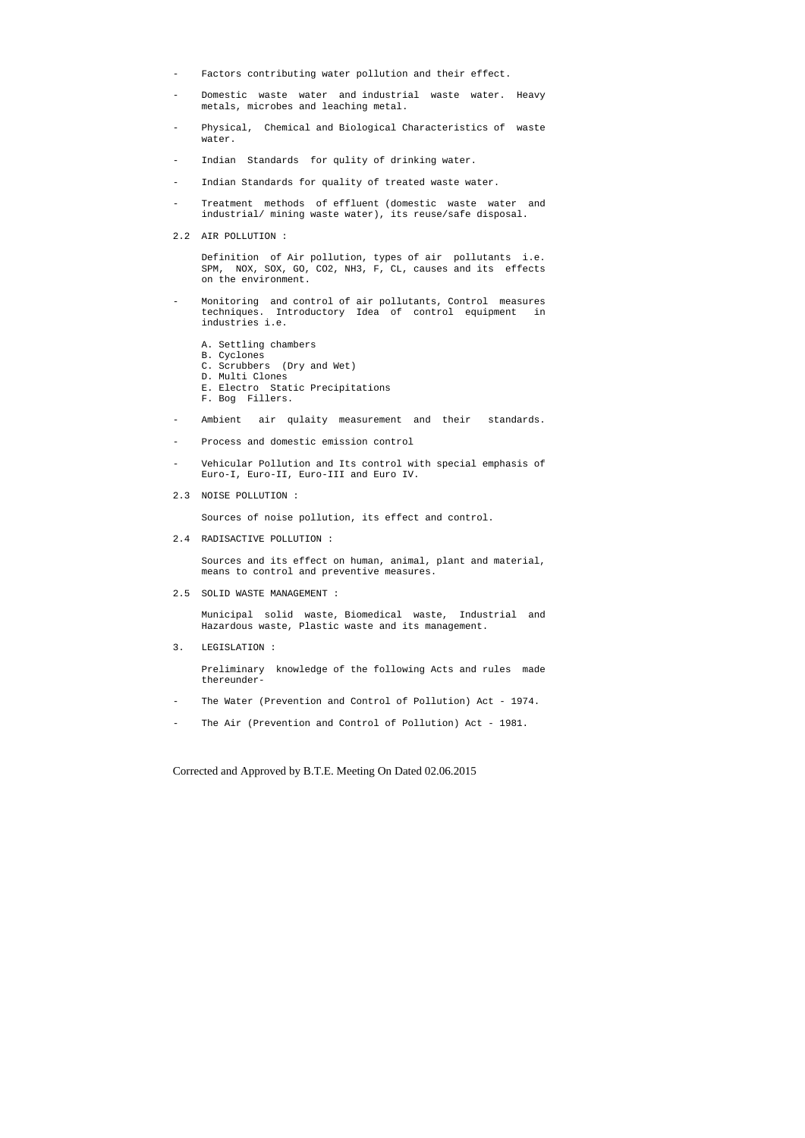- Factors contributing water pollution and their effect.
- Domestic waste water and industrial waste water. Heavy metals, microbes and leaching metal.
- Physical, Chemical and Biological Characteristics of waste water.
- Indian Standards for qulity of drinking water.
- Indian Standards for quality of treated waste water.
- Treatment methods of effluent (domestic waste water and industrial/ mining waste water), its reuse/safe disposal.
- 2.2 AIR POLLUTION :

 Definition of Air pollution, types of air pollutants i.e. SPM, NOX, SOX, GO, CO2, NH3, F, CL, causes and its effects on the environment.

- Monitoring and control of air pollutants, Control measures techniques. Introductory Idea of control equipment in industries i.e.
	- A. Settling chambers
	- B. Cyclones
	- C. Scrubbers (Dry and Wet)
	- D. Multi Clones
	- E. Electro Static Precipitations
	- F. Bog Fillers.
- Ambient air qulaity measurement and their standards.
- Process and domestic emission control
- Vehicular Pollution and Its control with special emphasis of Euro-I, Euro-II, Euro-III and Euro IV.
- 2.3 NOISE POLLUTION :

Sources of noise pollution, its effect and control.

2.4 RADISACTIVE POLLUTION :

 Sources and its effect on human, animal, plant and material, means to control and preventive measures.

2.5 SOLID WASTE MANAGEMENT :

 Municipal solid waste, Biomedical waste, Industrial and Hazardous waste, Plastic waste and its management.

3. LEGISLATION :

 Preliminary knowledge of the following Acts and rules made thereunder-

- The Water (Prevention and Control of Pollution) Act 1974.
- The Air (Prevention and Control of Pollution) Act 1981.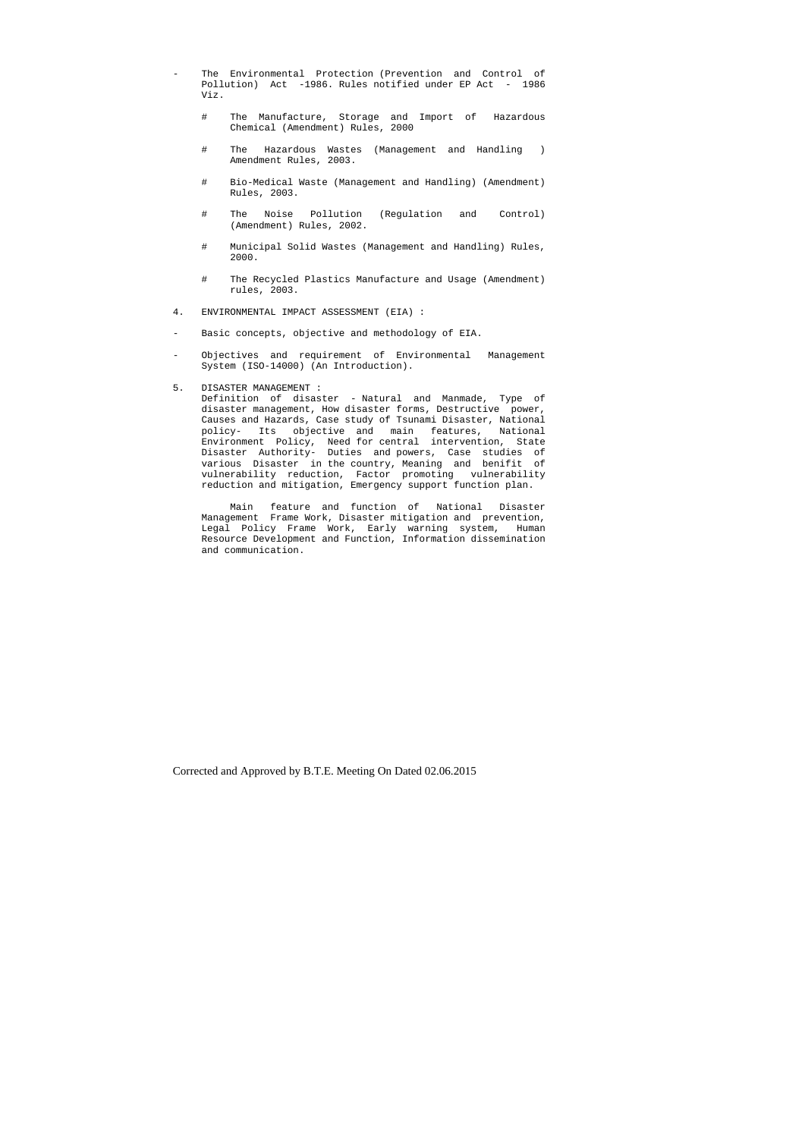- The Environmental Protection (Prevention and Control of Pollution) Act -1986. Rules notified under EP Act - 1986 Viz.
	- # The Manufacture, Storage and Import of Hazardous Chemical (Amendment) Rules, 2000
	- # The Hazardous Wastes (Management and Handling ) Amendment Rules, 2003.
	- # Bio-Medical Waste (Management and Handling) (Amendment) Rules, 2003.
	- # The Noise Pollution (Regulation and Control) (Amendment) Rules, 2002.
	- # Municipal Solid Wastes (Management and Handling) Rules, 2000.
	- # The Recycled Plastics Manufacture and Usage (Amendment) rules, 2003.
- 4. ENVIRONMENTAL IMPACT ASSESSMENT (EIA) :
- Basic concepts, objective and methodology of EIA.
- Objectives and requirement of Environmental Management System (ISO-14000) (An Introduction).
- 5. DISASTER MANAGEMENT :

 Definition of disaster - Natural and Manmade, Type of disaster management, How disaster forms, Destructive power, Causes and Hazards, Case study of Tsunami Disaster, National policy- Its objective and main features, National Environment Policy, Need for central intervention, State Disaster Authority- Duties and powers, Case studies of various Disaster in the country, Meaning and benifit of vulnerability reduction, Factor promoting vulnerability reduction and mitigation, Emergency support function plan.

 Main feature and function of National Disaster Management Frame Work, Disaster mitigation and prevention, Legal Policy Frame Work, Early warning system, Human Resource Development and Function, Information dissemination and communication.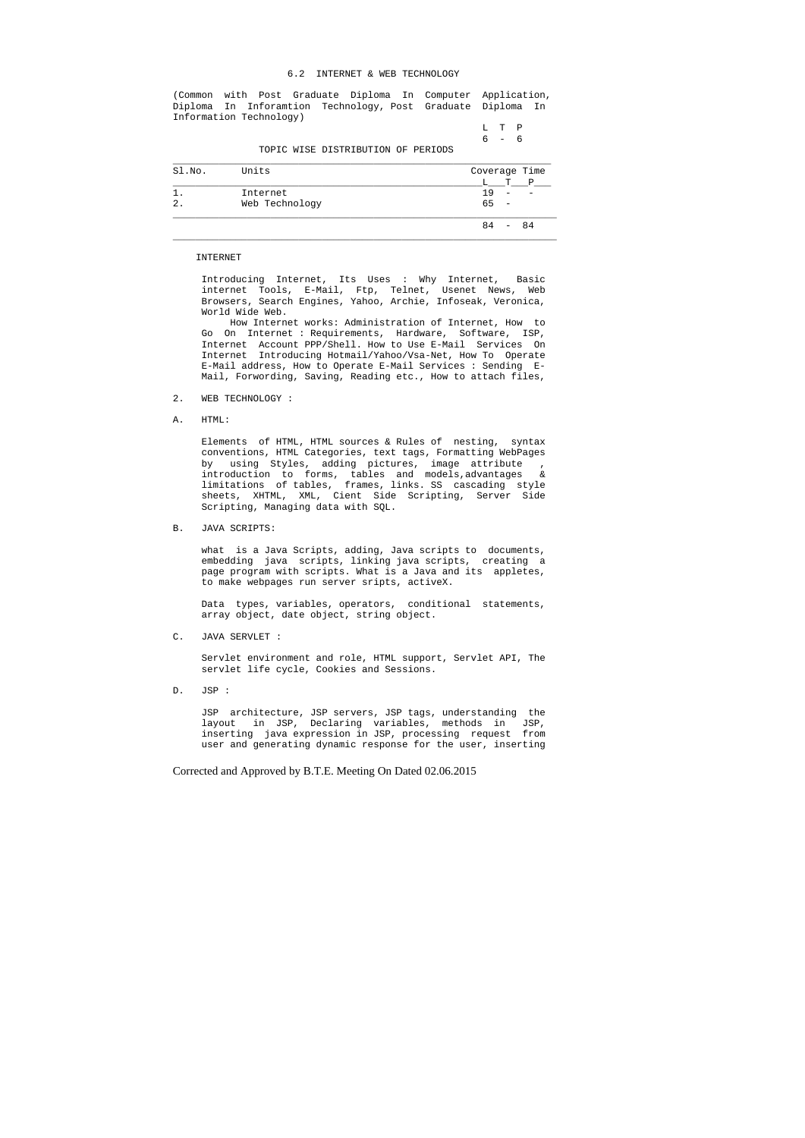#### 6.2 INTERNET & WEB TECHNOLOGY

(Common with Post Graduate Diploma In Computer Application, Diploma In Inforamtion Technology, Post Graduate Diploma In Information Technology)

> L T P 6 - 6

TOPIC WISE DISTRIBUTION OF PERIODS

| Sl.No. | Units          |            | Coverage Time |  |  |  |  |  |  |
|--------|----------------|------------|---------------|--|--|--|--|--|--|
|        |                | т          |               |  |  |  |  |  |  |
| 1      | Internet       | 19         |               |  |  |  |  |  |  |
| 2.     | Web Technology | 65         |               |  |  |  |  |  |  |
|        |                | 84<br>- 84 |               |  |  |  |  |  |  |

#### INTERNET

 Introducing Internet, Its Uses : Why Internet, Basic internet Tools, E-Mail, Ftp, Telnet, Usenet News, Web Browsers, Search Engines, Yahoo, Archie, Infoseak, Veronica, World Wide Web.

 How Internet works: Administration of Internet, How to Go On Internet : Requirements, Hardware, Software, ISP, Internet Account PPP/Shell. How to Use E-Mail Services On Internet Introducing Hotmail/Yahoo/Vsa-Net, How To Operate E-Mail address, How to Operate E-Mail Services : Sending E- Mail, Forwording, Saving, Reading etc., How to attach files,

- 2. WEB TECHNOLOGY :
- A. HTML:

 Elements of HTML, HTML sources & Rules of nesting, syntax conventions, HTML Categories, text tags, Formatting WebPages by using Styles, adding pictures, image attribute , introduction to forms, tables and models,advantages & limitations of tables, frames, links. SS cascading style sheets, XHTML, XML, Cient Side Scripting, Server Side Scripting, Managing data with SQL.

B. JAVA SCRIPTS:

 what is a Java Scripts, adding, Java scripts to documents, embedding java scripts, linking java scripts, creating a page program with scripts. What is a Java and its appletes, to make webpages run server sripts, activeX.

 Data types, variables, operators, conditional statements, array object, date object, string object.

C. JAVA SERVLET :

 Servlet environment and role, HTML support, Servlet API, The servlet life cycle, Cookies and Sessions.

D. JSP :

 JSP architecture, JSP servers, JSP tags, understanding the layout in JSP, Declaring variables, methods in JSP, inserting java expression in JSP, processing request from user and generating dynamic response for the user, inserting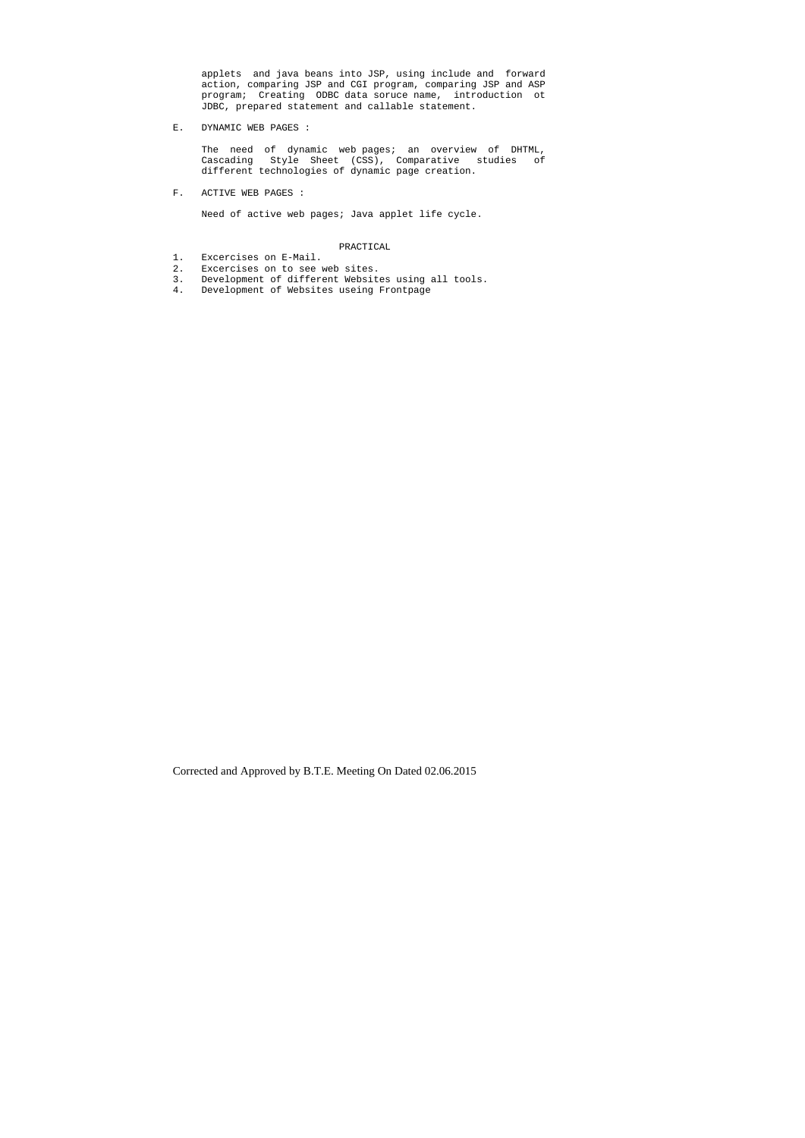applets and java beans into JSP, using include and forward action, comparing JSP and CGI program, comparing JSP and ASP program; Creating ODBC data soruce name, introduction ot JDBC, prepared statement and callable statement.

The need of dynamic web pages; an overview of DHTML, Cascading Style Sheet (CSS), Comparative studies of different technologies of dynamic page creation.

E. DYNAMIC WEB PAGES :

F. ACTIVE WEB PAGES :

Need of active web pages; Java applet life cycle.

### PRACTICAL

- 1. Excercises on E-Mail.
- 2. Excercises on to see web sites.
- 2. EACCLOIDED ON CO DEC NOW NOTICE.<br>3. Development of different Websites using all tools.
- 4. Development of Websites useing Frontpage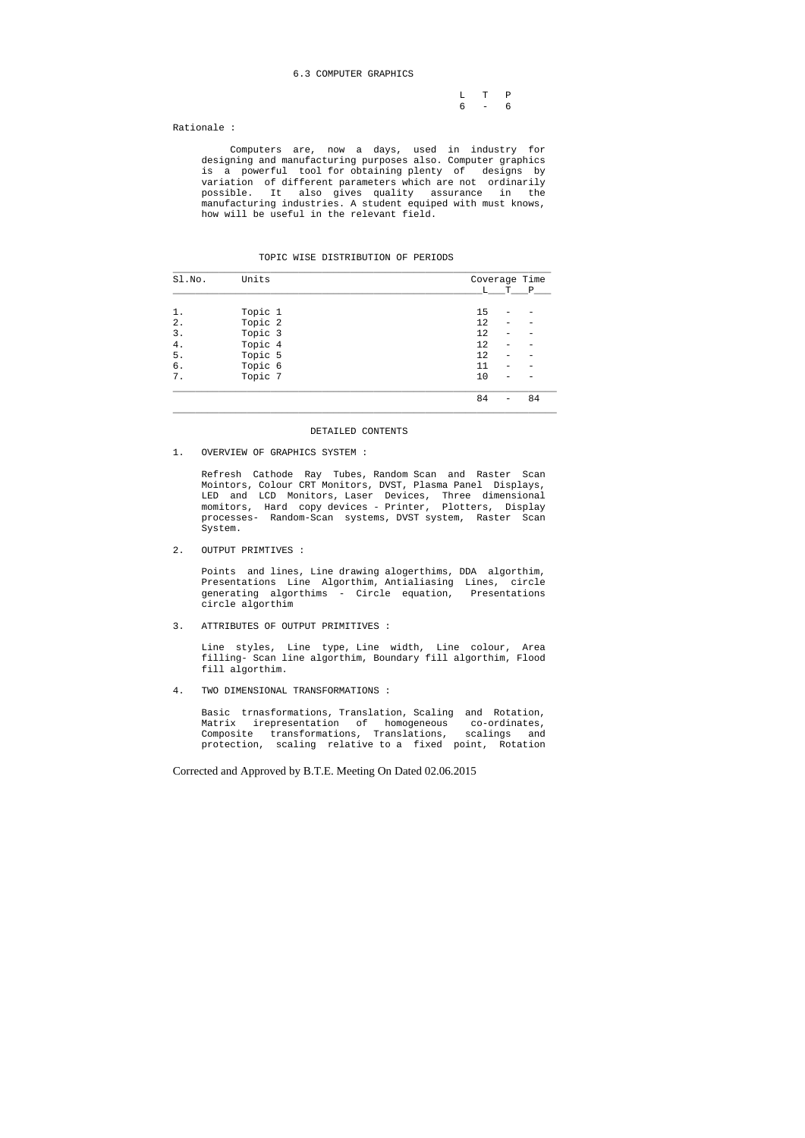#### 6.3 COMPUTER GRAPHICS

 L T P 6 - 6

Rationale :

 Computers are, now a days, used in industry for designing and manufacturing purposes also. Computer graphics is a powerful tool for obtaining plenty of designs by variation of different parameters which are not ordinarily possible. It also gives quality assurance in the manufacturing industries. A student equiped with must knows, how will be useful in the relevant field.

#### TOPIC WISE DISTRIBUTION OF PERIODS

| Sl.No. | Units   | Coverage Time |        |  |  |  |  |
|--------|---------|---------------|--------|--|--|--|--|
|        |         | L             | Ρ<br>т |  |  |  |  |
|        |         |               |        |  |  |  |  |
| 1.     | Topic 1 | 15            |        |  |  |  |  |
| 2.     | Topic 2 | 12            |        |  |  |  |  |
| 3.     | Topic 3 | 12            |        |  |  |  |  |
| 4.     | Topic 4 | 12            |        |  |  |  |  |
| 5.     | Topic 5 | 12            |        |  |  |  |  |
| б.     | Topic 6 | 11            |        |  |  |  |  |
| 7.     | Topic 7 | 10            |        |  |  |  |  |
|        |         | 84            | 84     |  |  |  |  |

#### DETAILED CONTENTS

1. OVERVIEW OF GRAPHICS SYSTEM :

 Refresh Cathode Ray Tubes, Random Scan and Raster Scan Mointors, Colour CRT Monitors, DVST, Plasma Panel Displays, LED and LCD Monitors, Laser Devices, Three dimensional momitors, Hard copy devices - Printer, Plotters, Display processes- Random-Scan systems, DVST system, Raster Scan System.

2. OUTPUT PRIMTIVES :

 Points and lines, Line drawing alogerthims, DDA algorthim, Presentations Line Algorthim, Antialiasing Lines, circle generating algorthims - Circle equation, Presentations circle algorthim

3. ATTRIBUTES OF OUTPUT PRIMITIVES :

 Line styles, Line type, Line width, Line colour, Area filling- Scan line algorthim, Boundary fill algorthim, Flood fill algorthim.

4. TWO DIMENSIONAL TRANSFORMATIONS :

 Basic trnasformations, Translation, Scaling and Rotation, Matrix irepresentation of homogeneous co-ordinates, Composite transformations, Translations, scalings and protection, scaling relative to a fixed point, Rotation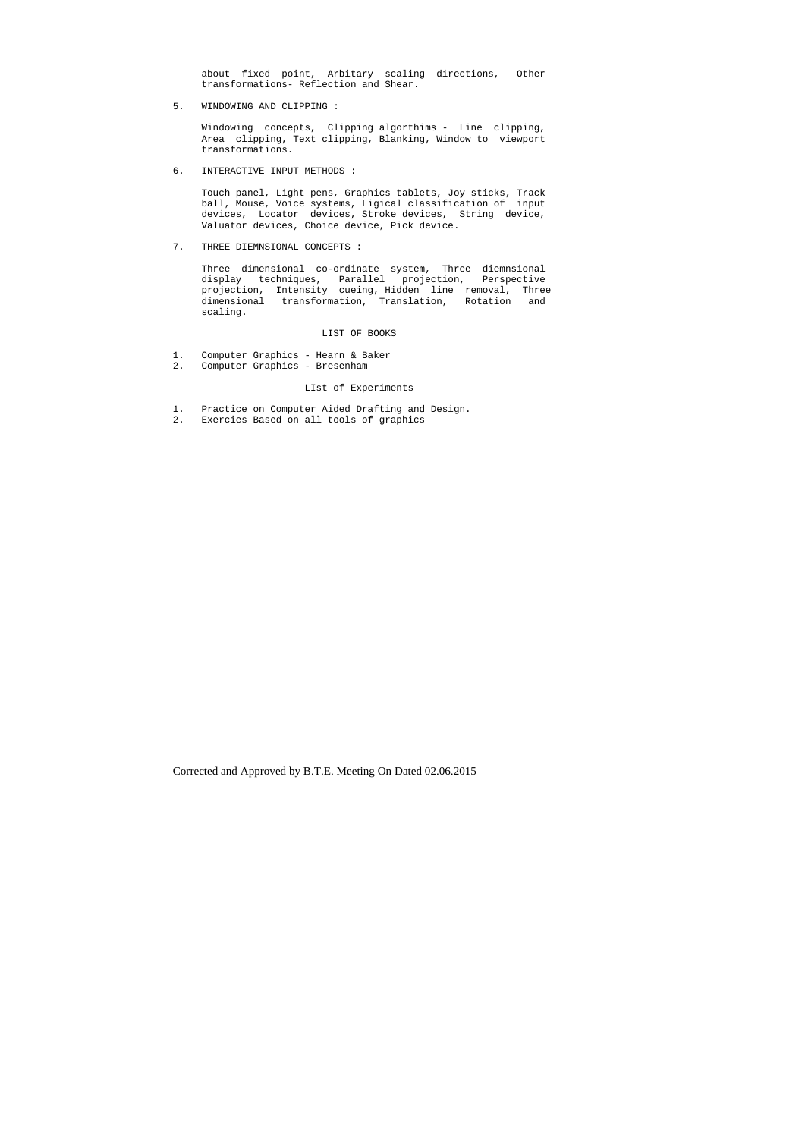about fixed point, Arbitary scaling directions, Other transformations- Reflection and Shear.

5. WINDOWING AND CLIPPING :

 Windowing concepts, Clipping algorthims - Line clipping, Area clipping, Text clipping, Blanking, Window to viewport transformations.

6. INTERACTIVE INPUT METHODS :

 Touch panel, Light pens, Graphics tablets, Joy sticks, Track ball, Mouse, Voice systems, Ligical classification of input devices, Locator devices, Stroke devices, String device, Valuator devices, Choice device, Pick device.

7. THREE DIEMNSIONAL CONCEPTS :

 Three dimensional co-ordinate system, Three diemnsional display techniques, Parallel projection, Perspective projection, Intensity cueing, Hidden line removal, Three dimensional transformation, Translation, Rotation and scaling.

#### LIST OF BOOKS

- 1. Computer Graphics Hearn & Baker
- 2. Computer Graphics Bresenham

## LIst of Experiments

- 1. Practice on Computer Aided Drafting and Design.
- 2. Exercies Based on all tools of graphics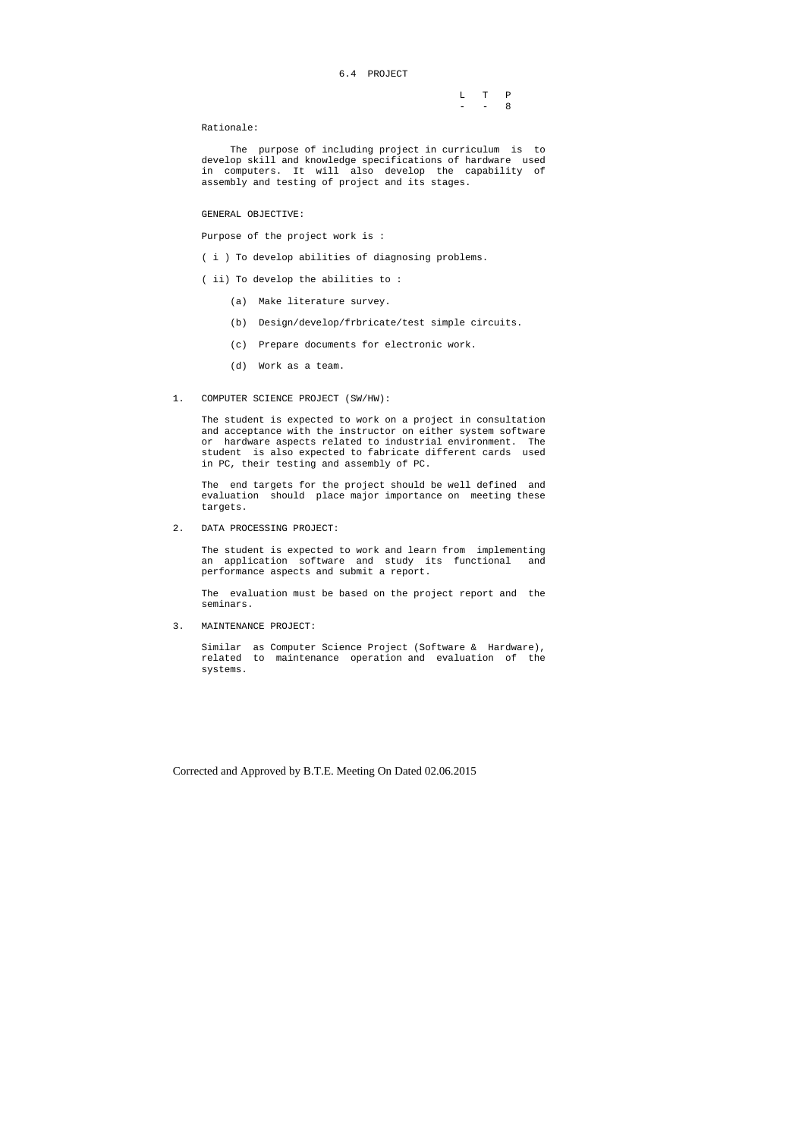### 6.4 PROJECT

|  | L T P     |  |
|--|-----------|--|
|  | $- - - 8$ |  |

Rationale:

 The purpose of including project in curriculum is to develop skill and knowledge specifications of hardware used in computers. It will also develop the capability of assembly and testing of project and its stages.

#### GENERAL OBJECTIVE:

Purpose of the project work is :

( i ) To develop abilities of diagnosing problems.

- ( ii) To develop the abilities to :
	- (a) Make literature survey.
	- (b) Design/develop/frbricate/test simple circuits.
	- (c) Prepare documents for electronic work.
	- (d) Work as a team.
- 1. COMPUTER SCIENCE PROJECT (SW/HW):

 The student is expected to work on a project in consultation and acceptance with the instructor on either system software or hardware aspects related to industrial environment. The student is also expected to fabricate different cards used in PC, their testing and assembly of PC.

 The end targets for the project should be well defined and evaluation should place major importance on meeting these targets.

2. DATA PROCESSING PROJECT:

 The student is expected to work and learn from implementing an application software and study its functional and performance aspects and submit a report.

 The evaluation must be based on the project report and the seminars.

3. MAINTENANCE PROJECT:

 Similar as Computer Science Project (Software & Hardware), related to maintenance operation and evaluation of the systems.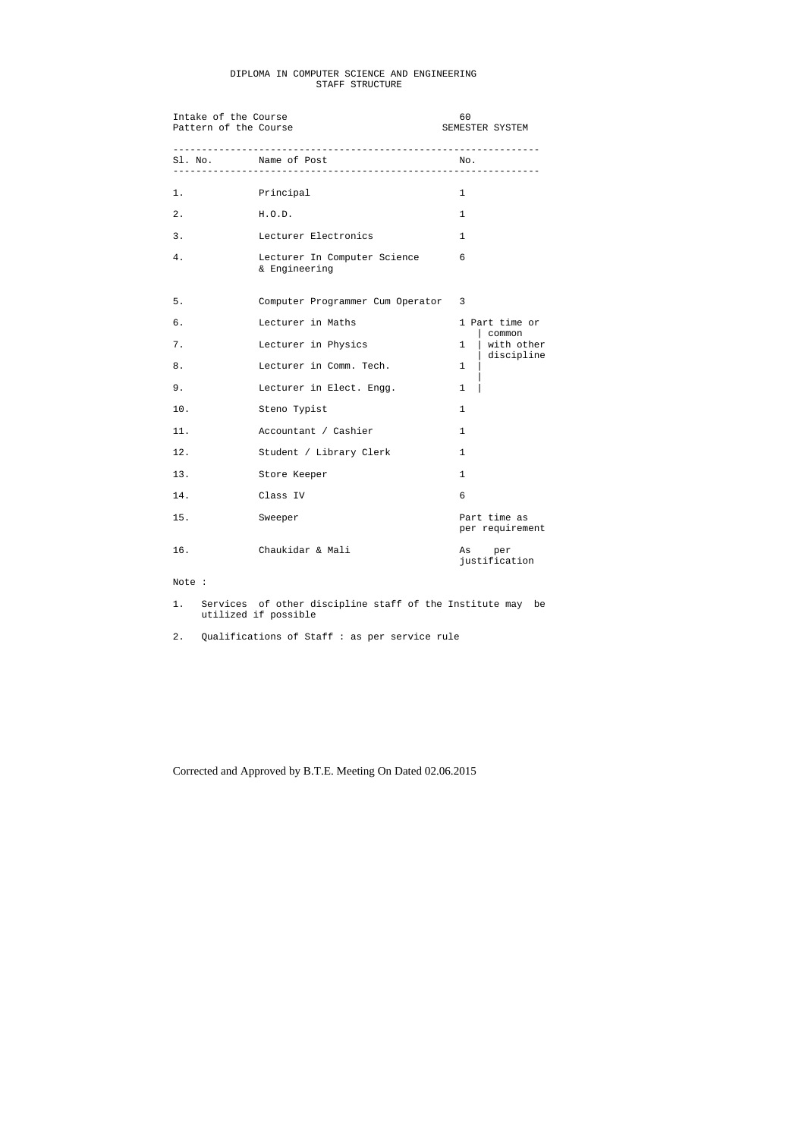## DIPLOMA IN COMPUTER SCIENCE AND ENGINEERING STAFF STRUCTURE

| Intake of the Course<br>Pattern of the Course |                                               | 60           | SEMESTER SYSTEM                    |
|-----------------------------------------------|-----------------------------------------------|--------------|------------------------------------|
| Sl. No. Name of Post<br>__________________    |                                               | No.          |                                    |
| 1.                                            | Principal                                     | $\mathbf{1}$ |                                    |
| 2.                                            | H.O.D.                                        | $\mathbf{1}$ |                                    |
| 3.                                            | Lecturer Electronics                          | $\mathbf{1}$ |                                    |
| 4.                                            | Lecturer In Computer Science<br>& Engineering | 6            |                                    |
| 5.                                            | Computer Programmer Cum Operator              | 3            |                                    |
| б.                                            | Lecturer in Maths                             |              | 1 Part time or                     |
| 7.                                            | Lecturer in Physics                           | $\mathbf{1}$ | common<br>with other<br>discipline |
| 8.                                            | Lecturer in Comm. Tech.                       | $\mathbf{1}$ |                                    |
| 9.                                            | Lecturer in Elect. Engg.                      | $\mathbf{1}$ |                                    |
| 10.                                           | Steno Typist                                  | $\mathbf{1}$ |                                    |
| 11.                                           | Accountant / Cashier                          | $\mathbf{1}$ |                                    |
| 12.                                           | Student / Library Clerk                       | $\mathbf{1}$ |                                    |
| 13.                                           | Store Keeper                                  | $\mathbf{1}$ |                                    |
| 14.                                           | Class IV                                      | 6            |                                    |
| 15.                                           | Sweeper                                       |              | Part time as<br>per requirement    |
| 16.                                           | Chaukidar & Mali                              | As           | per<br>justification               |

Note :

1. Services of other discipline staff of the Institute may be utilized if possible

2. Qualifications of Staff : as per service rule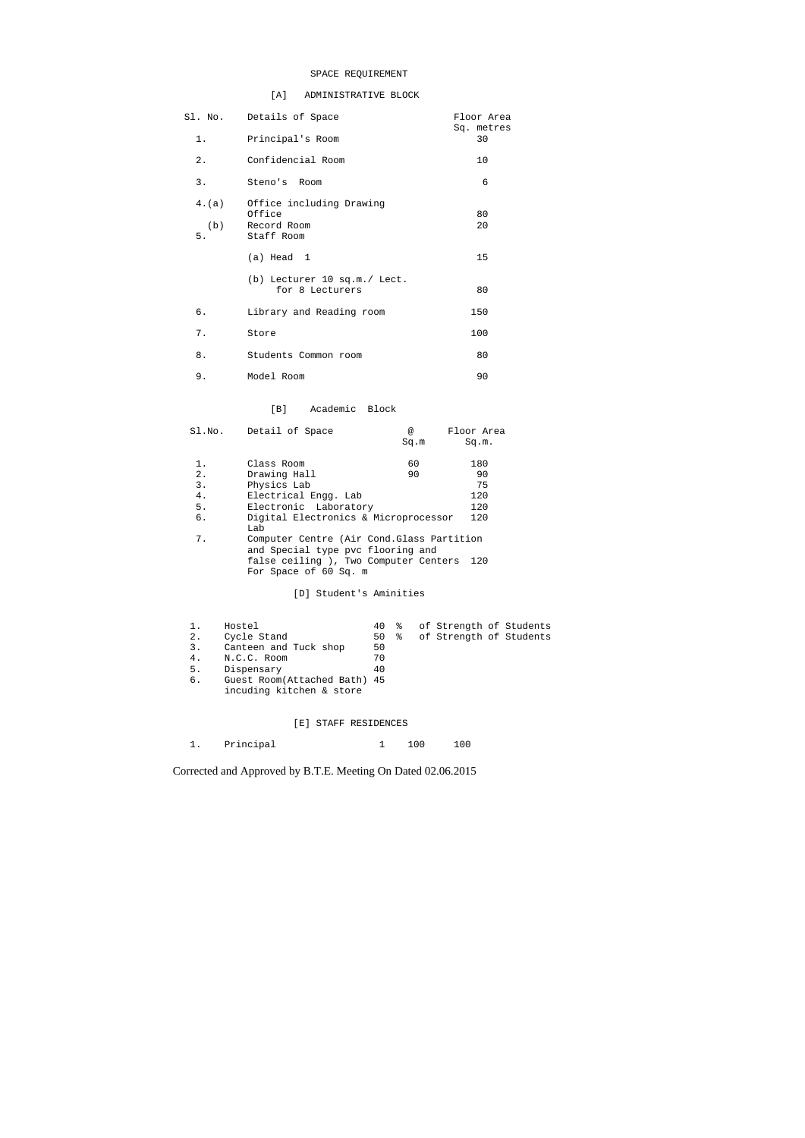## SPACE REQUIREMENT

## [A] ADMINISTRATIVE BLOCK

| 1.                 | Sl. No. Details of Space<br>Principal's Room                    | Floor Area<br>Sq. metres<br>30 |
|--------------------|-----------------------------------------------------------------|--------------------------------|
| 2.                 | Confidencial Room                                               | 10                             |
| 3.                 | Steno's Room                                                    | 6                              |
| 4.(a)<br>(b)<br>5. | Office including Drawing<br>Office<br>Record Room<br>Staff Room | 80<br>20                       |
|                    | $(a)$ Head 1                                                    | 15                             |
|                    | (b) Lecturer 10 sq.m./ Lect.<br>for 8 Lecturers                 | 80                             |
| б.                 | Library and Reading room                                        | 150                            |
| $7$ .              | Store                                                           | 100                            |
| 8.                 | Students Common room                                            | 80                             |
| 9.                 | Model Room                                                      | 90                             |

## [B] Academic Block

| Sl.No. | Detail of Space                                                                 | $^{\circ}$ | Floor Area |
|--------|---------------------------------------------------------------------------------|------------|------------|
|        |                                                                                 | Sq.m       | Sq.m.      |
| 1.     | Class Room                                                                      | 60         | 180        |
|        |                                                                                 |            |            |
| 2.     | Drawing Hall                                                                    | 90         | 90         |
| 3.     | Physics Lab                                                                     |            | 75         |
| 4.     | Electrical Engg. Lab                                                            |            | 120        |
| 5.     | Electronic Laboratory                                                           |            | 120        |
| б.     | Digital Electronics & Microprocessor<br>Lab                                     |            | 120        |
| 7.     | Computer Centre (Air Cond. Glass Partition<br>and Special type pvc flooring and |            |            |
|        | false ceiling ), Two Computer Centers<br>For Space of 60 Sq. m                  |            | 120        |

[D] Student's Aminities

|    | Hostel                       |    |  | 40 % of Strength of Students |  |
|----|------------------------------|----|--|------------------------------|--|
| 2. | Cycle Stand                  |    |  | 50 % of Strength of Students |  |
| 3. | Canteen and Tuck shop        | 50 |  |                              |  |
| 4. | N.C.C. Room                  | 70 |  |                              |  |
| 5. | Dispensary                   | 40 |  |                              |  |
| б. | Guest Room(Attached Bath) 45 |    |  |                              |  |
|    | incuding kitchen & store     |    |  |                              |  |

## [E] STAFF RESIDENCES

|  | Principal |  | 100 | 100 |
|--|-----------|--|-----|-----|
|--|-----------|--|-----|-----|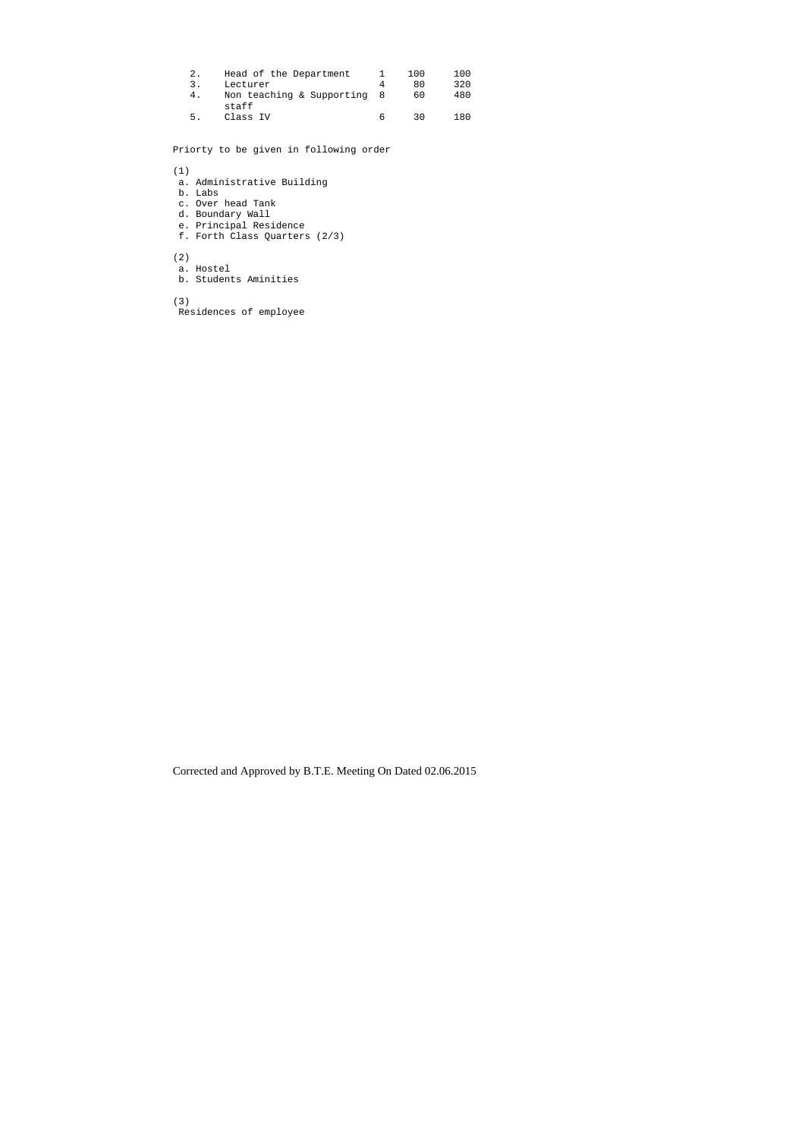| 2. | Head of the Department               |   | 100 | 100 |
|----|--------------------------------------|---|-----|-----|
| 3. | Lecturer                             |   | 80  | 320 |
| 4. | Non teaching & Supporting 8<br>staff |   | 60  | 480 |
| 5. | Class IV                             | h | 30  | 180 |

Priorty to be given in following order

#### (1)

- a. Administrative Building
- b. Labs
- c. Over head Tank
- d. Boundary Wall
- e. Principal Residence
- f. Forth Class Quarters (2/3)

(2)

- a. Hostel
- b. Students Aminities

(3)

Residences of employee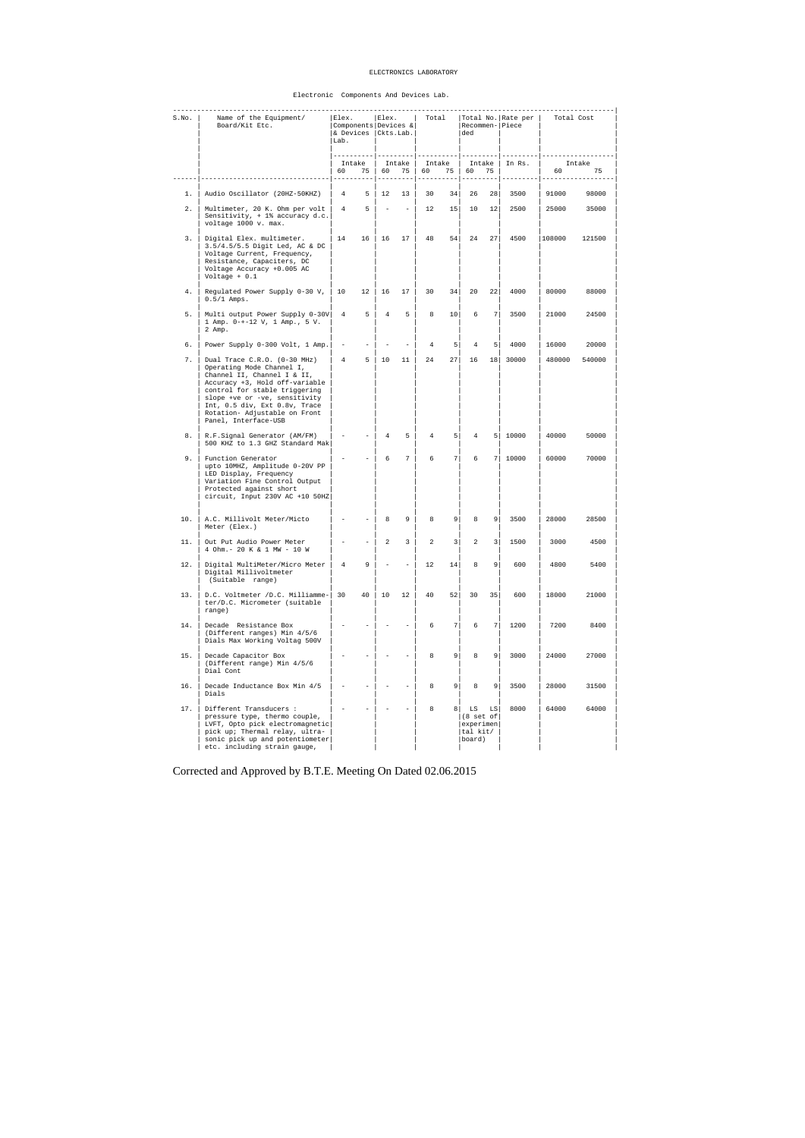#### ELECTRONICS LABORATORY

#### Electronic Components And Devices Lab.

| S.NO. | Name of the Equipment/<br>Board/Kit Etc.                                                                                                                                                                                                                                               | Elex.<br>Lab.     | $Components   Devices \& $<br>& Devices (Ckts.Lab.) |                 | Elex.          | Total           |                 | ded                                                           |                         | Total No. Rate per  <br>Recommen- Piece | Total Cost        |        |
|-------|----------------------------------------------------------------------------------------------------------------------------------------------------------------------------------------------------------------------------------------------------------------------------------------|-------------------|-----------------------------------------------------|-----------------|----------------|-----------------|-----------------|---------------------------------------------------------------|-------------------------|-----------------------------------------|-------------------|--------|
|       |                                                                                                                                                                                                                                                                                        | 60                | Intake                                              | 75   60         | Intake  <br>75 | Intake<br>60    | 75              | 60                                                            | 75                      | Intake   In Rs.                         | Intake<br>60 — 10 | 75     |
| 1.    | Audio Oscillator (20HZ-50KHZ)                                                                                                                                                                                                                                                          |                   | 4 5 12 13                                           |                 |                | 30              |                 | $34$ 26                                                       | 28                      | 3500                                    | 91000             | 98000  |
| 2.    | Multimeter, 20 K. Ohm per volt  <br>Sensitivity, $+ 1$ % accuracy d.c.<br>voltage 1000 v. max.                                                                                                                                                                                         |                   | $4 \quad 5 \quad - \quad - \quad$                   |                 |                | 12              |                 | 15 10 12                                                      |                         | 2500                                    | 25000             | 35000  |
| 3.    | Digital Elex. multimeter.<br>3.5/4.5/5.5 Digit Led, AC & DC<br>Voltage Current, Frequency,<br>Resistance, Capaciters, DC<br>Voltage Accuracy +0.005 AC<br>Voltage $+ 0.1$                                                                                                              |                   | 14 16 16 17                                         |                 |                |                 |                 | 48 54 24 27                                                   |                         | 4500                                    | 108000            | 121500 |
| 4.    | Regulated Power Supply $0-30 \text{ V}$ ,   10 12   16<br>$0.5/1$ Amps.                                                                                                                                                                                                                |                   |                                                     |                 | 17             | 30              | 34              | 20                                                            | 22                      | 4000                                    | 80000             | 88000  |
| 5.    | Multi output Power Supply 0-30V   4 5<br>1 Amp. 0-+-12 V, 1 Amp., 5 V.<br>2 Amp.                                                                                                                                                                                                       |                   |                                                     | $4\overline{ }$ | 5 <sub>5</sub> | 8 <sup>1</sup>  | 10 <sup>1</sup> | 6                                                             | 7                       | 3500                                    | 21000             | 24500  |
| 6.    | Power Supply 0-300 Volt, 1 Amp.                                                                                                                                                                                                                                                        | $\sim$            |                                                     |                 |                | $\overline{4}$  | 5 <sup>1</sup>  | $4\overline{ }$                                               | 5 <sup>1</sup>          | 4000                                    | 16000             | 20000  |
| 7.    | Dual Trace C.R.O. (0-30 MHz)<br>Operating Mode Channel I,<br>Channel II, Channel I & II,<br>Accuracy +3, Hold off-variable<br>control for stable triggering<br>slope +ve or -ve, sensitivity<br>Int, 0.5 div, Ext 0.8v, Trace<br>Rotation- Adjustable on Front<br>Panel, Interface-USB | $4\degree$        | $5-1$                                               | $\vert$ 10      | 11             | 24              | 27              | 16                                                            |                         | 18 30000                                | 480000            | 540000 |
| 8.    | R.F.Signal Generator (AM/FM)<br>500 KHZ to 1.3 GHZ Standard Mak                                                                                                                                                                                                                        | $\qquad \qquad -$ | $\overline{\phantom{a}}$                            | $\overline{4}$  | 5              | 4               | 5 <sup>1</sup>  | $\overline{4}$                                                |                         | 5 10000                                 | 40000             | 50000  |
| 9.    | Function Generator<br>upto 10MHZ, Amplitude 0-20V PP<br>LED Display, Frequency<br>Variation Fine Control Output<br>Protected against short<br>$circuit, Input 230V AC +10 50HZ$                                                                                                        |                   | $\overline{\phantom{a}}$                            | 6               | $7^{\circ}$    | 6               | 7               | 6                                                             |                         | 7 10000                                 | 60000             | 70000  |
| 10.   | A.C. Millivolt Meter/Micto<br>Meter (Elex.)                                                                                                                                                                                                                                            |                   |                                                     | 8               | 9              | 8               | 9 <sup>1</sup>  | 8                                                             | 9                       | 3500                                    | 28000             | 28500  |
| 11.   | Out Put Audio Power Meter<br>4 Ohm. - 20 K & 1 MW - 10 W                                                                                                                                                                                                                               |                   |                                                     | 2               | 3              | 2               | 3               | 2                                                             | $\overline{\mathbf{3}}$ | 1500                                    | 3000              | 4500   |
| 12.   | Digital MultiMeter/Micro Meter<br>Digital Millivoltmeter<br>(Suitable range)                                                                                                                                                                                                           | $\overline{4}$    | 9                                                   |                 |                | 12 <sup>°</sup> | 14              | 8                                                             | 9 <sup>1</sup>          | 600                                     | 4800              | 5400   |
| 13.   | D.C. Voltmeter /D.C. Milliamme-<br>ter/D.C. Micrometer (suitable<br>range)                                                                                                                                                                                                             | 30                | 40                                                  | 10              | 12             | 40              | 52              | 30                                                            | 35                      | 600                                     | 18000             | 21000  |
| 14.   | Decade Resistance Box<br>(Different ranges) Min 4/5/6<br>Dials Max Working Voltag 500V                                                                                                                                                                                                 |                   |                                                     |                 |                | 6               | 7               | 6                                                             | 7 <sup>1</sup>          | 1200                                    | 7200              | 8400   |
| 15.   | Decade Capacitor Box<br>(Different range) Min 4/5/6<br>Dial Cont                                                                                                                                                                                                                       |                   |                                                     |                 |                | 8               | 9               | 8                                                             | 9 <sup>1</sup>          | 3000                                    | 24000             | 27000  |
| 16.   | Decade Inductance Box Min 4/5<br>Dials                                                                                                                                                                                                                                                 |                   |                                                     |                 |                | 8               | 9               | 8                                                             | 9                       | 3500                                    | 28000             | 31500  |
| 17.   | Different Transducers :<br>pressure type, thermo couple,<br>LVFT, Opto pick electromagnetic<br>pick up; Thermal relay, ultra-<br>sonic pick up and potentiometer<br>etc. including strain gauge,                                                                                       |                   |                                                     |                 |                | 8               | 8               | LS<br>$(8 \text{ set of})$<br>experimen<br>tal kit/<br>board) | LS                      | 8000                                    | 64000             | 64000  |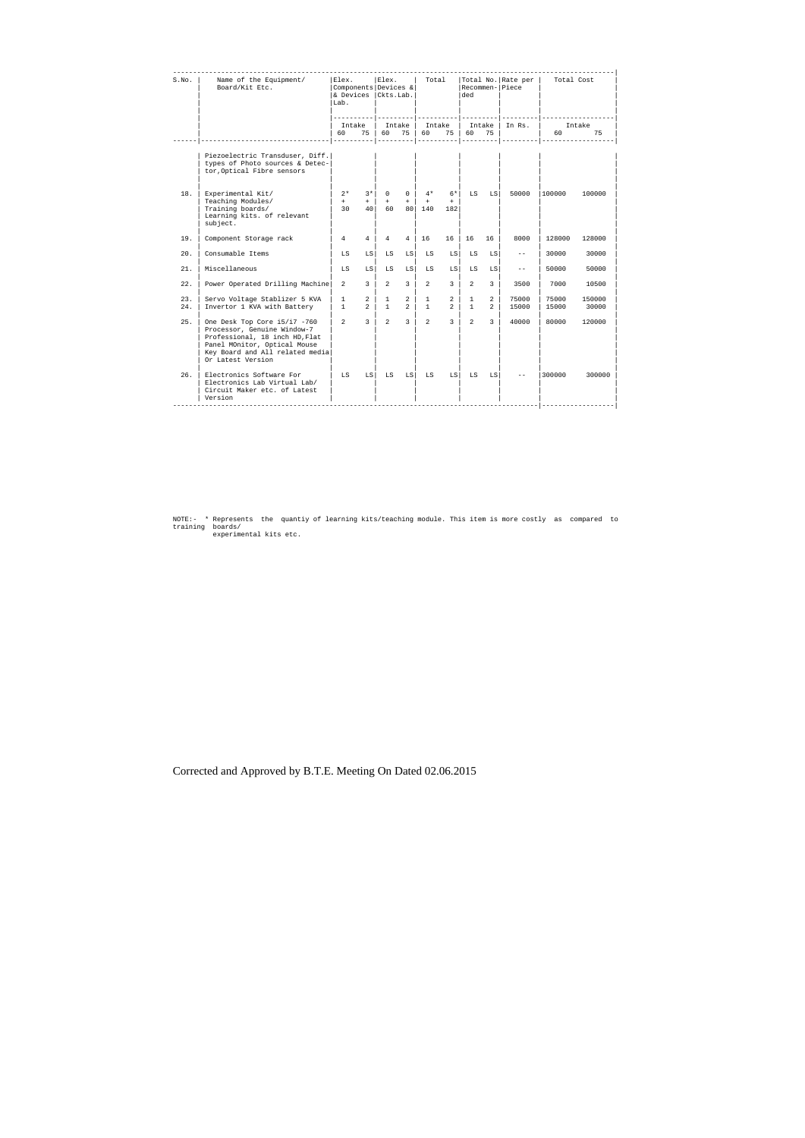| S.No.      | Name of the Equipment/<br>Board/Kit Etc.                                                                                                                                              | Elex.<br>Lab.                |                                 | Elex.<br>Components Devices &<br>& Devices (Ckts.Lab. |                                    | Total<br>----------- |                                  | Total No. Rate per<br>Recommen- Piece<br>ded |                                  |                   | Total Cost        |                 |
|------------|---------------------------------------------------------------------------------------------------------------------------------------------------------------------------------------|------------------------------|---------------------------------|-------------------------------------------------------|------------------------------------|----------------------|----------------------------------|----------------------------------------------|----------------------------------|-------------------|-------------------|-----------------|
|            |                                                                                                                                                                                       |                              | Intake                          |                                                       | Intake                             | Intake               |                                  |                                              | Intake                           | In Rs.            |                   | Intake          |
|            |                                                                                                                                                                                       | 60                           | 75                              | 60                                                    | 75                                 | 60                   | 75                               | 60<br>----------                             | 75                               | ----------        | 60<br>$- - - - -$ | 75              |
|            | Piezoelectric Transduser, Diff.<br>types of Photo sources & Detec-<br>tor, Optical Fibre sensors                                                                                      |                              |                                 |                                                       |                                    |                      |                                  |                                              |                                  |                   |                   |                 |
| 18.        | Experimental Kit/<br>Teaching Modules/<br>Training boards/<br>Learning kits. of relevant<br>subject.                                                                                  | $2*$<br>$+$<br>30            | $3*1$<br>$+$<br>40 <sup>1</sup> | $\Omega$<br>$+$<br>60                                 | $\Omega$<br>$+$<br>80 <sup>1</sup> | $4*$<br>$+$<br>140   | $6*$<br>$+$<br>182               | LS                                           | LS                               | 50000             | 100000            | 100000          |
| 19.        | Component Storage rack                                                                                                                                                                | $\overline{4}$               | $\overline{4}$                  | $4\overline{ }$                                       | 4                                  | 16                   | 16                               | 16                                           | 16                               | 8000              | 128000            | 128000          |
| 20.        | Consumable Items                                                                                                                                                                      | LS                           | LS I                            | LS                                                    | LS I                               | LS                   | LS                               | LS                                           | LS                               | $- -$             | 30000             | 30000           |
| 21.        | Miscellaneous                                                                                                                                                                         | LS                           | LS                              | LS                                                    | LS                                 | LS                   | LS                               | LS                                           | LS                               | $\qquad \qquad -$ | 50000             | 50000           |
| 22.        | Power Operated Drilling Machine                                                                                                                                                       | $\overline{2}$               | $\overline{3}$                  | $\overline{2}$                                        | $\overline{3}$                     | $\overline{2}$       | $\mathbf{3}$                     | $\overline{2}$                               | 3                                | 3500              | 7000              | 10500           |
| 23.<br>24. | Servo Voltage Stablizer 5 KVA<br>Invertor 1 KVA with Battery                                                                                                                          | $\mathbf{1}$<br>$\mathbf{1}$ | $2^{\circ}$<br>$2^{\circ}$      | $\mathbf{1}$<br>$\mathbf{1}$                          | 2 <sup>1</sup><br>2 <sup>1</sup>   | $\mathbf{1}$<br>1    | 2 <sup>1</sup><br>2 <sup>1</sup> | $\mathbf{1}$<br>$\mathbf{1}$                 | $\overline{2}$<br>$\overline{2}$ | 75000<br>15000    | 75000<br>15000    | 150000<br>30000 |
| 25.        | One Desk Top Core i5/i7 -760<br>Processor, Genuine Window-7<br>Professional, 18 inch HD, Flat<br>Panel MOnitor, Optical Mouse<br>Key Board and All related media<br>Or Latest Version | $\overline{2}$               | $\overline{3}$                  | $\overline{2}$                                        | $\mathcal{R}$                      | $\overline{2}$       | $\overline{3}$                   | $\overline{2}$                               | $\mathcal{L}$                    | 40000             | 80000             | 120000          |
| 26.        | Electronics Software For<br>Electronics Lab Virtual Lab/<br>Circuit Maker etc. of Latest<br>Version                                                                                   | LS                           | L.S                             | LS                                                    | LS                                 | LS                   | LS                               | LS                                           | LS                               |                   | 300000            | 300000          |

NOTE:- \* Represents the quantiy of learning kits/teaching module. This item is more costly as compared to training boards/ experimental kits etc.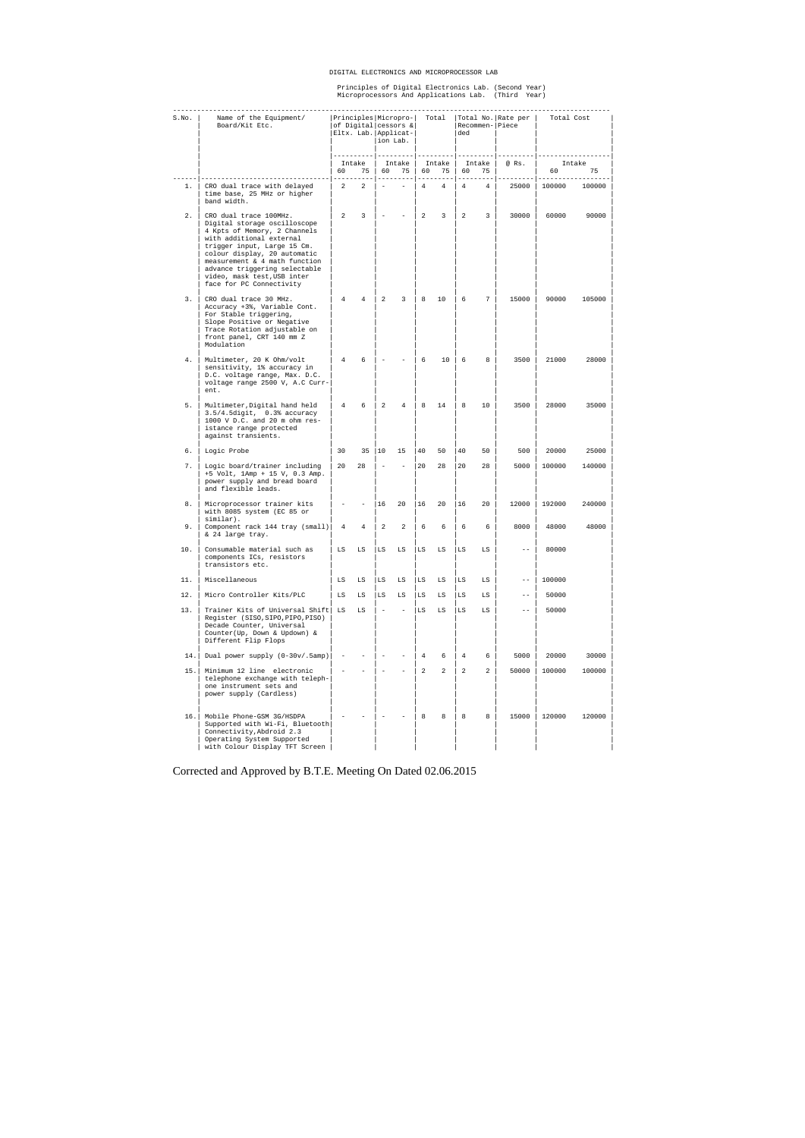#### DIGITAL ELECTRONICS AND MICROPROCESSOR LAB

# Principles of Digital Electronics Lab. (Second Year) Microprocessors And Applications Lab. (Third Year)

| S.No. | Name of the Equipment/<br>Board/Kit Etc.                                                                                                                                                                                                                                                                       |                |                |                          | Principles Micropro-<br>of Digital cessors &<br>Eltx. Lab. Applicat-<br>lion Lab. |                | Total           | ded            |                | Total No. Rate per  <br>Recommen-   Piece | Total Cost |              |
|-------|----------------------------------------------------------------------------------------------------------------------------------------------------------------------------------------------------------------------------------------------------------------------------------------------------------------|----------------|----------------|--------------------------|-----------------------------------------------------------------------------------|----------------|-----------------|----------------|----------------|-------------------------------------------|------------|--------------|
|       |                                                                                                                                                                                                                                                                                                                | 60             | Intake<br>75   | 60                       | Intake<br>75                                                                      | 60             | Intake<br>75    | 60             | Intake<br>75   | @ Rs.                                     | 60         | Intake<br>75 |
| 1.    | CRO dual trace with delayed<br>time base, 25 MHz or higher<br>band width.                                                                                                                                                                                                                                      | $\overline{a}$ | $\overline{a}$ | $\overline{\phantom{a}}$ | $-$                                                                               | $\overline{4}$ | $4\overline{ }$ | $\overline{4}$ | 4              | 25000                                     | 100000     | 100000       |
| 2.    | CRO dual trace 100MHz.<br>Digital storage oscilloscope<br>4 Kpts of Memory, 2 Channels<br>with additional external<br>trigger input, Large 15 Cm.<br>colour display, 20 automatic<br>measurement & 4 math function<br>advance triggering selectable<br>video, mask test, USB inter<br>face for PC Connectivity | 2              | $\overline{3}$ |                          |                                                                                   | 2              | $\overline{3}$  | 2              | 3              | 30000                                     | 60000      | 90000        |
| 3.    | CRO dual trace 30 MHz.<br>Accuracy +3%, Variable Cont.<br>For Stable triggering,<br>Slope Positive or Negative<br>Trace Rotation adjustable on<br>front panel, CRT 140 mm Z<br>Modulation                                                                                                                      | $\overline{4}$ | 4              | $\overline{a}$           | 3                                                                                 | 8              | 10              | 6              | 7              | 15000                                     | 90000      | 105000       |
| 4.    | Multimeter, 20 K Ohm/volt<br>sensitivity, 1% accuracy in<br>D.C. voltage range, Max. D.C.<br>voltage range 2500 V, A.C Curr-<br>ent.                                                                                                                                                                           | $\overline{4}$ | 6              |                          |                                                                                   | 6              | 10              | 6              | 8              | 3500                                      | 21000      | 28000        |
| 5.    | Multimeter, Digital hand held<br>$3.5/4.5$ digit, $0.3$ % accuracy<br>1000 V D.C. and 20 m ohm res-<br>istance range protected<br>against transients.                                                                                                                                                          | $\overline{4}$ | 6              | 2                        | $\overline{4}$                                                                    | 8              | 14              | 8              | 10             | 3500                                      | 28000      | 35000        |
| б.    | Logic Probe                                                                                                                                                                                                                                                                                                    | 30             | $35 \mid 10$   |                          | 15                                                                                | 40             | 50              | 40             | 50             | 500                                       | 20000      | 25000        |
| 7.    | Logic board/trainer including<br>+5 Volt, 1Amp + 15 V, 0.3 Amp.<br>power supply and bread board<br>and flexible leads.                                                                                                                                                                                         | 20             | 28             | $\overline{\phantom{a}}$ | $\overline{\phantom{0}}$                                                          | 20             | 28              | 20             | 28             | 5000                                      | 100000     | 140000       |
| 8.    | Microprocessor trainer kits<br>with 8085 system (EC 85 or<br>similar).                                                                                                                                                                                                                                         |                |                | 16                       | 20                                                                                | 16             | 20              | 16             | 20             | 12000                                     | 192000     | 240000       |
| 9.    | Component rack 144 tray (small)<br>& 24 large tray.                                                                                                                                                                                                                                                            | $\overline{4}$ | $\overline{4}$ | $\overline{a}$           | $\overline{a}$                                                                    | 6              | 6               | 6              | 6              | 8000                                      | 48000      | 48000        |
| 10.   | Consumable material such as<br>components ICs, resistors<br>transistors etc.                                                                                                                                                                                                                                   | LS             | LS             | LS                       | LS                                                                                | LS             | LS              | LS             | LS             |                                           | 80000      |              |
| 11.   | Miscellaneous                                                                                                                                                                                                                                                                                                  | LS             | LS             | LS.                      | $_{\rm LS}$                                                                       | LS             | LS              | LS             | LS             | $\qquad \qquad -$                         | 100000     |              |
| 12.   | Micro Controller Kits/PLC                                                                                                                                                                                                                                                                                      | LS             | LS             | LS                       | $_{\rm LS}$                                                                       | LS             | LS              | LS             | LS             | $ -$                                      | 50000      |              |
| 13.   | Trainer Kits of Universal Shift<br>Register (SISO, SIPO, PIPO, PISO)<br>Decade Counter, Universal<br>Counter(Up, Down & Updown) &<br>Different Flip Flops                                                                                                                                                      | LS             | LS             | $\overline{\phantom{a}}$ | $\overline{\phantom{a}}$                                                          | LS             | LS              | LS             | LS             | $- -$                                     | 50000      |              |
| 14.   | Dual power supply (0-30v/.5amp)                                                                                                                                                                                                                                                                                |                |                | $\overline{a}$           |                                                                                   | 4              | 6               | $\overline{4}$ | 6              | 5000                                      | 20000      | 30000        |
| 15.   | Minimum 12 line electronic<br>telephone exchange with teleph-<br>one instrument sets and<br>power supply (Cardless)                                                                                                                                                                                            |                |                |                          |                                                                                   | 2              | 2               | $\overline{a}$ | $\overline{a}$ | 50000                                     | 100000     | 100000       |
|       | 16.   Mobile Phone-GSM 3G/HSDPA<br>Supported with Wi-Fi, Bluetooth<br>Connectivity, Abdroid 2.3<br>Operating System Supported<br>with Colour Display TFT Screen                                                                                                                                                |                |                |                          |                                                                                   | 8              | 8               | 8              | 8              | 15000                                     | 120000     | 120000       |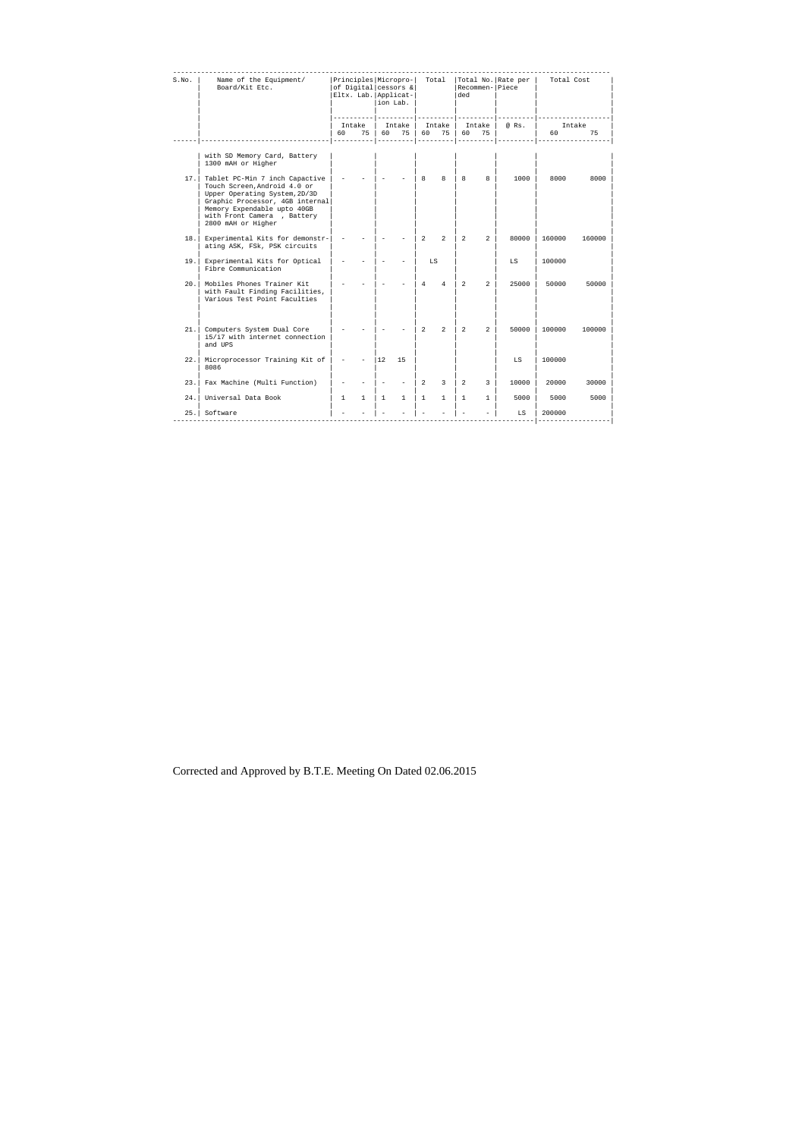| S.No. | Name of the Equipment/<br>Board/Kit Etc.                                                                                                                                                                              |                          |              | ion Lab.                 | of Digital cessors &<br>Eltx. Lab. Applicat- | Principles   Micropro-   Total   Total No.   Rate per |                | Recommen- Piece<br>ded |                |                                  | Total Cost |        |
|-------|-----------------------------------------------------------------------------------------------------------------------------------------------------------------------------------------------------------------------|--------------------------|--------------|--------------------------|----------------------------------------------|-------------------------------------------------------|----------------|------------------------|----------------|----------------------------------|------------|--------|
|       |                                                                                                                                                                                                                       |                          | Intake       |                          |                                              |                                                       |                |                        |                | Intake   Intake   Intake   @ Rs. |            | Intake |
|       | ---------------------------                                                                                                                                                                                           | 60                       | 75 l         | 60                       | 75                                           |                                                       | 60 75 60       |                        | 75             |                                  | 60 -       | 75     |
|       | with SD Memory Card, Battery<br>1300 mAH or Higher                                                                                                                                                                    |                          |              |                          |                                              |                                                       |                |                        |                |                                  |            |        |
| 17.1  | Tablet PC-Min 7 inch Capactive<br>Touch Screen, Android 4.0 or<br>Upper Operating System, 2D/3D<br>Graphic Processor, 4GB internal<br>Memory Expendable upto 40GB<br>with Front Camera, Battery<br>2800 mAH or Higher |                          |              | $\overline{\phantom{0}}$ |                                              | 8                                                     | $\mathsf{R}$   | 8                      | 8              | $1000$ $\vert$                   | 8000       | 8000   |
| 18.1  | Experimental Kits for demonstr-<br>ating ASK, FSk, PSK circuits                                                                                                                                                       |                          |              |                          |                                              | $\overline{2}$                                        | $\overline{2}$ | $\overline{a}$         | $\overline{a}$ | 80000                            | 160000     | 160000 |
| 19.1  | Experimental Kits for Optical<br>Fibre Communication                                                                                                                                                                  |                          |              |                          |                                              | LS                                                    |                |                        |                | LS                               | 100000     |        |
|       | 20.   Mobiles Phones Trainer Kit<br>with Fault Finding Facilities,<br>Various Test Point Faculties                                                                                                                    |                          |              |                          |                                              | $\overline{4}$                                        | $\overline{4}$ | $\overline{2}$         | $\overline{2}$ | 25000                            | 50000      | 50000  |
|       | 21. Computers System Dual Core<br>i5/i7 with internet connection<br>and UPS                                                                                                                                           |                          |              |                          |                                              | $\overline{2}$                                        | $\overline{2}$ | $\overline{a}$         | $\overline{a}$ | 50000                            | 100000     | 100000 |
| 22.1  | Microprocessor Training Kit of<br>8086                                                                                                                                                                                | $\overline{\phantom{a}}$ |              | $ 12\rangle$             | 15                                           |                                                       |                |                        |                | LS                               | 100000     |        |
| 23.1  | Fax Machine (Multi Function)                                                                                                                                                                                          |                          |              |                          |                                              | $\overline{2}$                                        | $\overline{3}$ | $\overline{2}$         | 3              | 10000                            | 20000      | 30000  |
| 24.   | Universal Data Book                                                                                                                                                                                                   | $\mathbf{1}$             | $\mathbf{1}$ | $\mathbf{1}$             | 1                                            | $\mathbf{1}$                                          | $\mathbf{1}$   | 1                      | $\mathbf{1}$   | 5000                             | 5000       | 5000   |
| 25.1  | Software                                                                                                                                                                                                              |                          |              |                          |                                              |                                                       |                |                        |                | LS                               | 200000     |        |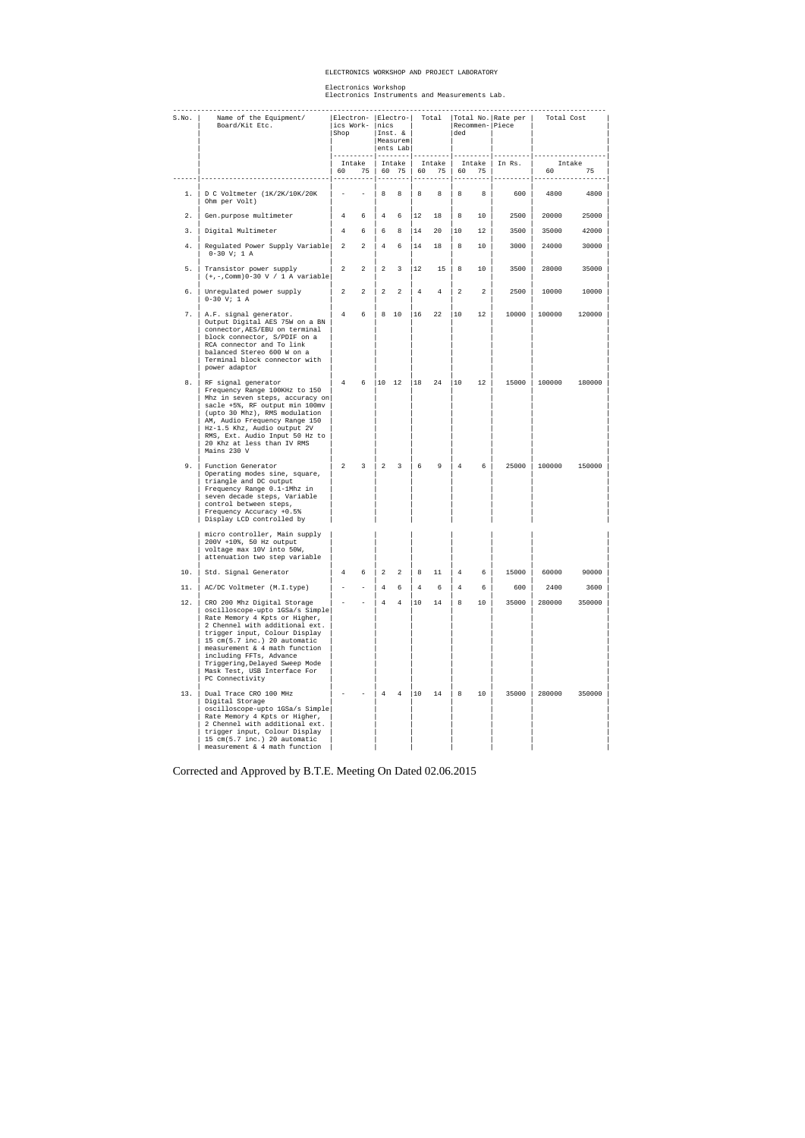#### ELECTRONICS WORKSHOP AND PROJECT LABORATORY

Electronics Workshop Electronics Instruments and Measurements Lab.

| S.No. | Name of the Equipment/<br>Board/Kit Etc.                                                                                                                                                                                                                                                                                                            | Electron-  Electro- <br> ics Work-<br>Shop |                | Inics<br>Inst. &<br>Measurem<br>$ents$ Lab |                            |                | Total<br>ded |                |                  | Total No. Rate per  <br>Recommen-IPiece | Total Cost |              |
|-------|-----------------------------------------------------------------------------------------------------------------------------------------------------------------------------------------------------------------------------------------------------------------------------------------------------------------------------------------------------|--------------------------------------------|----------------|--------------------------------------------|----------------------------|----------------|--------------|----------------|------------------|-----------------------------------------|------------|--------------|
|       |                                                                                                                                                                                                                                                                                                                                                     | 60 —                                       | Intake<br>75   |                                            | Intake<br>60 75            | 60             | Intake<br>75 | 60             | ----------<br>75 | Intake $ $ In Rs.                       | 60 — 10    | Intake<br>75 |
| $1$ . | D C Voltmeter (1K/2K/10K/20K<br>Ohm per Volt)                                                                                                                                                                                                                                                                                                       |                                            |                | 8                                          | 8                          | 8              | 8            | 8              | $8-1$            | 600                                     | 4800       | 4800         |
| 2.    | Gen.purpose multimeter                                                                                                                                                                                                                                                                                                                              | $4\degree$                                 | 6              | 4                                          | 6                          | $ 12\rangle$   | 18           | 8              | 10               | 2500                                    | 20000      | 25000        |
| 3.    | Digital Multimeter                                                                                                                                                                                                                                                                                                                                  | $4\phantom{0}$                             | 6              | 6                                          | 8                          | 14             | 20           | 10             | 12               | 3500                                    | 35000      | 42000        |
| 4.    | Regulated Power Supply Variable   2<br>$0-30$ V; 1 A                                                                                                                                                                                                                                                                                                |                                            | $\overline{2}$ | $4\degree$                                 | 6                          | 14             | 18           | 8              | 10               | 3000                                    | 24000      | 30000        |
| 5.    | Transistor power supply<br>$(+,-$ , Comm) 0-30 V / 1 A variable                                                                                                                                                                                                                                                                                     | $\overline{a}$                             | $\overline{a}$ | $\overline{a}$                             | $\overline{\mathbf{3}}$    | $ 12\rangle$   | 15           | 8              | 10               | 3500                                    | 28000      | 35000        |
| б.    | Unregulated power supply<br>$0-30$ V; 1 A                                                                                                                                                                                                                                                                                                           | $\overline{a}$                             | $\overline{2}$ | 2                                          | $\overline{\phantom{0}}^2$ | $\overline{4}$ | 4            | 2              | $\overline{a}$   | 2500                                    | 10000      | 10000        |
| 7.    | A.F. signal generator.<br>Output Digital AES 75W on a BN<br>connector, AES/EBU on terminal<br>block connector, S/PDIF on a<br>RCA connector and To link<br>balanced Stereo 600 W on a<br>Terminal block connector with<br>power adaptor                                                                                                             | 4                                          | 6              |                                            | 8 10                       | $ 16\rangle$   | 22           | 10             | 12               | 10000                                   | 100000     | 120000       |
| 8.    | RF signal generator<br>Frequency Range 100KHz to 150<br>Mhz in seven steps, accuracy on<br>sacle +5%, RF output min 100mv<br>(upto 30 Mhz), RMS modulation<br>AM, Audio Frequency Range 150<br>Hz-1.5 Khz, Audio output 2V<br>RMS, Ext. Audio Input 50 Hz to<br>20 Khz at less than IV RMS<br>Mains 230 V                                           | 4                                          | 6              | $\begin{vmatrix} 10 & 12 \end{vmatrix}$    |                            | $ 18\rangle$   | 24           | 10             | 12               | 15000                                   | 100000     | 180000       |
| 9.    | Function Generator<br>Operating modes sine, square,<br>triangle and DC output<br>Frequency Range 0.1-1Mhz in<br>seven decade steps, Variable<br>control between steps,<br>Frequency Accuracy +0.5%<br>Display LCD controlled by                                                                                                                     | $\overline{2}$                             | $\overline{3}$ | $\vert$ 2                                  | $\overline{\mathbf{3}}$    | 6              | 9            | $\overline{4}$ | 6                | $25000$                                 | 100000     | 150000       |
|       | micro controller, Main supply<br>200V +10%, 50 Hz output<br>voltage max 10V into 50W,<br>attenuation two step variable                                                                                                                                                                                                                              |                                            |                |                                            |                            |                |              |                |                  |                                         |            |              |
| 10.   | Std. Signal Generator                                                                                                                                                                                                                                                                                                                               | 4                                          | 6              | 2                                          | 2                          | 8              | 11           | $\overline{4}$ | 6                | 15000                                   | 60000      | 90000        |
| 11.   | AC/DC Voltmeter (M.I.type)                                                                                                                                                                                                                                                                                                                          |                                            |                | $\overline{4}$                             | 6                          | $\overline{4}$ | 6            | $\overline{4}$ | 6                | 600                                     | 2400       | 3600         |
| 12.   | CRO 200 Mhz Digital Storage<br>oscilloscope-upto 1GSa/s Simple<br>Rate Memory 4 Kpts or Higher,<br>2 Chennel with additional ext.<br>trigger input, Colour Display<br>15 cm(5.7 inc.) 20 automatic<br>measurement & 4 math function<br>including FFTs, Advance<br>Triggering, Delayed Sweep Mode<br>Mask Test, USB Interface For<br>PC Connectivity |                                            |                | $\overline{4}$                             | $\overline{4}$             | 10             | 14           | 8              | 10               | 35000                                   | 280000     | 350000       |
| 13.   | Dual Trace CRO 100 MHz<br>Digital Storage<br>oscilloscope-upto 1GSa/s Simple<br>Rate Memory 4 Kpts or Higher,<br>2 Chennel with additional ext.<br>trigger input, Colour Display<br>15 cm(5.7 inc.) 20 automatic<br>measurement & 4 math function                                                                                                   |                                            |                | $\overline{4}$                             | $\overline{4}$             | 10             | 14           | 8              | 10               | 35000                                   | 280000     | 350000       |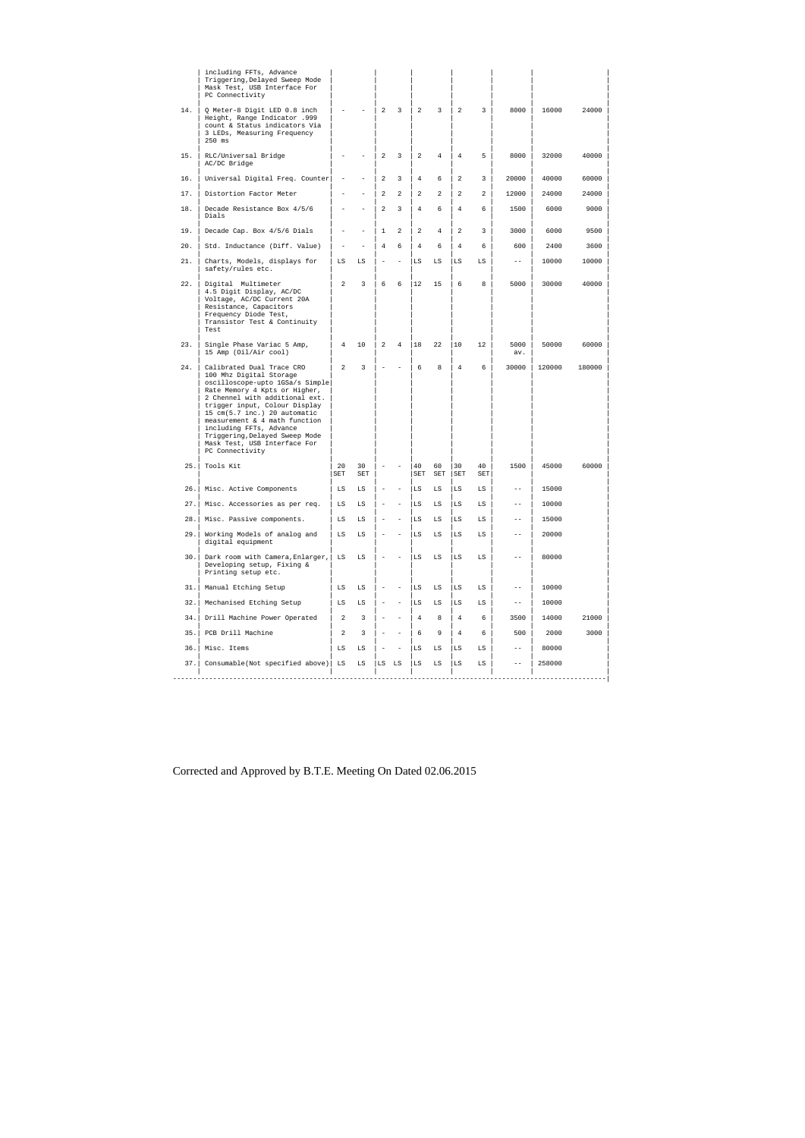|      | including FFTs, Advance<br>Triggering, Delayed Sweep Mode<br>Mask Test, USB Interface For<br>PC Connectivity                                                                                                                                                                                                                                                                 |                          |                          |                          |                          |                |                |                |           |                   |        |        |
|------|------------------------------------------------------------------------------------------------------------------------------------------------------------------------------------------------------------------------------------------------------------------------------------------------------------------------------------------------------------------------------|--------------------------|--------------------------|--------------------------|--------------------------|----------------|----------------|----------------|-----------|-------------------|--------|--------|
| 14.  | Q Meter-8 Digit LED 0.8 inch<br>Height, Range Indicator .999<br>count & Status indicators Via<br>3 LEDs, Measuring Frequency<br>$250$ ms                                                                                                                                                                                                                                     |                          |                          | 2                        | 3                        | 2              | 3              | 2              | 3         | 8000              | 16000  | 24000  |
| 15.  | RLC/Universal Bridge<br>AC/DC Bridge                                                                                                                                                                                                                                                                                                                                         |                          |                          | 2                        | 3                        | 2              | 4              | $\overline{4}$ | 5         | 8000              | 32000  | 40000  |
| 16.  | Universal Digital Freq. Counter                                                                                                                                                                                                                                                                                                                                              | $\overline{\phantom{a}}$ | $\overline{a}$           | 2                        | 3                        | $\overline{4}$ | 6              | $\overline{2}$ | 3         | 20000             | 40000  | 60000  |
| 17.  | Distortion Factor Meter                                                                                                                                                                                                                                                                                                                                                      |                          |                          | $\overline{a}$           | 2                        | 2              | 2              | $\overline{a}$ | 2         | 12000             | 24000  | 24000  |
| 18.  | Decade Resistance Box 4/5/6<br>Dials                                                                                                                                                                                                                                                                                                                                         |                          |                          | $\overline{a}$           | 3                        | $\overline{4}$ | 6              | $\overline{4}$ | 6         | 1500              | 6000   | 9000   |
| 19.  | Decade Cap. Box 4/5/6 Dials                                                                                                                                                                                                                                                                                                                                                  | $\overline{\phantom{a}}$ |                          | $\mathbf{1}$             | 2                        | 2              | $\overline{4}$ | $\overline{a}$ | 3         | 3000              | 6000   | 9500   |
| 20.  | Std. Inductance (Diff. Value)                                                                                                                                                                                                                                                                                                                                                | $\overline{\phantom{0}}$ | $\overline{\phantom{a}}$ | $\overline{4}$           | 6                        | $\overline{4}$ | 6              | $\overline{4}$ | 6         | 600               | 2400   | 3600   |
| 21.  | Charts, Models, displays for<br>safety/rules etc.                                                                                                                                                                                                                                                                                                                            | LS                       | LS                       | L,                       | $\overline{\phantom{0}}$ | LS             | LS             | LS             | LS        | $- -$             | 10000  | 10000  |
| 22.  | Digital Multimeter<br>4.5 Digit Display, AC/DC<br>Voltage, AC/DC Current 20A<br>Resistance, Capacitors<br>Frequency Diode Test,<br>Transistor Test & Continuity<br>Test                                                                                                                                                                                                      | 2                        | 3                        | 6                        | 6                        | 12             | 15             | 6              | 8         | 5000              | 30000  | 40000  |
| 23.  | Single Phase Variac 5 Amp,<br>15 Amp (Oil/Air cool)                                                                                                                                                                                                                                                                                                                          | 4                        | 10                       | 2                        | 4                        | 18             | 22             | 10             | 12        | 5000<br>av.       | 50000  | 60000  |
| 24.  | Calibrated Dual Trace CRO<br>100 Mhz Digital Storage<br>oscilloscope-upto 1GSa/s Simple<br>Rate Memory 4 Kpts or Higher,<br>2 Chennel with additional ext.<br>trigger input, Colour Display<br>15 cm(5.7 inc.) 20 automatic<br>measurement & 4 math function<br>including FFTs, Advance<br>Triggering, Delayed Sweep Mode<br>Mask Test, USB Interface For<br>PC Connectivity | 2                        | 3                        | $\overline{\phantom{0}}$ |                          | 6              | 8              | $\overline{4}$ | 6         | 30000             | 120000 | 180000 |
| 25.  | Tools Kit                                                                                                                                                                                                                                                                                                                                                                    | 20<br>SET                | 30<br>SET                |                          |                          | 40<br>SET      | 60<br>SET      | 30<br>SET      | 40<br>SET | 1500              | 45000  | 60000  |
| 26.1 | Misc. Active Components                                                                                                                                                                                                                                                                                                                                                      | LS                       | $_{\rm LS}$              |                          |                          | LS             | LS             | LS             | LS        | $\qquad \qquad -$ | 15000  |        |
| 27.  | Misc. Accessories as per req.                                                                                                                                                                                                                                                                                                                                                | LS                       | LS                       |                          |                          | LS             | LS             | LS             | LS        | $- -$             | 10000  |        |
| 28.  | Misc. Passive components.                                                                                                                                                                                                                                                                                                                                                    | LS                       | $_{\rm LS}$              |                          |                          | LS             | LS             | LS             | LS        | $-$               | 15000  |        |
| 29.  | Working Models of analog and<br>digital equipment                                                                                                                                                                                                                                                                                                                            | LS                       | $_{\rm LS}$              |                          |                          | LS             | LS             | LS             | LS        | $- -$             | 20000  |        |
| 30.  | Dark room with Camera, Enlarger,<br>Developing setup, Fixing &<br>Printing setup etc.                                                                                                                                                                                                                                                                                        | LS                       | LS                       |                          |                          | LS             | LS             | LS             | LS        | $-$               | 80000  |        |
| 31.  | Manual Etching Setup                                                                                                                                                                                                                                                                                                                                                         | LS                       | $_{\rm LS}$              |                          |                          | LS             | LS             | LS             | LS        | $-$               | 10000  |        |
| 32.  | Mechanised Etching Setup                                                                                                                                                                                                                                                                                                                                                     | LS                       | LS                       |                          | $\overline{a}$           | LS             | LS             | LS             | LS        | $- -$             | 10000  |        |
| 34.  | Drill Machine Power Operated                                                                                                                                                                                                                                                                                                                                                 | 2                        | 3                        |                          |                          | $\overline{4}$ | 8              | $\overline{4}$ | 6         | 3500              | 14000  | 21000  |
| 35.  | PCB Drill Machine                                                                                                                                                                                                                                                                                                                                                            | 2                        | 3                        |                          |                          | 6              | 9              | $\overline{4}$ | 6         | 500               | 2000   | 3000   |
| 36.  | Misc. Items                                                                                                                                                                                                                                                                                                                                                                  | LS                       | LS                       |                          | $\overline{\phantom{a}}$ | LS             | LS             | $_{\rm LS}$    | LS        | $\qquad \qquad -$ | 80000  |        |
| 37.  | Consumable(Not specified above)                                                                                                                                                                                                                                                                                                                                              | LS                       | LS                       | LS                       | LS                       | LS             | LS             | LS             | LS        | $\qquad \qquad -$ | 258000 |        |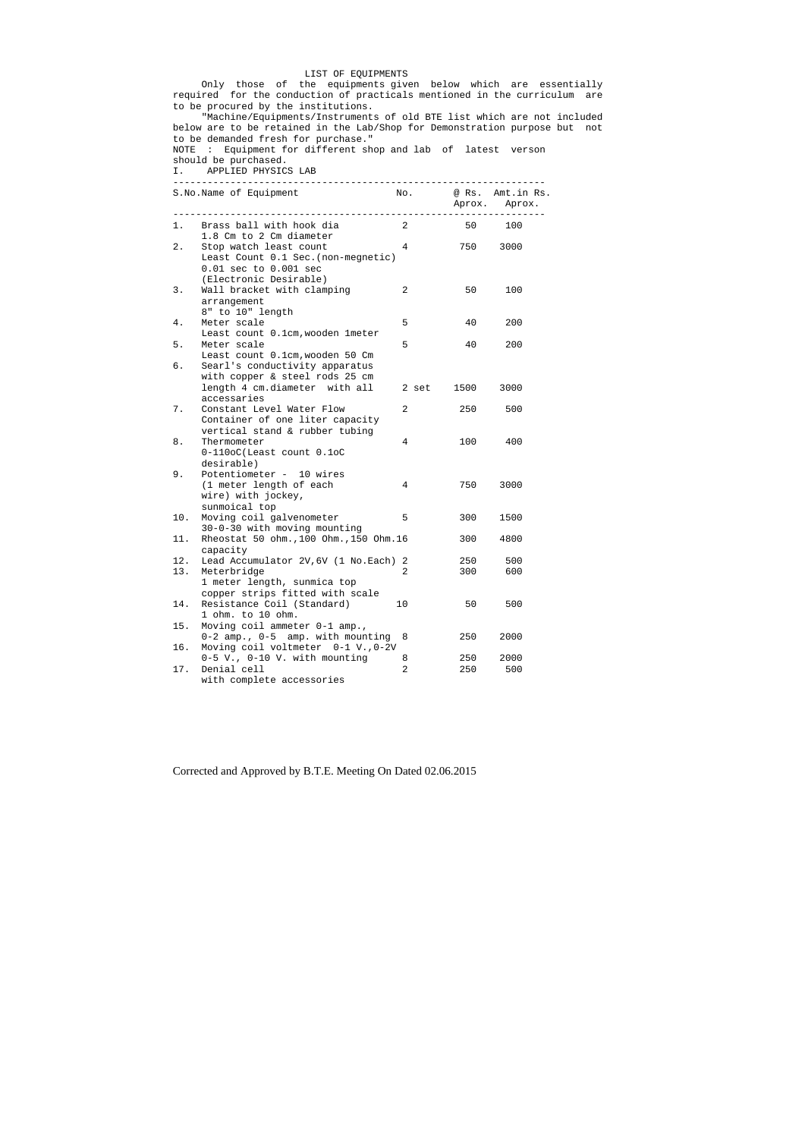## LIST OF EQUIPMENTS

 Only those of the equipments given below which are essentially required for the conduction of practicals mentioned in the curriculum are to be procured by the institutions.

 "Machine/Equipments/Instruments of old BTE list which are not included below are to be retained in the Lab/Shop for Demonstration purpose but not to be demanded fresh for purchase."

## NOTE : Equipment for different shop and lab of latest verson

should be purchased.

I. APPLIED PHYSICS LAB

|            | S.No.Name of Equipment<br>___________________                                                                           | No.            |            | @ Rs. Amt.in Rs.<br>Aprox. Aprox. |
|------------|-------------------------------------------------------------------------------------------------------------------------|----------------|------------|-----------------------------------|
| 1. .       | Brass ball with hook dia<br>1.8 Cm to 2 Cm diameter                                                                     | $\overline{2}$ | 50         | 100                               |
| 2.         | Stop watch least count<br>Least Count 0.1 Sec. (non-megnetic)<br>0.01 sec to 0.001 sec<br>(Electronic Desirable)        | 4              | 750        | 3000                              |
| 3.         | Wall bracket with clamping<br>arrangement<br>8" to 10" length                                                           | 2              | 50         | 100                               |
| 4.         | Meter scale<br>Least count 0.1cm, wooden 1 meter                                                                        | 5              | 40         | 200                               |
| 5.<br>б.   | Meter scale<br>Least count 0.1cm, wooden 50 Cm<br>Searl's conductivity apparatus<br>with copper & steel rods 25 cm      | 5              | 40         | 200                               |
|            | length 4 cm.diameter with all<br>accessaries                                                                            | 2 set          | 1500       | 3000                              |
| 7.         | Constant Level Water Flow<br>Container of one liter capacity<br>vertical stand & rubber tubing                          | $\overline{2}$ | 250        | 500                               |
| 8.         | Thermometer<br>0-110oC(Least count 0.1oC<br>desirable)                                                                  | 4              | 100        | 400                               |
| 9.         | Potentiometer - 10 wires<br>(1 meter length of each<br>wire) with jockey,<br>sunmoical top                              | 4              | 750        | 3000                              |
| 10.        | Moving coil galvenometer<br>30-0-30 with moving mounting                                                                | 5              | 300        | 1500                              |
| 11.        | Rheostat 50 ohm., 100 Ohm., 150 Ohm. 16<br>capacity                                                                     |                | 300        | 4800                              |
| 12.<br>13. | Lead Accumulator 2V, 6V (1 No. Each) 2<br>Meterbridge<br>1 meter length, sunmica top<br>copper strips fitted with scale | 2              | 250<br>300 | 500<br>600                        |
| 14.        | Resistance Coil (Standard)<br>1 ohm. to 10 ohm.                                                                         | 10             | 50         | 500                               |
| 15.        | Moving coil ammeter 0-1 amp.,<br>0-2 amp., 0-5 amp. with mounting                                                       | 8              | 250        | 2000                              |
| 16.        | Moving coil voltmeter 0-1 V., 0-2V<br>0-5 V., 0-10 V. with mounting                                                     | 8              | 250        | 2000                              |
| 17.        | Denial cell<br>with complete accessories                                                                                | $\overline{2}$ | 250        | 500                               |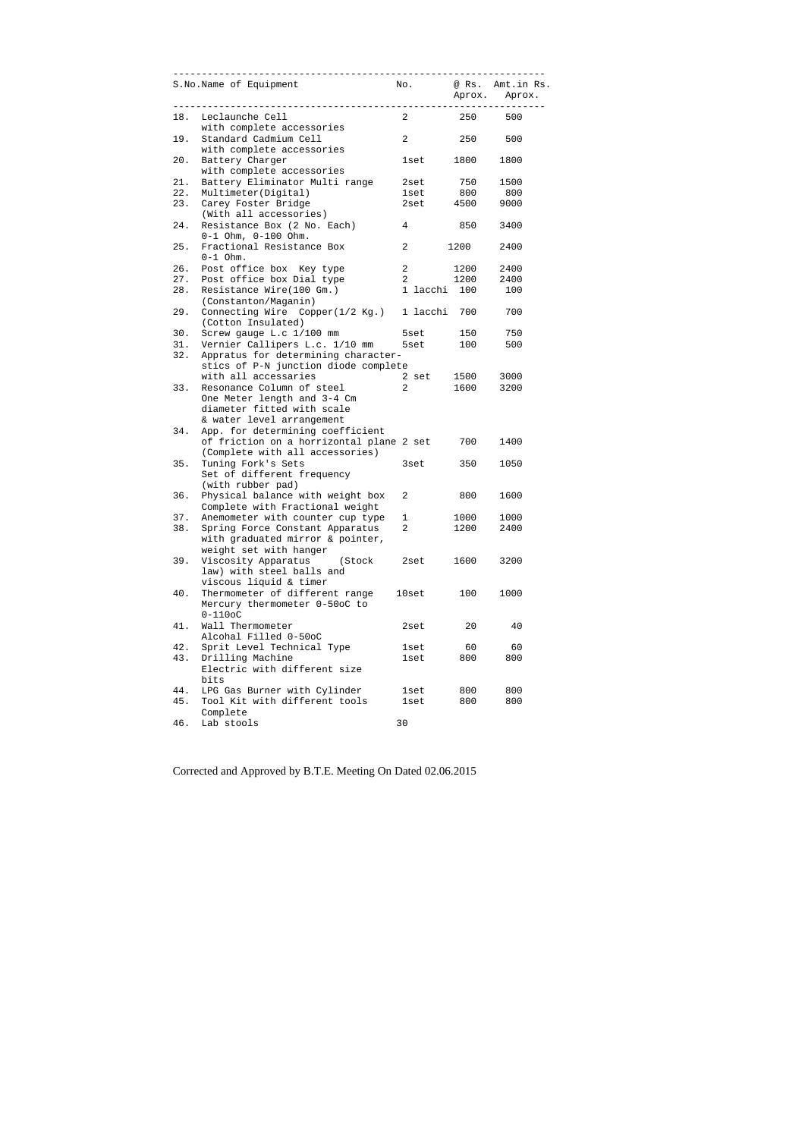|     | ____________________________________<br>S.No.Name of Equipment     |                         |      | No. @ Rs. Amt.in Rs.<br>Aprox. Aprox. |
|-----|--------------------------------------------------------------------|-------------------------|------|---------------------------------------|
|     | 18. Leclaunche Cell<br>with complete accessories                   | $2^{\circ}$             |      | 250 500                               |
| 19. | Standard Cadmium Cell<br>with complete accessories                 | $\overline{a}$          |      | 250 500                               |
| 20. | Battery Charger<br>with complete accessories                       | 1set 1800               |      | 1800                                  |
| 21. | Battery Eliminator Multi range                                     | 2set 750                |      | 1500                                  |
| 22. | Multimeter(Digital)                                                | 1set 800 800            |      |                                       |
| 23. | Carey Foster Bridge                                                | 2set 4500 9000          |      |                                       |
|     | (With all accessories)                                             |                         |      |                                       |
| 24. | Resistance Box (2 No. Each)                                        | $\overline{4}$          | 850  | 3400                                  |
|     | $0-1$ Ohm, $0-100$ Ohm.                                            |                         |      |                                       |
| 25. | Fractional Resistance Box                                          | $\overline{2}$          | 1200 | 2400                                  |
|     | $0-1$ Ohm.                                                         |                         |      |                                       |
| 26. | Post office box Key type                                           | $\overline{\mathbf{2}}$ | 1200 | 2400                                  |
| 27. | Post office box Dial type                                          | 2 1200                  |      | 2400                                  |
| 28. | Resistance Wire(100 Gm.)                                           | 1 lacchi 100            |      | 100                                   |
|     | (Constanton/Maganin)                                               |                         |      |                                       |
| 29. | Connecting Wire Copper(1/2 Kg.) 1 lacchi 700<br>(Cotton Insulated) |                         |      | 700                                   |
| 30. | Screw gauge L.c 1/100 mm                                           | 5set                    |      | 150 750                               |
| 31. | Vernier Callipers L.c. 1/10 mm 5set                                |                         |      | 100 500                               |
| 32. | Appratus for determining character-                                |                         |      |                                       |
|     | stics of P-N junction diode complete                               |                         |      |                                       |
|     | with all accessaries                                               | 2 set 1500 3000         |      |                                       |
| 33. | Resonance Column of steel                                          | 2 1600 3200             |      |                                       |
|     | One Meter length and 3-4 Cm                                        |                         |      |                                       |
|     | diameter fitted with scale                                         |                         |      |                                       |
|     | & water level arrangement                                          |                         |      |                                       |
| 34. | App. for determining coefficient                                   |                         |      |                                       |
|     | of friction on a horrizontal plane 2 set 700                       |                         |      | 1400                                  |
|     | (Complete with all accessories)                                    |                         |      |                                       |
| 35. | Tuning Fork's Sets                                                 | 3set in 1980.           | 350  | 1050                                  |
|     | Set of different frequency                                         |                         |      |                                       |
|     | (with rubber pad)                                                  |                         |      |                                       |
| 36. | Physical balance with weight box                                   | $\mathbf{2}$            | 800  | 1600                                  |
|     | Complete with Fractional weight                                    |                         |      |                                       |
| 37. | Anemometer with counter cup type                                   | $\mathbf 1$             | 1000 | 1000                                  |
| 38. | Spring Force Constant Apparatus                                    | 2                       | 1200 | 2400                                  |
|     | with graduated mirror & pointer,                                   |                         |      |                                       |
|     | weight set with hanger                                             |                         |      |                                       |
| 39. | Viscosity Apparatus<br>(Stock                                      | 2set                    | 1600 | 3200                                  |
|     | law) with steel balls and                                          |                         |      |                                       |
|     | viscous liquid & timer                                             |                         |      |                                       |
| 40. | Thermometer of different range                                     | 10set                   | 100  | 1000                                  |
|     | Mercury thermometer 0-50oC to                                      |                         |      |                                       |
|     | $0-110$ oC                                                         |                         |      |                                       |
| 41. | Wall Thermometer                                                   | 2set                    | 20   | 40                                    |
|     | Alcohal Filled 0-50oC                                              |                         |      |                                       |
| 42. | Sprit Level Technical Type                                         | lset                    | 60   | 60                                    |
| 43. | Drilling Machine                                                   | lset                    | 800  | 800                                   |
|     | Electric with different size<br>bits                               |                         |      |                                       |
| 44. | LPG Gas Burner with Cylinder                                       | lset                    | 800  | 800                                   |
| 45. | Tool Kit with different tools                                      | lset                    | 800  | 800                                   |
|     | Complete                                                           |                         |      |                                       |
| 46. | Lab stools                                                         | 30                      |      |                                       |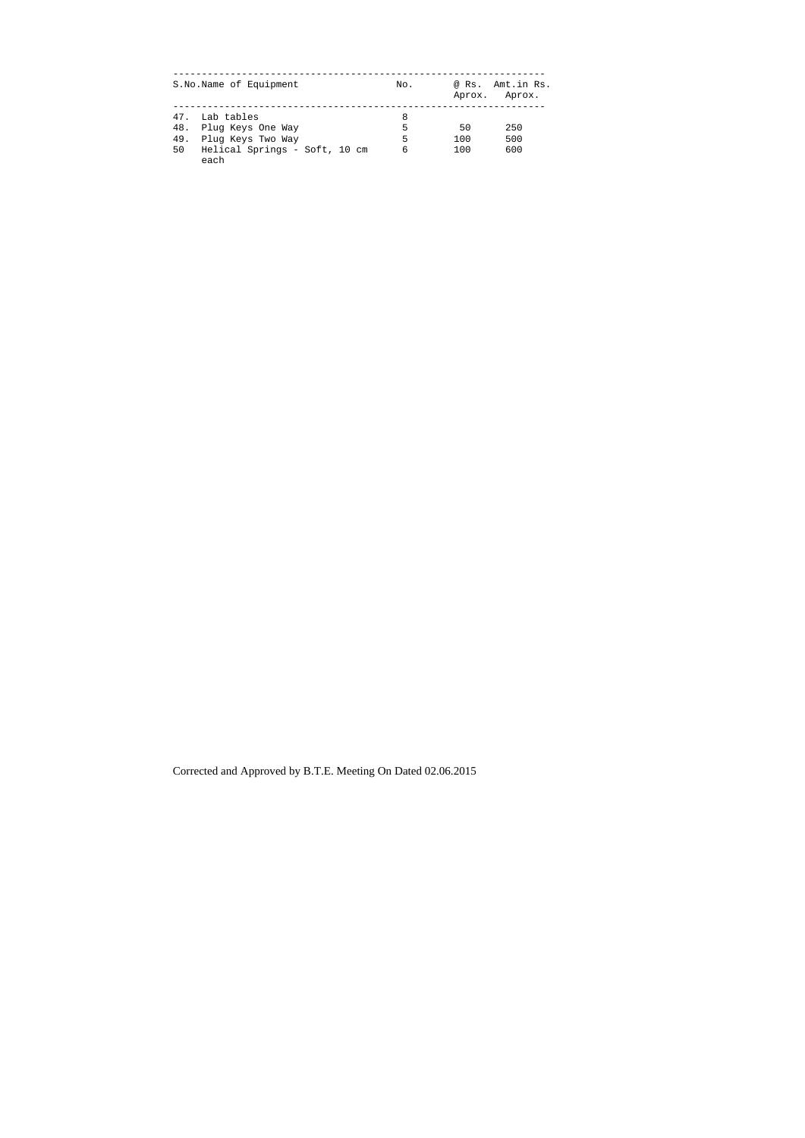| S.No.Name of Equipment                                                                                                   | No.              | @ Rs.<br>Aprox.  | Amt.in Rs.<br>Aprox. |
|--------------------------------------------------------------------------------------------------------------------------|------------------|------------------|----------------------|
| 47.<br>Lab tables<br>48.<br>Plug Keys One Way<br>49.<br>Plug Keys Two Way<br>50<br>Helical Springs - Soft, 10 cm<br>each | 8<br>5<br>5<br>6 | 50<br>100<br>100 | 250<br>500<br>600    |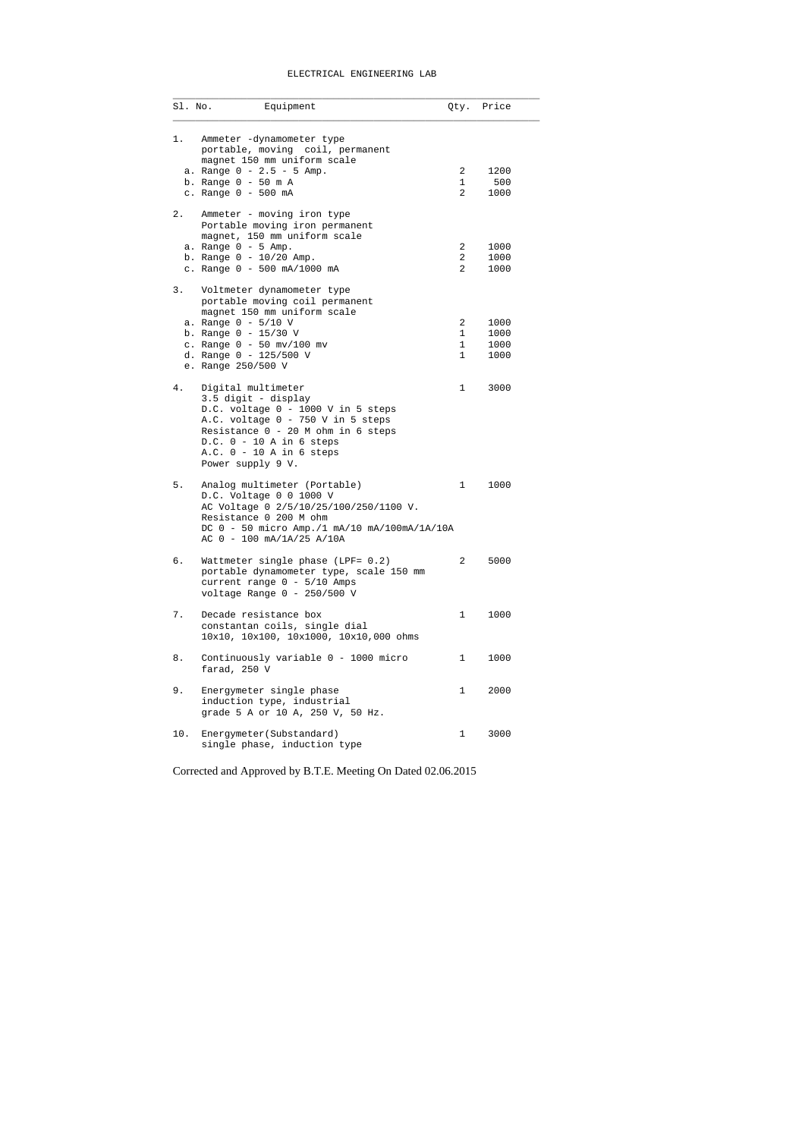## ELECTRICAL ENGINEERING LAB

| Sl. No. | Equipment                                                                                                                                                                                                                                   | Qty.                                               | Price                        |
|---------|---------------------------------------------------------------------------------------------------------------------------------------------------------------------------------------------------------------------------------------------|----------------------------------------------------|------------------------------|
| 1.      | Ammeter -dynamometer type<br>portable, moving coil, permanent<br>magnet 150 mm uniform scale<br>a. Range $0 - 2.5 - 5$ Amp.<br>b. Range $0 - 50$ m A<br>c. Range 0 - 500 mA                                                                 | $\overline{2}$<br>1<br>2                           | 1200<br>500<br>1000          |
| 2.      | Ammeter - moving iron type<br>Portable moving iron permanent<br>magnet, 150 mm uniform scale<br>a. Range $0 - 5$ Amp.<br>b. Range $0 - 10/20$ Amp.<br>c. Range 0 - 500 mA/1000 mA                                                           | $\overline{2}$<br>$\overline{a}$<br>$\overline{2}$ | 1000<br>1000<br>1000         |
| 3.      | Voltmeter dynamometer type<br>portable moving coil permanent<br>magnet 150 mm uniform scale<br>a. Range $0 - 5/10$ V<br>b. Range 0 - 15/30 V<br>c. Range $0 - 50$ mv/100 mv<br>d. Range 0 - 125/500 V<br>e. Range 250/500 V                 | 2<br>1<br>1<br>$\mathbf{1}$                        | 1000<br>1000<br>1000<br>1000 |
| 4.      | Digital multimeter<br>3.5 digit - display<br>D.C. voltage 0 - 1000 V in 5 steps<br>A.C. voltage 0 - 750 V in 5 steps<br>Resistance 0 - 20 M ohm in 6 steps<br>$D.C. 0 - 10 A in 6 steps$<br>$A.C. 0 - 10 A in 6 steps$<br>Power supply 9 V. | $\mathbf{1}$                                       | 3000                         |
| 5.      | Analog multimeter (Portable)<br>D.C. Voltage 0 0 1000 V<br>AC Voltage 0 2/5/10/25/100/250/1100 V.<br>Resistance 0 200 M ohm<br>DC 0 - 50 micro Amp./1 mA/10 mA/100mA/1A/10A<br>AC 0 - 100 mA/1A/25 A/10A                                    | 1                                                  | 1000                         |
| б.      | Wattmeter single phase (LPF= 0.2)<br>portable dynamometer type, scale 150 mm<br>current range 0 - 5/10 Amps<br>voltage Range $0 - 250/500$ V                                                                                                | $\overline{2}$                                     | 5000                         |
| 7.      | Decade resistance box<br>constantan coils, single dial<br>10x10, 10x100, 10x1000, 10x10,000 ohms                                                                                                                                            | 1                                                  | 1000                         |
| 8.      | Continuously variable 0 - 1000 micro<br>farad, 250 V                                                                                                                                                                                        | 1                                                  | 1000                         |
| 9.      | Energymeter single phase<br>induction type, industrial<br>grade 5 A or 10 A, 250 V, 50 Hz.                                                                                                                                                  | 1                                                  | 2000                         |
| 10.     | Energymeter (Substandard)<br>single phase, induction type                                                                                                                                                                                   | 1                                                  | 3000                         |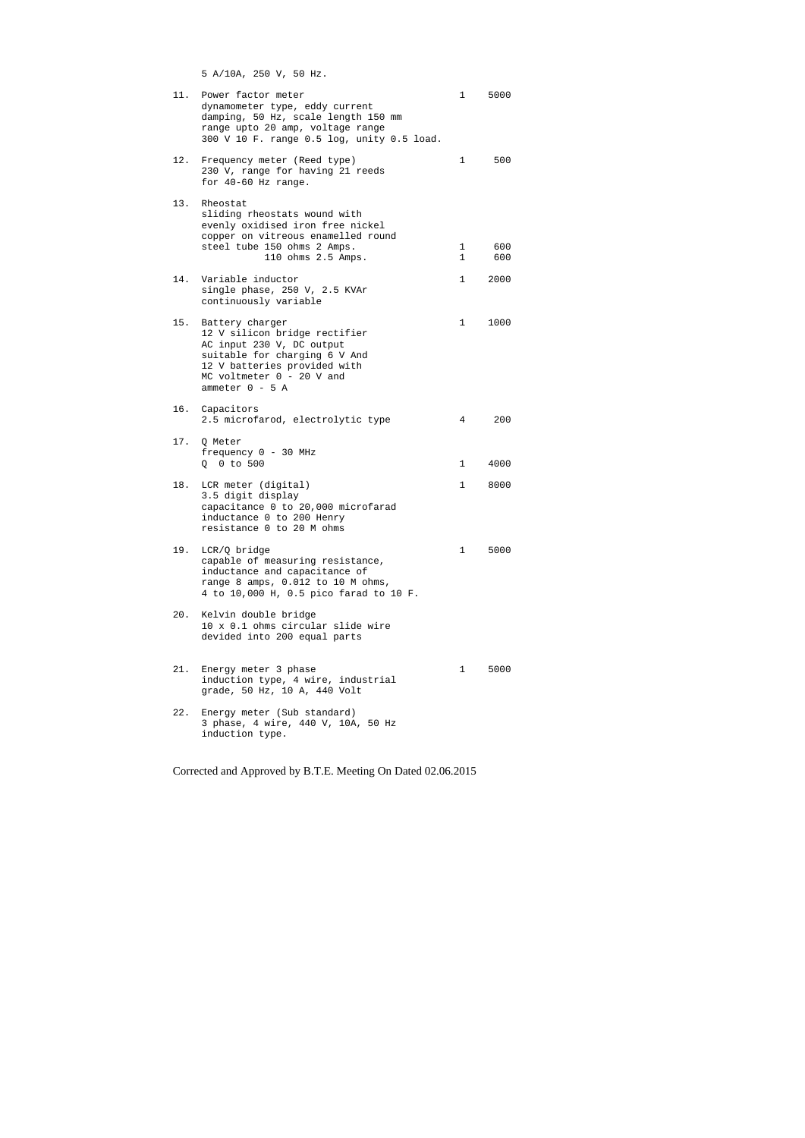5 A/10A, 250 V, 50 Hz.

| 11. | Power factor meter<br>dynamometer type, eddy current<br>damping, 50 Hz, scale length 150 mm<br>range upto 20 amp, voltage range<br>300 V 10 F. range 0.5 log, unity 0.5 load.                      | $\mathbf 1$  | 5000 |
|-----|----------------------------------------------------------------------------------------------------------------------------------------------------------------------------------------------------|--------------|------|
| 12. | Frequency meter (Reed type)<br>230 V, range for having 21 reeds<br>for $40-60$ Hz range.                                                                                                           | $\mathbf{1}$ | 500  |
| 13. | Rheostat<br>sliding rheostats wound with<br>evenly oxidised iron free nickel<br>copper on vitreous enamelled round<br>steel tube 150 ohms 2 Amps.                                                  | $\mathbf 1$  | 600  |
|     | 110 ohms 2.5 Amps.                                                                                                                                                                                 | $\mathbf 1$  | 600  |
| 14. | Variable inductor<br>single phase, 250 V, 2.5 KVAr<br>continuously variable                                                                                                                        | $\mathbf 1$  | 2000 |
| 15. | Battery charger<br>12 V silicon bridge rectifier<br>AC input 230 V, DC output<br>suitable for charging 6 V And<br>12 V batteries provided with<br>MC voltmeter $0 - 20$ V and<br>ammeter $0 - 5$ A | 1            | 1000 |
|     | 16. Capacitors<br>2.5 microfarod, electrolytic type                                                                                                                                                | 4            | 200  |
| 17. | Q Meter<br>frequency 0 - 30 MHz<br>Q 0 to 500                                                                                                                                                      | $\mathbf{1}$ | 4000 |
| 18. | LCR meter (digital)<br>3.5 digit display<br>capacitance 0 to 20,000 microfarad<br>inductance 0 to 200 Henry<br>resistance 0 to 20 M ohms                                                           | $\mathbf{1}$ | 8000 |
| 19. | LCR/Q bridge<br>capable of measuring resistance,<br>inductance and capacitance of<br>range 8 amps, 0.012 to 10 M ohms,<br>4 to 10,000 H, 0.5 pico farad to 10 F.                                   | $1 \quad$    | 5000 |
| 20. | Kelvin double bridge<br>10 x 0.1 ohms circular slide wire<br>devided into 200 equal parts                                                                                                          |              |      |
|     | 21. Energy meter 3 phase<br>induction type, 4 wire, industrial<br>grade, 50 Hz, 10 A, 440 Volt                                                                                                     | $1 \quad$    | 5000 |
| 22. | Energy meter (Sub standard)<br>3 phase, 4 wire, 440 V, 10A, 50 Hz<br>induction type.                                                                                                               |              |      |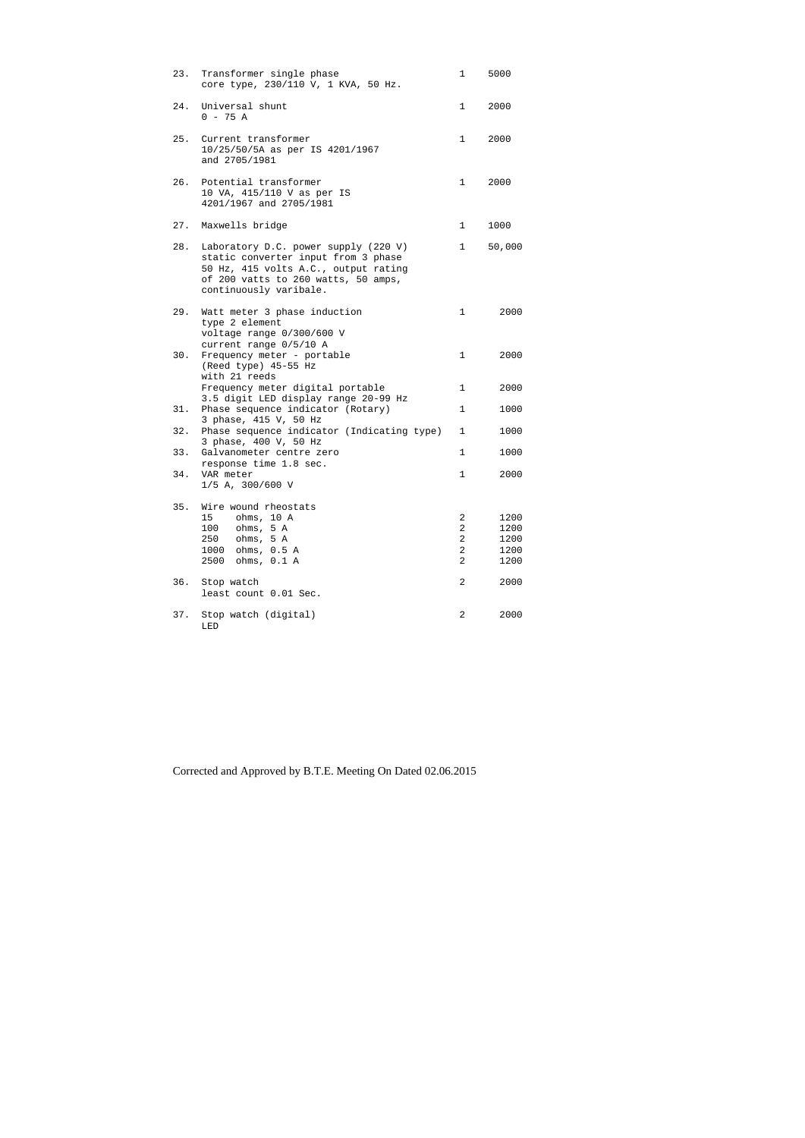| 23. | Transformer single phase<br>core type, 230/110 V, 1 KVA, 50 Hz.                                                                                                                      | 1                                                                         | 5000                                 |
|-----|--------------------------------------------------------------------------------------------------------------------------------------------------------------------------------------|---------------------------------------------------------------------------|--------------------------------------|
|     | 24. Universal shunt<br>$0 - 75 A$                                                                                                                                                    | $\mathbf 1$                                                               | 2000                                 |
| 25. | Current transformer<br>10/25/50/5A as per IS 4201/1967<br>and 2705/1981                                                                                                              | $\mathbf{1}$                                                              | 2000                                 |
| 26. | Potential transformer<br>10 VA, 415/110 V as per IS<br>4201/1967 and 2705/1981                                                                                                       | 1                                                                         | 2000                                 |
| 27. | Maxwells bridge                                                                                                                                                                      | 1                                                                         | 1000                                 |
| 28. | Laboratory D.C. power supply (220 V)<br>static converter input from 3 phase<br>50 Hz, 415 volts A.C., output rating<br>of 200 vatts to 260 watts, 50 amps,<br>continuously varibale. | 1                                                                         | 50,000                               |
| 29. | Watt meter 3 phase induction<br>type 2 element<br>voltage range 0/300/600 V<br>current range 0/5/10 A                                                                                | 1                                                                         | 2000                                 |
| 30. | Frequency meter - portable<br>(Reed type) 45-55 Hz<br>with 21 reeds                                                                                                                  | 1                                                                         | 2000                                 |
|     | Frequency meter digital portable<br>3.5 digit LED display range 20-99 Hz                                                                                                             | $\mathbf{1}$                                                              | 2000                                 |
| 31. | Phase sequence indicator (Rotary)<br>3 phase, 415 V, 50 Hz                                                                                                                           | $\mathbf{1}$                                                              | 1000                                 |
| 32. | Phase sequence indicator (Indicating type)<br>3 phase, 400 V, 50 Hz                                                                                                                  | $\mathbf{1}$                                                              | 1000                                 |
| 33. | Galvanometer centre zero<br>response time 1.8 sec.                                                                                                                                   | $\mathbf{1}$                                                              | 1000                                 |
| 34. | VAR meter<br>$1/5$ A, 300/600 V                                                                                                                                                      | $\mathbf{1}$                                                              | 2000                                 |
| 35. | Wire wound rheostats<br>15<br>ohms, 10 A<br>100<br>ohms, 5 A<br>ohms, 5 A<br>250<br>ohms, 0.5 A<br>1000<br>ohms, 0.1 A<br>2500                                                       | 2<br>$\overline{c}$<br>$\overline{a}$<br>$\overline{a}$<br>$\overline{2}$ | 1200<br>1200<br>1200<br>1200<br>1200 |
| 36. | Stop watch<br>least count 0.01 Sec.                                                                                                                                                  | 2                                                                         | 2000                                 |
| 37. | Stop watch (digital)<br>LED                                                                                                                                                          | 2                                                                         | 2000                                 |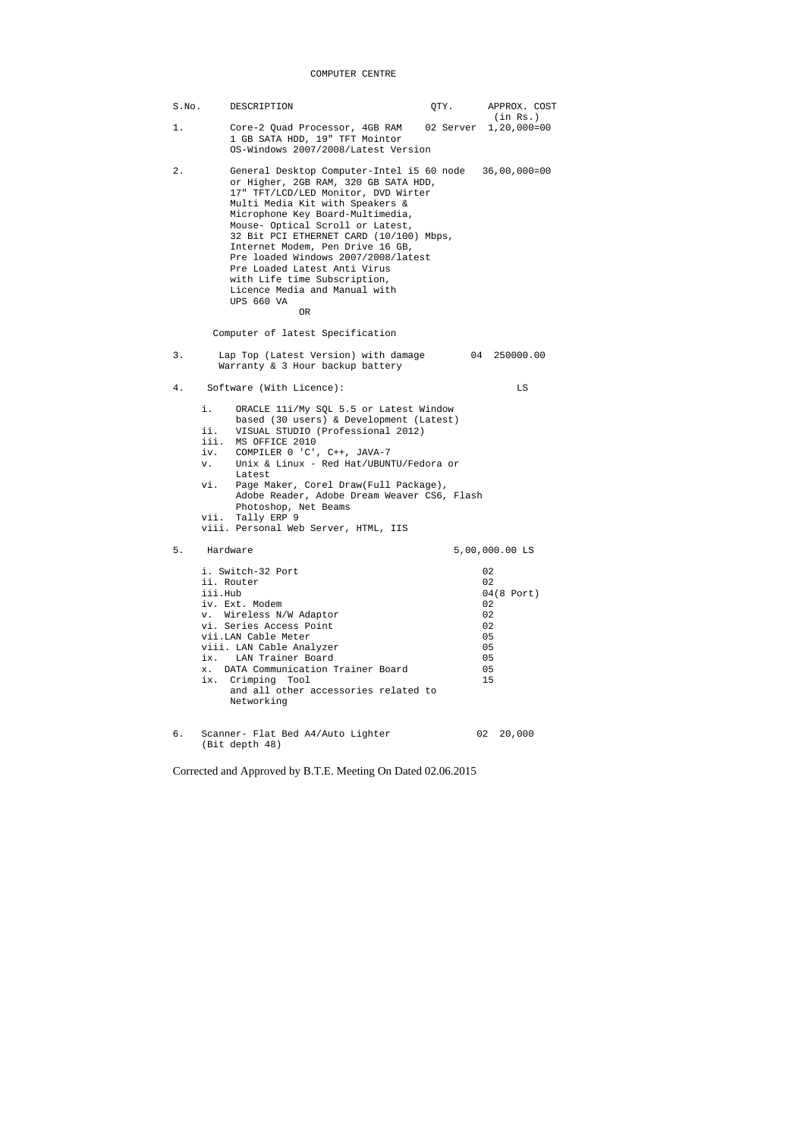## COMPUTER CENTRE

| S.No. | DESCRIPTION                                                                                                                                                                                                                                                                                                                                                                                                                                                                                  | QTY. | APPROX. COST                                                             |
|-------|----------------------------------------------------------------------------------------------------------------------------------------------------------------------------------------------------------------------------------------------------------------------------------------------------------------------------------------------------------------------------------------------------------------------------------------------------------------------------------------------|------|--------------------------------------------------------------------------|
| 1.    | Core-2 Quad Processor, 4GB RAM 02 Server 1,20,000=00<br>1 GB SATA HDD, 19" TFT Mointor<br>OS-Windows 2007/2008/Latest Version                                                                                                                                                                                                                                                                                                                                                                |      | (in Rs.)                                                                 |
| 2.    | General Desktop Computer-Intel i5 60 node 36,00,000=00<br>or Higher, 2GB RAM, 320 GB SATA HDD,<br>17" TFT/LCD/LED Monitor, DVD Wirter<br>Multi Media Kit with Speakers &<br>Microphone Key Board-Multimedia,<br>Mouse- Optical Scroll or Latest,<br>32 Bit PCI ETHERNET CARD (10/100) Mbps,<br>Internet Modem, Pen Drive 16 GB,<br>Pre loaded Windows 2007/2008/latest<br>Pre Loaded Latest Anti Virus<br>with Life time Subscription,<br>Licence Media and Manual with<br>UPS 660 VA<br>OR. |      |                                                                          |
|       | Computer of latest Specification                                                                                                                                                                                                                                                                                                                                                                                                                                                             |      |                                                                          |
| 3.    | Lap Top (Latest Version) with damage<br>Warranty & 3 Hour backup battery                                                                                                                                                                                                                                                                                                                                                                                                                     |      | 04 250000.00                                                             |
| $4$ . | Software (With Licence):                                                                                                                                                                                                                                                                                                                                                                                                                                                                     |      | LS                                                                       |
|       | i.<br>ORACLE 11i/My SQL 5.5 or Latest Window<br>based (30 users) & Development (Latest)<br>VISUAL STUDIO (Professional 2012)<br>ii.<br>iii.<br>MS OFFICE 2010<br>COMPILER 0 'C', C++, JAVA-7<br>iv.<br>Unix & Linux - Red Hat/UBUNTU/Fedora or<br>V.<br>Latest<br>vi.<br>Page Maker, Corel Draw(Full Package),<br>Adobe Reader, Adobe Dream Weaver CS6, Flash<br>Photoshop, Net Beams<br>Tally ERP 9<br>vii.<br>viii. Personal Web Server, HTML, IIS                                         |      |                                                                          |
| 5.    | Hardware                                                                                                                                                                                                                                                                                                                                                                                                                                                                                     |      | 5,00,000.00 LS                                                           |
|       | i. Switch-32 Port<br>ii. Router<br>iii.Hub<br>iv. Ext. Modem<br>v. Wireless N/W Adaptor<br>vi. Series Access Point<br>vii.LAN Cable Meter<br>viii. LAN Cable Analyzer<br>ix. LAN Trainer Board<br>DATA Communication Trainer Board<br>$x$ .<br>ix. Crimping Tool<br>and all other accessories related to<br>Networking                                                                                                                                                                       |      | 02<br>02<br>$04(8$ Port)<br>02<br>02<br>02<br>05<br>05<br>05<br>05<br>15 |
| б.    | Scanner- Flat Bed A4/Auto Lighter<br>(Bit depth 48)                                                                                                                                                                                                                                                                                                                                                                                                                                          |      | 02<br>20,000                                                             |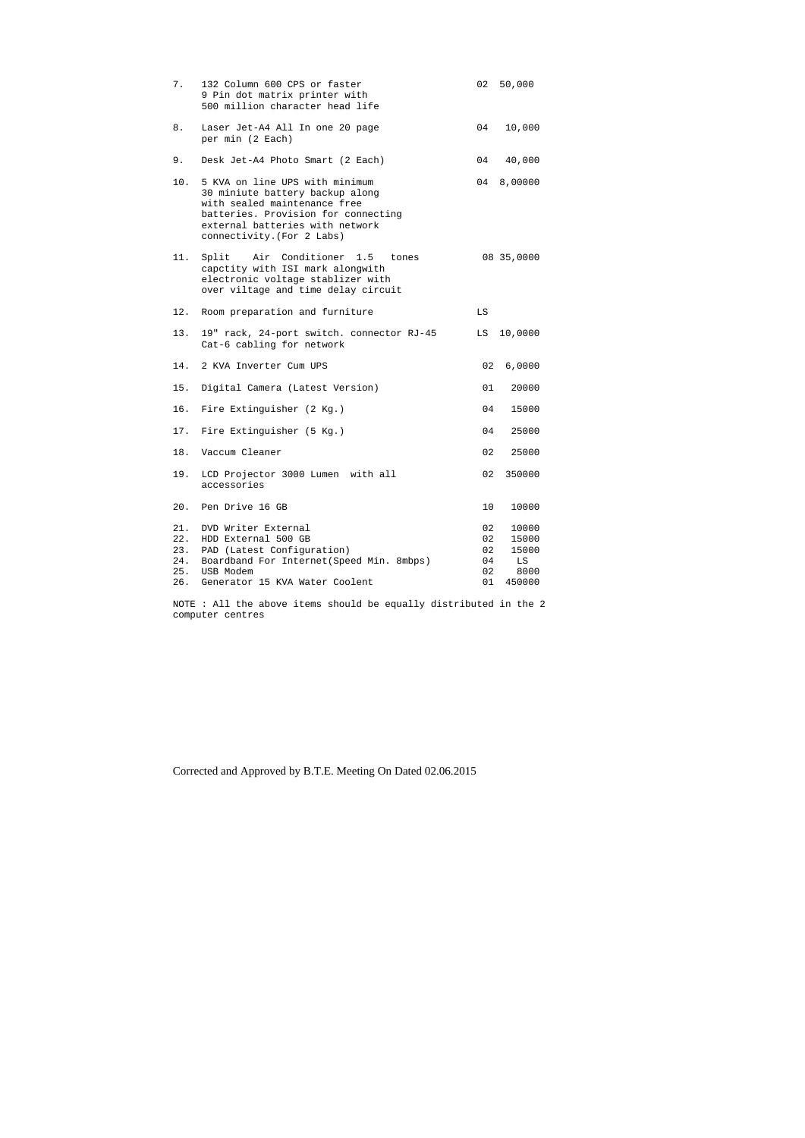| 7.                | 132 Column 600 CPS or faster<br>9 Pin dot matrix printer with<br>500 million character head life                                                                                                          | 02                               | 50,000                                          |
|-------------------|-----------------------------------------------------------------------------------------------------------------------------------------------------------------------------------------------------------|----------------------------------|-------------------------------------------------|
| 8.                | Laser Jet-A4 All In one 20 page<br>per min (2 Each)                                                                                                                                                       |                                  | 04 10,000                                       |
| 9.                | Desk Jet-A4 Photo Smart (2 Each)                                                                                                                                                                          |                                  | 04 40,000                                       |
| 10.               | 5 KVA on line UPS with minimum<br>30 miniute battery backup along<br>with sealed maintenance free<br>batteries. Provision for connecting<br>external batteries with network<br>connectivity. (For 2 Labs) | 04                               | 8,00000                                         |
| 11.               | Split Air Conditioner 1.5 tones<br>capctity with ISI mark alongwith<br>electronic voltage stablizer with<br>over viltage and time delay circuit                                                           |                                  | 08 35,0000                                      |
| 12.               | Room preparation and furniture                                                                                                                                                                            | LS                               |                                                 |
| 13.               | 19" rack, 24-port switch. connector RJ-45<br>Cat-6 cabling for network                                                                                                                                    | LS                               | 10,0000                                         |
|                   | 14. 2 KVA Inverter Cum UPS                                                                                                                                                                                | 02                               | 6,0000                                          |
| 15.               | Digital Camera (Latest Version)                                                                                                                                                                           | 01                               | 20000                                           |
|                   | 16. Fire Extinguisher (2 Kg.)                                                                                                                                                                             | 04                               | 15000                                           |
|                   | 17. Fire Extinguisher (5 Kg.)                                                                                                                                                                             | 04                               | 25000                                           |
|                   | 18. Vaccum Cleaner                                                                                                                                                                                        | 02                               | 25000                                           |
|                   | 19. LCD Projector 3000 Lumen with all<br>accessories                                                                                                                                                      | 02                               | 350000                                          |
| 20.               | Pen Drive 16 GB                                                                                                                                                                                           | 10                               | 10000                                           |
| 21.<br>22.<br>24. | DVD Writer External<br>HDD External 500 GB<br>23. PAD (Latest Configuration)<br>Boardband For Internet (Speed Min. 8mbps)<br>25. USB Modem<br>26. Generator 15 KVA Water Coolent                          | 02<br>02<br>02<br>04<br>02<br>01 | 10000<br>15000<br>15000<br>LS<br>8000<br>450000 |

NOTE : All the above items should be equally distributed in the 2 computer centres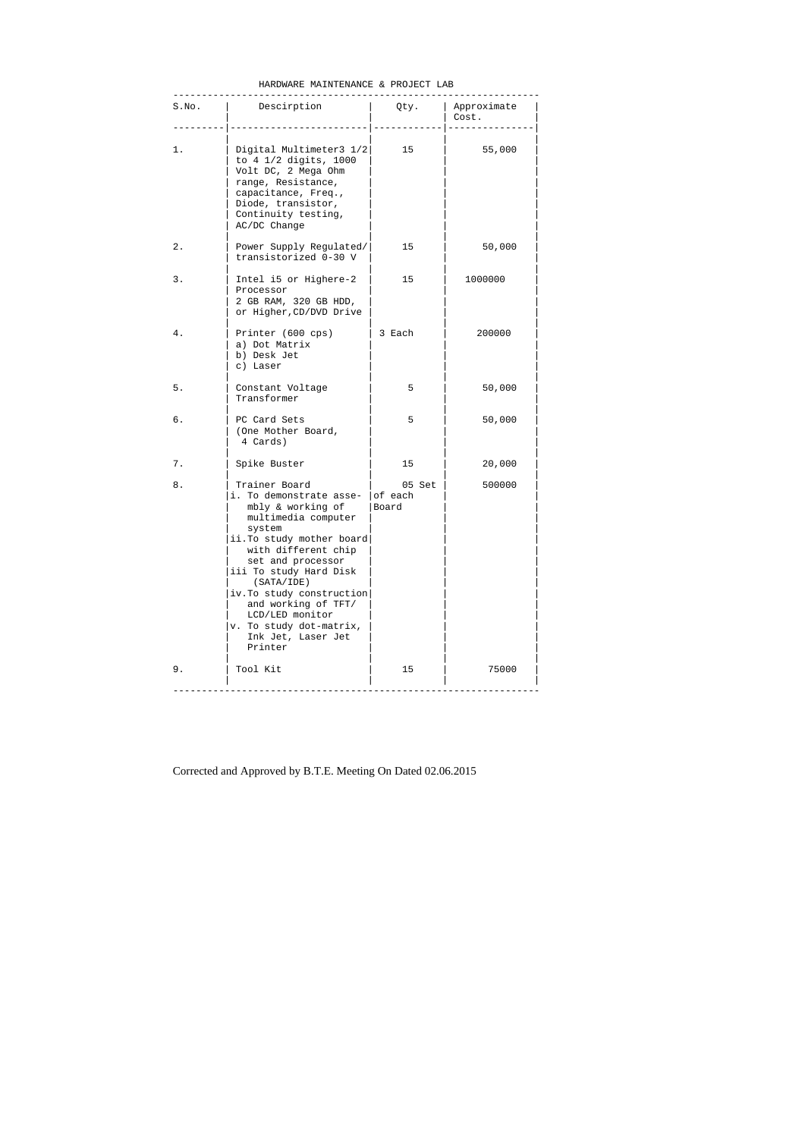| HARDWARE MAINTENANCE & PROJECT LAB |  |  |  |  |
|------------------------------------|--|--|--|--|
|------------------------------------|--|--|--|--|

| S.No. | Descirption                                                                                                                                                                                                                                                                                                                                               |                 | Qty.   Approximate<br>Cost. |
|-------|-----------------------------------------------------------------------------------------------------------------------------------------------------------------------------------------------------------------------------------------------------------------------------------------------------------------------------------------------------------|-----------------|-----------------------------|
| 1.    | Digital Multimeter3 1/2<br>to 4 1/2 digits, 1000<br>Volt DC, 2 Mega Ohm<br>range, Resistance,<br>capacitance, Freq.,<br>Diode, transistor,<br>Continuity testing,<br>AC/DC Change                                                                                                                                                                         | 15              | 55,000                      |
| 2.    | Power Supply Regulated/<br>transistorized 0-30 V                                                                                                                                                                                                                                                                                                          | 15              | 50,000                      |
| 3.    | Intel i5 or Highere-2<br>Processor<br>2 GB RAM, 320 GB HDD,<br>or Higher, CD/DVD Drive                                                                                                                                                                                                                                                                    | 15              | 1000000                     |
| 4.    | Printer (600 cps)<br>a) Dot Matrix<br>b) Desk Jet<br>c) Laser                                                                                                                                                                                                                                                                                             | 3 Each          | 200000                      |
| 5.    | Constant Voltage<br>Transformer                                                                                                                                                                                                                                                                                                                           | 5               | 50,000                      |
| б.    | PC Card Sets<br>(One Mother Board,<br>4 Cards)                                                                                                                                                                                                                                                                                                            | 5               | 50,000                      |
| 7.    | Spike Buster                                                                                                                                                                                                                                                                                                                                              | 15              | 20,000                      |
| 8.    | Trainer Board<br>i. To demonstrate asse- of each<br>mbly & working of<br>multimedia computer<br>system<br>ii.To study mother board<br>with different chip<br>set and processor<br>iii To study Hard Disk<br>(SATA/IDE)<br>iv. To study construction<br>and working of TFT/<br>LCD/LED monitor<br>v. To study dot-matrix,<br>Ink Jet, Laser Jet<br>Printer | 05 Set<br>Board | 500000                      |
| 9.    | Tool Kit                                                                                                                                                                                                                                                                                                                                                  | 15              | 75000                       |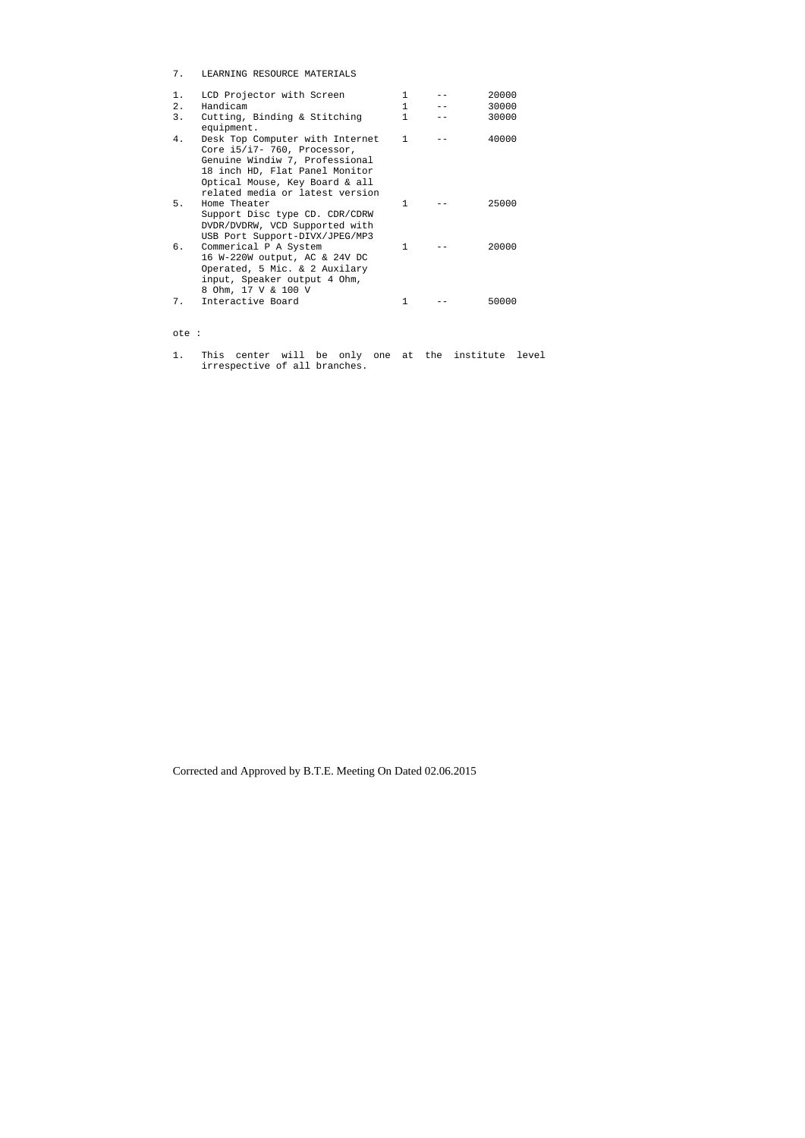7. LEARNING RESOURCE MATERIALS

| $1$ . | LCD Projector with Screen                                                                                                                                                                                   | 1            | 20000 |
|-------|-------------------------------------------------------------------------------------------------------------------------------------------------------------------------------------------------------------|--------------|-------|
| $2$ . | Handicam                                                                                                                                                                                                    | 1            | 30000 |
| 3.    | Cutting, Binding & Stitching<br>equipment.                                                                                                                                                                  | 1            | 30000 |
| 4.    | Desk Top Computer with Internet<br>Core $i5/i7 - 760$ , Processor,<br>Genuine Windiw 7, Professional<br>18 inch HD, Flat Panel Monitor<br>Optical Mouse, Key Board & all<br>related media or latest version | $\mathbf{1}$ | 40000 |
| 5.    | Home Theater<br>Support Disc type CD. CDR/CDRW<br>DVDR/DVDRW, VCD Supported with<br>USB Port Support-DIVX/JPEG/MP3                                                                                          | 1            | 25000 |
| б.    | Commerical P A System<br>16 W-220W output, AC & 24V DC<br>Operated, 5 Mic. & 2 Auxilary<br>input, Speaker output 4 Ohm,<br>8 Ohm, 17 V & 100 V                                                              | $\mathbf{1}$ | 20000 |
| 7.    | Interactive Board                                                                                                                                                                                           |              | 50000 |

## ote :

1. This center will be only one at the institute level irrespective of all branches.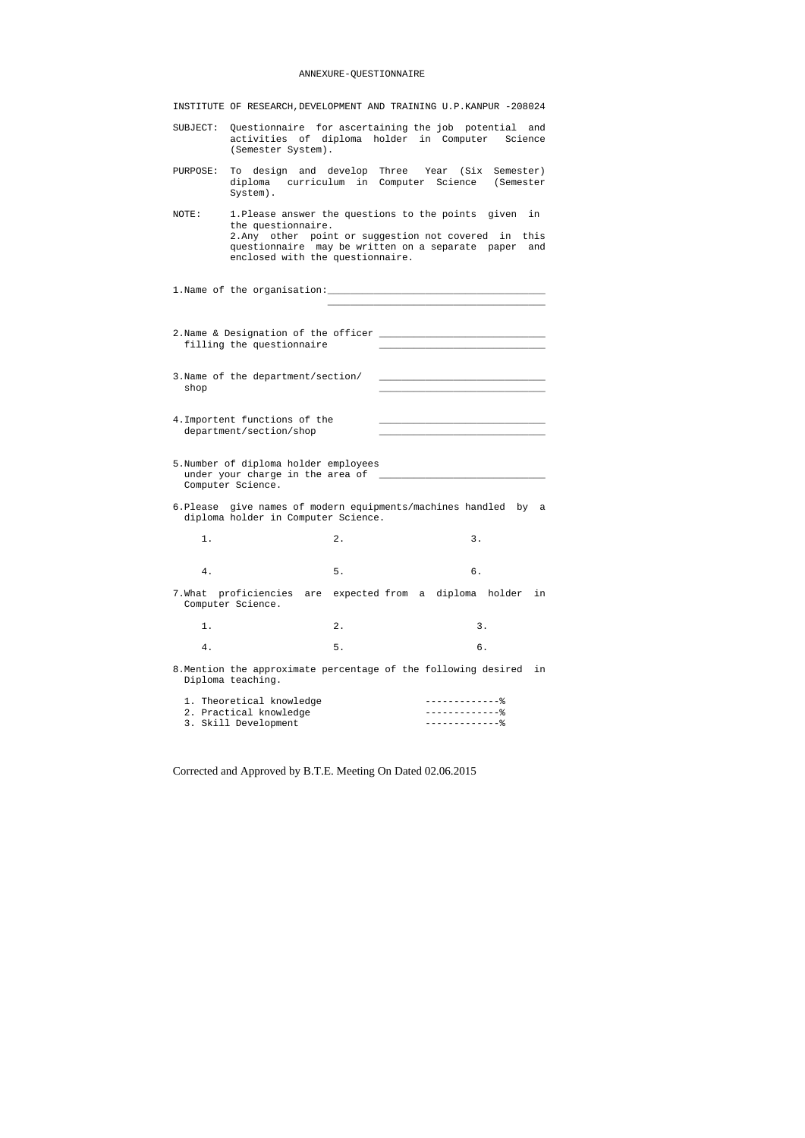## ANNEXURE-QUESTIONNAIRE

| INSTITUTE OF RESEARCH, DEVELOPMENT AND TRAINING U.P. KANPUR -208024 |  |  |  |  |  |
|---------------------------------------------------------------------|--|--|--|--|--|
|---------------------------------------------------------------------|--|--|--|--|--|

- SUBJECT: Questionnaire for ascertaining the job potential and activities of diploma holder in Computer Science (Semester System).
- PURPOSE: To design and develop Three Year (Six Semester) diploma curriculum in Computer Science (Semester System).
- NOTE: 1.Please answer the questions to the points given in the questionnaire. 2.Any other point or suggestion not covered in this questionnaire may be written on a separate paper and enclosed with the questionnaire.

1. Name of the organisation:

- 2.Name & Designation of the officer \_\_\_\_\_\_\_\_\_\_\_\_\_\_\_\_\_\_\_\_\_\_\_\_\_\_\_\_\_ filling the questionnaire
- 3. Name of the department/section/  $\operatorname{shop}$
- 4. Importent functions of the department/section/shop
- 5.Number of diploma holder employees under your charge in the area of \_\_\_\_\_\_\_\_\_\_\_\_\_\_\_\_\_\_\_\_\_\_\_\_\_\_\_\_\_ Computer Science.
- 6.Please give names of modern equipments/machines handled by a diploma holder in Computer Science.
- 1. 2. 3.
- 4. 5. 6. 7.What proficiencies are expected from a diploma holder in Computer Science.
- 1. 2. 3. 4. 5. 6.
- 8.Mention the approximate percentage of the following desired in Diploma teaching.

| 1. Theoretical knowledge |  |
|--------------------------|--|
| 2. Practical knowledge   |  |
| 3. Skill Development     |  |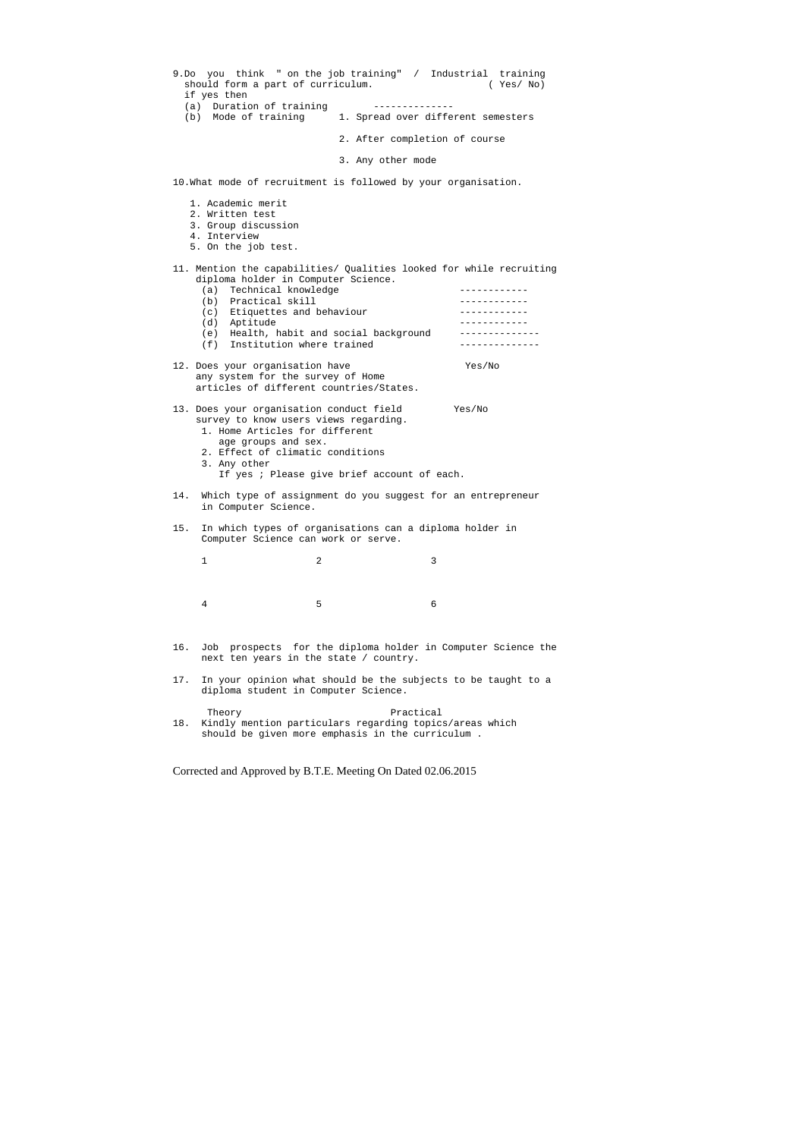|     | should form a part of curriculum.<br>if yes then                                                                                                                                               |                                             | 9.Do you think " on the job training" / Industrial training<br>(Yes/No) |
|-----|------------------------------------------------------------------------------------------------------------------------------------------------------------------------------------------------|---------------------------------------------|-------------------------------------------------------------------------|
|     | (a) Duration of training<br>(b) Mode of training                                                                                                                                               |                                             | 1. Spread over different semesters                                      |
|     |                                                                                                                                                                                                |                                             | 2. After completion of course                                           |
|     |                                                                                                                                                                                                | 3. Any other mode                           |                                                                         |
|     | 10. What mode of recruitment is followed by your organisation.                                                                                                                                 |                                             |                                                                         |
|     | 1. Academic merit<br>2. Written test<br>3. Group discussion<br>4. Interview<br>5. On the job test.                                                                                             |                                             |                                                                         |
|     | diploma holder in Computer Science.                                                                                                                                                            |                                             | 11. Mention the capabilities/ Qualities looked for while recruiting     |
|     | (a) Technical knowledge                                                                                                                                                                        |                                             |                                                                         |
|     | (b) Practical skill<br>(c) Etiquettes and behaviour                                                                                                                                            |                                             | -------------                                                           |
|     | (d) Aptitude                                                                                                                                                                                   |                                             |                                                                         |
|     | (e) Health, habit and social background                                                                                                                                                        |                                             | ______________                                                          |
|     | (f) Institution where trained                                                                                                                                                                  |                                             | . List List List List List                                              |
|     | 12. Does your organisation have                                                                                                                                                                |                                             | Yes/No                                                                  |
|     | any system for the survey of Home                                                                                                                                                              |                                             |                                                                         |
|     | articles of different countries/States.                                                                                                                                                        |                                             |                                                                         |
|     | 13. Does your organisation conduct field<br>survey to know users views regarding.<br>1. Home Articles for different<br>age groups and sex.<br>2. Effect of climatic conditions<br>3. Any other | If yes ; Please give brief account of each. | Yes/No                                                                  |
| 14. | in Computer Science.                                                                                                                                                                           |                                             | Which type of assignment do you suggest for an entrepreneur             |
| 15. | In which types of organisations can a diploma holder in<br>Computer Science can work or serve.                                                                                                 |                                             |                                                                         |
|     | 1                                                                                                                                                                                              | 2                                           | 3                                                                       |
|     |                                                                                                                                                                                                |                                             |                                                                         |
|     | 4                                                                                                                                                                                              | 5                                           | 6                                                                       |
| 16. | next ten years in the state / country.                                                                                                                                                         |                                             | Job prospects for the diploma holder in Computer Science the            |
| 17. | diploma student in Computer Science.                                                                                                                                                           |                                             | In your opinion what should be the subjects to be taught to a           |
| 18. | Theory<br>Kindly mention particulars regarding topics/areas which<br>should be given more emphasis in the curriculum.                                                                          | Practical                                   |                                                                         |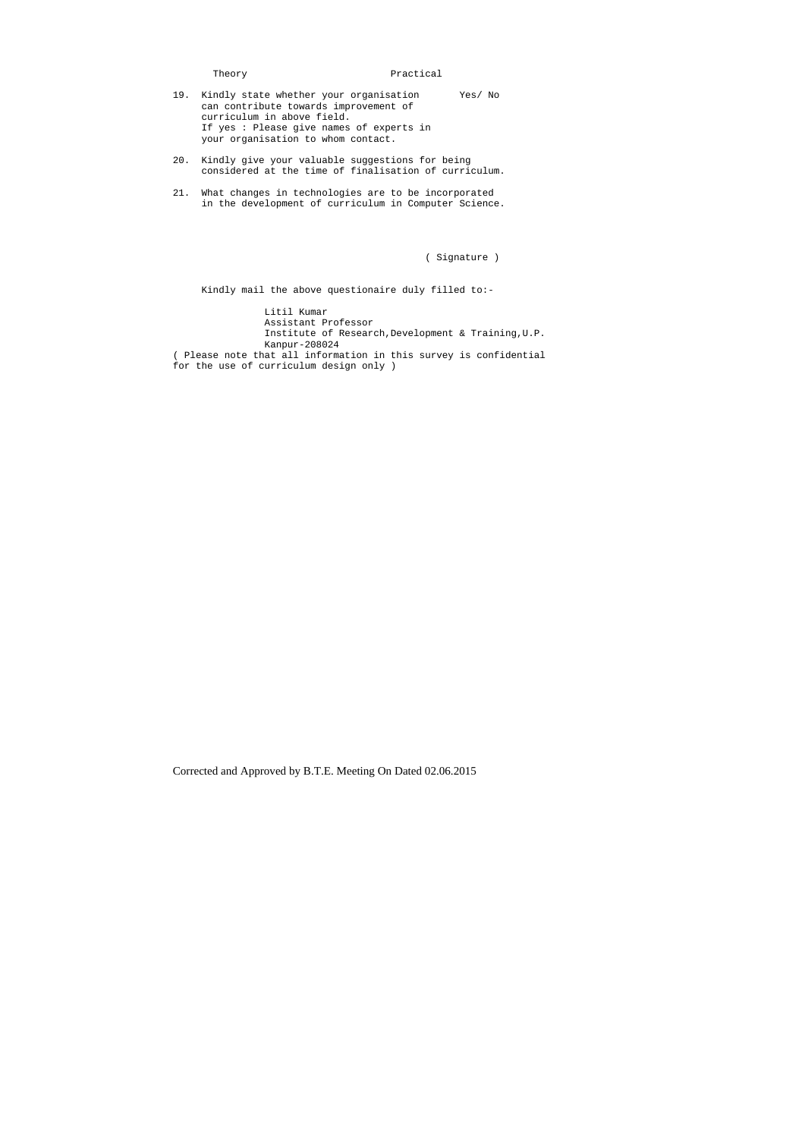Theory **Practical** 19. Kindly state whether your organisation Yes/ No can contribute towards improvement of

- curriculum in above field. If yes : Please give names of experts in your organisation to whom contact.
- 20. Kindly give your valuable suggestions for being considered at the time of finalisation of curriculum.
- 21. What changes in technologies are to be incorporated in the development of curriculum in Computer Science.

( Signature )

Kindly mail the above questionaire duly filled to:-

 Litil Kumar Assistant Professor Institute of Research,Development & Training,U.P. Kanpur-208024 ( Please note that all information in this survey is confidential for the use of curriculum design only )